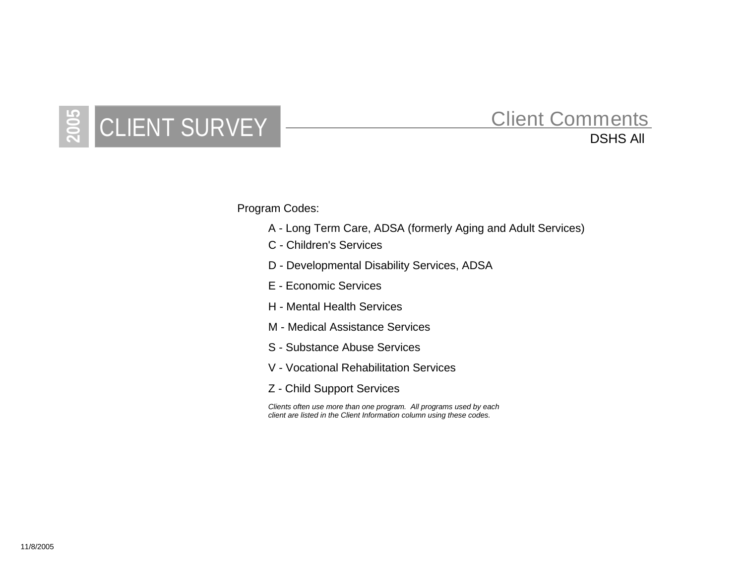## **2006** CLIENT SURVEY  $\frac{20}{20}$  CLIENT SURVEY  $\frac{200}{20}$

## Client Comments

Program Codes:

- A Long Term Care, ADSA (formerly Aging and Adult Services)
- C Children's Services
- D Developmental Disability Services, ADSA
- E Economic Services
- H Mental Health Services
- M Medical Assistance Services
- S Substance Abuse Services
- V Vocational Rehabilitation Services
- Z Child Support Services

*Clients often use more than one program. All programs used by each client are listed in the Client Information column using these codes.*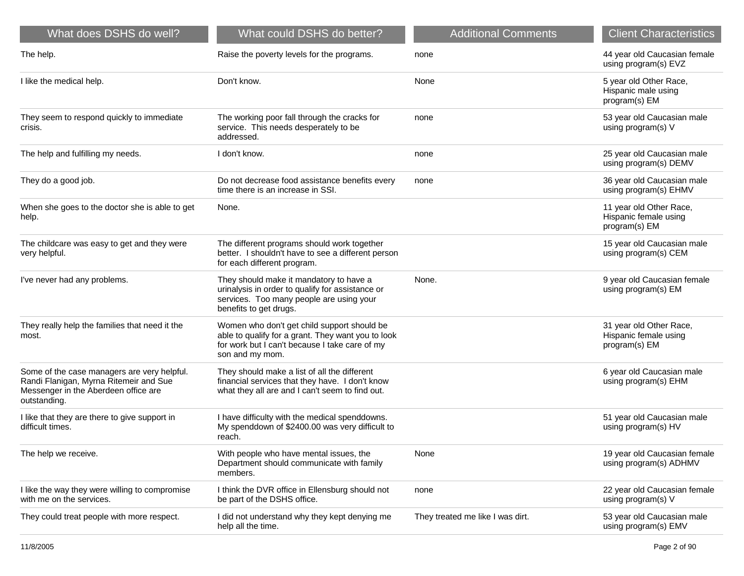| What does DSHS do well?                                                                                                                       | What could DSHS do better?                                                                                                                                             | <b>Additional Comments</b>       | <b>Client Characteristics</b>                                     |
|-----------------------------------------------------------------------------------------------------------------------------------------------|------------------------------------------------------------------------------------------------------------------------------------------------------------------------|----------------------------------|-------------------------------------------------------------------|
| The help.                                                                                                                                     | Raise the poverty levels for the programs.                                                                                                                             | none                             | 44 year old Caucasian female<br>using program(s) EVZ              |
| I like the medical help.                                                                                                                      | Don't know.                                                                                                                                                            | None                             | 5 year old Other Race,<br>Hispanic male using<br>program(s) EM    |
| They seem to respond quickly to immediate<br>crisis.                                                                                          | The working poor fall through the cracks for<br>service. This needs desperately to be<br>addressed.                                                                    | none                             | 53 year old Caucasian male<br>using program(s) V                  |
| The help and fulfilling my needs.                                                                                                             | I don't know.                                                                                                                                                          | none                             | 25 year old Caucasian male<br>using program(s) DEMV               |
| They do a good job.                                                                                                                           | Do not decrease food assistance benefits every<br>time there is an increase in SSI.                                                                                    | none                             | 36 year old Caucasian male<br>using program(s) EHMV               |
| When she goes to the doctor she is able to get<br>help.                                                                                       | None.                                                                                                                                                                  |                                  | 11 year old Other Race,<br>Hispanic female using<br>program(s) EM |
| The childcare was easy to get and they were<br>very helpful.                                                                                  | The different programs should work together<br>better. I shouldn't have to see a different person<br>for each different program.                                       |                                  | 15 year old Caucasian male<br>using program(s) CEM                |
| I've never had any problems.                                                                                                                  | They should make it mandatory to have a<br>urinalysis in order to qualify for assistance or<br>services. Too many people are using your<br>benefits to get drugs.      | None.                            | 9 year old Caucasian female<br>using program(s) EM                |
| They really help the families that need it the<br>most.                                                                                       | Women who don't get child support should be<br>able to qualify for a grant. They want you to look<br>for work but I can't because I take care of my<br>son and my mom. |                                  | 31 year old Other Race,<br>Hispanic female using<br>program(s) EM |
| Some of the case managers are very helpful.<br>Randi Flanigan, Myrna Ritemeir and Sue<br>Messenger in the Aberdeen office are<br>outstanding. | They should make a list of all the different<br>financial services that they have. I don't know<br>what they all are and I can't seem to find out.                     |                                  | 6 year old Caucasian male<br>using program(s) EHM                 |
| I like that they are there to give support in<br>difficult times.                                                                             | I have difficulty with the medical spenddowns.<br>My spenddown of \$2400.00 was very difficult to<br>reach.                                                            |                                  | 51 year old Caucasian male<br>using program(s) HV                 |
| The help we receive.                                                                                                                          | With people who have mental issues, the<br>Department should communicate with family<br>members.                                                                       | None                             | 19 year old Caucasian female<br>using program(s) ADHMV            |
| I like the way they were willing to compromise<br>with me on the services.                                                                    | I think the DVR office in Ellensburg should not<br>be part of the DSHS office.                                                                                         | none                             | 22 year old Caucasian female<br>using program(s) V                |
| They could treat people with more respect.                                                                                                    | I did not understand why they kept denying me<br>help all the time.                                                                                                    | They treated me like I was dirt. | 53 year old Caucasian male<br>using program(s) EMV                |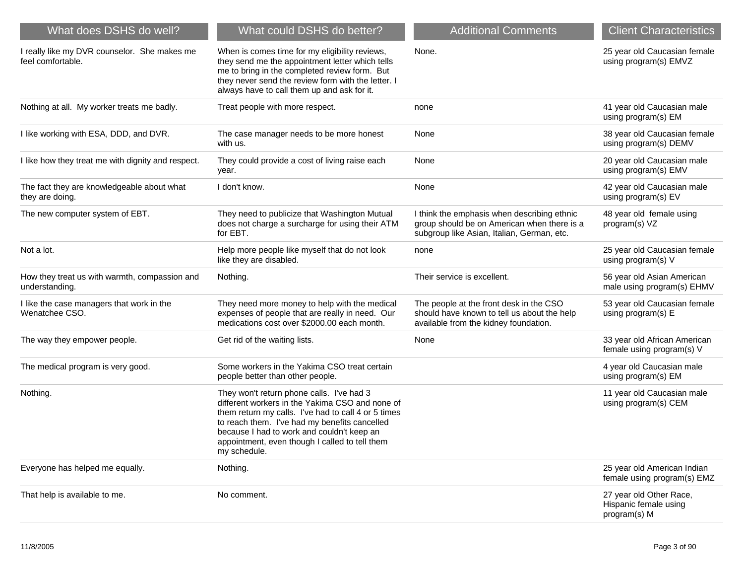| What does DSHS do well?                                           | What could DSHS do better?                                                                                                                                                                                                                                                                                           | <b>Additional Comments</b>                                                                                                               | <b>Client Characteristics</b>                                    |
|-------------------------------------------------------------------|----------------------------------------------------------------------------------------------------------------------------------------------------------------------------------------------------------------------------------------------------------------------------------------------------------------------|------------------------------------------------------------------------------------------------------------------------------------------|------------------------------------------------------------------|
| I really like my DVR counselor. She makes me<br>feel comfortable. | When is comes time for my eligibility reviews,<br>they send me the appointment letter which tells<br>me to bring in the completed review form. But<br>they never send the review form with the letter. I<br>always have to call them up and ask for it.                                                              | None.                                                                                                                                    | 25 year old Caucasian female<br>using program(s) EMVZ            |
| Nothing at all. My worker treats me badly.                        | Treat people with more respect.                                                                                                                                                                                                                                                                                      | none                                                                                                                                     | 41 year old Caucasian male<br>using program(s) EM                |
| I like working with ESA, DDD, and DVR.                            | The case manager needs to be more honest<br>with us.                                                                                                                                                                                                                                                                 | None                                                                                                                                     | 38 year old Caucasian female<br>using program(s) DEMV            |
| I like how they treat me with dignity and respect.                | They could provide a cost of living raise each<br>year.                                                                                                                                                                                                                                                              | None                                                                                                                                     | 20 year old Caucasian male<br>using program(s) EMV               |
| The fact they are knowledgeable about what<br>they are doing.     | I don't know.                                                                                                                                                                                                                                                                                                        | None                                                                                                                                     | 42 year old Caucasian male<br>using program(s) EV                |
| The new computer system of EBT.                                   | They need to publicize that Washington Mutual<br>does not charge a surcharge for using their ATM<br>for EBT.                                                                                                                                                                                                         | I think the emphasis when describing ethnic<br>group should be on American when there is a<br>subgroup like Asian, Italian, German, etc. | 48 year old female using<br>program(s) VZ                        |
| Not a lot.                                                        | Help more people like myself that do not look<br>like they are disabled.                                                                                                                                                                                                                                             | none                                                                                                                                     | 25 year old Caucasian female<br>using program(s) V               |
| How they treat us with warmth, compassion and<br>understanding.   | Nothing.                                                                                                                                                                                                                                                                                                             | Their service is excellent.                                                                                                              | 56 year old Asian American<br>male using program(s) EHMV         |
| I like the case managers that work in the<br>Wenatchee CSO.       | They need more money to help with the medical<br>expenses of people that are really in need. Our<br>medications cost over \$2000.00 each month.                                                                                                                                                                      | The people at the front desk in the CSO<br>should have known to tell us about the help<br>available from the kidney foundation.          | 53 year old Caucasian female<br>using program(s) E               |
| The way they empower people.                                      | Get rid of the waiting lists.                                                                                                                                                                                                                                                                                        | None                                                                                                                                     | 33 year old African American<br>female using program(s) V        |
| The medical program is very good.                                 | Some workers in the Yakima CSO treat certain<br>people better than other people.                                                                                                                                                                                                                                     |                                                                                                                                          | 4 year old Caucasian male<br>using program(s) EM                 |
| Nothing.                                                          | They won't return phone calls. I've had 3<br>different workers in the Yakima CSO and none of<br>them return my calls. I've had to call 4 or 5 times<br>to reach them. I've had my benefits cancelled<br>because I had to work and couldn't keep an<br>appointment, even though I called to tell them<br>my schedule. |                                                                                                                                          | 11 year old Caucasian male<br>using program(s) CEM               |
| Everyone has helped me equally.                                   | Nothing.                                                                                                                                                                                                                                                                                                             |                                                                                                                                          | 25 year old American Indian<br>female using program(s) EMZ       |
| That help is available to me.                                     | No comment.                                                                                                                                                                                                                                                                                                          |                                                                                                                                          | 27 year old Other Race,<br>Hispanic female using<br>program(s) M |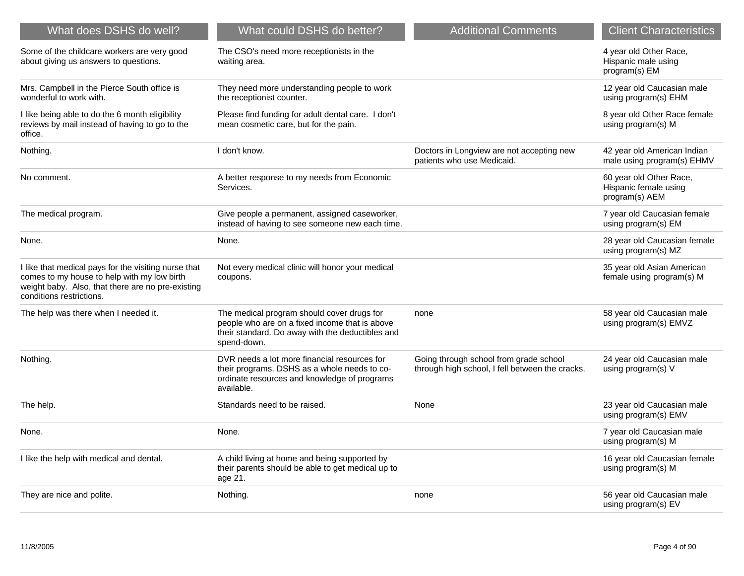| What does DSHS do well?                                                                                                                                                              | What could DSHS do better?                                                                                                                                      | <b>Additional Comments</b>                                                                | <b>Client Characteristics</b>                                      |
|--------------------------------------------------------------------------------------------------------------------------------------------------------------------------------------|-----------------------------------------------------------------------------------------------------------------------------------------------------------------|-------------------------------------------------------------------------------------------|--------------------------------------------------------------------|
| Some of the childcare workers are very good<br>about giving us answers to questions.                                                                                                 | The CSO's need more receptionists in the<br>waiting area.                                                                                                       |                                                                                           | 4 year old Other Race,<br>Hispanic male using<br>program(s) EM     |
| Mrs. Campbell in the Pierce South office is<br>wonderful to work with.                                                                                                               | They need more understanding people to work<br>the receptionist counter.                                                                                        |                                                                                           | 12 year old Caucasian male<br>using program(s) EHM                 |
| I like being able to do the 6 month eligibility<br>reviews by mail instead of having to go to the<br>office.                                                                         | Please find funding for adult dental care. I don't<br>mean cosmetic care, but for the pain.                                                                     |                                                                                           | 8 year old Other Race female<br>using program(s) M                 |
| Nothing.                                                                                                                                                                             | I don't know.                                                                                                                                                   | Doctors in Longview are not accepting new<br>patients who use Medicaid.                   | 42 year old American Indian<br>male using program(s) EHMV          |
| No comment.                                                                                                                                                                          | A better response to my needs from Economic<br>Services.                                                                                                        |                                                                                           | 60 year old Other Race,<br>Hispanic female using<br>program(s) AEM |
| The medical program.                                                                                                                                                                 | Give people a permanent, assigned caseworker,<br>instead of having to see someone new each time.                                                                |                                                                                           | 7 year old Caucasian female<br>using program(s) EM                 |
| None.                                                                                                                                                                                | None.                                                                                                                                                           |                                                                                           | 28 year old Caucasian female<br>using program(s) MZ                |
| I like that medical pays for the visiting nurse that<br>comes to my house to help with my low birth<br>weight baby. Also, that there are no pre-existing<br>conditions restrictions. | Not every medical clinic will honor your medical<br>coupons.                                                                                                    |                                                                                           | 35 year old Asian American<br>female using program(s) M            |
| The help was there when I needed it.                                                                                                                                                 | The medical program should cover drugs for<br>people who are on a fixed income that is above<br>their standard. Do away with the deductibles and<br>spend-down. | none                                                                                      | 58 year old Caucasian male<br>using program(s) EMVZ                |
| Nothing.                                                                                                                                                                             | DVR needs a lot more financial resources for<br>their programs. DSHS as a whole needs to co-<br>ordinate resources and knowledge of programs<br>available.      | Going through school from grade school<br>through high school, I fell between the cracks. | 24 year old Caucasian male<br>using program(s) V                   |
| The help.                                                                                                                                                                            | Standards need to be raised.                                                                                                                                    | None                                                                                      | 23 year old Caucasian male<br>using program(s) EMV                 |
| None.                                                                                                                                                                                | None.                                                                                                                                                           |                                                                                           | 7 year old Caucasian male<br>using program(s) M                    |
| I like the help with medical and dental.                                                                                                                                             | A child living at home and being supported by<br>their parents should be able to get medical up to<br>age 21.                                                   |                                                                                           | 16 year old Caucasian female<br>using program(s) M                 |
| They are nice and polite.                                                                                                                                                            | Nothing.                                                                                                                                                        | none                                                                                      | 56 year old Caucasian male<br>using program(s) EV                  |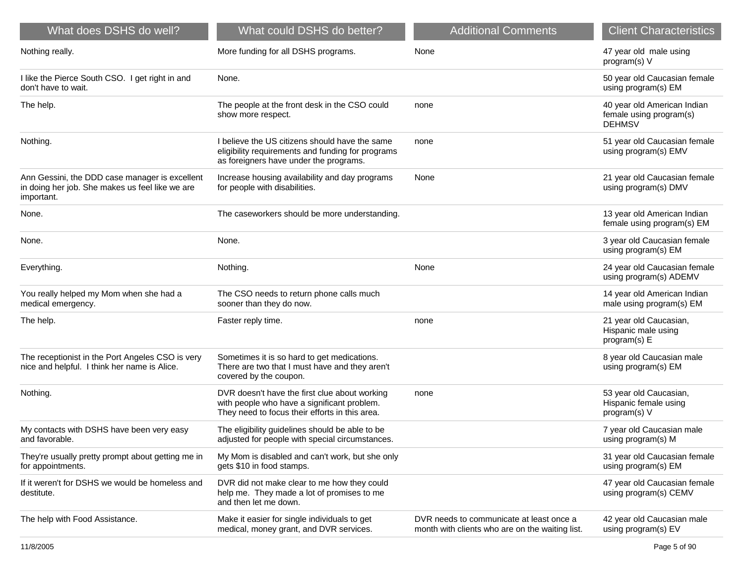| What does DSHS do well?                                                                                         | What could DSHS do better?                                                                                                                     | <b>Additional Comments</b>                                                                  | <b>Client Characteristics</b>                                           |
|-----------------------------------------------------------------------------------------------------------------|------------------------------------------------------------------------------------------------------------------------------------------------|---------------------------------------------------------------------------------------------|-------------------------------------------------------------------------|
| Nothing really.                                                                                                 | More funding for all DSHS programs.                                                                                                            | None                                                                                        | 47 year old male using<br>program(s) V                                  |
| I like the Pierce South CSO. I get right in and<br>don't have to wait.                                          | None.                                                                                                                                          |                                                                                             | 50 year old Caucasian female<br>using program(s) EM                     |
| The help.                                                                                                       | The people at the front desk in the CSO could<br>show more respect.                                                                            | none                                                                                        | 40 year old American Indian<br>female using program(s)<br><b>DEHMSV</b> |
| Nothing.                                                                                                        | I believe the US citizens should have the same<br>eligibility requirements and funding for programs<br>as foreigners have under the programs.  | none                                                                                        | 51 year old Caucasian female<br>using program(s) EMV                    |
| Ann Gessini, the DDD case manager is excellent<br>in doing her job. She makes us feel like we are<br>important. | Increase housing availability and day programs<br>for people with disabilities.                                                                | None                                                                                        | 21 year old Caucasian female<br>using program(s) DMV                    |
| None.                                                                                                           | The caseworkers should be more understanding.                                                                                                  |                                                                                             | 13 year old American Indian<br>female using program(s) EM               |
| None.                                                                                                           | None.                                                                                                                                          |                                                                                             | 3 year old Caucasian female<br>using program(s) EM                      |
| Everything.                                                                                                     | Nothing.                                                                                                                                       | None                                                                                        | 24 year old Caucasian female<br>using program(s) ADEMV                  |
| You really helped my Mom when she had a<br>medical emergency.                                                   | The CSO needs to return phone calls much<br>sooner than they do now.                                                                           |                                                                                             | 14 year old American Indian<br>male using program(s) EM                 |
| The help.                                                                                                       | Faster reply time.                                                                                                                             | none                                                                                        | 21 year old Caucasian,<br>Hispanic male using<br>program(s) E           |
| The receptionist in the Port Angeles CSO is very<br>nice and helpful. I think her name is Alice.                | Sometimes it is so hard to get medications.<br>There are two that I must have and they aren't<br>covered by the coupon.                        |                                                                                             | 8 year old Caucasian male<br>using program(s) EM                        |
| Nothing.                                                                                                        | DVR doesn't have the first clue about working<br>with people who have a significant problem.<br>They need to focus their efforts in this area. | none                                                                                        | 53 year old Caucasian,<br>Hispanic female using<br>program(s) V         |
| My contacts with DSHS have been very easy<br>and favorable.                                                     | The eligibility guidelines should be able to be<br>adjusted for people with special circumstances.                                             |                                                                                             | 7 year old Caucasian male<br>using program(s) M                         |
| They're usually pretty prompt about getting me in<br>for appointments.                                          | My Mom is disabled and can't work, but she only<br>gets \$10 in food stamps.                                                                   |                                                                                             | 31 year old Caucasian female<br>using program(s) EM                     |
| If it weren't for DSHS we would be homeless and<br>destitute.                                                   | DVR did not make clear to me how they could<br>help me. They made a lot of promises to me<br>and then let me down.                             |                                                                                             | 47 year old Caucasian female<br>using program(s) CEMV                   |
| The help with Food Assistance.                                                                                  | Make it easier for single individuals to get<br>medical, money grant, and DVR services.                                                        | DVR needs to communicate at least once a<br>month with clients who are on the waiting list. | 42 year old Caucasian male<br>using program(s) EV                       |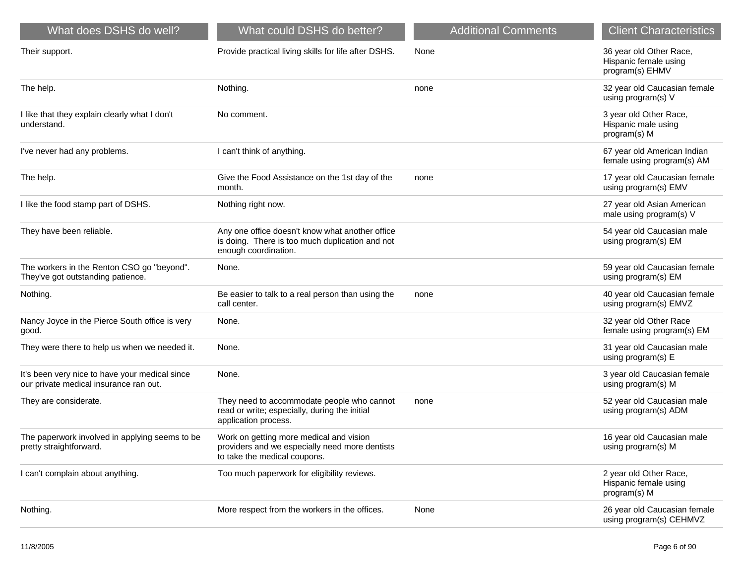| What does DSHS do well?                                                                  | What could DSHS do better?                                                                                                 | <b>Additional Comments</b> | <b>Client Characteristics</b>                                       |
|------------------------------------------------------------------------------------------|----------------------------------------------------------------------------------------------------------------------------|----------------------------|---------------------------------------------------------------------|
| Their support.                                                                           | Provide practical living skills for life after DSHS.                                                                       | None                       | 36 year old Other Race,<br>Hispanic female using<br>program(s) EHMV |
| The help.                                                                                | Nothing.                                                                                                                   | none                       | 32 year old Caucasian female<br>using program(s) V                  |
| I like that they explain clearly what I don't<br>understand.                             | No comment.                                                                                                                |                            | 3 year old Other Race,<br>Hispanic male using<br>program(s) M       |
| I've never had any problems.                                                             | I can't think of anything.                                                                                                 |                            | 67 year old American Indian<br>female using program(s) AM           |
| The help.                                                                                | Give the Food Assistance on the 1st day of the<br>month.                                                                   | none                       | 17 year old Caucasian female<br>using program(s) EMV                |
| I like the food stamp part of DSHS.                                                      | Nothing right now.                                                                                                         |                            | 27 year old Asian American<br>male using program(s) V               |
| They have been reliable.                                                                 | Any one office doesn't know what another office<br>is doing. There is too much duplication and not<br>enough coordination. |                            | 54 year old Caucasian male<br>using program(s) EM                   |
| The workers in the Renton CSO go "beyond".<br>They've got outstanding patience.          | None.                                                                                                                      |                            | 59 year old Caucasian female<br>using program(s) EM                 |
| Nothing.                                                                                 | Be easier to talk to a real person than using the<br>call center.                                                          | none                       | 40 year old Caucasian female<br>using program(s) EMVZ               |
| Nancy Joyce in the Pierce South office is very<br>good.                                  | None.                                                                                                                      |                            | 32 year old Other Race<br>female using program(s) EM                |
| They were there to help us when we needed it.                                            | None.                                                                                                                      |                            | 31 year old Caucasian male<br>using program(s) E                    |
| It's been very nice to have your medical since<br>our private medical insurance ran out. | None.                                                                                                                      |                            | 3 year old Caucasian female<br>using program(s) M                   |
| They are considerate.                                                                    | They need to accommodate people who cannot<br>read or write; especially, during the initial<br>application process.        | none                       | 52 year old Caucasian male<br>using program(s) ADM                  |
| The paperwork involved in applying seems to be<br>pretty straightforward.                | Work on getting more medical and vision<br>providers and we especially need more dentists<br>to take the medical coupons.  |                            | 16 year old Caucasian male<br>using program(s) M                    |
| I can't complain about anything.                                                         | Too much paperwork for eligibility reviews.                                                                                |                            | 2 year old Other Race,<br>Hispanic female using<br>program(s) M     |
| Nothing.                                                                                 | More respect from the workers in the offices.                                                                              | None                       | 26 year old Caucasian female                                        |

using program(s) CEHMVZ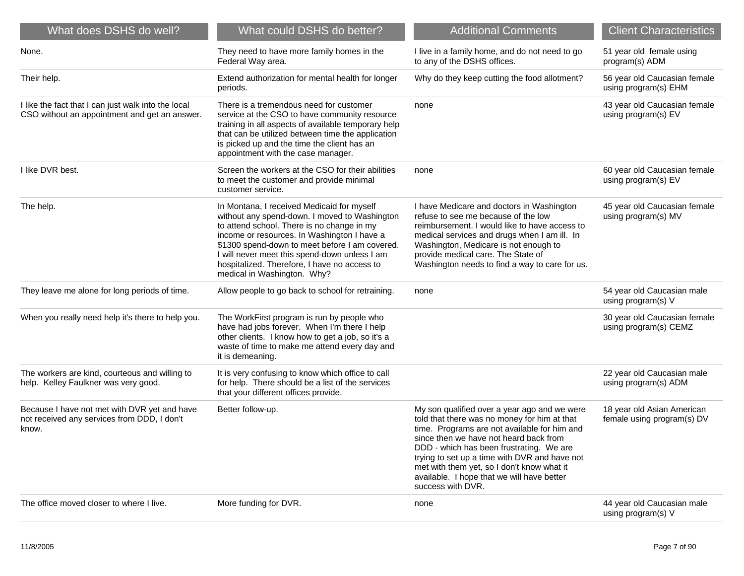| What does DSHS do well?                                                                              | What could DSHS do better?                                                                                                                                                                                                                                                                                                                                                 | <b>Additional Comments</b>                                                                                                                                                                                                                                                                                                                                                                           | <b>Client Characteristics</b>                            |
|------------------------------------------------------------------------------------------------------|----------------------------------------------------------------------------------------------------------------------------------------------------------------------------------------------------------------------------------------------------------------------------------------------------------------------------------------------------------------------------|------------------------------------------------------------------------------------------------------------------------------------------------------------------------------------------------------------------------------------------------------------------------------------------------------------------------------------------------------------------------------------------------------|----------------------------------------------------------|
| None.                                                                                                | They need to have more family homes in the<br>Federal Way area.                                                                                                                                                                                                                                                                                                            | I live in a family home, and do not need to go<br>to any of the DSHS offices.                                                                                                                                                                                                                                                                                                                        | 51 year old female using<br>program(s) ADM               |
| Their help.                                                                                          | Extend authorization for mental health for longer<br>periods.                                                                                                                                                                                                                                                                                                              | Why do they keep cutting the food allotment?                                                                                                                                                                                                                                                                                                                                                         | 56 year old Caucasian female<br>using program(s) EHM     |
| I like the fact that I can just walk into the local<br>CSO without an appointment and get an answer. | There is a tremendous need for customer<br>service at the CSO to have community resource<br>training in all aspects of available temporary help<br>that can be utilized between time the application<br>is picked up and the time the client has an<br>appointment with the case manager.                                                                                  | none                                                                                                                                                                                                                                                                                                                                                                                                 | 43 year old Caucasian female<br>using program(s) EV      |
| I like DVR best.                                                                                     | Screen the workers at the CSO for their abilities<br>to meet the customer and provide minimal<br>customer service.                                                                                                                                                                                                                                                         | none                                                                                                                                                                                                                                                                                                                                                                                                 | 60 year old Caucasian female<br>using program(s) EV      |
| The help.                                                                                            | In Montana, I received Medicaid for myself<br>without any spend-down. I moved to Washington<br>to attend school. There is no change in my<br>income or resources. In Washington I have a<br>\$1300 spend-down to meet before I am covered.<br>I will never meet this spend-down unless I am<br>hospitalized. Therefore, I have no access to<br>medical in Washington. Why? | I have Medicare and doctors in Washington<br>refuse to see me because of the low<br>reimbursement. I would like to have access to<br>medical services and drugs when I am ill. In<br>Washington, Medicare is not enough to<br>provide medical care. The State of<br>Washington needs to find a way to care for us.                                                                                   | 45 year old Caucasian female<br>using program(s) MV      |
| They leave me alone for long periods of time.                                                        | Allow people to go back to school for retraining.                                                                                                                                                                                                                                                                                                                          | none                                                                                                                                                                                                                                                                                                                                                                                                 | 54 year old Caucasian male<br>using program(s) V         |
| When you really need help it's there to help you.                                                    | The WorkFirst program is run by people who<br>have had jobs forever. When I'm there I help<br>other clients. I know how to get a job, so it's a<br>waste of time to make me attend every day and<br>it is demeaning.                                                                                                                                                       |                                                                                                                                                                                                                                                                                                                                                                                                      | 30 year old Caucasian female<br>using program(s) CEMZ    |
| The workers are kind, courteous and willing to<br>help. Kelley Faulkner was very good.               | It is very confusing to know which office to call<br>for help. There should be a list of the services<br>that your different offices provide.                                                                                                                                                                                                                              |                                                                                                                                                                                                                                                                                                                                                                                                      | 22 year old Caucasian male<br>using program(s) ADM       |
| Because I have not met with DVR yet and have<br>not received any services from DDD, I don't<br>know. | Better follow-up.                                                                                                                                                                                                                                                                                                                                                          | My son qualified over a year ago and we were<br>told that there was no money for him at that<br>time. Programs are not available for him and<br>since then we have not heard back from<br>DDD - which has been frustrating. We are<br>trying to set up a time with DVR and have not<br>met with them yet, so I don't know what it<br>available. I hope that we will have better<br>success with DVR. | 18 year old Asian American<br>female using program(s) DV |
| The office moved closer to where I live.                                                             | More funding for DVR.                                                                                                                                                                                                                                                                                                                                                      | none                                                                                                                                                                                                                                                                                                                                                                                                 | 44 year old Caucasian male<br>using program(s) V         |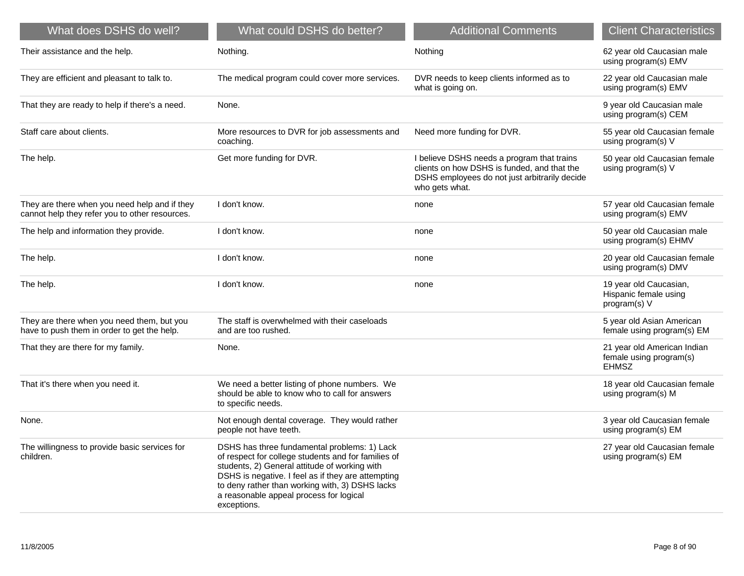| What does DSHS do well?                                                                         | What could DSHS do better?                                                                                                                                                                                                                                                                                              | <b>Additional Comments</b>                                                                                                                                   | <b>Client Characteristics</b>                                          |
|-------------------------------------------------------------------------------------------------|-------------------------------------------------------------------------------------------------------------------------------------------------------------------------------------------------------------------------------------------------------------------------------------------------------------------------|--------------------------------------------------------------------------------------------------------------------------------------------------------------|------------------------------------------------------------------------|
| Their assistance and the help.                                                                  | Nothing.                                                                                                                                                                                                                                                                                                                | Nothing                                                                                                                                                      | 62 year old Caucasian male<br>using program(s) EMV                     |
| They are efficient and pleasant to talk to.                                                     | The medical program could cover more services.                                                                                                                                                                                                                                                                          | DVR needs to keep clients informed as to<br>what is going on.                                                                                                | 22 year old Caucasian male<br>using program(s) EMV                     |
| That they are ready to help if there's a need.                                                  | None.                                                                                                                                                                                                                                                                                                                   |                                                                                                                                                              | 9 year old Caucasian male<br>using program(s) CEM                      |
| Staff care about clients.                                                                       | More resources to DVR for job assessments and<br>coaching.                                                                                                                                                                                                                                                              | Need more funding for DVR.                                                                                                                                   | 55 year old Caucasian female<br>using program(s) V                     |
| The help.                                                                                       | Get more funding for DVR.                                                                                                                                                                                                                                                                                               | I believe DSHS needs a program that trains<br>clients on how DSHS is funded, and that the<br>DSHS employees do not just arbitrarily decide<br>who gets what. | 50 year old Caucasian female<br>using program(s) V                     |
| They are there when you need help and if they<br>cannot help they refer you to other resources. | I don't know.                                                                                                                                                                                                                                                                                                           | none                                                                                                                                                         | 57 year old Caucasian female<br>using program(s) EMV                   |
| The help and information they provide.                                                          | I don't know.                                                                                                                                                                                                                                                                                                           | none                                                                                                                                                         | 50 year old Caucasian male<br>using program(s) EHMV                    |
| The help.                                                                                       | I don't know.                                                                                                                                                                                                                                                                                                           | none                                                                                                                                                         | 20 year old Caucasian female<br>using program(s) DMV                   |
| The help.                                                                                       | I don't know.                                                                                                                                                                                                                                                                                                           | none                                                                                                                                                         | 19 year old Caucasian,<br>Hispanic female using<br>program(s) V        |
| They are there when you need them, but you<br>have to push them in order to get the help.       | The staff is overwhelmed with their caseloads<br>and are too rushed.                                                                                                                                                                                                                                                    |                                                                                                                                                              | 5 year old Asian American<br>female using program(s) EM                |
| That they are there for my family.                                                              | None.                                                                                                                                                                                                                                                                                                                   |                                                                                                                                                              | 21 year old American Indian<br>female using program(s)<br><b>EHMSZ</b> |
| That it's there when you need it.                                                               | We need a better listing of phone numbers. We<br>should be able to know who to call for answers<br>to specific needs.                                                                                                                                                                                                   |                                                                                                                                                              | 18 year old Caucasian female<br>using program(s) M                     |
| None.                                                                                           | Not enough dental coverage. They would rather<br>people not have teeth.                                                                                                                                                                                                                                                 |                                                                                                                                                              | 3 year old Caucasian female<br>using program(s) EM                     |
| The willingness to provide basic services for<br>children.                                      | DSHS has three fundamental problems: 1) Lack<br>of respect for college students and for families of<br>students, 2) General attitude of working with<br>DSHS is negative. I feel as if they are attempting<br>to deny rather than working with, 3) DSHS lacks<br>a reasonable appeal process for logical<br>exceptions. |                                                                                                                                                              | 27 year old Caucasian female<br>using program(s) EM                    |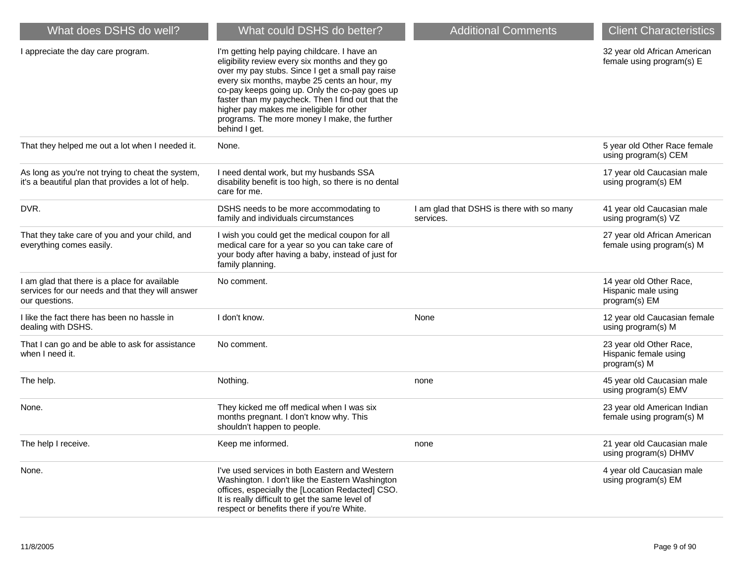| What does DSHS do well?                                                                                             | What could DSHS do better?                                                                                                                                                                                                                                                                                                                                                                                              | <b>Additional Comments</b>                             | <b>Client Characteristics</b>                                    |
|---------------------------------------------------------------------------------------------------------------------|-------------------------------------------------------------------------------------------------------------------------------------------------------------------------------------------------------------------------------------------------------------------------------------------------------------------------------------------------------------------------------------------------------------------------|--------------------------------------------------------|------------------------------------------------------------------|
| I appreciate the day care program.                                                                                  | I'm getting help paying childcare. I have an<br>eligibility review every six months and they go<br>over my pay stubs. Since I get a small pay raise<br>every six months, maybe 25 cents an hour, my<br>co-pay keeps going up. Only the co-pay goes up<br>faster than my paycheck. Then I find out that the<br>higher pay makes me ineligible for other<br>programs. The more money I make, the further<br>behind I get. |                                                        | 32 year old African American<br>female using program(s) E        |
| That they helped me out a lot when I needed it.                                                                     | None.                                                                                                                                                                                                                                                                                                                                                                                                                   |                                                        | 5 year old Other Race female<br>using program(s) CEM             |
| As long as you're not trying to cheat the system,<br>it's a beautiful plan that provides a lot of help.             | I need dental work, but my husbands SSA<br>disability benefit is too high, so there is no dental<br>care for me.                                                                                                                                                                                                                                                                                                        |                                                        | 17 year old Caucasian male<br>using program(s) EM                |
| DVR.                                                                                                                | DSHS needs to be more accommodating to<br>family and individuals circumstances                                                                                                                                                                                                                                                                                                                                          | I am glad that DSHS is there with so many<br>services. | 41 year old Caucasian male<br>using program(s) VZ                |
| That they take care of you and your child, and<br>everything comes easily.                                          | I wish you could get the medical coupon for all<br>medical care for a year so you can take care of<br>your body after having a baby, instead of just for<br>family planning.                                                                                                                                                                                                                                            |                                                        | 27 year old African American<br>female using program(s) M        |
| I am glad that there is a place for available<br>services for our needs and that they will answer<br>our questions. | No comment.                                                                                                                                                                                                                                                                                                                                                                                                             |                                                        | 14 year old Other Race,<br>Hispanic male using<br>program(s) EM  |
| I like the fact there has been no hassle in<br>dealing with DSHS.                                                   | I don't know.                                                                                                                                                                                                                                                                                                                                                                                                           | None                                                   | 12 year old Caucasian female<br>using program(s) M               |
| That I can go and be able to ask for assistance<br>when I need it.                                                  | No comment.                                                                                                                                                                                                                                                                                                                                                                                                             |                                                        | 23 year old Other Race,<br>Hispanic female using<br>program(s) M |
| The help.                                                                                                           | Nothing.                                                                                                                                                                                                                                                                                                                                                                                                                | none                                                   | 45 year old Caucasian male<br>using program(s) EMV               |
| None.                                                                                                               | They kicked me off medical when I was six<br>months pregnant. I don't know why. This<br>shouldn't happen to people.                                                                                                                                                                                                                                                                                                     |                                                        | 23 year old American Indian<br>female using program(s) M         |
| The help I receive.                                                                                                 | Keep me informed.                                                                                                                                                                                                                                                                                                                                                                                                       | none                                                   | 21 year old Caucasian male<br>using program(s) DHMV              |
| None.                                                                                                               | I've used services in both Eastern and Western<br>Washington. I don't like the Eastern Washington<br>offices, especially the [Location Redacted] CSO.<br>It is really difficult to get the same level of<br>respect or benefits there if you're White.                                                                                                                                                                  |                                                        | 4 year old Caucasian male<br>using program(s) EM                 |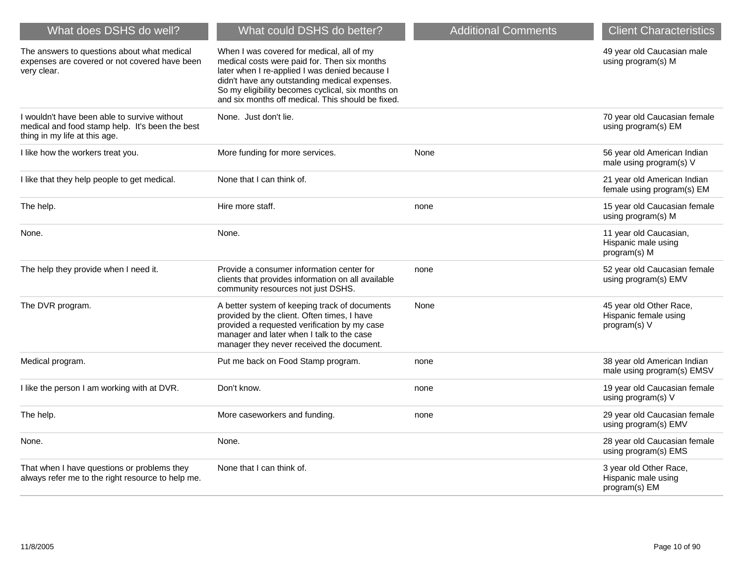| What does DSHS do well?                                                                                                          | What could DSHS do better?                                                                                                                                                                                                                                                                             | <b>Additional Comments</b> | <b>Client Characteristics</b>                                    |
|----------------------------------------------------------------------------------------------------------------------------------|--------------------------------------------------------------------------------------------------------------------------------------------------------------------------------------------------------------------------------------------------------------------------------------------------------|----------------------------|------------------------------------------------------------------|
| The answers to questions about what medical<br>expenses are covered or not covered have been<br>very clear.                      | When I was covered for medical, all of my<br>medical costs were paid for. Then six months<br>later when I re-applied I was denied because I<br>didn't have any outstanding medical expenses.<br>So my eligibility becomes cyclical, six months on<br>and six months off medical. This should be fixed. |                            | 49 year old Caucasian male<br>using program(s) M                 |
| I wouldn't have been able to survive without<br>medical and food stamp help. It's been the best<br>thing in my life at this age. | None. Just don't lie.                                                                                                                                                                                                                                                                                  |                            | 70 year old Caucasian female<br>using program(s) EM              |
| I like how the workers treat you.                                                                                                | More funding for more services.                                                                                                                                                                                                                                                                        | None                       | 56 year old American Indian<br>male using program(s) V           |
| I like that they help people to get medical.                                                                                     | None that I can think of.                                                                                                                                                                                                                                                                              |                            | 21 year old American Indian<br>female using program(s) EM        |
| The help.                                                                                                                        | Hire more staff.                                                                                                                                                                                                                                                                                       | none                       | 15 year old Caucasian female<br>using program(s) M               |
| None.                                                                                                                            | None.                                                                                                                                                                                                                                                                                                  |                            | 11 year old Caucasian,<br>Hispanic male using<br>program(s) M    |
| The help they provide when I need it.                                                                                            | Provide a consumer information center for<br>clients that provides information on all available<br>community resources not just DSHS.                                                                                                                                                                  | none                       | 52 year old Caucasian female<br>using program(s) EMV             |
| The DVR program.                                                                                                                 | A better system of keeping track of documents<br>provided by the client. Often times, I have<br>provided a requested verification by my case<br>manager and later when I talk to the case<br>manager they never received the document.                                                                 | None                       | 45 year old Other Race,<br>Hispanic female using<br>program(s) V |
| Medical program.                                                                                                                 | Put me back on Food Stamp program.                                                                                                                                                                                                                                                                     | none                       | 38 year old American Indian<br>male using program(s) EMSV        |
| I like the person I am working with at DVR.                                                                                      | Don't know.                                                                                                                                                                                                                                                                                            | none                       | 19 year old Caucasian female<br>using program(s) V               |
| The help.                                                                                                                        | More caseworkers and funding.                                                                                                                                                                                                                                                                          | none                       | 29 year old Caucasian female<br>using program(s) EMV             |
| None.                                                                                                                            | None.                                                                                                                                                                                                                                                                                                  |                            | 28 year old Caucasian female<br>using program(s) EMS             |
| That when I have questions or problems they<br>always refer me to the right resource to help me.                                 | None that I can think of.                                                                                                                                                                                                                                                                              |                            | 3 year old Other Race,<br>Hispanic male using<br>program(s) EM   |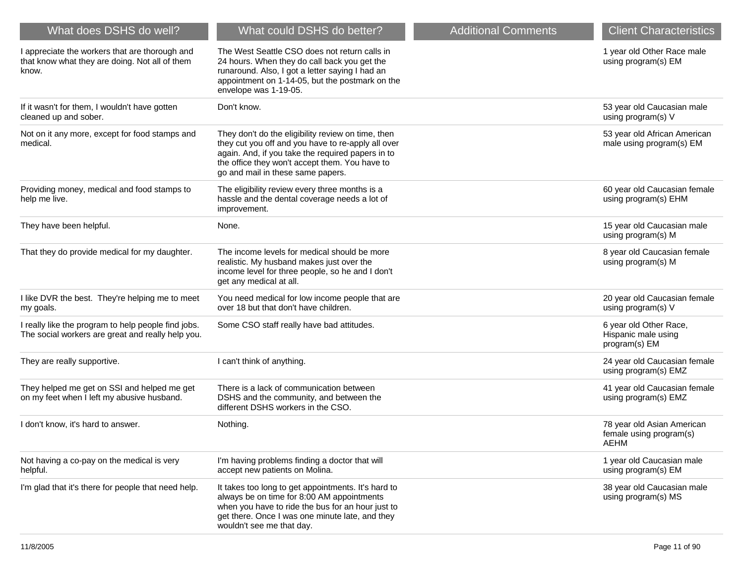| What does DSHS do well?                                                                                   | What could DSHS do better?                                                                                                                                                                                                                           | <b>Additional Comments</b> | <b>Client Characteristics</b>                                  |
|-----------------------------------------------------------------------------------------------------------|------------------------------------------------------------------------------------------------------------------------------------------------------------------------------------------------------------------------------------------------------|----------------------------|----------------------------------------------------------------|
| I appreciate the workers that are thorough and<br>that know what they are doing. Not all of them<br>know. | The West Seattle CSO does not return calls in<br>24 hours. When they do call back you get the<br>runaround. Also, I got a letter saying I had an<br>appointment on 1-14-05, but the postmark on the<br>envelope was 1-19-05.                         |                            | 1 year old Other Race male<br>using program(s) EM              |
| If it wasn't for them, I wouldn't have gotten<br>cleaned up and sober.                                    | Don't know.                                                                                                                                                                                                                                          |                            | 53 year old Caucasian male<br>using program(s) V               |
| Not on it any more, except for food stamps and<br>medical.                                                | They don't do the eligibility review on time, then<br>they cut you off and you have to re-apply all over<br>again. And, if you take the required papers in to<br>the office they won't accept them. You have to<br>go and mail in these same papers. |                            | 53 year old African American<br>male using program(s) EM       |
| Providing money, medical and food stamps to<br>help me live.                                              | The eligibility review every three months is a<br>hassle and the dental coverage needs a lot of<br>improvement.                                                                                                                                      |                            | 60 year old Caucasian female<br>using program(s) EHM           |
| They have been helpful.                                                                                   | None.                                                                                                                                                                                                                                                |                            | 15 year old Caucasian male<br>using program(s) M               |
| That they do provide medical for my daughter.                                                             | The income levels for medical should be more<br>realistic. My husband makes just over the<br>income level for three people, so he and I don't<br>get any medical at all.                                                                             |                            | 8 year old Caucasian female<br>using program(s) M              |
| I like DVR the best. They're helping me to meet<br>my goals.                                              | You need medical for low income people that are<br>over 18 but that don't have children.                                                                                                                                                             |                            | 20 year old Caucasian female<br>using program(s) V             |
| I really like the program to help people find jobs.<br>The social workers are great and really help you.  | Some CSO staff really have bad attitudes.                                                                                                                                                                                                            |                            | 6 year old Other Race,<br>Hispanic male using<br>program(s) EM |
| They are really supportive.                                                                               | I can't think of anything.                                                                                                                                                                                                                           |                            | 24 year old Caucasian female<br>using program(s) EMZ           |
| They helped me get on SSI and helped me get<br>on my feet when I left my abusive husband.                 | There is a lack of communication between<br>DSHS and the community, and between the<br>different DSHS workers in the CSO.                                                                                                                            |                            | 41 year old Caucasian female<br>using program(s) EMZ           |
| I don't know, it's hard to answer.                                                                        | Nothing.                                                                                                                                                                                                                                             |                            | 78 year old Asian American<br>female using program(s)<br>AEHM  |
| Not having a co-pay on the medical is very<br>helpful.                                                    | I'm having problems finding a doctor that will<br>accept new patients on Molina.                                                                                                                                                                     |                            | 1 year old Caucasian male<br>using program(s) EM               |
| I'm glad that it's there for people that need help.                                                       | It takes too long to get appointments. It's hard to<br>always be on time for 8:00 AM appointments<br>when you have to ride the bus for an hour just to<br>get there. Once I was one minute late, and they<br>wouldn't see me that day.               |                            | 38 year old Caucasian male<br>using program(s) MS              |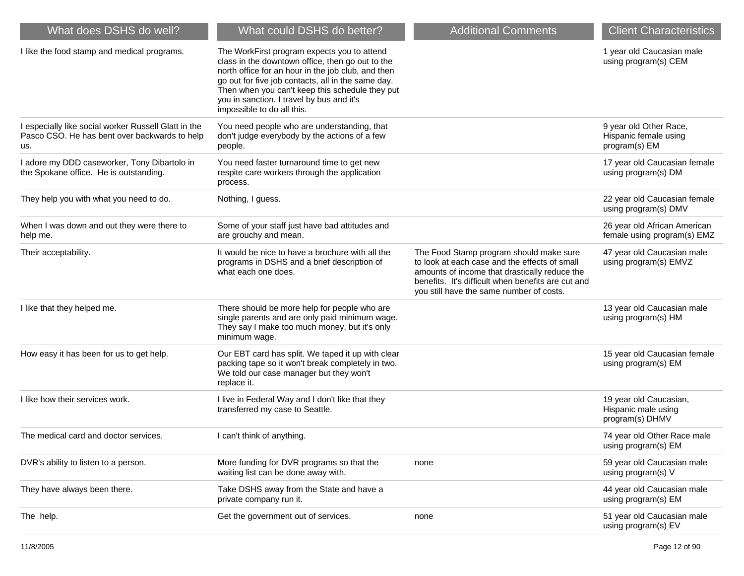| What does DSHS do well?                                                                                      | What could DSHS do better?                                                                                                                                                                                                                                                                                                                | <b>Additional Comments</b>                                                                                                                                                                                                                  | <b>Client Characteristics</b>                                    |
|--------------------------------------------------------------------------------------------------------------|-------------------------------------------------------------------------------------------------------------------------------------------------------------------------------------------------------------------------------------------------------------------------------------------------------------------------------------------|---------------------------------------------------------------------------------------------------------------------------------------------------------------------------------------------------------------------------------------------|------------------------------------------------------------------|
| I like the food stamp and medical programs.                                                                  | The WorkFirst program expects you to attend<br>class in the downtown office, then go out to the<br>north office for an hour in the job club, and then<br>go out for five job contacts, all in the same day.<br>Then when you can't keep this schedule they put<br>you in sanction. I travel by bus and it's<br>impossible to do all this. |                                                                                                                                                                                                                                             | 1 year old Caucasian male<br>using program(s) CEM                |
| I especially like social worker Russell Glatt in the<br>Pasco CSO. He has bent over backwards to help<br>us. | You need people who are understanding, that<br>don't judge everybody by the actions of a few<br>people.                                                                                                                                                                                                                                   |                                                                                                                                                                                                                                             | 9 year old Other Race,<br>Hispanic female using<br>program(s) EM |
| I adore my DDD caseworker, Tony Dibartolo in<br>the Spokane office. He is outstanding.                       | You need faster turnaround time to get new<br>respite care workers through the application<br>process.                                                                                                                                                                                                                                    |                                                                                                                                                                                                                                             | 17 year old Caucasian female<br>using program(s) DM              |
| They help you with what you need to do.                                                                      | Nothing, I guess.                                                                                                                                                                                                                                                                                                                         |                                                                                                                                                                                                                                             | 22 year old Caucasian female<br>using program(s) DMV             |
| When I was down and out they were there to<br>help me.                                                       | Some of your staff just have bad attitudes and<br>are grouchy and mean.                                                                                                                                                                                                                                                                   |                                                                                                                                                                                                                                             | 26 year old African American<br>female using program(s) EMZ      |
| Their acceptability.                                                                                         | It would be nice to have a brochure with all the<br>programs in DSHS and a brief description of<br>what each one does.                                                                                                                                                                                                                    | The Food Stamp program should make sure<br>to look at each case and the effects of small<br>amounts of income that drastically reduce the<br>benefits. It's difficult when benefits are cut and<br>you still have the same number of costs. | 47 year old Caucasian male<br>using program(s) EMVZ              |
| I like that they helped me.                                                                                  | There should be more help for people who are<br>single parents and are only paid minimum wage.<br>They say I make too much money, but it's only<br>minimum wage.                                                                                                                                                                          |                                                                                                                                                                                                                                             | 13 year old Caucasian male<br>using program(s) HM                |
| How easy it has been for us to get help.                                                                     | Our EBT card has split. We taped it up with clear<br>packing tape so it won't break completely in two.<br>We told our case manager but they won't<br>replace it.                                                                                                                                                                          |                                                                                                                                                                                                                                             | 15 year old Caucasian female<br>using program(s) EM              |
| I like how their services work.                                                                              | I live in Federal Way and I don't like that they<br>transferred my case to Seattle.                                                                                                                                                                                                                                                       |                                                                                                                                                                                                                                             | 19 year old Caucasian,<br>Hispanic male using<br>program(s) DHMV |
| The medical card and doctor services.                                                                        | I can't think of anything.                                                                                                                                                                                                                                                                                                                |                                                                                                                                                                                                                                             | 74 year old Other Race male<br>using program(s) EM               |
| DVR's ability to listen to a person.                                                                         | More funding for DVR programs so that the<br>waiting list can be done away with.                                                                                                                                                                                                                                                          | none                                                                                                                                                                                                                                        | 59 year old Caucasian male<br>using program(s) V                 |
| They have always been there.                                                                                 | Take DSHS away from the State and have a<br>private company run it.                                                                                                                                                                                                                                                                       |                                                                                                                                                                                                                                             | 44 year old Caucasian male<br>using program(s) EM                |
| The help.                                                                                                    | Get the government out of services.                                                                                                                                                                                                                                                                                                       | none                                                                                                                                                                                                                                        | 51 year old Caucasian male<br>using program(s) EV                |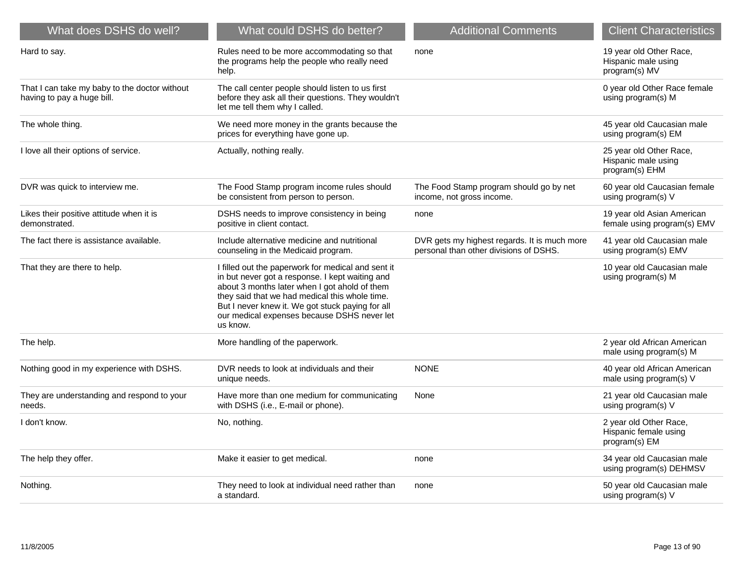| What does DSHS do well?                                                     | What could DSHS do better?                                                                                                                                                                                                                                                                                              | <b>Additional Comments</b>                                                             | <b>Client Characteristics</b>                                    |
|-----------------------------------------------------------------------------|-------------------------------------------------------------------------------------------------------------------------------------------------------------------------------------------------------------------------------------------------------------------------------------------------------------------------|----------------------------------------------------------------------------------------|------------------------------------------------------------------|
| Hard to say.                                                                | Rules need to be more accommodating so that<br>the programs help the people who really need<br>help.                                                                                                                                                                                                                    | none                                                                                   | 19 year old Other Race,<br>Hispanic male using<br>program(s) MV  |
| That I can take my baby to the doctor without<br>having to pay a huge bill. | The call center people should listen to us first<br>before they ask all their questions. They wouldn't<br>let me tell them why I called.                                                                                                                                                                                |                                                                                        | 0 year old Other Race female<br>using program(s) M               |
| The whole thing.                                                            | We need more money in the grants because the<br>prices for everything have gone up.                                                                                                                                                                                                                                     |                                                                                        | 45 year old Caucasian male<br>using program(s) EM                |
| I love all their options of service.                                        | Actually, nothing really.                                                                                                                                                                                                                                                                                               |                                                                                        | 25 year old Other Race,<br>Hispanic male using<br>program(s) EHM |
| DVR was quick to interview me.                                              | The Food Stamp program income rules should<br>be consistent from person to person.                                                                                                                                                                                                                                      | The Food Stamp program should go by net<br>income, not gross income.                   | 60 year old Caucasian female<br>using program(s) V               |
| Likes their positive attitude when it is<br>demonstrated.                   | DSHS needs to improve consistency in being<br>positive in client contact.                                                                                                                                                                                                                                               | none                                                                                   | 19 year old Asian American<br>female using program(s) EMV        |
| The fact there is assistance available.                                     | Include alternative medicine and nutritional<br>counseling in the Medicaid program.                                                                                                                                                                                                                                     | DVR gets my highest regards. It is much more<br>personal than other divisions of DSHS. | 41 year old Caucasian male<br>using program(s) EMV               |
| That they are there to help.                                                | I filled out the paperwork for medical and sent it<br>in but never got a response. I kept waiting and<br>about 3 months later when I got ahold of them<br>they said that we had medical this whole time.<br>But I never knew it. We got stuck paying for all<br>our medical expenses because DSHS never let<br>us know. |                                                                                        | 10 year old Caucasian male<br>using program(s) M                 |
| The help.                                                                   | More handling of the paperwork.                                                                                                                                                                                                                                                                                         |                                                                                        | 2 year old African American<br>male using program(s) M           |
| Nothing good in my experience with DSHS.                                    | DVR needs to look at individuals and their<br>unique needs.                                                                                                                                                                                                                                                             | <b>NONE</b>                                                                            | 40 year old African American<br>male using program(s) V          |
| They are understanding and respond to your<br>needs.                        | Have more than one medium for communicating<br>with DSHS (i.e., E-mail or phone).                                                                                                                                                                                                                                       | None                                                                                   | 21 year old Caucasian male<br>using program(s) V                 |
| I don't know.                                                               | No, nothing.                                                                                                                                                                                                                                                                                                            |                                                                                        | 2 year old Other Race,<br>Hispanic female using<br>program(s) EM |
| The help they offer.                                                        | Make it easier to get medical.                                                                                                                                                                                                                                                                                          | none                                                                                   | 34 year old Caucasian male<br>using program(s) DEHMSV            |
| Nothing.                                                                    | They need to look at individual need rather than<br>a standard.                                                                                                                                                                                                                                                         | none                                                                                   | 50 year old Caucasian male<br>using program(s) V                 |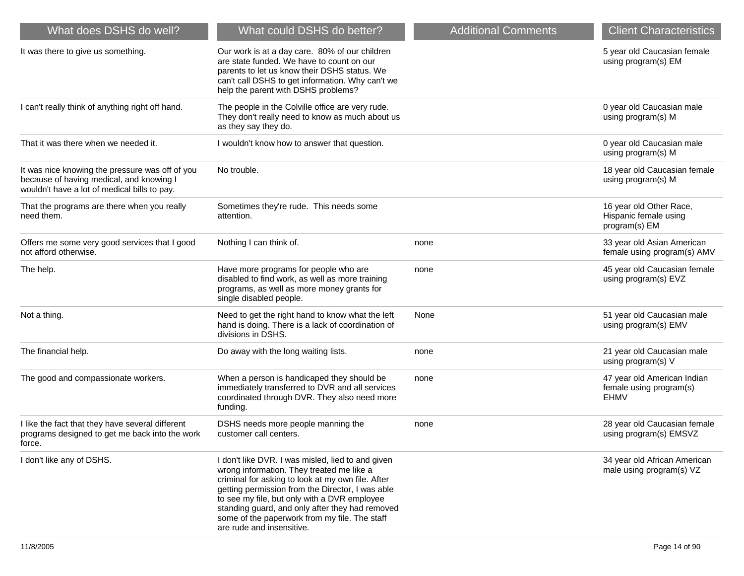| What does DSHS do well?                                                                                                                     | What could DSHS do better?                                                                                                                                                                                                                                                                                                                                                               | <b>Additional Comments</b> | <b>Client Characteristics</b>                                         |
|---------------------------------------------------------------------------------------------------------------------------------------------|------------------------------------------------------------------------------------------------------------------------------------------------------------------------------------------------------------------------------------------------------------------------------------------------------------------------------------------------------------------------------------------|----------------------------|-----------------------------------------------------------------------|
| It was there to give us something.                                                                                                          | Our work is at a day care. 80% of our children<br>are state funded. We have to count on our<br>parents to let us know their DSHS status. We<br>can't call DSHS to get information. Why can't we<br>help the parent with DSHS problems?                                                                                                                                                   |                            | 5 year old Caucasian female<br>using program(s) EM                    |
| I can't really think of anything right off hand.                                                                                            | The people in the Colville office are very rude.<br>They don't really need to know as much about us<br>as they say they do.                                                                                                                                                                                                                                                              |                            | 0 year old Caucasian male<br>using program(s) M                       |
| That it was there when we needed it.                                                                                                        | I wouldn't know how to answer that question.                                                                                                                                                                                                                                                                                                                                             |                            | 0 year old Caucasian male<br>using program(s) M                       |
| It was nice knowing the pressure was off of you<br>because of having medical, and knowing I<br>wouldn't have a lot of medical bills to pay. | No trouble.                                                                                                                                                                                                                                                                                                                                                                              |                            | 18 year old Caucasian female<br>using program(s) M                    |
| That the programs are there when you really<br>need them.                                                                                   | Sometimes they're rude. This needs some<br>attention.                                                                                                                                                                                                                                                                                                                                    |                            | 16 year old Other Race,<br>Hispanic female using<br>program(s) EM     |
| Offers me some very good services that I good<br>not afford otherwise.                                                                      | Nothing I can think of.                                                                                                                                                                                                                                                                                                                                                                  | none                       | 33 year old Asian American<br>female using program(s) AMV             |
| The help.                                                                                                                                   | Have more programs for people who are<br>disabled to find work, as well as more training<br>programs, as well as more money grants for<br>single disabled people.                                                                                                                                                                                                                        | none                       | 45 year old Caucasian female<br>using program(s) EVZ                  |
| Not a thing.                                                                                                                                | Need to get the right hand to know what the left<br>hand is doing. There is a lack of coordination of<br>divisions in DSHS.                                                                                                                                                                                                                                                              | None                       | 51 year old Caucasian male<br>using program(s) EMV                    |
| The financial help.                                                                                                                         | Do away with the long waiting lists.                                                                                                                                                                                                                                                                                                                                                     | none                       | 21 year old Caucasian male<br>using program(s) V                      |
| The good and compassionate workers.                                                                                                         | When a person is handicaped they should be<br>immediately transferred to DVR and all services<br>coordinated through DVR. They also need more<br>funding.                                                                                                                                                                                                                                | none                       | 47 year old American Indian<br>female using program(s)<br><b>EHMV</b> |
| I like the fact that they have several different<br>programs designed to get me back into the work<br>force.                                | DSHS needs more people manning the<br>customer call centers.                                                                                                                                                                                                                                                                                                                             | none                       | 28 year old Caucasian female<br>using program(s) EMSVZ                |
| I don't like any of DSHS.                                                                                                                   | I don't like DVR. I was misled, lied to and given<br>wrong information. They treated me like a<br>criminal for asking to look at my own file. After<br>getting permission from the Director, I was able<br>to see my file, but only with a DVR employee<br>standing guard, and only after they had removed<br>some of the paperwork from my file. The staff<br>are rude and insensitive. |                            | 34 year old African American<br>male using program(s) VZ              |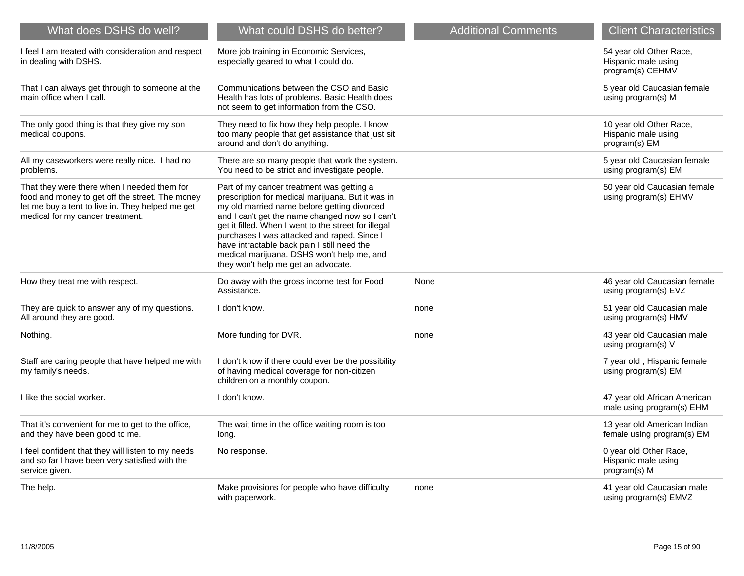| What does DSHS do well?                                                                                                                                                                | What could DSHS do better?                                                                                                                                                                                                                                                                                                                                                                                                                  | <b>Additional Comments</b> | <b>Client Characteristics</b>                                      |
|----------------------------------------------------------------------------------------------------------------------------------------------------------------------------------------|---------------------------------------------------------------------------------------------------------------------------------------------------------------------------------------------------------------------------------------------------------------------------------------------------------------------------------------------------------------------------------------------------------------------------------------------|----------------------------|--------------------------------------------------------------------|
| I feel I am treated with consideration and respect<br>in dealing with DSHS.                                                                                                            | More job training in Economic Services,<br>especially geared to what I could do.                                                                                                                                                                                                                                                                                                                                                            |                            | 54 year old Other Race,<br>Hispanic male using<br>program(s) CEHMV |
| That I can always get through to someone at the<br>main office when I call.                                                                                                            | Communications between the CSO and Basic<br>Health has lots of problems. Basic Health does<br>not seem to get information from the CSO.                                                                                                                                                                                                                                                                                                     |                            | 5 year old Caucasian female<br>using program(s) M                  |
| The only good thing is that they give my son<br>medical coupons.                                                                                                                       | They need to fix how they help people. I know<br>too many people that get assistance that just sit<br>around and don't do anything.                                                                                                                                                                                                                                                                                                         |                            | 10 year old Other Race,<br>Hispanic male using<br>program(s) EM    |
| All my caseworkers were really nice. I had no<br>problems.                                                                                                                             | There are so many people that work the system.<br>You need to be strict and investigate people.                                                                                                                                                                                                                                                                                                                                             |                            | 5 year old Caucasian female<br>using program(s) EM                 |
| That they were there when I needed them for<br>food and money to get off the street. The money<br>let me buy a tent to live in. They helped me get<br>medical for my cancer treatment. | Part of my cancer treatment was getting a<br>prescription for medical marijuana. But it was in<br>my old married name before getting divorced<br>and I can't get the name changed now so I can't<br>get it filled. When I went to the street for illegal<br>purchases I was attacked and raped. Since I<br>have intractable back pain I still need the<br>medical marijuana. DSHS won't help me, and<br>they won't help me get an advocate. |                            | 50 year old Caucasian female<br>using program(s) EHMV              |
| How they treat me with respect.                                                                                                                                                        | Do away with the gross income test for Food<br>Assistance.                                                                                                                                                                                                                                                                                                                                                                                  | None                       | 46 year old Caucasian female<br>using program(s) EVZ               |
| They are quick to answer any of my questions.<br>All around they are good.                                                                                                             | I don't know.                                                                                                                                                                                                                                                                                                                                                                                                                               | none                       | 51 year old Caucasian male<br>using program(s) HMV                 |
| Nothing.                                                                                                                                                                               | More funding for DVR.                                                                                                                                                                                                                                                                                                                                                                                                                       | none                       | 43 year old Caucasian male<br>using program(s) V                   |
| Staff are caring people that have helped me with<br>my family's needs.                                                                                                                 | I don't know if there could ever be the possibility<br>of having medical coverage for non-citizen<br>children on a monthly coupon.                                                                                                                                                                                                                                                                                                          |                            | 7 year old, Hispanic female<br>using program(s) EM                 |
| I like the social worker.                                                                                                                                                              | I don't know.                                                                                                                                                                                                                                                                                                                                                                                                                               |                            | 47 year old African American<br>male using program(s) EHM          |
| That it's convenient for me to get to the office,<br>and they have been good to me.                                                                                                    | The wait time in the office waiting room is too<br>long.                                                                                                                                                                                                                                                                                                                                                                                    |                            | 13 year old American Indian<br>female using program(s) EM          |
| I feel confident that they will listen to my needs<br>and so far I have been very satisfied with the<br>service given.                                                                 | No response.                                                                                                                                                                                                                                                                                                                                                                                                                                |                            | 0 year old Other Race,<br>Hispanic male using<br>program(s) M      |
| The help.                                                                                                                                                                              | Make provisions for people who have difficulty<br>with paperwork.                                                                                                                                                                                                                                                                                                                                                                           | none                       | 41 year old Caucasian male<br>using program(s) EMVZ                |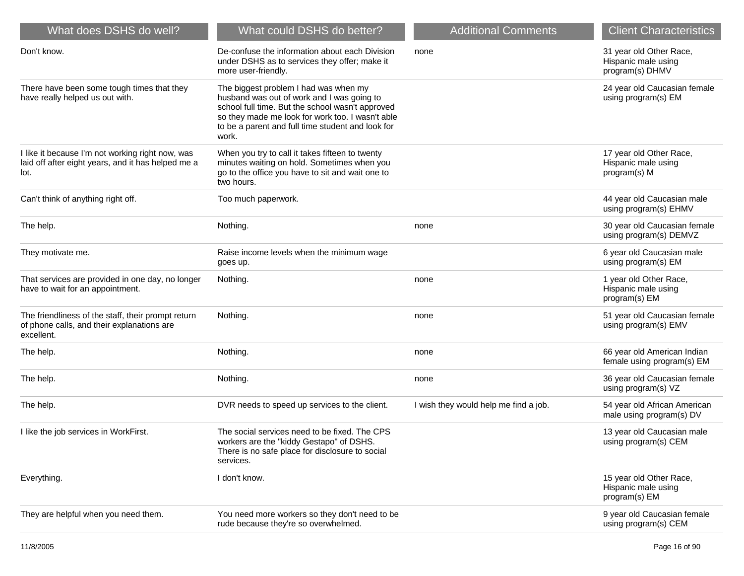| What does DSHS do well?                                                                                        | What could DSHS do better?                                                                                                                                                                                                                                | <b>Additional Comments</b>            | <b>Client Characteristics</b>                                     |
|----------------------------------------------------------------------------------------------------------------|-----------------------------------------------------------------------------------------------------------------------------------------------------------------------------------------------------------------------------------------------------------|---------------------------------------|-------------------------------------------------------------------|
| Don't know.                                                                                                    | De-confuse the information about each Division<br>under DSHS as to services they offer; make it<br>more user-friendly.                                                                                                                                    | none                                  | 31 year old Other Race,<br>Hispanic male using<br>program(s) DHMV |
| There have been some tough times that they<br>have really helped us out with.                                  | The biggest problem I had was when my<br>husband was out of work and I was going to<br>school full time. But the school wasn't approved<br>so they made me look for work too. I wasn't able<br>to be a parent and full time student and look for<br>work. |                                       | 24 year old Caucasian female<br>using program(s) EM               |
| I like it because I'm not working right now, was<br>laid off after eight years, and it has helped me a<br>lot. | When you try to call it takes fifteen to twenty<br>minutes waiting on hold. Sometimes when you<br>go to the office you have to sit and wait one to<br>two hours.                                                                                          |                                       | 17 year old Other Race,<br>Hispanic male using<br>program(s) M    |
| Can't think of anything right off.                                                                             | Too much paperwork.                                                                                                                                                                                                                                       |                                       | 44 year old Caucasian male<br>using program(s) EHMV               |
| The help.                                                                                                      | Nothing.                                                                                                                                                                                                                                                  | none                                  | 30 year old Caucasian female<br>using program(s) DEMVZ            |
| They motivate me.                                                                                              | Raise income levels when the minimum wage<br>goes up.                                                                                                                                                                                                     |                                       | 6 year old Caucasian male<br>using program(s) EM                  |
| That services are provided in one day, no longer<br>have to wait for an appointment.                           | Nothing.                                                                                                                                                                                                                                                  | none                                  | 1 year old Other Race,<br>Hispanic male using<br>program(s) EM    |
| The friendliness of the staff, their prompt return<br>of phone calls, and their explanations are<br>excellent. | Nothing.                                                                                                                                                                                                                                                  | none                                  | 51 year old Caucasian female<br>using program(s) EMV              |
| The help.                                                                                                      | Nothing.                                                                                                                                                                                                                                                  | none                                  | 66 year old American Indian<br>female using program(s) EM         |
| The help.                                                                                                      | Nothing.                                                                                                                                                                                                                                                  | none                                  | 36 year old Caucasian female<br>using program(s) VZ               |
| The help.                                                                                                      | DVR needs to speed up services to the client.                                                                                                                                                                                                             | I wish they would help me find a job. | 54 year old African American<br>male using program(s) DV          |
| I like the job services in WorkFirst.                                                                          | The social services need to be fixed. The CPS<br>workers are the "kiddy Gestapo" of DSHS.<br>There is no safe place for disclosure to social<br>services.                                                                                                 |                                       | 13 year old Caucasian male<br>using program(s) CEM                |
| Everything.                                                                                                    | I don't know.                                                                                                                                                                                                                                             |                                       | 15 year old Other Race,<br>Hispanic male using<br>program(s) EM   |
| They are helpful when you need them.                                                                           | You need more workers so they don't need to be<br>rude because they're so overwhelmed.                                                                                                                                                                    |                                       | 9 year old Caucasian female<br>using program(s) CEM               |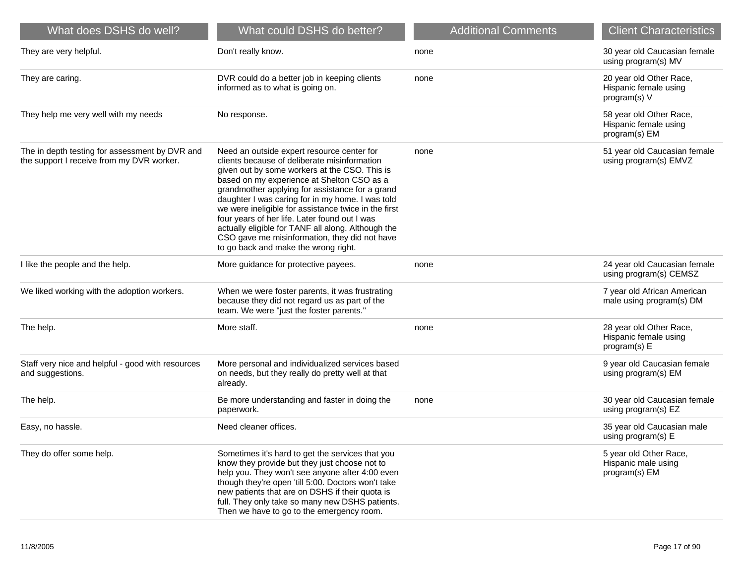| What does DSHS do well?                                                                     | What could DSHS do better?                                                                                                                                                                                                                                                                                                                                                                                                                                                                                                                               | <b>Additional Comments</b> | <b>Client Characteristics</b>                                     |
|---------------------------------------------------------------------------------------------|----------------------------------------------------------------------------------------------------------------------------------------------------------------------------------------------------------------------------------------------------------------------------------------------------------------------------------------------------------------------------------------------------------------------------------------------------------------------------------------------------------------------------------------------------------|----------------------------|-------------------------------------------------------------------|
| They are very helpful.                                                                      | Don't really know.                                                                                                                                                                                                                                                                                                                                                                                                                                                                                                                                       | none                       | 30 year old Caucasian female<br>using program(s) MV               |
| They are caring.                                                                            | DVR could do a better job in keeping clients<br>informed as to what is going on.                                                                                                                                                                                                                                                                                                                                                                                                                                                                         | none                       | 20 year old Other Race,<br>Hispanic female using<br>program(s) V  |
| They help me very well with my needs                                                        | No response.                                                                                                                                                                                                                                                                                                                                                                                                                                                                                                                                             |                            | 58 year old Other Race,<br>Hispanic female using<br>program(s) EM |
| The in depth testing for assessment by DVR and<br>the support I receive from my DVR worker. | Need an outside expert resource center for<br>clients because of deliberate misinformation<br>given out by some workers at the CSO. This is<br>based on my experience at Shelton CSO as a<br>grandmother applying for assistance for a grand<br>daughter I was caring for in my home. I was told<br>we were ineligible for assistance twice in the first<br>four years of her life. Later found out I was<br>actually eligible for TANF all along. Although the<br>CSO gave me misinformation, they did not have<br>to go back and make the wrong right. | none                       | 51 year old Caucasian female<br>using program(s) EMVZ             |
| I like the people and the help.                                                             | More guidance for protective payees.                                                                                                                                                                                                                                                                                                                                                                                                                                                                                                                     | none                       | 24 year old Caucasian female<br>using program(s) CEMSZ            |
| We liked working with the adoption workers.                                                 | When we were foster parents, it was frustrating<br>because they did not regard us as part of the<br>team. We were "just the foster parents."                                                                                                                                                                                                                                                                                                                                                                                                             |                            | 7 year old African American<br>male using program(s) DM           |
| The help.                                                                                   | More staff.                                                                                                                                                                                                                                                                                                                                                                                                                                                                                                                                              | none                       | 28 year old Other Race,<br>Hispanic female using<br>program(s) E  |
| Staff very nice and helpful - good with resources<br>and suggestions.                       | More personal and individualized services based<br>on needs, but they really do pretty well at that<br>already.                                                                                                                                                                                                                                                                                                                                                                                                                                          |                            | 9 year old Caucasian female<br>using program(s) EM                |
| The help.                                                                                   | Be more understanding and faster in doing the<br>paperwork.                                                                                                                                                                                                                                                                                                                                                                                                                                                                                              | none                       | 30 year old Caucasian female<br>using program(s) EZ               |
| Easy, no hassle.                                                                            | Need cleaner offices.                                                                                                                                                                                                                                                                                                                                                                                                                                                                                                                                    |                            | 35 year old Caucasian male<br>using program(s) E                  |
| They do offer some help.                                                                    | Sometimes it's hard to get the services that you<br>know they provide but they just choose not to<br>help you. They won't see anyone after 4:00 even<br>though they're open 'till 5:00. Doctors won't take<br>new patients that are on DSHS if their quota is<br>full. They only take so many new DSHS patients.<br>Then we have to go to the emergency room.                                                                                                                                                                                            |                            | 5 year old Other Race,<br>Hispanic male using<br>program(s) EM    |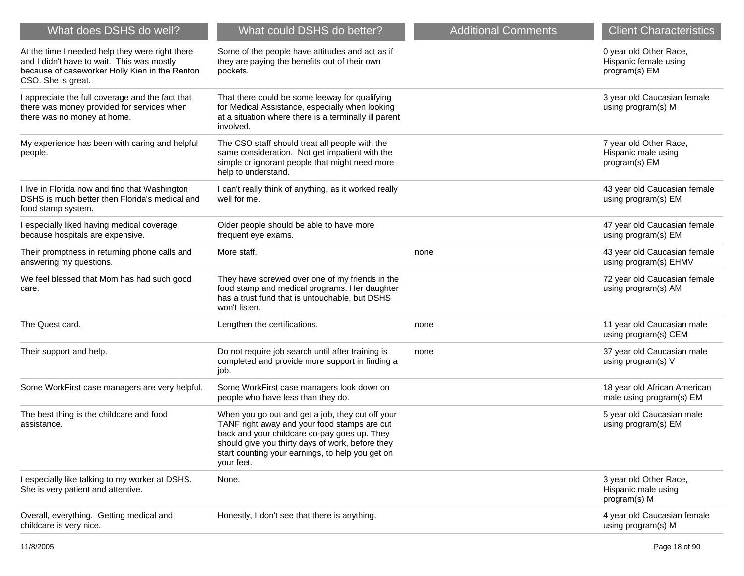| What does DSHS do well?                                                                                                                                               | What could DSHS do better?                                                                                                                                                                                                                                             | <b>Additional Comments</b> | <b>Client Characteristics</b>                                    |
|-----------------------------------------------------------------------------------------------------------------------------------------------------------------------|------------------------------------------------------------------------------------------------------------------------------------------------------------------------------------------------------------------------------------------------------------------------|----------------------------|------------------------------------------------------------------|
| At the time I needed help they were right there<br>and I didn't have to wait. This was mostly<br>because of caseworker Holly Kien in the Renton<br>CSO. She is great. | Some of the people have attitudes and act as if<br>they are paying the benefits out of their own<br>pockets.                                                                                                                                                           |                            | 0 year old Other Race,<br>Hispanic female using<br>program(s) EM |
| I appreciate the full coverage and the fact that<br>there was money provided for services when<br>there was no money at home.                                         | That there could be some leeway for qualifying<br>for Medical Assistance, especially when looking<br>at a situation where there is a terminally ill parent<br>involved.                                                                                                |                            | 3 year old Caucasian female<br>using program(s) M                |
| My experience has been with caring and helpful<br>people.                                                                                                             | The CSO staff should treat all people with the<br>same consideration. Not get impatient with the<br>simple or ignorant people that might need more<br>help to understand.                                                                                              |                            | 7 year old Other Race,<br>Hispanic male using<br>program(s) EM   |
| I live in Florida now and find that Washington<br>DSHS is much better then Florida's medical and<br>food stamp system.                                                | I can't really think of anything, as it worked really<br>well for me.                                                                                                                                                                                                  |                            | 43 year old Caucasian female<br>using program(s) EM              |
| I especially liked having medical coverage<br>because hospitals are expensive.                                                                                        | Older people should be able to have more<br>frequent eye exams.                                                                                                                                                                                                        |                            | 47 year old Caucasian female<br>using program(s) EM              |
| Their promptness in returning phone calls and<br>answering my questions.                                                                                              | More staff.                                                                                                                                                                                                                                                            | none                       | 43 year old Caucasian female<br>using program(s) EHMV            |
| We feel blessed that Mom has had such good<br>care.                                                                                                                   | They have screwed over one of my friends in the<br>food stamp and medical programs. Her daughter<br>has a trust fund that is untouchable, but DSHS<br>won't listen.                                                                                                    |                            | 72 year old Caucasian female<br>using program(s) AM              |
| The Quest card.                                                                                                                                                       | Lengthen the certifications.                                                                                                                                                                                                                                           | none                       | 11 year old Caucasian male<br>using program(s) CEM               |
| Their support and help.                                                                                                                                               | Do not require job search until after training is<br>completed and provide more support in finding a<br>job.                                                                                                                                                           | none                       | 37 year old Caucasian male<br>using program(s) V                 |
| Some WorkFirst case managers are very helpful.                                                                                                                        | Some WorkFirst case managers look down on<br>people who have less than they do.                                                                                                                                                                                        |                            | 18 year old African American<br>male using program(s) EM         |
| The best thing is the childcare and food<br>assistance.                                                                                                               | When you go out and get a job, they cut off your<br>TANF right away and your food stamps are cut<br>back and your childcare co-pay goes up. They<br>should give you thirty days of work, before they<br>start counting your earnings, to help you get on<br>your feet. |                            | 5 year old Caucasian male<br>using program(s) EM                 |
| I especially like talking to my worker at DSHS.<br>She is very patient and attentive.                                                                                 | None.                                                                                                                                                                                                                                                                  |                            | 3 year old Other Race,<br>Hispanic male using<br>program(s) M    |
| Overall, everything. Getting medical and<br>childcare is very nice.                                                                                                   | Honestly, I don't see that there is anything.                                                                                                                                                                                                                          |                            | 4 year old Caucasian female<br>using program(s) M                |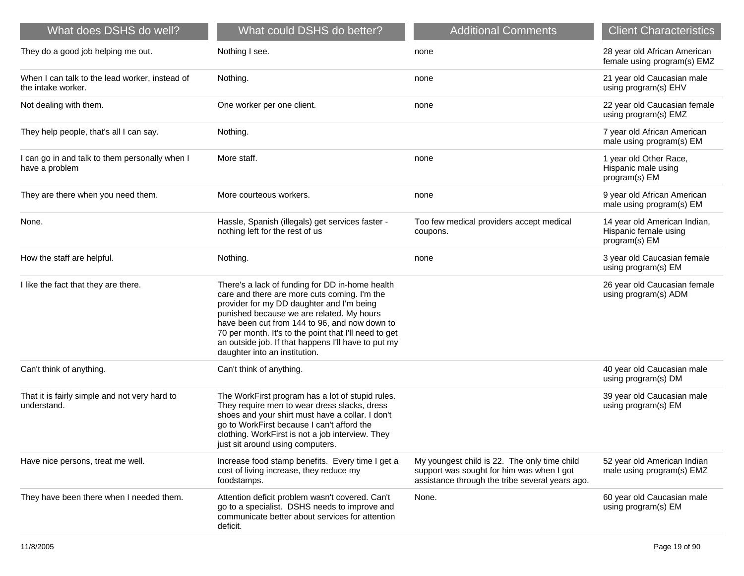| What does DSHS do well?                                              | What could DSHS do better?                                                                                                                                                                                                                                                                                                                                                                  | <b>Additional Comments</b>                                                                                                                   | <b>Client Characteristics</b>                                          |
|----------------------------------------------------------------------|---------------------------------------------------------------------------------------------------------------------------------------------------------------------------------------------------------------------------------------------------------------------------------------------------------------------------------------------------------------------------------------------|----------------------------------------------------------------------------------------------------------------------------------------------|------------------------------------------------------------------------|
| They do a good job helping me out.                                   | Nothing I see.                                                                                                                                                                                                                                                                                                                                                                              | none                                                                                                                                         | 28 year old African American<br>female using program(s) EMZ            |
| When I can talk to the lead worker, instead of<br>the intake worker. | Nothing.                                                                                                                                                                                                                                                                                                                                                                                    | none                                                                                                                                         | 21 year old Caucasian male<br>using program(s) EHV                     |
| Not dealing with them.                                               | One worker per one client.                                                                                                                                                                                                                                                                                                                                                                  | none                                                                                                                                         | 22 year old Caucasian female<br>using program(s) EMZ                   |
| They help people, that's all I can say.                              | Nothing.                                                                                                                                                                                                                                                                                                                                                                                    |                                                                                                                                              | 7 year old African American<br>male using program(s) EM                |
| I can go in and talk to them personally when I<br>have a problem     | More staff.                                                                                                                                                                                                                                                                                                                                                                                 | none                                                                                                                                         | 1 year old Other Race,<br>Hispanic male using<br>program(s) EM         |
| They are there when you need them.                                   | More courteous workers.                                                                                                                                                                                                                                                                                                                                                                     | none                                                                                                                                         | 9 year old African American<br>male using program(s) EM                |
| None.                                                                | Hassle, Spanish (illegals) get services faster -<br>nothing left for the rest of us                                                                                                                                                                                                                                                                                                         | Too few medical providers accept medical<br>coupons.                                                                                         | 14 year old American Indian,<br>Hispanic female using<br>program(s) EM |
| How the staff are helpful.                                           | Nothing.                                                                                                                                                                                                                                                                                                                                                                                    | none                                                                                                                                         | 3 year old Caucasian female<br>using program(s) EM                     |
| I like the fact that they are there.                                 | There's a lack of funding for DD in-home health<br>care and there are more cuts coming. I'm the<br>provider for my DD daughter and I'm being<br>punished because we are related. My hours<br>have been cut from 144 to 96, and now down to<br>70 per month. It's to the point that I'll need to get<br>an outside job. If that happens I'll have to put my<br>daughter into an institution. |                                                                                                                                              | 26 year old Caucasian female<br>using program(s) ADM                   |
| Can't think of anything.                                             | Can't think of anything.                                                                                                                                                                                                                                                                                                                                                                    |                                                                                                                                              | 40 year old Caucasian male<br>using program(s) DM                      |
| That it is fairly simple and not very hard to<br>understand.         | The WorkFirst program has a lot of stupid rules.<br>They require men to wear dress slacks, dress<br>shoes and your shirt must have a collar. I don't<br>go to WorkFirst because I can't afford the<br>clothing. WorkFirst is not a job interview. They<br>just sit around using computers.                                                                                                  |                                                                                                                                              | 39 year old Caucasian male<br>using program(s) EM                      |
| Have nice persons, treat me well.                                    | Increase food stamp benefits. Every time I get a<br>cost of living increase, they reduce my<br>foodstamps.                                                                                                                                                                                                                                                                                  | My youngest child is 22. The only time child<br>support was sought for him was when I got<br>assistance through the tribe several years ago. | 52 year old American Indian<br>male using program(s) EMZ               |
| They have been there when I needed them.                             | Attention deficit problem wasn't covered. Can't<br>go to a specialist. DSHS needs to improve and<br>communicate better about services for attention<br>deficit.                                                                                                                                                                                                                             | None.                                                                                                                                        | 60 year old Caucasian male<br>using program(s) EM                      |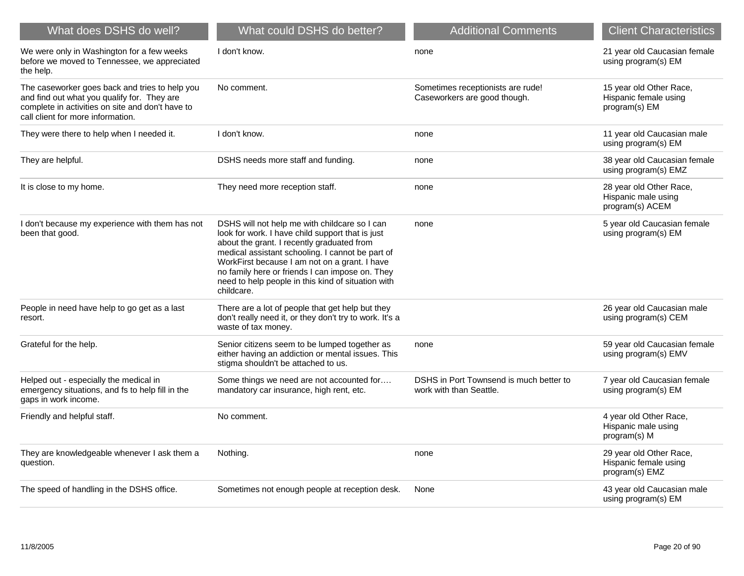| What does DSHS do well?                                                                                                                                                                | What could DSHS do better?                                                                                                                                                                                                                                                                                                                                                  | <b>Additional Comments</b>                                         | <b>Client Characteristics</b>                                      |
|----------------------------------------------------------------------------------------------------------------------------------------------------------------------------------------|-----------------------------------------------------------------------------------------------------------------------------------------------------------------------------------------------------------------------------------------------------------------------------------------------------------------------------------------------------------------------------|--------------------------------------------------------------------|--------------------------------------------------------------------|
| We were only in Washington for a few weeks<br>before we moved to Tennessee, we appreciated<br>the help.                                                                                | I don't know.                                                                                                                                                                                                                                                                                                                                                               | none                                                               | 21 year old Caucasian female<br>using program(s) EM                |
| The caseworker goes back and tries to help you<br>and find out what you qualify for. They are<br>complete in activities on site and don't have to<br>call client for more information. | No comment.                                                                                                                                                                                                                                                                                                                                                                 | Sometimes receptionists are rude!<br>Caseworkers are good though.  | 15 year old Other Race,<br>Hispanic female using<br>program(s) EM  |
| They were there to help when I needed it.                                                                                                                                              | I don't know.                                                                                                                                                                                                                                                                                                                                                               | none                                                               | 11 year old Caucasian male<br>using program(s) EM                  |
| They are helpful.                                                                                                                                                                      | DSHS needs more staff and funding.                                                                                                                                                                                                                                                                                                                                          | none                                                               | 38 year old Caucasian female<br>using program(s) EMZ               |
| It is close to my home.                                                                                                                                                                | They need more reception staff.                                                                                                                                                                                                                                                                                                                                             | none                                                               | 28 year old Other Race,<br>Hispanic male using<br>program(s) ACEM  |
| I don't because my experience with them has not<br>been that good.                                                                                                                     | DSHS will not help me with childcare so I can<br>look for work. I have child support that is just<br>about the grant. I recently graduated from<br>medical assistant schooling. I cannot be part of<br>WorkFirst because I am not on a grant. I have<br>no family here or friends I can impose on. They<br>need to help people in this kind of situation with<br>childcare. | none                                                               | 5 year old Caucasian female<br>using program(s) EM                 |
| People in need have help to go get as a last<br>resort.                                                                                                                                | There are a lot of people that get help but they<br>don't really need it, or they don't try to work. It's a<br>waste of tax money.                                                                                                                                                                                                                                          |                                                                    | 26 year old Caucasian male<br>using program(s) CEM                 |
| Grateful for the help.                                                                                                                                                                 | Senior citizens seem to be lumped together as<br>either having an addiction or mental issues. This<br>stigma shouldn't be attached to us.                                                                                                                                                                                                                                   | none                                                               | 59 year old Caucasian female<br>using program(s) EMV               |
| Helped out - especially the medical in<br>emergency situations, and fs to help fill in the<br>gaps in work income.                                                                     | Some things we need are not accounted for<br>mandatory car insurance, high rent, etc.                                                                                                                                                                                                                                                                                       | DSHS in Port Townsend is much better to<br>work with than Seattle. | 7 year old Caucasian female<br>using program(s) EM                 |
| Friendly and helpful staff.                                                                                                                                                            | No comment.                                                                                                                                                                                                                                                                                                                                                                 |                                                                    | 4 year old Other Race,<br>Hispanic male using<br>program(s) M      |
| They are knowledgeable whenever I ask them a<br>question.                                                                                                                              | Nothing.                                                                                                                                                                                                                                                                                                                                                                    | none                                                               | 29 year old Other Race,<br>Hispanic female using<br>program(s) EMZ |
| The speed of handling in the DSHS office.                                                                                                                                              | Sometimes not enough people at reception desk.                                                                                                                                                                                                                                                                                                                              | None                                                               | 43 year old Caucasian male<br>using program(s) EM                  |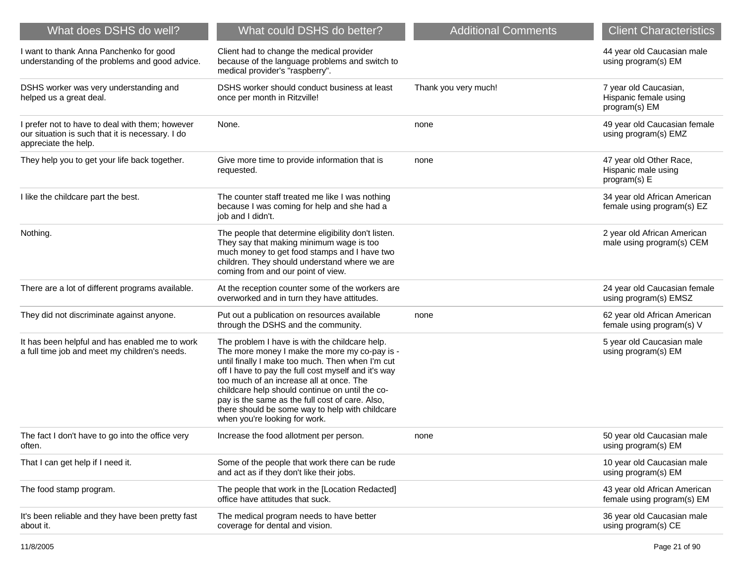| What could DSHS do better?                                                                                                                                                                                                                                                                                                                                                                                                                       | <b>Additional Comments</b> | <b>Client Characteristics</b>                                   |
|--------------------------------------------------------------------------------------------------------------------------------------------------------------------------------------------------------------------------------------------------------------------------------------------------------------------------------------------------------------------------------------------------------------------------------------------------|----------------------------|-----------------------------------------------------------------|
| Client had to change the medical provider<br>because of the language problems and switch to<br>medical provider's "raspberry".                                                                                                                                                                                                                                                                                                                   |                            | 44 year old Caucasian male<br>using program(s) EM               |
| DSHS worker should conduct business at least<br>once per month in Ritzville!                                                                                                                                                                                                                                                                                                                                                                     | Thank you very much!       | 7 year old Caucasian,<br>Hispanic female using<br>program(s) EM |
| None.                                                                                                                                                                                                                                                                                                                                                                                                                                            | none                       | 49 year old Caucasian female<br>using program(s) EMZ            |
| Give more time to provide information that is<br>requested.                                                                                                                                                                                                                                                                                                                                                                                      | none                       | 47 year old Other Race,<br>Hispanic male using<br>program(s) E  |
| The counter staff treated me like I was nothing<br>because I was coming for help and she had a<br>job and I didn't.                                                                                                                                                                                                                                                                                                                              |                            | 34 year old African American<br>female using program(s) EZ      |
| The people that determine eligibility don't listen.<br>They say that making minimum wage is too<br>much money to get food stamps and I have two<br>children. They should understand where we are<br>coming from and our point of view.                                                                                                                                                                                                           |                            | 2 year old African American<br>male using program(s) CEM        |
| At the reception counter some of the workers are<br>overworked and in turn they have attitudes.                                                                                                                                                                                                                                                                                                                                                  |                            | 24 year old Caucasian female<br>using program(s) EMSZ           |
| Put out a publication on resources available<br>through the DSHS and the community.                                                                                                                                                                                                                                                                                                                                                              | none                       | 62 year old African American<br>female using program(s) V       |
| The problem I have is with the childcare help.<br>The more money I make the more my co-pay is -<br>until finally I make too much. Then when I'm cut<br>off I have to pay the full cost myself and it's way<br>too much of an increase all at once. The<br>childcare help should continue on until the co-<br>pay is the same as the full cost of care. Also,<br>there should be some way to help with childcare<br>when you're looking for work. |                            | 5 year old Caucasian male<br>using program(s) EM                |
| Increase the food allotment per person.                                                                                                                                                                                                                                                                                                                                                                                                          | none                       | 50 year old Caucasian male<br>using program(s) EM               |
| Some of the people that work there can be rude<br>and act as if they don't like their jobs.                                                                                                                                                                                                                                                                                                                                                      |                            | 10 year old Caucasian male<br>using program(s) EM               |
| The people that work in the [Location Redacted]<br>office have attitudes that suck.                                                                                                                                                                                                                                                                                                                                                              |                            | 43 year old African American<br>female using program(s) EM      |
| The medical program needs to have better<br>coverage for dental and vision.                                                                                                                                                                                                                                                                                                                                                                      |                            | 36 year old Caucasian male<br>using program(s) CE               |
|                                                                                                                                                                                                                                                                                                                                                                                                                                                  |                            |                                                                 |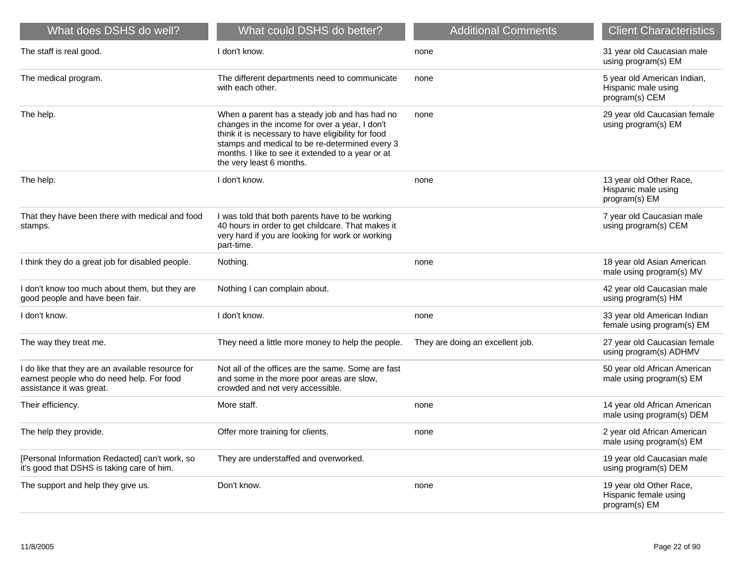| What does DSHS do well?                                                                                                    | What could DSHS do better?                                                                                                                                                                                                                                                               | <b>Additional Comments</b>       | <b>Client Characteristics</b>                                        |
|----------------------------------------------------------------------------------------------------------------------------|------------------------------------------------------------------------------------------------------------------------------------------------------------------------------------------------------------------------------------------------------------------------------------------|----------------------------------|----------------------------------------------------------------------|
| The staff is real good.                                                                                                    | I don't know.                                                                                                                                                                                                                                                                            | none                             | 31 year old Caucasian male<br>using program(s) EM                    |
| The medical program.                                                                                                       | The different departments need to communicate<br>with each other.                                                                                                                                                                                                                        | none                             | 5 year old American Indian,<br>Hispanic male using<br>program(s) CEM |
| The help.                                                                                                                  | When a parent has a steady job and has had no<br>changes in the income for over a year, I don't<br>think it is necessary to have eligibility for food<br>stamps and medical to be re-determined every 3<br>months. I like to see it extended to a year or at<br>the very least 6 months. | none                             | 29 year old Caucasian female<br>using program(s) EM                  |
| The help.                                                                                                                  | I don't know.                                                                                                                                                                                                                                                                            | none                             | 13 year old Other Race,<br>Hispanic male using<br>program(s) EM      |
| That they have been there with medical and food<br>stamps.                                                                 | I was told that both parents have to be working<br>40 hours in order to get childcare. That makes it<br>very hard if you are looking for work or working<br>part-time.                                                                                                                   |                                  | 7 year old Caucasian male<br>using program(s) CEM                    |
| I think they do a great job for disabled people.                                                                           | Nothing.                                                                                                                                                                                                                                                                                 | none                             | 18 year old Asian American<br>male using program(s) MV               |
| I don't know too much about them, but they are<br>good people and have been fair.                                          | Nothing I can complain about.                                                                                                                                                                                                                                                            |                                  | 42 year old Caucasian male<br>using program(s) HM                    |
| I don't know.                                                                                                              | I don't know.                                                                                                                                                                                                                                                                            | none                             | 33 year old American Indian<br>female using program(s) EM            |
| The way they treat me.                                                                                                     | They need a little more money to help the people.                                                                                                                                                                                                                                        | They are doing an excellent job. | 27 year old Caucasian female<br>using program(s) ADHMV               |
| I do like that they are an available resource for<br>earnest people who do need help. For food<br>assistance it was great. | Not all of the offices are the same. Some are fast<br>and some in the more poor areas are slow,<br>crowded and not very accessible.                                                                                                                                                      |                                  | 50 year old African American<br>male using program(s) EM             |
| Their efficiency.                                                                                                          | More staff.                                                                                                                                                                                                                                                                              | none                             | 14 year old African American<br>male using program(s) DEM            |
| The help they provide.                                                                                                     | Offer more training for clients.                                                                                                                                                                                                                                                         | none                             | 2 year old African American<br>male using program(s) EM              |
| [Personal Information Redacted] can't work, so<br>it's good that DSHS is taking care of him.                               | They are understaffed and overworked.                                                                                                                                                                                                                                                    |                                  | 19 year old Caucasian male<br>using program(s) DEM                   |
| The support and help they give us.                                                                                         | Don't know.                                                                                                                                                                                                                                                                              | none                             | 19 year old Other Race,<br>Hispanic female using<br>program(s) EM    |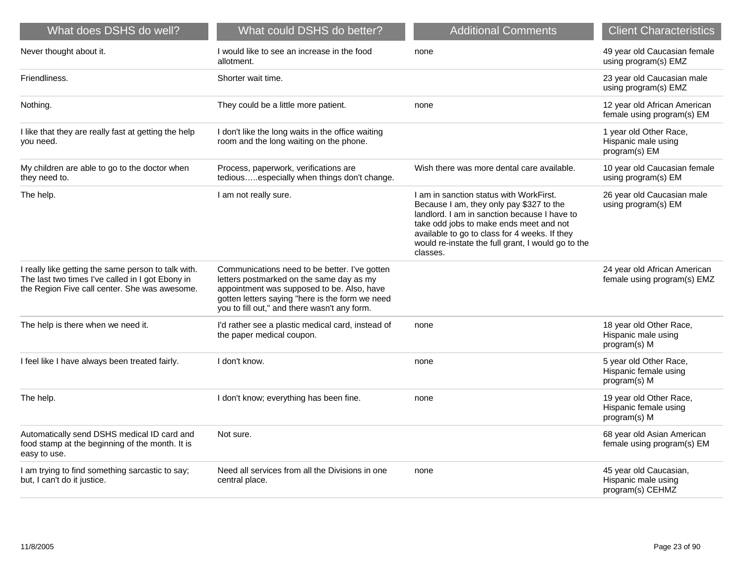| What does DSHS do well?                                                                                                                                  | What could DSHS do better?                                                                                                                                                                                                                 | <b>Additional Comments</b>                                                                                                                                                                                                                                                                        | <b>Client Characteristics</b>                                     |
|----------------------------------------------------------------------------------------------------------------------------------------------------------|--------------------------------------------------------------------------------------------------------------------------------------------------------------------------------------------------------------------------------------------|---------------------------------------------------------------------------------------------------------------------------------------------------------------------------------------------------------------------------------------------------------------------------------------------------|-------------------------------------------------------------------|
| Never thought about it.                                                                                                                                  | I would like to see an increase in the food<br>allotment.                                                                                                                                                                                  | none                                                                                                                                                                                                                                                                                              | 49 year old Caucasian female<br>using program(s) EMZ              |
| Friendliness.                                                                                                                                            | Shorter wait time.                                                                                                                                                                                                                         |                                                                                                                                                                                                                                                                                                   | 23 year old Caucasian male<br>using program(s) EMZ                |
| Nothing.                                                                                                                                                 | They could be a little more patient.                                                                                                                                                                                                       | none                                                                                                                                                                                                                                                                                              | 12 year old African American<br>female using program(s) EM        |
| I like that they are really fast at getting the help<br>you need.                                                                                        | I don't like the long waits in the office waiting<br>room and the long waiting on the phone.                                                                                                                                               |                                                                                                                                                                                                                                                                                                   | 1 year old Other Race,<br>Hispanic male using<br>program(s) EM    |
| My children are able to go to the doctor when<br>they need to.                                                                                           | Process, paperwork, verifications are<br>tediousespecially when things don't change.                                                                                                                                                       | Wish there was more dental care available.                                                                                                                                                                                                                                                        | 10 year old Caucasian female<br>using program(s) EM               |
| The help.                                                                                                                                                | I am not really sure.                                                                                                                                                                                                                      | I am in sanction status with WorkFirst.<br>Because I am, they only pay \$327 to the<br>landlord. I am in sanction because I have to<br>take odd jobs to make ends meet and not<br>available to go to class for 4 weeks. If they<br>would re-instate the full grant, I would go to the<br>classes. | 26 year old Caucasian male<br>using program(s) EM                 |
| I really like getting the same person to talk with.<br>The last two times I've called in I got Ebony in<br>the Region Five call center. She was awesome. | Communications need to be better. I've gotten<br>letters postmarked on the same day as my<br>appointment was supposed to be. Also, have<br>gotten letters saying "here is the form we need<br>you to fill out," and there wasn't any form. |                                                                                                                                                                                                                                                                                                   | 24 year old African American<br>female using program(s) EMZ       |
| The help is there when we need it.                                                                                                                       | I'd rather see a plastic medical card, instead of<br>the paper medical coupon.                                                                                                                                                             | none                                                                                                                                                                                                                                                                                              | 18 year old Other Race,<br>Hispanic male using<br>program(s) M    |
| I feel like I have always been treated fairly.                                                                                                           | I don't know.                                                                                                                                                                                                                              | none                                                                                                                                                                                                                                                                                              | 5 year old Other Race,<br>Hispanic female using<br>program(s) M   |
| The help.                                                                                                                                                | I don't know; everything has been fine.                                                                                                                                                                                                    | none                                                                                                                                                                                                                                                                                              | 19 year old Other Race,<br>Hispanic female using<br>program(s) M  |
| Automatically send DSHS medical ID card and<br>food stamp at the beginning of the month. It is<br>easy to use.                                           | Not sure.                                                                                                                                                                                                                                  |                                                                                                                                                                                                                                                                                                   | 68 year old Asian American<br>female using program(s) EM          |
| I am trying to find something sarcastic to say;<br>but, I can't do it justice.                                                                           | Need all services from all the Divisions in one<br>central place.                                                                                                                                                                          | none                                                                                                                                                                                                                                                                                              | 45 year old Caucasian,<br>Hispanic male using<br>program(s) CEHMZ |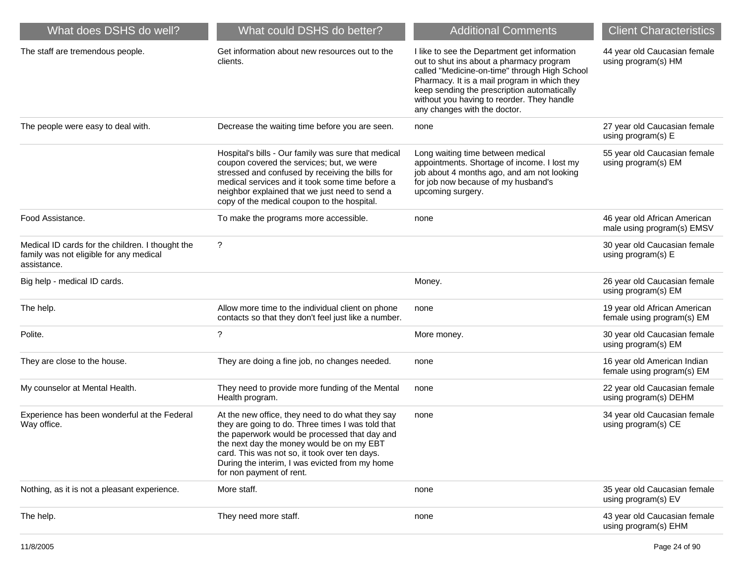| What does DSHS do well?                                                                                    | What could DSHS do better?                                                                                                                                                                                                                                                                                                         | <b>Additional Comments</b>                                                                                                                                                                                                                                                                                             | <b>Client Characteristics</b>                              |
|------------------------------------------------------------------------------------------------------------|------------------------------------------------------------------------------------------------------------------------------------------------------------------------------------------------------------------------------------------------------------------------------------------------------------------------------------|------------------------------------------------------------------------------------------------------------------------------------------------------------------------------------------------------------------------------------------------------------------------------------------------------------------------|------------------------------------------------------------|
| The staff are tremendous people.                                                                           | Get information about new resources out to the<br>clients.                                                                                                                                                                                                                                                                         | I like to see the Department get information<br>out to shut ins about a pharmacy program<br>called "Medicine-on-time" through High School<br>Pharmacy. It is a mail program in which they<br>keep sending the prescription automatically<br>without you having to reorder. They handle<br>any changes with the doctor. | 44 year old Caucasian female<br>using program(s) HM        |
| The people were easy to deal with.                                                                         | Decrease the waiting time before you are seen.                                                                                                                                                                                                                                                                                     | none                                                                                                                                                                                                                                                                                                                   | 27 year old Caucasian female<br>using program(s) E         |
|                                                                                                            | Hospital's bills - Our family was sure that medical<br>coupon covered the services; but, we were<br>stressed and confused by receiving the bills for<br>medical services and it took some time before a<br>neighbor explained that we just need to send a<br>copy of the medical coupon to the hospital.                           | Long waiting time between medical<br>appointments. Shortage of income. I lost my<br>job about 4 months ago, and am not looking<br>for job now because of my husband's<br>upcoming surgery.                                                                                                                             | 55 year old Caucasian female<br>using program(s) EM        |
| Food Assistance.                                                                                           | To make the programs more accessible.                                                                                                                                                                                                                                                                                              | none                                                                                                                                                                                                                                                                                                                   | 46 year old African American<br>male using program(s) EMSV |
| Medical ID cards for the children. I thought the<br>family was not eligible for any medical<br>assistance. | $\ddot{\phantom{0}}$                                                                                                                                                                                                                                                                                                               |                                                                                                                                                                                                                                                                                                                        | 30 year old Caucasian female<br>using program(s) E         |
| Big help - medical ID cards.                                                                               |                                                                                                                                                                                                                                                                                                                                    | Money.                                                                                                                                                                                                                                                                                                                 | 26 year old Caucasian female<br>using program(s) EM        |
| The help.                                                                                                  | Allow more time to the individual client on phone<br>contacts so that they don't feel just like a number.                                                                                                                                                                                                                          | none                                                                                                                                                                                                                                                                                                                   | 19 year old African American<br>female using program(s) EM |
| Polite.                                                                                                    | ?                                                                                                                                                                                                                                                                                                                                  | More money.                                                                                                                                                                                                                                                                                                            | 30 year old Caucasian female<br>using program(s) EM        |
| They are close to the house.                                                                               | They are doing a fine job, no changes needed.                                                                                                                                                                                                                                                                                      | none                                                                                                                                                                                                                                                                                                                   | 16 year old American Indian<br>female using program(s) EM  |
| My counselor at Mental Health.                                                                             | They need to provide more funding of the Mental<br>Health program.                                                                                                                                                                                                                                                                 | none                                                                                                                                                                                                                                                                                                                   | 22 year old Caucasian female<br>using program(s) DEHM      |
| Experience has been wonderful at the Federal<br>Way office.                                                | At the new office, they need to do what they say<br>they are going to do. Three times I was told that<br>the paperwork would be processed that day and<br>the next day the money would be on my EBT<br>card. This was not so, it took over ten days.<br>During the interim, I was evicted from my home<br>for non payment of rent. | none                                                                                                                                                                                                                                                                                                                   | 34 year old Caucasian female<br>using program(s) CE        |
| Nothing, as it is not a pleasant experience.                                                               | More staff.                                                                                                                                                                                                                                                                                                                        | none                                                                                                                                                                                                                                                                                                                   | 35 year old Caucasian female<br>using program(s) EV        |
| The help.                                                                                                  | They need more staff.                                                                                                                                                                                                                                                                                                              | none                                                                                                                                                                                                                                                                                                                   | 43 year old Caucasian female<br>using program(s) EHM       |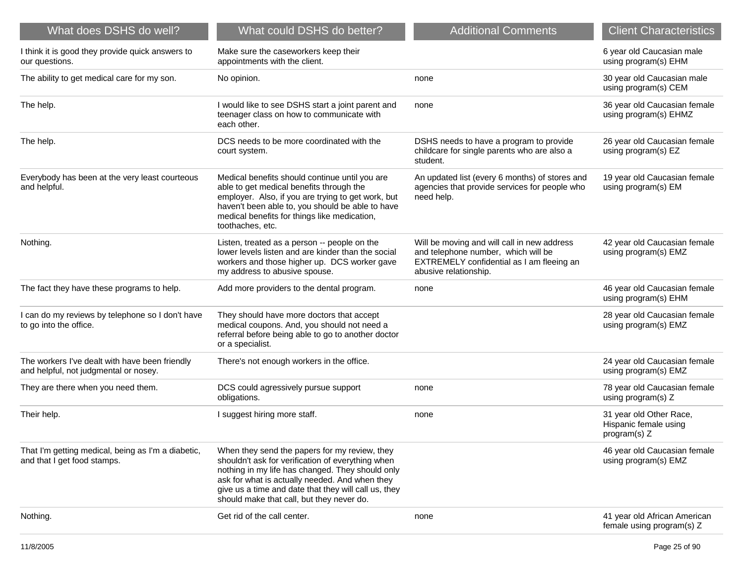| What does DSHS do well?                                                                 | What could DSHS do better?                                                                                                                                                                                                                                                                                    | <b>Additional Comments</b>                                                                                                                               | <b>Client Characteristics</b>                                    |
|-----------------------------------------------------------------------------------------|---------------------------------------------------------------------------------------------------------------------------------------------------------------------------------------------------------------------------------------------------------------------------------------------------------------|----------------------------------------------------------------------------------------------------------------------------------------------------------|------------------------------------------------------------------|
| I think it is good they provide quick answers to<br>our questions.                      | Make sure the caseworkers keep their<br>appointments with the client.                                                                                                                                                                                                                                         |                                                                                                                                                          | 6 year old Caucasian male<br>using program(s) EHM                |
| The ability to get medical care for my son.                                             | No opinion.                                                                                                                                                                                                                                                                                                   | none                                                                                                                                                     | 30 year old Caucasian male<br>using program(s) CEM               |
| The help.                                                                               | I would like to see DSHS start a joint parent and<br>teenager class on how to communicate with<br>each other.                                                                                                                                                                                                 | none                                                                                                                                                     | 36 year old Caucasian female<br>using program(s) EHMZ            |
| The help.                                                                               | DCS needs to be more coordinated with the<br>court system.                                                                                                                                                                                                                                                    | DSHS needs to have a program to provide<br>childcare for single parents who are also a<br>student.                                                       | 26 year old Caucasian female<br>using program(s) EZ              |
| Everybody has been at the very least courteous<br>and helpful.                          | Medical benefits should continue until you are<br>able to get medical benefits through the<br>employer. Also, if you are trying to get work, but<br>haven't been able to, you should be able to have<br>medical benefits for things like medication,<br>toothaches, etc.                                      | An updated list (every 6 months) of stores and<br>agencies that provide services for people who<br>need help.                                            | 19 year old Caucasian female<br>using program(s) EM              |
| Nothing.                                                                                | Listen, treated as a person -- people on the<br>lower levels listen and are kinder than the social<br>workers and those higher up. DCS worker gave<br>my address to abusive spouse.                                                                                                                           | Will be moving and will call in new address<br>and telephone number, which will be<br>EXTREMELY confidential as I am fleeing an<br>abusive relationship. | 42 year old Caucasian female<br>using program(s) EMZ             |
| The fact they have these programs to help.                                              | Add more providers to the dental program.                                                                                                                                                                                                                                                                     | none                                                                                                                                                     | 46 year old Caucasian female<br>using program(s) EHM             |
| I can do my reviews by telephone so I don't have<br>to go into the office.              | They should have more doctors that accept<br>medical coupons. And, you should not need a<br>referral before being able to go to another doctor<br>or a specialist.                                                                                                                                            |                                                                                                                                                          | 28 year old Caucasian female<br>using program(s) EMZ             |
| The workers I've dealt with have been friendly<br>and helpful, not judgmental or nosey. | There's not enough workers in the office.                                                                                                                                                                                                                                                                     |                                                                                                                                                          | 24 year old Caucasian female<br>using program(s) EMZ             |
| They are there when you need them.                                                      | DCS could agressively pursue support<br>obligations.                                                                                                                                                                                                                                                          | none                                                                                                                                                     | 78 year old Caucasian female<br>using program(s) Z               |
| Their help.                                                                             | I suggest hiring more staff.                                                                                                                                                                                                                                                                                  | none                                                                                                                                                     | 31 year old Other Race,<br>Hispanic female using<br>program(s) Z |
| That I'm getting medical, being as I'm a diabetic,<br>and that I get food stamps.       | When they send the papers for my review, they<br>shouldn't ask for verification of everything when<br>nothing in my life has changed. They should only<br>ask for what is actually needed. And when they<br>give us a time and date that they will call us, they<br>should make that call, but they never do. |                                                                                                                                                          | 46 year old Caucasian female<br>using program(s) EMZ             |
| Nothing.                                                                                | Get rid of the call center.                                                                                                                                                                                                                                                                                   | none                                                                                                                                                     | 41 year old African American<br>female using program(s) Z        |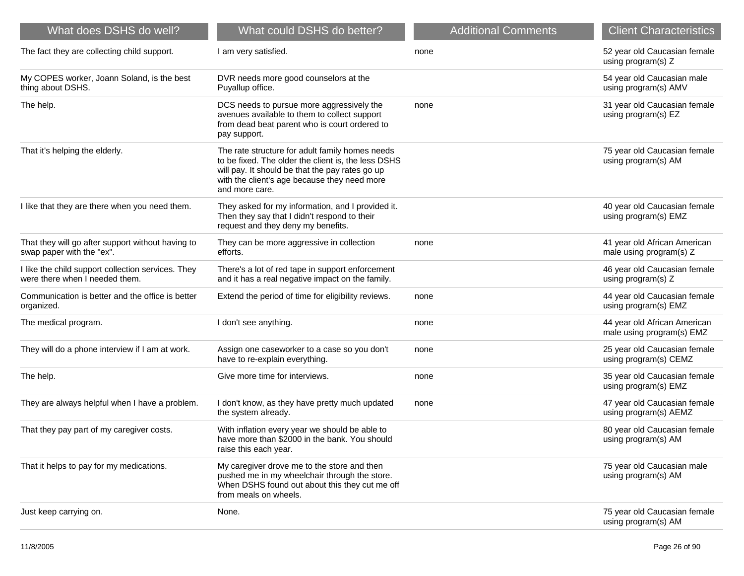| What does DSHS do well?                                                              | What could DSHS do better?                                                                                                                                                                                                  | <b>Additional Comments</b> | <b>Client Characteristics</b>                             |
|--------------------------------------------------------------------------------------|-----------------------------------------------------------------------------------------------------------------------------------------------------------------------------------------------------------------------------|----------------------------|-----------------------------------------------------------|
| The fact they are collecting child support.                                          | I am very satisfied.                                                                                                                                                                                                        | none                       | 52 year old Caucasian female<br>using program(s) Z        |
| My COPES worker, Joann Soland, is the best<br>thing about DSHS.                      | DVR needs more good counselors at the<br>Puyallup office.                                                                                                                                                                   |                            | 54 year old Caucasian male<br>using program(s) AMV        |
| The help.                                                                            | DCS needs to pursue more aggressively the<br>avenues available to them to collect support<br>from dead beat parent who is court ordered to<br>pay support.                                                                  | none                       | 31 year old Caucasian female<br>using program(s) EZ       |
| That it's helping the elderly.                                                       | The rate structure for adult family homes needs<br>to be fixed. The older the client is, the less DSHS<br>will pay. It should be that the pay rates go up<br>with the client's age because they need more<br>and more care. |                            | 75 year old Caucasian female<br>using program(s) AM       |
| I like that they are there when you need them.                                       | They asked for my information, and I provided it.<br>Then they say that I didn't respond to their<br>request and they deny my benefits.                                                                                     |                            | 40 year old Caucasian female<br>using program(s) EMZ      |
| That they will go after support without having to<br>swap paper with the "ex".       | They can be more aggressive in collection<br>efforts.                                                                                                                                                                       | none                       | 41 year old African American<br>male using program(s) Z   |
| I like the child support collection services. They<br>were there when I needed them. | There's a lot of red tape in support enforcement<br>and it has a real negative impact on the family.                                                                                                                        |                            | 46 year old Caucasian female<br>using program(s) Z        |
| Communication is better and the office is better<br>organized.                       | Extend the period of time for eligibility reviews.                                                                                                                                                                          | none                       | 44 year old Caucasian female<br>using program(s) EMZ      |
| The medical program.                                                                 | I don't see anything.                                                                                                                                                                                                       | none                       | 44 year old African American<br>male using program(s) EMZ |
| They will do a phone interview if I am at work.                                      | Assign one caseworker to a case so you don't<br>have to re-explain everything.                                                                                                                                              | none                       | 25 year old Caucasian female<br>using program(s) CEMZ     |
| The help.                                                                            | Give more time for interviews.                                                                                                                                                                                              | none                       | 35 year old Caucasian female<br>using program(s) EMZ      |
| They are always helpful when I have a problem.                                       | I don't know, as they have pretty much updated<br>the system already.                                                                                                                                                       | none                       | 47 year old Caucasian female<br>using program(s) AEMZ     |
| That they pay part of my caregiver costs.                                            | With inflation every year we should be able to<br>have more than \$2000 in the bank. You should<br>raise this each year.                                                                                                    |                            | 80 year old Caucasian female<br>using program(s) AM       |
| That it helps to pay for my medications.                                             | My caregiver drove me to the store and then<br>pushed me in my wheelchair through the store.<br>When DSHS found out about this they cut me off<br>from meals on wheels.                                                     |                            | 75 year old Caucasian male<br>using program(s) AM         |
| Just keep carrying on.                                                               | None.                                                                                                                                                                                                                       |                            | 75 year old Caucasian female<br>using program(s) AM       |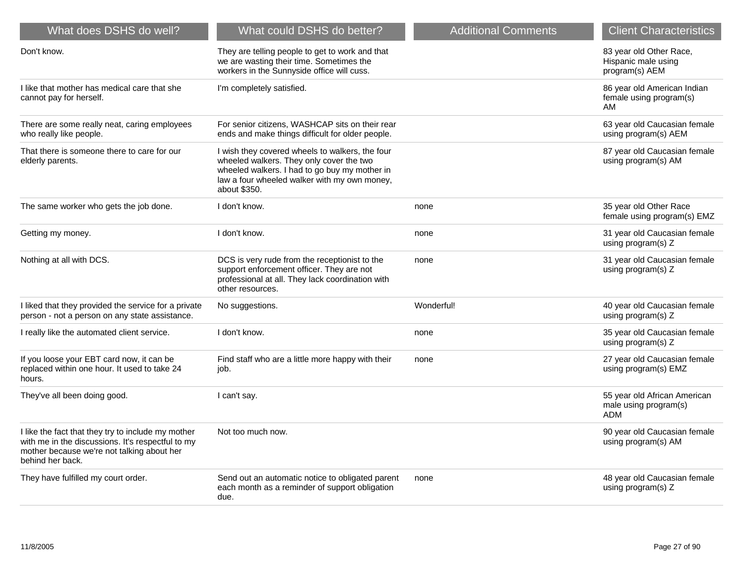| What does DSHS do well?                                                                                                                                                   | What could DSHS do better?                                                                                                                                                                                   | <b>Additional Comments</b> | <b>Client Characteristics</b>                                       |
|---------------------------------------------------------------------------------------------------------------------------------------------------------------------------|--------------------------------------------------------------------------------------------------------------------------------------------------------------------------------------------------------------|----------------------------|---------------------------------------------------------------------|
| Don't know.                                                                                                                                                               | They are telling people to get to work and that<br>we are wasting their time. Sometimes the<br>workers in the Sunnyside office will cuss.                                                                    |                            | 83 year old Other Race,<br>Hispanic male using<br>program(s) AEM    |
| I like that mother has medical care that she<br>cannot pay for herself.                                                                                                   | I'm completely satisfied.                                                                                                                                                                                    |                            | 86 year old American Indian<br>female using program(s)<br>AM        |
| There are some really neat, caring employees<br>who really like people.                                                                                                   | For senior citizens, WASHCAP sits on their rear<br>ends and make things difficult for older people.                                                                                                          |                            | 63 year old Caucasian female<br>using program(s) AEM                |
| That there is someone there to care for our<br>elderly parents.                                                                                                           | I wish they covered wheels to walkers, the four<br>wheeled walkers. They only cover the two<br>wheeled walkers. I had to go buy my mother in<br>law a four wheeled walker with my own money,<br>about \$350. |                            | 87 year old Caucasian female<br>using program(s) AM                 |
| The same worker who gets the job done.                                                                                                                                    | I don't know.                                                                                                                                                                                                | none                       | 35 year old Other Race<br>female using program(s) EMZ               |
| Getting my money.                                                                                                                                                         | I don't know.                                                                                                                                                                                                | none                       | 31 year old Caucasian female<br>using program(s) Z                  |
| Nothing at all with DCS.                                                                                                                                                  | DCS is very rude from the receptionist to the<br>support enforcement officer. They are not<br>professional at all. They lack coordination with<br>other resources.                                           | none                       | 31 year old Caucasian female<br>using program(s) Z                  |
| I liked that they provided the service for a private<br>person - not a person on any state assistance.                                                                    | No suggestions.                                                                                                                                                                                              | Wonderful!                 | 40 year old Caucasian female<br>using program(s) Z                  |
| I really like the automated client service.                                                                                                                               | I don't know.                                                                                                                                                                                                | none                       | 35 year old Caucasian female<br>using program(s) Z                  |
| If you loose your EBT card now, it can be<br>replaced within one hour. It used to take 24<br>hours.                                                                       | Find staff who are a little more happy with their<br>job.                                                                                                                                                    | none                       | 27 year old Caucasian female<br>using program(s) EMZ                |
| They've all been doing good.                                                                                                                                              | I can't say.                                                                                                                                                                                                 |                            | 55 year old African American<br>male using program(s)<br><b>ADM</b> |
| I like the fact that they try to include my mother<br>with me in the discussions. It's respectful to my<br>mother because we're not talking about her<br>behind her back. | Not too much now.                                                                                                                                                                                            |                            | 90 year old Caucasian female<br>using program(s) AM                 |
| They have fulfilled my court order.                                                                                                                                       | Send out an automatic notice to obligated parent<br>each month as a reminder of support obligation<br>due.                                                                                                   | none                       | 48 year old Caucasian female<br>using program(s) Z                  |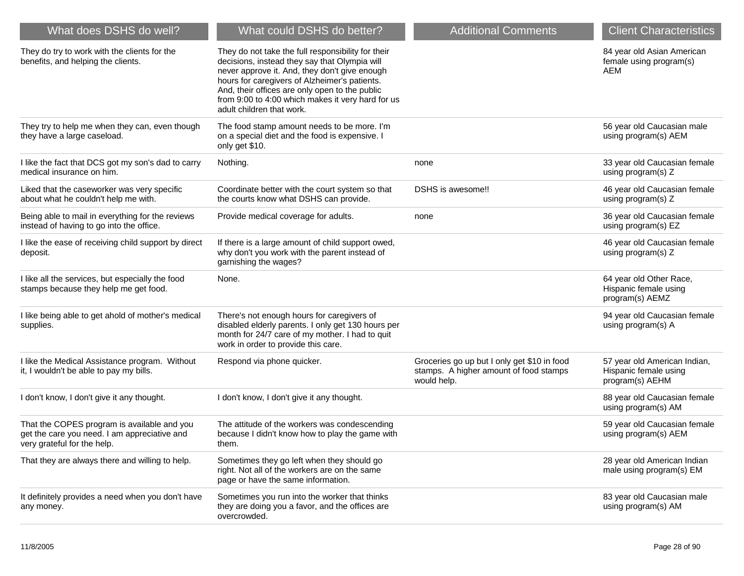| What does DSHS do well?                                                                                                    | What could DSHS do better?                                                                                                                                                                                                                                                                                                                | <b>Additional Comments</b>                                                                           | <b>Client Characteristics</b>                                            |
|----------------------------------------------------------------------------------------------------------------------------|-------------------------------------------------------------------------------------------------------------------------------------------------------------------------------------------------------------------------------------------------------------------------------------------------------------------------------------------|------------------------------------------------------------------------------------------------------|--------------------------------------------------------------------------|
| They do try to work with the clients for the<br>benefits, and helping the clients.                                         | They do not take the full responsibility for their<br>decisions, instead they say that Olympia will<br>never approve it. And, they don't give enough<br>hours for caregivers of Alzheimer's patients.<br>And, their offices are only open to the public<br>from 9:00 to 4:00 which makes it very hard for us<br>adult children that work. |                                                                                                      | 84 year old Asian American<br>female using program(s)<br>AEM             |
| They try to help me when they can, even though<br>they have a large caseload.                                              | The food stamp amount needs to be more. I'm<br>on a special diet and the food is expensive. I<br>only get \$10.                                                                                                                                                                                                                           |                                                                                                      | 56 year old Caucasian male<br>using program(s) AEM                       |
| I like the fact that DCS got my son's dad to carry<br>medical insurance on him.                                            | Nothing.                                                                                                                                                                                                                                                                                                                                  | none                                                                                                 | 33 year old Caucasian female<br>using program(s) Z                       |
| Liked that the caseworker was very specific<br>about what he couldn't help me with.                                        | Coordinate better with the court system so that<br>the courts know what DSHS can provide.                                                                                                                                                                                                                                                 | DSHS is awesome!!                                                                                    | 46 year old Caucasian female<br>using program(s) Z                       |
| Being able to mail in everything for the reviews<br>instead of having to go into the office.                               | Provide medical coverage for adults.                                                                                                                                                                                                                                                                                                      | none                                                                                                 | 36 year old Caucasian female<br>using program(s) EZ                      |
| I like the ease of receiving child support by direct<br>deposit.                                                           | If there is a large amount of child support owed,<br>why don't you work with the parent instead of<br>garnishing the wages?                                                                                                                                                                                                               |                                                                                                      | 46 year old Caucasian female<br>using program(s) Z                       |
| I like all the services, but especially the food<br>stamps because they help me get food.                                  | None.                                                                                                                                                                                                                                                                                                                                     |                                                                                                      | 64 year old Other Race,<br>Hispanic female using<br>program(s) AEMZ      |
| I like being able to get ahold of mother's medical<br>supplies.                                                            | There's not enough hours for caregivers of<br>disabled elderly parents. I only get 130 hours per<br>month for 24/7 care of my mother. I had to quit<br>work in order to provide this care.                                                                                                                                                |                                                                                                      | 94 year old Caucasian female<br>using program(s) A                       |
| I like the Medical Assistance program. Without<br>it, I wouldn't be able to pay my bills.                                  | Respond via phone quicker.                                                                                                                                                                                                                                                                                                                | Groceries go up but I only get \$10 in food<br>stamps. A higher amount of food stamps<br>would help. | 57 year old American Indian,<br>Hispanic female using<br>program(s) AEHM |
| I don't know, I don't give it any thought.                                                                                 | I don't know, I don't give it any thought.                                                                                                                                                                                                                                                                                                |                                                                                                      | 88 year old Caucasian female<br>using program(s) AM                      |
| That the COPES program is available and you<br>get the care you need. I am appreciative and<br>very grateful for the help. | The attitude of the workers was condescending<br>because I didn't know how to play the game with<br>them.                                                                                                                                                                                                                                 |                                                                                                      | 59 year old Caucasian female<br>using program(s) AEM                     |
| That they are always there and willing to help.                                                                            | Sometimes they go left when they should go<br>right. Not all of the workers are on the same<br>page or have the same information.                                                                                                                                                                                                         |                                                                                                      | 28 year old American Indian<br>male using program(s) EM                  |
| It definitely provides a need when you don't have<br>any money.                                                            | Sometimes you run into the worker that thinks<br>they are doing you a favor, and the offices are<br>overcrowded.                                                                                                                                                                                                                          |                                                                                                      | 83 year old Caucasian male<br>using program(s) AM                        |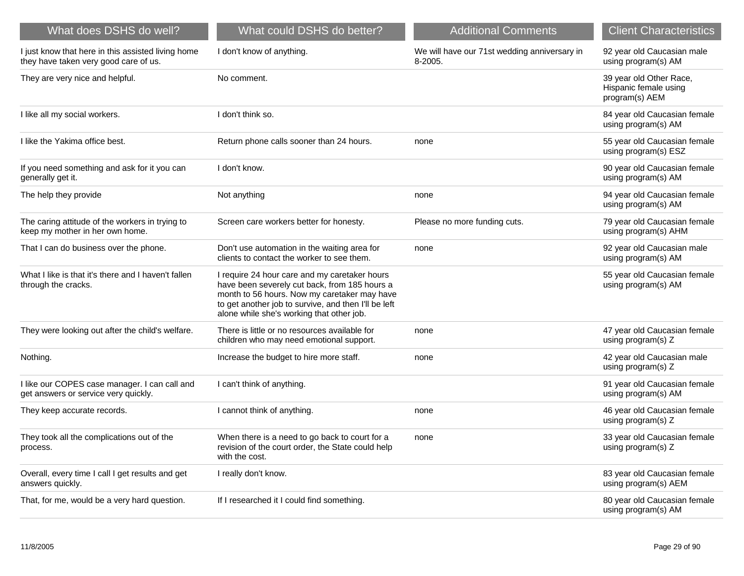| What does DSHS do well?                                                                     | What could DSHS do better?                                                                                                                                                                                                                          | <b>Additional Comments</b>                              | <b>Client Characteristics</b>                                      |
|---------------------------------------------------------------------------------------------|-----------------------------------------------------------------------------------------------------------------------------------------------------------------------------------------------------------------------------------------------------|---------------------------------------------------------|--------------------------------------------------------------------|
| I just know that here in this assisted living home<br>they have taken very good care of us. | I don't know of anything.                                                                                                                                                                                                                           | We will have our 71st wedding anniversary in<br>8-2005. | 92 year old Caucasian male<br>using program(s) AM                  |
| They are very nice and helpful.                                                             | No comment.                                                                                                                                                                                                                                         |                                                         | 39 year old Other Race,<br>Hispanic female using<br>program(s) AEM |
| I like all my social workers.                                                               | I don't think so.                                                                                                                                                                                                                                   |                                                         | 84 year old Caucasian female<br>using program(s) AM                |
| I like the Yakima office best.                                                              | Return phone calls sooner than 24 hours.                                                                                                                                                                                                            | none                                                    | 55 year old Caucasian female<br>using program(s) ESZ               |
| If you need something and ask for it you can<br>generally get it.                           | I don't know.                                                                                                                                                                                                                                       |                                                         | 90 year old Caucasian female<br>using program(s) AM                |
| The help they provide                                                                       | Not anything                                                                                                                                                                                                                                        | none                                                    | 94 year old Caucasian female<br>using program(s) AM                |
| The caring attitude of the workers in trying to<br>keep my mother in her own home.          | Screen care workers better for honesty.                                                                                                                                                                                                             | Please no more funding cuts.                            | 79 year old Caucasian female<br>using program(s) AHM               |
| That I can do business over the phone.                                                      | Don't use automation in the waiting area for<br>clients to contact the worker to see them.                                                                                                                                                          | none                                                    | 92 year old Caucasian male<br>using program(s) AM                  |
| What I like is that it's there and I haven't fallen<br>through the cracks.                  | I require 24 hour care and my caretaker hours<br>have been severely cut back, from 185 hours a<br>month to 56 hours. Now my caretaker may have<br>to get another job to survive, and then I'll be left<br>alone while she's working that other job. |                                                         | 55 year old Caucasian female<br>using program(s) AM                |
| They were looking out after the child's welfare.                                            | There is little or no resources available for<br>children who may need emotional support.                                                                                                                                                           | none                                                    | 47 year old Caucasian female<br>using program(s) Z                 |
| Nothing.                                                                                    | Increase the budget to hire more staff.                                                                                                                                                                                                             | none                                                    | 42 year old Caucasian male<br>using program(s) Z                   |
| I like our COPES case manager. I can call and<br>get answers or service very quickly.       | I can't think of anything.                                                                                                                                                                                                                          |                                                         | 91 year old Caucasian female<br>using program(s) AM                |
| They keep accurate records.                                                                 | I cannot think of anything.                                                                                                                                                                                                                         | none                                                    | 46 year old Caucasian female<br>using program(s) Z                 |
| They took all the complications out of the<br>process.                                      | When there is a need to go back to court for a<br>revision of the court order, the State could help<br>with the cost.                                                                                                                               | none                                                    | 33 year old Caucasian female<br>using program(s) Z                 |
| Overall, every time I call I get results and get<br>answers quickly.                        | I really don't know.                                                                                                                                                                                                                                |                                                         | 83 year old Caucasian female<br>using program(s) AEM               |
| That, for me, would be a very hard question.                                                | If I researched it I could find something.                                                                                                                                                                                                          |                                                         | 80 year old Caucasian female<br>using program(s) AM                |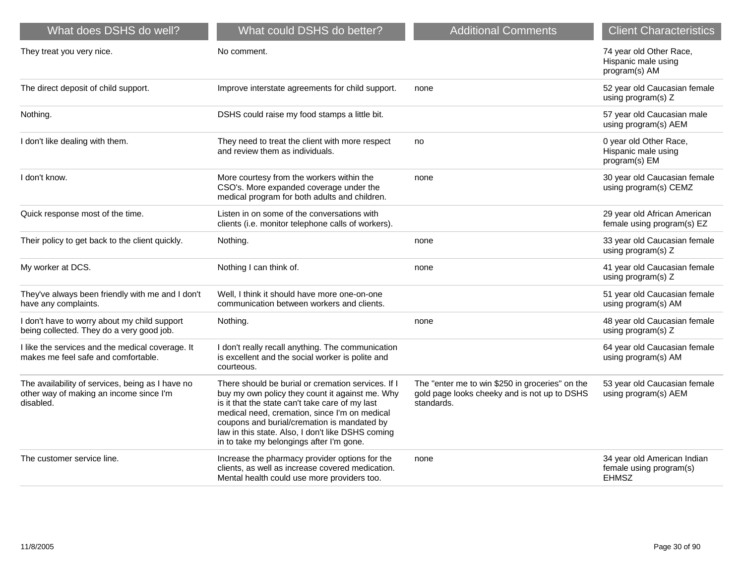| What does DSHS do well?                                                                                  | What could DSHS do better?                                                                                                                                                                                                                                                                                                                                | <b>Additional Comments</b>                                                                                    | <b>Client Characteristics</b>                                          |
|----------------------------------------------------------------------------------------------------------|-----------------------------------------------------------------------------------------------------------------------------------------------------------------------------------------------------------------------------------------------------------------------------------------------------------------------------------------------------------|---------------------------------------------------------------------------------------------------------------|------------------------------------------------------------------------|
| They treat you very nice.                                                                                | No comment.                                                                                                                                                                                                                                                                                                                                               |                                                                                                               | 74 year old Other Race,<br>Hispanic male using<br>program(s) AM        |
| The direct deposit of child support.                                                                     | Improve interstate agreements for child support.                                                                                                                                                                                                                                                                                                          | none                                                                                                          | 52 year old Caucasian female<br>using program(s) Z                     |
| Nothing.                                                                                                 | DSHS could raise my food stamps a little bit.                                                                                                                                                                                                                                                                                                             |                                                                                                               | 57 year old Caucasian male<br>using program(s) AEM                     |
| I don't like dealing with them.                                                                          | They need to treat the client with more respect<br>and review them as individuals.                                                                                                                                                                                                                                                                        | no                                                                                                            | 0 year old Other Race,<br>Hispanic male using<br>program(s) EM         |
| I don't know.                                                                                            | More courtesy from the workers within the<br>CSO's. More expanded coverage under the<br>medical program for both adults and children.                                                                                                                                                                                                                     | none                                                                                                          | 30 year old Caucasian female<br>using program(s) CEMZ                  |
| Quick response most of the time.                                                                         | Listen in on some of the conversations with<br>clients (i.e. monitor telephone calls of workers).                                                                                                                                                                                                                                                         |                                                                                                               | 29 year old African American<br>female using program(s) EZ             |
| Their policy to get back to the client quickly.                                                          | Nothing.                                                                                                                                                                                                                                                                                                                                                  | none                                                                                                          | 33 year old Caucasian female<br>using program(s) Z                     |
| My worker at DCS.                                                                                        | Nothing I can think of.                                                                                                                                                                                                                                                                                                                                   | none                                                                                                          | 41 year old Caucasian female<br>using program(s) Z                     |
| They've always been friendly with me and I don't<br>have any complaints.                                 | Well, I think it should have more one-on-one<br>communication between workers and clients.                                                                                                                                                                                                                                                                |                                                                                                               | 51 year old Caucasian female<br>using program(s) AM                    |
| I don't have to worry about my child support<br>being collected. They do a very good job.                | Nothing.                                                                                                                                                                                                                                                                                                                                                  | none                                                                                                          | 48 year old Caucasian female<br>using program(s) Z                     |
| I like the services and the medical coverage. It<br>makes me feel safe and comfortable.                  | I don't really recall anything. The communication<br>is excellent and the social worker is polite and<br>courteous.                                                                                                                                                                                                                                       |                                                                                                               | 64 year old Caucasian female<br>using program(s) AM                    |
| The availability of services, being as I have no<br>other way of making an income since I'm<br>disabled. | There should be burial or cremation services. If I<br>buy my own policy they count it against me. Why<br>is it that the state can't take care of my last<br>medical need, cremation, since I'm on medical<br>coupons and burial/cremation is mandated by<br>law in this state. Also, I don't like DSHS coming<br>in to take my belongings after I'm gone. | The "enter me to win \$250 in groceries" on the<br>gold page looks cheeky and is not up to DSHS<br>standards. | 53 year old Caucasian female<br>using program(s) AEM                   |
| The customer service line.                                                                               | Increase the pharmacy provider options for the<br>clients, as well as increase covered medication.<br>Mental health could use more providers too.                                                                                                                                                                                                         | none                                                                                                          | 34 year old American Indian<br>female using program(s)<br><b>EHMSZ</b> |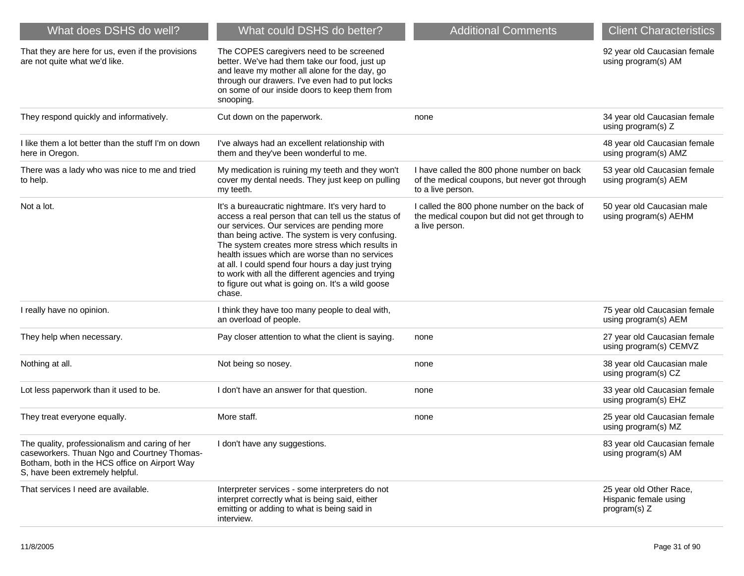| What does DSHS do well?                                                                                                                                                           | What could DSHS do better?                                                                                                                                                                                                                                                                                                                                                                                                                                                                 | <b>Additional Comments</b>                                                                                       | <b>Client Characteristics</b>                                    |
|-----------------------------------------------------------------------------------------------------------------------------------------------------------------------------------|--------------------------------------------------------------------------------------------------------------------------------------------------------------------------------------------------------------------------------------------------------------------------------------------------------------------------------------------------------------------------------------------------------------------------------------------------------------------------------------------|------------------------------------------------------------------------------------------------------------------|------------------------------------------------------------------|
| That they are here for us, even if the provisions<br>are not quite what we'd like.                                                                                                | The COPES caregivers need to be screened<br>better. We've had them take our food, just up<br>and leave my mother all alone for the day, go<br>through our drawers. I've even had to put locks<br>on some of our inside doors to keep them from<br>snooping.                                                                                                                                                                                                                                |                                                                                                                  | 92 year old Caucasian female<br>using program(s) AM              |
| They respond quickly and informatively.                                                                                                                                           | Cut down on the paperwork.                                                                                                                                                                                                                                                                                                                                                                                                                                                                 | none                                                                                                             | 34 year old Caucasian female<br>using program(s) Z               |
| I like them a lot better than the stuff I'm on down<br>here in Oregon.                                                                                                            | I've always had an excellent relationship with<br>them and they've been wonderful to me.                                                                                                                                                                                                                                                                                                                                                                                                   |                                                                                                                  | 48 year old Caucasian female<br>using program(s) AMZ             |
| There was a lady who was nice to me and tried<br>to help.                                                                                                                         | My medication is ruining my teeth and they won't<br>cover my dental needs. They just keep on pulling<br>my teeth.                                                                                                                                                                                                                                                                                                                                                                          | I have called the 800 phone number on back<br>of the medical coupons, but never got through<br>to a live person. | 53 year old Caucasian female<br>using program(s) AEM             |
| Not a lot.                                                                                                                                                                        | It's a bureaucratic nightmare. It's very hard to<br>access a real person that can tell us the status of<br>our services. Our services are pending more<br>than being active. The system is very confusing.<br>The system creates more stress which results in<br>health issues which are worse than no services<br>at all. I could spend four hours a day just trying<br>to work with all the different agencies and trying<br>to figure out what is going on. It's a wild goose<br>chase. | I called the 800 phone number on the back of<br>the medical coupon but did not get through to<br>a live person.  | 50 year old Caucasian male<br>using program(s) AEHM              |
| I really have no opinion.                                                                                                                                                         | I think they have too many people to deal with,<br>an overload of people.                                                                                                                                                                                                                                                                                                                                                                                                                  |                                                                                                                  | 75 year old Caucasian female<br>using program(s) AEM             |
| They help when necessary.                                                                                                                                                         | Pay closer attention to what the client is saying.                                                                                                                                                                                                                                                                                                                                                                                                                                         | none                                                                                                             | 27 year old Caucasian female<br>using program(s) CEMVZ           |
| Nothing at all.                                                                                                                                                                   | Not being so nosey.                                                                                                                                                                                                                                                                                                                                                                                                                                                                        | none                                                                                                             | 38 year old Caucasian male<br>using program(s) CZ                |
| Lot less paperwork than it used to be.                                                                                                                                            | I don't have an answer for that question.                                                                                                                                                                                                                                                                                                                                                                                                                                                  | none                                                                                                             | 33 year old Caucasian female<br>using program(s) EHZ             |
| They treat everyone equally.                                                                                                                                                      | More staff.                                                                                                                                                                                                                                                                                                                                                                                                                                                                                | none                                                                                                             | 25 year old Caucasian female<br>using program(s) MZ              |
| The quality, professionalism and caring of her<br>caseworkers. Thuan Ngo and Courtney Thomas-<br>Botham, both in the HCS office on Airport Way<br>S, have been extremely helpful. | I don't have any suggestions.                                                                                                                                                                                                                                                                                                                                                                                                                                                              |                                                                                                                  | 83 year old Caucasian female<br>using program(s) AM              |
| That services I need are available.                                                                                                                                               | Interpreter services - some interpreters do not<br>interpret correctly what is being said, either<br>emitting or adding to what is being said in<br>interview.                                                                                                                                                                                                                                                                                                                             |                                                                                                                  | 25 year old Other Race,<br>Hispanic female using<br>program(s) Z |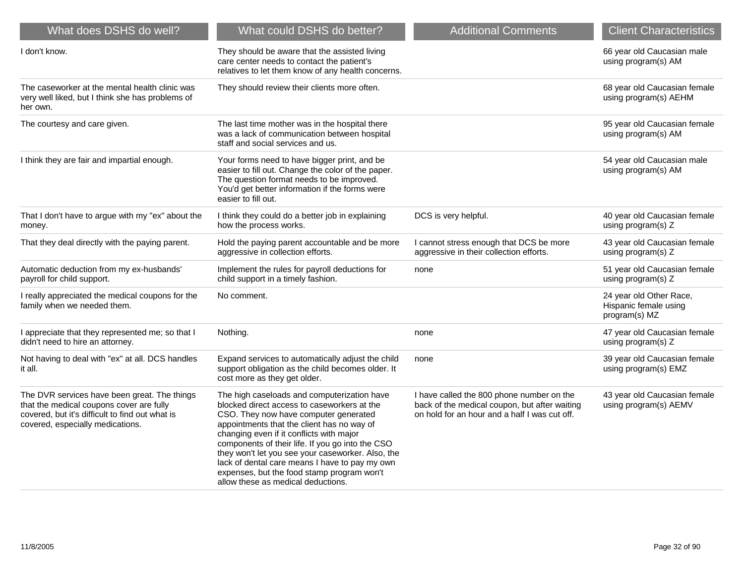| What does DSHS do well?                                                                                                                                                         | What could DSHS do better?                                                                                                                                                                                                                                                                                                                                                                                                                                                   | <b>Additional Comments</b>                                                                                                                  | <b>Client Characteristics</b>                                     |
|---------------------------------------------------------------------------------------------------------------------------------------------------------------------------------|------------------------------------------------------------------------------------------------------------------------------------------------------------------------------------------------------------------------------------------------------------------------------------------------------------------------------------------------------------------------------------------------------------------------------------------------------------------------------|---------------------------------------------------------------------------------------------------------------------------------------------|-------------------------------------------------------------------|
| I don't know.                                                                                                                                                                   | They should be aware that the assisted living<br>care center needs to contact the patient's<br>relatives to let them know of any health concerns.                                                                                                                                                                                                                                                                                                                            |                                                                                                                                             | 66 year old Caucasian male<br>using program(s) AM                 |
| The caseworker at the mental health clinic was<br>very well liked, but I think she has problems of<br>her own.                                                                  | They should review their clients more often.                                                                                                                                                                                                                                                                                                                                                                                                                                 |                                                                                                                                             | 68 year old Caucasian female<br>using program(s) AEHM             |
| The courtesy and care given.                                                                                                                                                    | The last time mother was in the hospital there<br>was a lack of communication between hospital<br>staff and social services and us.                                                                                                                                                                                                                                                                                                                                          |                                                                                                                                             | 95 year old Caucasian female<br>using program(s) AM               |
| I think they are fair and impartial enough.                                                                                                                                     | Your forms need to have bigger print, and be<br>easier to fill out. Change the color of the paper.<br>The question format needs to be improved.<br>You'd get better information if the forms were<br>easier to fill out.                                                                                                                                                                                                                                                     |                                                                                                                                             | 54 year old Caucasian male<br>using program(s) AM                 |
| That I don't have to argue with my "ex" about the<br>money.                                                                                                                     | I think they could do a better job in explaining<br>how the process works.                                                                                                                                                                                                                                                                                                                                                                                                   | DCS is very helpful.                                                                                                                        | 40 year old Caucasian female<br>using program(s) Z                |
| That they deal directly with the paying parent.                                                                                                                                 | Hold the paying parent accountable and be more<br>aggressive in collection efforts.                                                                                                                                                                                                                                                                                                                                                                                          | I cannot stress enough that DCS be more<br>aggressive in their collection efforts.                                                          | 43 year old Caucasian female<br>using program(s) Z                |
| Automatic deduction from my ex-husbands'<br>payroll for child support.                                                                                                          | Implement the rules for payroll deductions for<br>child support in a timely fashion.                                                                                                                                                                                                                                                                                                                                                                                         | none                                                                                                                                        | 51 year old Caucasian female<br>using program(s) Z                |
| I really appreciated the medical coupons for the<br>family when we needed them.                                                                                                 | No comment.                                                                                                                                                                                                                                                                                                                                                                                                                                                                  |                                                                                                                                             | 24 year old Other Race,<br>Hispanic female using<br>program(s) MZ |
| I appreciate that they represented me; so that I<br>didn't need to hire an attorney.                                                                                            | Nothing.                                                                                                                                                                                                                                                                                                                                                                                                                                                                     | none                                                                                                                                        | 47 year old Caucasian female<br>using program(s) Z                |
| Not having to deal with "ex" at all. DCS handles<br>it all.                                                                                                                     | Expand services to automatically adjust the child<br>support obligation as the child becomes older. It<br>cost more as they get older.                                                                                                                                                                                                                                                                                                                                       | none                                                                                                                                        | 39 year old Caucasian female<br>using program(s) EMZ              |
| The DVR services have been great. The things<br>that the medical coupons cover are fully<br>covered, but it's difficult to find out what is<br>covered, especially medications. | The high caseloads and computerization have<br>blocked direct access to caseworkers at the<br>CSO. They now have computer generated<br>appointments that the client has no way of<br>changing even if it conflicts with major<br>components of their life. If you go into the CSO<br>they won't let you see your caseworker. Also, the<br>lack of dental care means I have to pay my own<br>expenses, but the food stamp program won't<br>allow these as medical deductions. | I have called the 800 phone number on the<br>back of the medical coupon, but after waiting<br>on hold for an hour and a half I was cut off. | 43 year old Caucasian female<br>using program(s) AEMV             |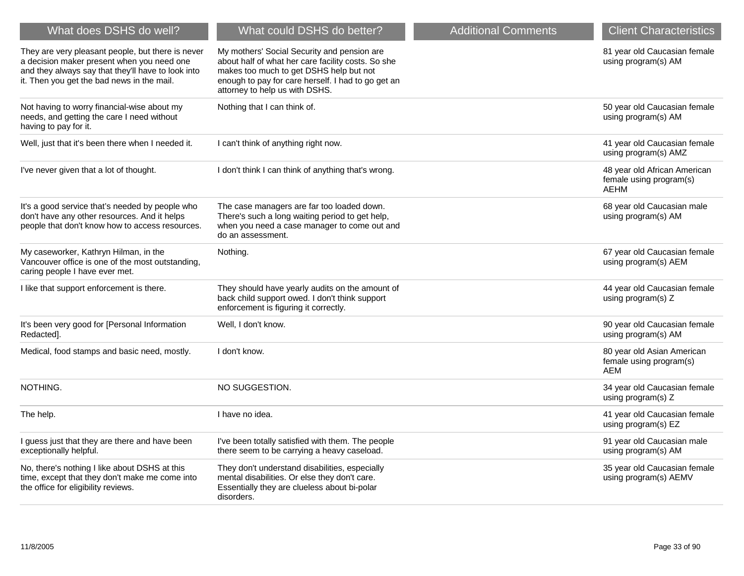| What does DSHS do well?                                                                                                                                                                             | What could DSHS do better?                                                                                                                                                                                                           | <b>Additional Comments</b> | <b>Client Characteristics</b>                                          |
|-----------------------------------------------------------------------------------------------------------------------------------------------------------------------------------------------------|--------------------------------------------------------------------------------------------------------------------------------------------------------------------------------------------------------------------------------------|----------------------------|------------------------------------------------------------------------|
| They are very pleasant people, but there is never<br>a decision maker present when you need one<br>and they always say that they'll have to look into<br>it. Then you get the bad news in the mail. | My mothers' Social Security and pension are<br>about half of what her care facility costs. So she<br>makes too much to get DSHS help but not<br>enough to pay for care herself. I had to go get an<br>attorney to help us with DSHS. |                            | 81 year old Caucasian female<br>using program(s) AM                    |
| Not having to worry financial-wise about my<br>needs, and getting the care I need without<br>having to pay for it.                                                                                  | Nothing that I can think of.                                                                                                                                                                                                         |                            | 50 year old Caucasian female<br>using program(s) AM                    |
| Well, just that it's been there when I needed it.                                                                                                                                                   | I can't think of anything right now.                                                                                                                                                                                                 |                            | 41 year old Caucasian female<br>using program(s) AMZ                   |
| I've never given that a lot of thought.                                                                                                                                                             | I don't think I can think of anything that's wrong.                                                                                                                                                                                  |                            | 48 year old African American<br>female using program(s)<br><b>AEHM</b> |
| It's a good service that's needed by people who<br>don't have any other resources. And it helps<br>people that don't know how to access resources.                                                  | The case managers are far too loaded down.<br>There's such a long waiting period to get help,<br>when you need a case manager to come out and<br>do an assessment.                                                                   |                            | 68 year old Caucasian male<br>using program(s) AM                      |
| My caseworker, Kathryn Hilman, in the<br>Vancouver office is one of the most outstanding,<br>caring people I have ever met.                                                                         | Nothing.                                                                                                                                                                                                                             |                            | 67 year old Caucasian female<br>using program(s) AEM                   |
| I like that support enforcement is there.                                                                                                                                                           | They should have yearly audits on the amount of<br>back child support owed. I don't think support<br>enforcement is figuring it correctly.                                                                                           |                            | 44 year old Caucasian female<br>using program(s) Z                     |
| It's been very good for [Personal Information<br>Redacted].                                                                                                                                         | Well, I don't know.                                                                                                                                                                                                                  |                            | 90 year old Caucasian female<br>using program(s) AM                    |
| Medical, food stamps and basic need, mostly.                                                                                                                                                        | I don't know.                                                                                                                                                                                                                        |                            | 80 year old Asian American<br>female using program(s)<br><b>AEM</b>    |
| NOTHING.                                                                                                                                                                                            | NO SUGGESTION.                                                                                                                                                                                                                       |                            | 34 year old Caucasian female<br>using program(s) Z                     |
| The help.                                                                                                                                                                                           | I have no idea.                                                                                                                                                                                                                      |                            | 41 year old Caucasian female<br>using program(s) EZ                    |
| I guess just that they are there and have been<br>exceptionally helpful.                                                                                                                            | I've been totally satisfied with them. The people<br>there seem to be carrying a heavy caseload.                                                                                                                                     |                            | 91 year old Caucasian male<br>using program(s) AM                      |
| No, there's nothing I like about DSHS at this<br>time, except that they don't make me come into<br>the office for eligibility reviews.                                                              | They don't understand disabilities, especially<br>mental disabilities. Or else they don't care.<br>Essentially they are clueless about bi-polar<br>disorders.                                                                        |                            | 35 year old Caucasian female<br>using program(s) AEMV                  |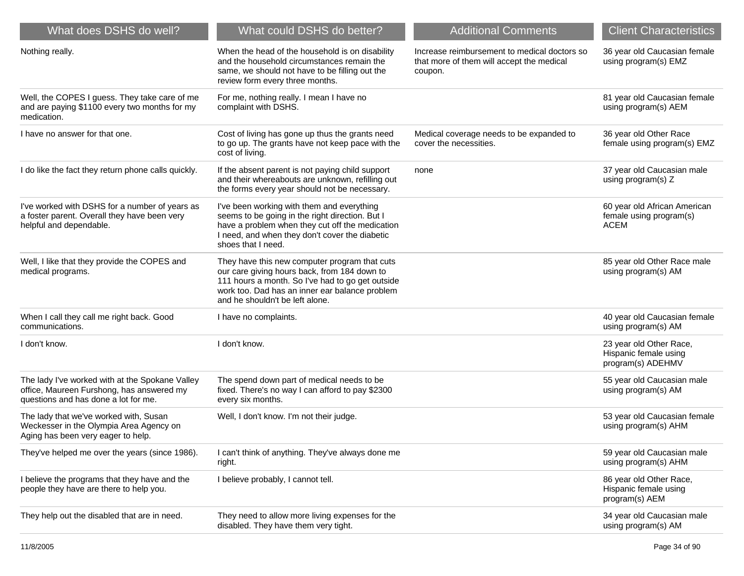| What does DSHS do well?                                                                                                              | What could DSHS do better?                                                                                                                                                                                                             | <b>Additional Comments</b>                                                                           | <b>Client Characteristics</b>                                          |
|--------------------------------------------------------------------------------------------------------------------------------------|----------------------------------------------------------------------------------------------------------------------------------------------------------------------------------------------------------------------------------------|------------------------------------------------------------------------------------------------------|------------------------------------------------------------------------|
| Nothing really.                                                                                                                      | When the head of the household is on disability<br>and the household circumstances remain the<br>same, we should not have to be filling out the<br>review form every three months.                                                     | Increase reimbursement to medical doctors so<br>that more of them will accept the medical<br>coupon. | 36 year old Caucasian female<br>using program(s) EMZ                   |
| Well, the COPES I guess. They take care of me<br>and are paying \$1100 every two months for my<br>medication.                        | For me, nothing really. I mean I have no<br>complaint with DSHS.                                                                                                                                                                       |                                                                                                      | 81 year old Caucasian female<br>using program(s) AEM                   |
| I have no answer for that one.                                                                                                       | Cost of living has gone up thus the grants need<br>to go up. The grants have not keep pace with the<br>cost of living.                                                                                                                 | Medical coverage needs to be expanded to<br>cover the necessities.                                   | 36 year old Other Race<br>female using program(s) EMZ                  |
| I do like the fact they return phone calls quickly.                                                                                  | If the absent parent is not paying child support<br>and their whereabouts are unknown, refilling out<br>the forms every year should not be necessary.                                                                                  | none                                                                                                 | 37 year old Caucasian male<br>using program(s) Z                       |
| I've worked with DSHS for a number of years as<br>a foster parent. Overall they have been very<br>helpful and dependable.            | I've been working with them and everything<br>seems to be going in the right direction. But I<br>have a problem when they cut off the medication<br>I need, and when they don't cover the diabetic<br>shoes that I need.               |                                                                                                      | 60 year old African American<br>female using program(s)<br><b>ACEM</b> |
| Well, I like that they provide the COPES and<br>medical programs.                                                                    | They have this new computer program that cuts<br>our care giving hours back, from 184 down to<br>111 hours a month. So I've had to go get outside<br>work too. Dad has an inner ear balance problem<br>and he shouldn't be left alone. |                                                                                                      | 85 year old Other Race male<br>using program(s) AM                     |
| When I call they call me right back. Good<br>communications.                                                                         | I have no complaints.                                                                                                                                                                                                                  |                                                                                                      | 40 year old Caucasian female<br>using program(s) AM                    |
| I don't know.                                                                                                                        | I don't know.                                                                                                                                                                                                                          |                                                                                                      | 23 year old Other Race,<br>Hispanic female using<br>program(s) ADEHMV  |
| The lady I've worked with at the Spokane Valley<br>office, Maureen Furshong, has answered my<br>questions and has done a lot for me. | The spend down part of medical needs to be<br>fixed. There's no way I can afford to pay \$2300<br>every six months.                                                                                                                    |                                                                                                      | 55 year old Caucasian male<br>using program(s) AM                      |
| The lady that we've worked with, Susan<br>Weckesser in the Olympia Area Agency on<br>Aging has been very eager to help.              | Well, I don't know. I'm not their judge.                                                                                                                                                                                               |                                                                                                      | 53 year old Caucasian female<br>using program(s) AHM                   |
| They've helped me over the years (since 1986).                                                                                       | I can't think of anything. They've always done me<br>right.                                                                                                                                                                            |                                                                                                      | 59 year old Caucasian male<br>using program(s) AHM                     |
| I believe the programs that they have and the<br>people they have are there to help you.                                             | I believe probably, I cannot tell.                                                                                                                                                                                                     |                                                                                                      | 86 year old Other Race,<br>Hispanic female using<br>program(s) AEM     |
| They help out the disabled that are in need.                                                                                         | They need to allow more living expenses for the<br>disabled. They have them very tight.                                                                                                                                                |                                                                                                      | 34 year old Caucasian male<br>using program(s) AM                      |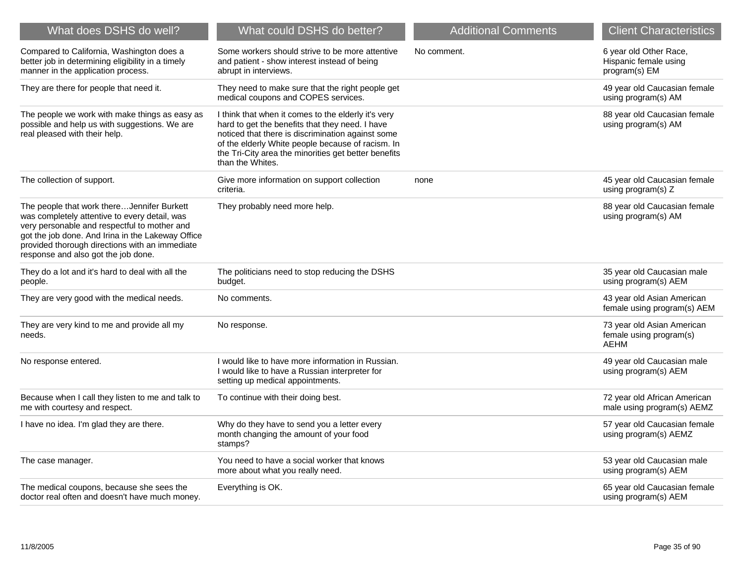| What does DSHS do well?                                                                                                                                                                                                                                                                   | What could DSHS do better?                                                                                                                                                                                                                                                                   | <b>Additional Comments</b> | <b>Client Characteristics</b>                                    |
|-------------------------------------------------------------------------------------------------------------------------------------------------------------------------------------------------------------------------------------------------------------------------------------------|----------------------------------------------------------------------------------------------------------------------------------------------------------------------------------------------------------------------------------------------------------------------------------------------|----------------------------|------------------------------------------------------------------|
| Compared to California, Washington does a<br>better job in determining eligibility in a timely<br>manner in the application process.                                                                                                                                                      | Some workers should strive to be more attentive<br>and patient - show interest instead of being<br>abrupt in interviews.                                                                                                                                                                     | No comment.                | 6 year old Other Race,<br>Hispanic female using<br>program(s) EM |
| They are there for people that need it.                                                                                                                                                                                                                                                   | They need to make sure that the right people get<br>medical coupons and COPES services.                                                                                                                                                                                                      |                            | 49 year old Caucasian female<br>using program(s) AM              |
| The people we work with make things as easy as<br>possible and help us with suggestions. We are<br>real pleased with their help.                                                                                                                                                          | I think that when it comes to the elderly it's very<br>hard to get the benefits that they need. I have<br>noticed that there is discrimination against some<br>of the elderly White people because of racism. In<br>the Tri-City area the minorities get better benefits<br>than the Whites. |                            | 88 year old Caucasian female<br>using program(s) AM              |
| The collection of support.                                                                                                                                                                                                                                                                | Give more information on support collection<br>criteria.                                                                                                                                                                                                                                     | none                       | 45 year old Caucasian female<br>using program(s) Z               |
| The people that work thereJennifer Burkett<br>was completely attentive to every detail, was<br>very personable and respectful to mother and<br>got the job done. And Irina in the Lakeway Office<br>provided thorough directions with an immediate<br>response and also got the job done. | They probably need more help.                                                                                                                                                                                                                                                                |                            | 88 year old Caucasian female<br>using program(s) AM              |
| They do a lot and it's hard to deal with all the<br>people.                                                                                                                                                                                                                               | The politicians need to stop reducing the DSHS<br>budget.                                                                                                                                                                                                                                    |                            | 35 year old Caucasian male<br>using program(s) AEM               |
| They are very good with the medical needs.                                                                                                                                                                                                                                                | No comments.                                                                                                                                                                                                                                                                                 |                            | 43 year old Asian American<br>female using program(s) AEM        |
| They are very kind to me and provide all my<br>needs.                                                                                                                                                                                                                                     | No response.                                                                                                                                                                                                                                                                                 |                            | 73 year old Asian American<br>female using program(s)<br>AEHM    |
| No response entered.                                                                                                                                                                                                                                                                      | I would like to have more information in Russian.<br>I would like to have a Russian interpreter for<br>setting up medical appointments.                                                                                                                                                      |                            | 49 year old Caucasian male<br>using program(s) AEM               |
| Because when I call they listen to me and talk to<br>me with courtesy and respect.                                                                                                                                                                                                        | To continue with their doing best.                                                                                                                                                                                                                                                           |                            | 72 year old African American<br>male using program(s) AEMZ       |
| I have no idea. I'm glad they are there.                                                                                                                                                                                                                                                  | Why do they have to send you a letter every<br>month changing the amount of your food<br>stamps?                                                                                                                                                                                             |                            | 57 year old Caucasian female<br>using program(s) AEMZ            |
| The case manager.                                                                                                                                                                                                                                                                         | You need to have a social worker that knows<br>more about what you really need.                                                                                                                                                                                                              |                            | 53 year old Caucasian male<br>using program(s) AEM               |
| The medical coupons, because she sees the<br>doctor real often and doesn't have much money.                                                                                                                                                                                               | Everything is OK.                                                                                                                                                                                                                                                                            |                            | 65 year old Caucasian female<br>using program(s) AEM             |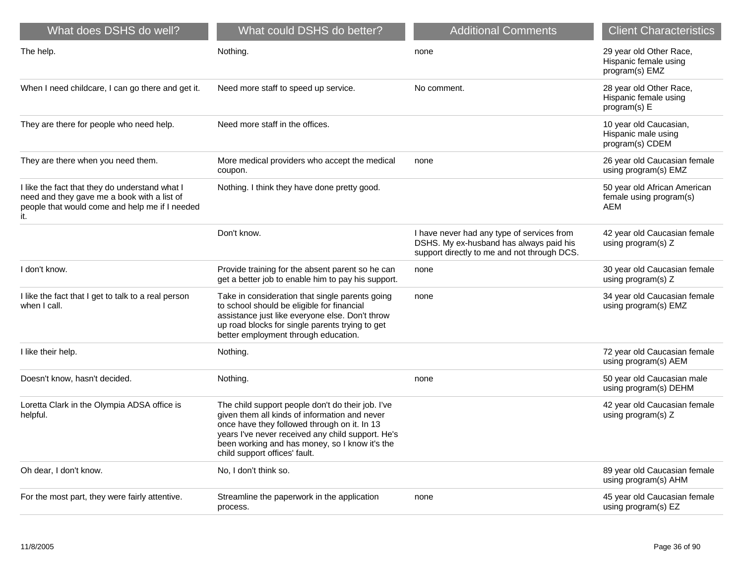| What does DSHS do well?                                                                                                                                | What could DSHS do better?                                                                                                                                                                                                                                                                 | <b>Additional Comments</b>                                                                                                           | <b>Client Characteristics</b>                                      |
|--------------------------------------------------------------------------------------------------------------------------------------------------------|--------------------------------------------------------------------------------------------------------------------------------------------------------------------------------------------------------------------------------------------------------------------------------------------|--------------------------------------------------------------------------------------------------------------------------------------|--------------------------------------------------------------------|
| The help.                                                                                                                                              | Nothing.                                                                                                                                                                                                                                                                                   | none                                                                                                                                 | 29 year old Other Race,<br>Hispanic female using<br>program(s) EMZ |
| When I need childcare, I can go there and get it.                                                                                                      | Need more staff to speed up service.                                                                                                                                                                                                                                                       | No comment.                                                                                                                          | 28 year old Other Race,<br>Hispanic female using<br>program(s) E   |
| They are there for people who need help.                                                                                                               | Need more staff in the offices.                                                                                                                                                                                                                                                            |                                                                                                                                      | 10 year old Caucasian,<br>Hispanic male using<br>program(s) CDEM   |
| They are there when you need them.                                                                                                                     | More medical providers who accept the medical<br>coupon.                                                                                                                                                                                                                                   | none                                                                                                                                 | 26 year old Caucasian female<br>using program(s) EMZ               |
| I like the fact that they do understand what I<br>need and they gave me a book with a list of<br>people that would come and help me if I needed<br>it. | Nothing. I think they have done pretty good.                                                                                                                                                                                                                                               |                                                                                                                                      | 50 year old African American<br>female using program(s)<br>AEM     |
|                                                                                                                                                        | Don't know.                                                                                                                                                                                                                                                                                | I have never had any type of services from<br>DSHS. My ex-husband has always paid his<br>support directly to me and not through DCS. | 42 year old Caucasian female<br>using program(s) Z                 |
| I don't know.                                                                                                                                          | Provide training for the absent parent so he can<br>get a better job to enable him to pay his support.                                                                                                                                                                                     | none                                                                                                                                 | 30 year old Caucasian female<br>using program(s) Z                 |
| I like the fact that I get to talk to a real person<br>when I call.                                                                                    | Take in consideration that single parents going<br>to school should be eligible for financial<br>assistance just like everyone else. Don't throw<br>up road blocks for single parents trying to get<br>better employment through education.                                                | none                                                                                                                                 | 34 year old Caucasian female<br>using program(s) EMZ               |
| I like their help.                                                                                                                                     | Nothing.                                                                                                                                                                                                                                                                                   |                                                                                                                                      | 72 year old Caucasian female<br>using program(s) AEM               |
| Doesn't know, hasn't decided.                                                                                                                          | Nothing.                                                                                                                                                                                                                                                                                   | none                                                                                                                                 | 50 year old Caucasian male<br>using program(s) DEHM                |
| Loretta Clark in the Olympia ADSA office is<br>helpful.                                                                                                | The child support people don't do their job. I've<br>given them all kinds of information and never<br>once have they followed through on it. In 13<br>years I've never received any child support. He's<br>been working and has money, so I know it's the<br>child support offices' fault. |                                                                                                                                      | 42 year old Caucasian female<br>using program(s) Z                 |
| Oh dear, I don't know.                                                                                                                                 | No, I don't think so.                                                                                                                                                                                                                                                                      |                                                                                                                                      | 89 year old Caucasian female<br>using program(s) AHM               |
| For the most part, they were fairly attentive.                                                                                                         | Streamline the paperwork in the application<br>process.                                                                                                                                                                                                                                    | none                                                                                                                                 | 45 year old Caucasian female<br>using program(s) EZ                |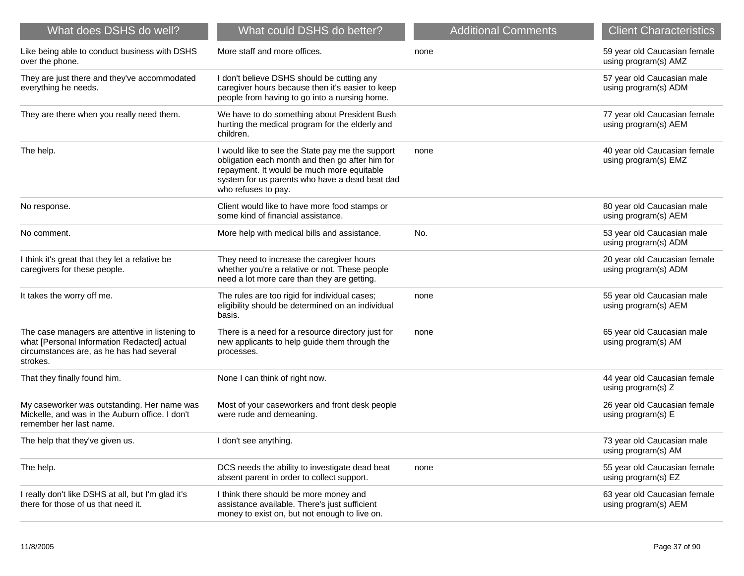| What does DSHS do well?                                                                                                                                | What could DSHS do better?                                                                                                                                                                                                 | <b>Additional Comments</b> | <b>Client Characteristics</b>                        |
|--------------------------------------------------------------------------------------------------------------------------------------------------------|----------------------------------------------------------------------------------------------------------------------------------------------------------------------------------------------------------------------------|----------------------------|------------------------------------------------------|
| Like being able to conduct business with DSHS<br>over the phone.                                                                                       | More staff and more offices.                                                                                                                                                                                               | none                       | 59 year old Caucasian female<br>using program(s) AMZ |
| They are just there and they've accommodated<br>everything he needs.                                                                                   | I don't believe DSHS should be cutting any<br>caregiver hours because then it's easier to keep<br>people from having to go into a nursing home.                                                                            |                            | 57 year old Caucasian male<br>using program(s) ADM   |
| They are there when you really need them.                                                                                                              | We have to do something about President Bush<br>hurting the medical program for the elderly and<br>children.                                                                                                               |                            | 77 year old Caucasian female<br>using program(s) AEM |
| The help.                                                                                                                                              | I would like to see the State pay me the support<br>obligation each month and then go after him for<br>repayment. It would be much more equitable<br>system for us parents who have a dead beat dad<br>who refuses to pay. | none                       | 40 year old Caucasian female<br>using program(s) EMZ |
| No response.                                                                                                                                           | Client would like to have more food stamps or<br>some kind of financial assistance.                                                                                                                                        |                            | 80 year old Caucasian male<br>using program(s) AEM   |
| No comment.                                                                                                                                            | More help with medical bills and assistance.                                                                                                                                                                               | No.                        | 53 year old Caucasian male<br>using program(s) ADM   |
| I think it's great that they let a relative be<br>caregivers for these people.                                                                         | They need to increase the caregiver hours<br>whether you're a relative or not. These people<br>need a lot more care than they are getting.                                                                                 |                            | 20 year old Caucasian female<br>using program(s) ADM |
| It takes the worry off me.                                                                                                                             | The rules are too rigid for individual cases;<br>eligibility should be determined on an individual<br>basis.                                                                                                               | none                       | 55 year old Caucasian male<br>using program(s) AEM   |
| The case managers are attentive in listening to<br>what [Personal Information Redacted] actual<br>circumstances are, as he has had several<br>strokes. | There is a need for a resource directory just for<br>new applicants to help guide them through the<br>processes.                                                                                                           | none                       | 65 year old Caucasian male<br>using program(s) AM    |
| That they finally found him.                                                                                                                           | None I can think of right now.                                                                                                                                                                                             |                            | 44 year old Caucasian female<br>using program(s) Z   |
| My caseworker was outstanding. Her name was<br>Mickelle, and was in the Auburn office. I don't<br>remember her last name.                              | Most of your caseworkers and front desk people<br>were rude and demeaning.                                                                                                                                                 |                            | 26 year old Caucasian female<br>using program(s) E   |
| The help that they've given us.                                                                                                                        | I don't see anything.                                                                                                                                                                                                      |                            | 73 year old Caucasian male<br>using program(s) AM    |
| The help.                                                                                                                                              | DCS needs the ability to investigate dead beat<br>absent parent in order to collect support.                                                                                                                               | none                       | 55 year old Caucasian female<br>using program(s) EZ  |
| I really don't like DSHS at all, but I'm glad it's<br>there for those of us that need it.                                                              | I think there should be more money and<br>assistance available. There's just sufficient<br>money to exist on, but not enough to live on.                                                                                   |                            | 63 year old Caucasian female<br>using program(s) AEM |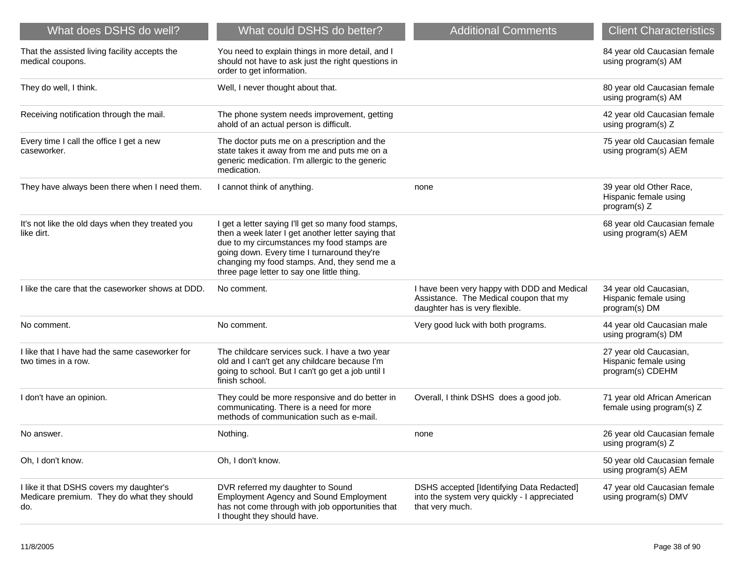| What does DSHS do well?                                                                       | What could DSHS do better?                                                                                                                                                                                                                                                                           | <b>Additional Comments</b>                                                                                              | <b>Client Characteristics</b>                                       |
|-----------------------------------------------------------------------------------------------|------------------------------------------------------------------------------------------------------------------------------------------------------------------------------------------------------------------------------------------------------------------------------------------------------|-------------------------------------------------------------------------------------------------------------------------|---------------------------------------------------------------------|
| That the assisted living facility accepts the<br>medical coupons.                             | You need to explain things in more detail, and I<br>should not have to ask just the right questions in<br>order to get information.                                                                                                                                                                  |                                                                                                                         | 84 year old Caucasian female<br>using program(s) AM                 |
| They do well, I think.                                                                        | Well, I never thought about that.                                                                                                                                                                                                                                                                    |                                                                                                                         | 80 year old Caucasian female<br>using program(s) AM                 |
| Receiving notification through the mail.                                                      | The phone system needs improvement, getting<br>ahold of an actual person is difficult.                                                                                                                                                                                                               |                                                                                                                         | 42 year old Caucasian female<br>using program(s) Z                  |
| Every time I call the office I get a new<br>caseworker.                                       | The doctor puts me on a prescription and the<br>state takes it away from me and puts me on a<br>generic medication. I'm allergic to the generic<br>medication.                                                                                                                                       |                                                                                                                         | 75 year old Caucasian female<br>using program(s) AEM                |
| They have always been there when I need them.                                                 | I cannot think of anything.                                                                                                                                                                                                                                                                          | none                                                                                                                    | 39 year old Other Race,<br>Hispanic female using<br>program(s) Z    |
| It's not like the old days when they treated you<br>like dirt.                                | I get a letter saying I'll get so many food stamps,<br>then a week later I get another letter saying that<br>due to my circumstances my food stamps are<br>going down. Every time I turnaround they're<br>changing my food stamps. And, they send me a<br>three page letter to say one little thing. |                                                                                                                         | 68 year old Caucasian female<br>using program(s) AEM                |
| I like the care that the caseworker shows at DDD.                                             | No comment.                                                                                                                                                                                                                                                                                          | I have been very happy with DDD and Medical<br>Assistance. The Medical coupon that my<br>daughter has is very flexible. | 34 year old Caucasian,<br>Hispanic female using<br>program(s) DM    |
| No comment.                                                                                   | No comment.                                                                                                                                                                                                                                                                                          | Very good luck with both programs.                                                                                      | 44 year old Caucasian male<br>using program(s) DM                   |
| I like that I have had the same caseworker for<br>two times in a row.                         | The childcare services suck. I have a two year<br>old and I can't get any childcare because I'm<br>going to school. But I can't go get a job until I<br>finish school.                                                                                                                               |                                                                                                                         | 27 year old Caucasian,<br>Hispanic female using<br>program(s) CDEHM |
| I don't have an opinion.                                                                      | They could be more responsive and do better in<br>communicating. There is a need for more<br>methods of communication such as e-mail.                                                                                                                                                                | Overall, I think DSHS does a good job.                                                                                  | 71 year old African American<br>female using program(s) Z           |
| No answer.                                                                                    | Nothing.                                                                                                                                                                                                                                                                                             | none                                                                                                                    | 26 year old Caucasian female<br>using program(s) Z                  |
| Oh, I don't know.                                                                             | Oh, I don't know.                                                                                                                                                                                                                                                                                    |                                                                                                                         | 50 year old Caucasian female<br>using program(s) AEM                |
| I like it that DSHS covers my daughter's<br>Medicare premium. They do what they should<br>do. | DVR referred my daughter to Sound<br><b>Employment Agency and Sound Employment</b><br>has not come through with job opportunities that<br>I thought they should have.                                                                                                                                | DSHS accepted [Identifying Data Redacted]<br>into the system very quickly - I appreciated<br>that very much.            | 47 year old Caucasian female<br>using program(s) DMV                |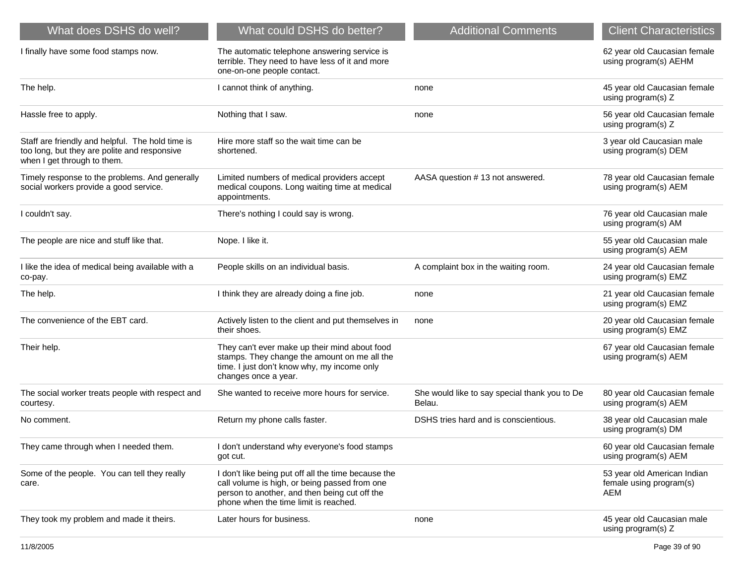| What does DSHS do well?                                                                                                         | What could DSHS do better?                                                                                                                                                                     | <b>Additional Comments</b>                              | <b>Client Characteristics</b>                                 |
|---------------------------------------------------------------------------------------------------------------------------------|------------------------------------------------------------------------------------------------------------------------------------------------------------------------------------------------|---------------------------------------------------------|---------------------------------------------------------------|
| I finally have some food stamps now.                                                                                            | The automatic telephone answering service is<br>terrible. They need to have less of it and more<br>one-on-one people contact.                                                                  |                                                         | 62 year old Caucasian female<br>using program(s) AEHM         |
| The help.                                                                                                                       | I cannot think of anything.                                                                                                                                                                    | none                                                    | 45 year old Caucasian female<br>using program(s) Z            |
| Hassle free to apply.                                                                                                           | Nothing that I saw.                                                                                                                                                                            | none                                                    | 56 year old Caucasian female<br>using program(s) Z            |
| Staff are friendly and helpful. The hold time is<br>too long, but they are polite and responsive<br>when I get through to them. | Hire more staff so the wait time can be<br>shortened.                                                                                                                                          |                                                         | 3 year old Caucasian male<br>using program(s) DEM             |
| Timely response to the problems. And generally<br>social workers provide a good service.                                        | Limited numbers of medical providers accept<br>medical coupons. Long waiting time at medical<br>appointments.                                                                                  | AASA question #13 not answered.                         | 78 year old Caucasian female<br>using program(s) AEM          |
| I couldn't say.                                                                                                                 | There's nothing I could say is wrong.                                                                                                                                                          |                                                         | 76 year old Caucasian male<br>using program(s) AM             |
| The people are nice and stuff like that.                                                                                        | Nope. I like it.                                                                                                                                                                               |                                                         | 55 year old Caucasian male<br>using program(s) AEM            |
| I like the idea of medical being available with a<br>co-pay.                                                                    | People skills on an individual basis.                                                                                                                                                          | A complaint box in the waiting room.                    | 24 year old Caucasian female<br>using program(s) EMZ          |
| The help.                                                                                                                       | I think they are already doing a fine job.                                                                                                                                                     | none                                                    | 21 year old Caucasian female<br>using program(s) EMZ          |
| The convenience of the EBT card.                                                                                                | Actively listen to the client and put themselves in<br>their shoes.                                                                                                                            | none                                                    | 20 year old Caucasian female<br>using program(s) EMZ          |
| Their help.                                                                                                                     | They can't ever make up their mind about food<br>stamps. They change the amount on me all the<br>time. I just don't know why, my income only<br>changes once a year.                           |                                                         | 67 year old Caucasian female<br>using program(s) AEM          |
| The social worker treats people with respect and<br>courtesy.                                                                   | She wanted to receive more hours for service.                                                                                                                                                  | She would like to say special thank you to De<br>Belau. | 80 year old Caucasian female<br>using program(s) AEM          |
| No comment.                                                                                                                     | Return my phone calls faster.                                                                                                                                                                  | DSHS tries hard and is conscientious.                   | 38 year old Caucasian male<br>using program(s) DM             |
| They came through when I needed them.                                                                                           | I don't understand why everyone's food stamps<br>got cut.                                                                                                                                      |                                                         | 60 year old Caucasian female<br>using program(s) AEM          |
| Some of the people. You can tell they really<br>care.                                                                           | I don't like being put off all the time because the<br>call volume is high, or being passed from one<br>person to another, and then being cut off the<br>phone when the time limit is reached. |                                                         | 53 year old American Indian<br>female using program(s)<br>AEM |
| They took my problem and made it theirs.                                                                                        | Later hours for business.                                                                                                                                                                      | none                                                    | 45 year old Caucasian male<br>using program(s) Z              |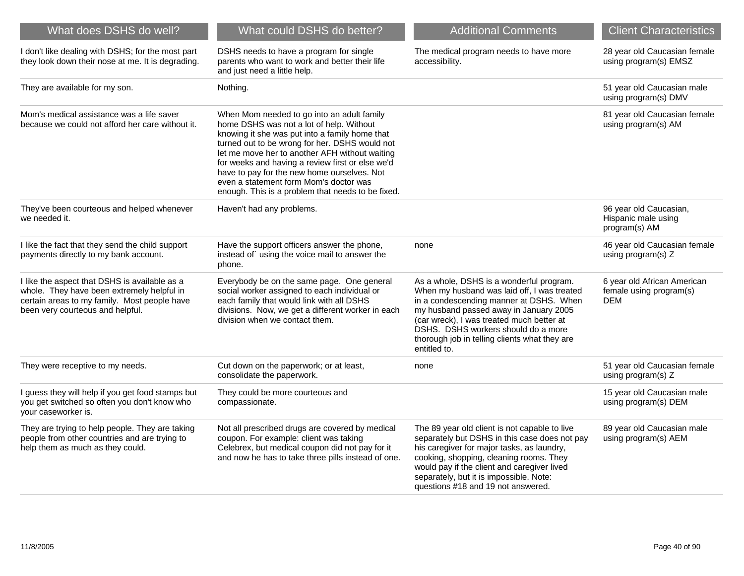| What does DSHS do well?                                                                                                                                                         | What could DSHS do better?                                                                                                                                                                                                                                                                                                                                                                                                                     | <b>Additional Comments</b>                                                                                                                                                                                                                                                                                                        | <b>Client Characteristics</b>                                        |
|---------------------------------------------------------------------------------------------------------------------------------------------------------------------------------|------------------------------------------------------------------------------------------------------------------------------------------------------------------------------------------------------------------------------------------------------------------------------------------------------------------------------------------------------------------------------------------------------------------------------------------------|-----------------------------------------------------------------------------------------------------------------------------------------------------------------------------------------------------------------------------------------------------------------------------------------------------------------------------------|----------------------------------------------------------------------|
| I don't like dealing with DSHS; for the most part<br>they look down their nose at me. It is degrading.                                                                          | DSHS needs to have a program for single<br>parents who want to work and better their life<br>and just need a little help.                                                                                                                                                                                                                                                                                                                      | The medical program needs to have more<br>accessibility.                                                                                                                                                                                                                                                                          | 28 year old Caucasian female<br>using program(s) EMSZ                |
| They are available for my son.                                                                                                                                                  | Nothing.                                                                                                                                                                                                                                                                                                                                                                                                                                       |                                                                                                                                                                                                                                                                                                                                   | 51 year old Caucasian male<br>using program(s) DMV                   |
| Mom's medical assistance was a life saver<br>because we could not afford her care without it.                                                                                   | When Mom needed to go into an adult family<br>home DSHS was not a lot of help. Without<br>knowing it she was put into a family home that<br>turned out to be wrong for her. DSHS would not<br>let me move her to another AFH without waiting<br>for weeks and having a review first or else we'd<br>have to pay for the new home ourselves. Not<br>even a statement form Mom's doctor was<br>enough. This is a problem that needs to be fixed. |                                                                                                                                                                                                                                                                                                                                   | 81 year old Caucasian female<br>using program(s) AM                  |
| They've been courteous and helped whenever<br>we needed it.                                                                                                                     | Haven't had any problems.                                                                                                                                                                                                                                                                                                                                                                                                                      |                                                                                                                                                                                                                                                                                                                                   | 96 year old Caucasian,<br>Hispanic male using<br>program(s) AM       |
| I like the fact that they send the child support<br>payments directly to my bank account.                                                                                       | Have the support officers answer the phone,<br>instead of using the voice mail to answer the<br>phone.                                                                                                                                                                                                                                                                                                                                         | none                                                                                                                                                                                                                                                                                                                              | 46 year old Caucasian female<br>using program(s) Z                   |
| I like the aspect that DSHS is available as a<br>whole. They have been extremely helpful in<br>certain areas to my family. Most people have<br>been very courteous and helpful. | Everybody be on the same page. One general<br>social worker assigned to each individual or<br>each family that would link with all DSHS<br>divisions. Now, we get a different worker in each<br>division when we contact them.                                                                                                                                                                                                                 | As a whole, DSHS is a wonderful program.<br>When my husband was laid off, I was treated<br>in a condescending manner at DSHS. When<br>my husband passed away in January 2005<br>(car wreck), I was treated much better at<br>DSHS. DSHS workers should do a more<br>thorough job in telling clients what they are<br>entitled to. | 6 year old African American<br>female using program(s)<br><b>DEM</b> |
| They were receptive to my needs.                                                                                                                                                | Cut down on the paperwork; or at least,<br>consolidate the paperwork.                                                                                                                                                                                                                                                                                                                                                                          | none                                                                                                                                                                                                                                                                                                                              | 51 year old Caucasian female<br>using program(s) Z                   |
| I guess they will help if you get food stamps but<br>you get switched so often you don't know who<br>your caseworker is.                                                        | They could be more courteous and<br>compassionate.                                                                                                                                                                                                                                                                                                                                                                                             |                                                                                                                                                                                                                                                                                                                                   | 15 year old Caucasian male<br>using program(s) DEM                   |
| They are trying to help people. They are taking<br>people from other countries and are trying to<br>help them as much as they could.                                            | Not all prescribed drugs are covered by medical<br>coupon. For example: client was taking<br>Celebrex, but medical coupon did not pay for it<br>and now he has to take three pills instead of one.                                                                                                                                                                                                                                             | The 89 year old client is not capable to live<br>separately but DSHS in this case does not pay<br>his caregiver for major tasks, as laundry,<br>cooking, shopping, cleaning rooms. They<br>would pay if the client and caregiver lived<br>separately, but it is impossible. Note:<br>questions #18 and 19 not answered.           | 89 year old Caucasian male<br>using program(s) AEM                   |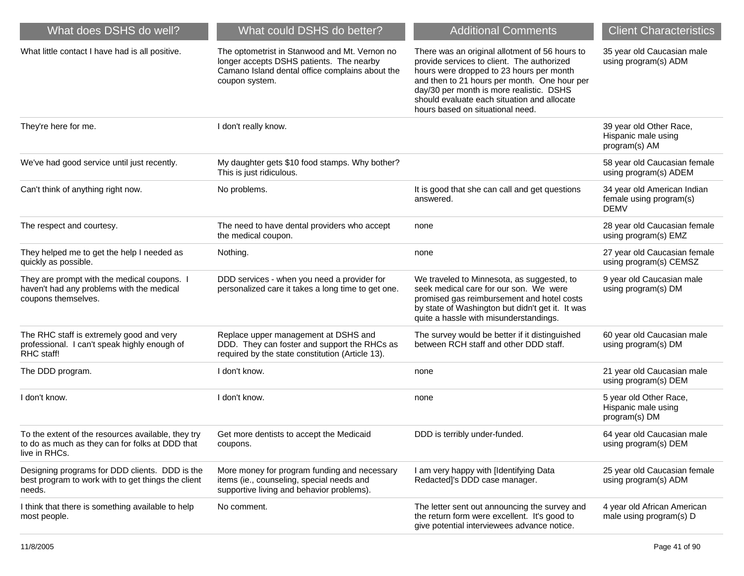| What does DSHS do well?                                                                                                | What could DSHS do better?                                                                                                                                     | <b>Additional Comments</b>                                                                                                                                                                                                                                                                                              | <b>Client Characteristics</b>                                         |
|------------------------------------------------------------------------------------------------------------------------|----------------------------------------------------------------------------------------------------------------------------------------------------------------|-------------------------------------------------------------------------------------------------------------------------------------------------------------------------------------------------------------------------------------------------------------------------------------------------------------------------|-----------------------------------------------------------------------|
| What little contact I have had is all positive.                                                                        | The optometrist in Stanwood and Mt. Vernon no<br>longer accepts DSHS patients. The nearby<br>Camano Island dental office complains about the<br>coupon system. | There was an original allotment of 56 hours to<br>provide services to client. The authorized<br>hours were dropped to 23 hours per month<br>and then to 21 hours per month. One hour per<br>day/30 per month is more realistic. DSHS<br>should evaluate each situation and allocate<br>hours based on situational need. | 35 year old Caucasian male<br>using program(s) ADM                    |
| They're here for me.                                                                                                   | I don't really know.                                                                                                                                           |                                                                                                                                                                                                                                                                                                                         | 39 year old Other Race,<br>Hispanic male using<br>program(s) AM       |
| We've had good service until just recently.                                                                            | My daughter gets \$10 food stamps. Why bother?<br>This is just ridiculous.                                                                                     |                                                                                                                                                                                                                                                                                                                         | 58 year old Caucasian female<br>using program(s) ADEM                 |
| Can't think of anything right now.                                                                                     | No problems.                                                                                                                                                   | It is good that she can call and get questions<br>answered.                                                                                                                                                                                                                                                             | 34 year old American Indian<br>female using program(s)<br><b>DEMV</b> |
| The respect and courtesy.                                                                                              | The need to have dental providers who accept<br>the medical coupon.                                                                                            | none                                                                                                                                                                                                                                                                                                                    | 28 year old Caucasian female<br>using program(s) EMZ                  |
| They helped me to get the help I needed as<br>quickly as possible.                                                     | Nothing.                                                                                                                                                       | none                                                                                                                                                                                                                                                                                                                    | 27 year old Caucasian female<br>using program(s) CEMSZ                |
| They are prompt with the medical coupons. I<br>haven't had any problems with the medical<br>coupons themselves.        | DDD services - when you need a provider for<br>personalized care it takes a long time to get one.                                                              | We traveled to Minnesota, as suggested, to<br>seek medical care for our son. We were<br>promised gas reimbursement and hotel costs<br>by state of Washington but didn't get it. It was<br>quite a hassle with misunderstandings.                                                                                        | 9 year old Caucasian male<br>using program(s) DM                      |
| The RHC staff is extremely good and very<br>professional. I can't speak highly enough of<br>RHC staff!                 | Replace upper management at DSHS and<br>DDD. They can foster and support the RHCs as<br>required by the state constitution (Article 13).                       | The survey would be better if it distinguished<br>between RCH staff and other DDD staff.                                                                                                                                                                                                                                | 60 year old Caucasian male<br>using program(s) DM                     |
| The DDD program.                                                                                                       | I don't know.                                                                                                                                                  | none                                                                                                                                                                                                                                                                                                                    | 21 year old Caucasian male<br>using program(s) DEM                    |
| I don't know.                                                                                                          | I don't know.                                                                                                                                                  | none                                                                                                                                                                                                                                                                                                                    | 5 year old Other Race,<br>Hispanic male using<br>program(s) DM        |
| To the extent of the resources available, they try<br>to do as much as they can for folks at DDD that<br>live in RHCs. | Get more dentists to accept the Medicaid<br>coupons.                                                                                                           | DDD is terribly under-funded.                                                                                                                                                                                                                                                                                           | 64 year old Caucasian male<br>using program(s) DEM                    |
| Designing programs for DDD clients. DDD is the<br>best program to work with to get things the client<br>needs.         | More money for program funding and necessary<br>items (ie., counseling, special needs and<br>supportive living and behavior problems).                         | I am very happy with [Identifying Data<br>Redacted]'s DDD case manager.                                                                                                                                                                                                                                                 | 25 year old Caucasian female<br>using program(s) ADM                  |
| I think that there is something available to help<br>most people.                                                      | No comment.                                                                                                                                                    | The letter sent out announcing the survey and<br>the return form were excellent. It's good to<br>give potential interviewees advance notice.                                                                                                                                                                            | 4 year old African American<br>male using program(s) D                |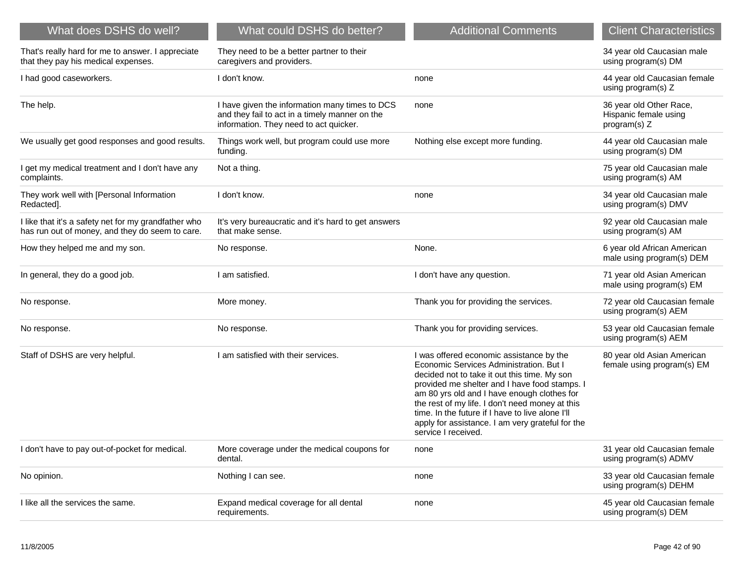| What does DSHS do well?                                                                                 | What could DSHS do better?                                                                                                                 | <b>Additional Comments</b>                                                                                                                                                                                                                                                                                                                                                                                            | <b>Client Characteristics</b>                                    |
|---------------------------------------------------------------------------------------------------------|--------------------------------------------------------------------------------------------------------------------------------------------|-----------------------------------------------------------------------------------------------------------------------------------------------------------------------------------------------------------------------------------------------------------------------------------------------------------------------------------------------------------------------------------------------------------------------|------------------------------------------------------------------|
| That's really hard for me to answer. I appreciate<br>that they pay his medical expenses.                | They need to be a better partner to their<br>caregivers and providers.                                                                     |                                                                                                                                                                                                                                                                                                                                                                                                                       | 34 year old Caucasian male<br>using program(s) DM                |
| I had good caseworkers.                                                                                 | I don't know.                                                                                                                              | none                                                                                                                                                                                                                                                                                                                                                                                                                  | 44 year old Caucasian female<br>using program(s) Z               |
| The help.                                                                                               | I have given the information many times to DCS<br>and they fail to act in a timely manner on the<br>information. They need to act quicker. | none                                                                                                                                                                                                                                                                                                                                                                                                                  | 36 year old Other Race,<br>Hispanic female using<br>program(s) Z |
| We usually get good responses and good results.                                                         | Things work well, but program could use more<br>funding.                                                                                   | Nothing else except more funding.                                                                                                                                                                                                                                                                                                                                                                                     | 44 year old Caucasian male<br>using program(s) DM                |
| I get my medical treatment and I don't have any<br>complaints.                                          | Not a thing.                                                                                                                               |                                                                                                                                                                                                                                                                                                                                                                                                                       | 75 year old Caucasian male<br>using program(s) AM                |
| They work well with [Personal Information<br>Redacted].                                                 | I don't know.                                                                                                                              | none                                                                                                                                                                                                                                                                                                                                                                                                                  | 34 year old Caucasian male<br>using program(s) DMV               |
| I like that it's a safety net for my grandfather who<br>has run out of money, and they do seem to care. | It's very bureaucratic and it's hard to get answers<br>that make sense.                                                                    |                                                                                                                                                                                                                                                                                                                                                                                                                       | 92 year old Caucasian male<br>using program(s) AM                |
| How they helped me and my son.                                                                          | No response.                                                                                                                               | None.                                                                                                                                                                                                                                                                                                                                                                                                                 | 6 year old African American<br>male using program(s) DEM         |
| In general, they do a good job.                                                                         | I am satisfied.                                                                                                                            | I don't have any question.                                                                                                                                                                                                                                                                                                                                                                                            | 71 year old Asian American<br>male using program(s) EM           |
| No response.                                                                                            | More money.                                                                                                                                | Thank you for providing the services.                                                                                                                                                                                                                                                                                                                                                                                 | 72 year old Caucasian female<br>using program(s) AEM             |
| No response.                                                                                            | No response.                                                                                                                               | Thank you for providing services.                                                                                                                                                                                                                                                                                                                                                                                     | 53 year old Caucasian female<br>using program(s) AEM             |
| Staff of DSHS are very helpful.                                                                         | I am satisfied with their services.                                                                                                        | I was offered economic assistance by the<br>Economic Services Administration. But I<br>decided not to take it out this time. My son<br>provided me shelter and I have food stamps. I<br>am 80 yrs old and I have enough clothes for<br>the rest of my life. I don't need money at this<br>time. In the future if I have to live alone I'll<br>apply for assistance. I am very grateful for the<br>service I received. | 80 year old Asian American<br>female using program(s) EM         |
| I don't have to pay out-of-pocket for medical.                                                          | More coverage under the medical coupons for<br>dental.                                                                                     | none                                                                                                                                                                                                                                                                                                                                                                                                                  | 31 year old Caucasian female<br>using program(s) ADMV            |
| No opinion.                                                                                             | Nothing I can see.                                                                                                                         | none                                                                                                                                                                                                                                                                                                                                                                                                                  | 33 year old Caucasian female<br>using program(s) DEHM            |
| I like all the services the same.                                                                       | Expand medical coverage for all dental<br>requirements.                                                                                    | none                                                                                                                                                                                                                                                                                                                                                                                                                  | 45 year old Caucasian female<br>using program(s) DEM             |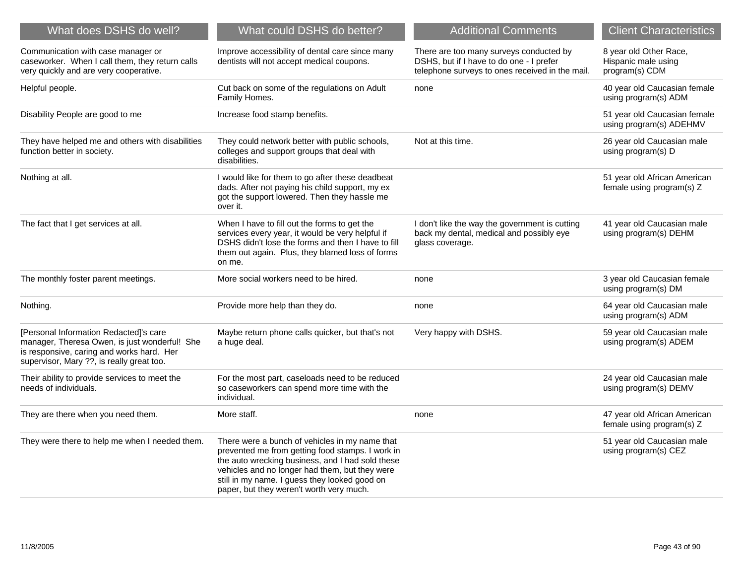| What does DSHS do well?                                                                                                                                                           | What could DSHS do better?                                                                                                                                                                                                                                                                            | <b>Additional Comments</b>                                                                                                             | <b>Client Characteristics</b>                                   |
|-----------------------------------------------------------------------------------------------------------------------------------------------------------------------------------|-------------------------------------------------------------------------------------------------------------------------------------------------------------------------------------------------------------------------------------------------------------------------------------------------------|----------------------------------------------------------------------------------------------------------------------------------------|-----------------------------------------------------------------|
| Communication with case manager or<br>caseworker. When I call them, they return calls<br>very quickly and are very cooperative.                                                   | Improve accessibility of dental care since many<br>dentists will not accept medical coupons.                                                                                                                                                                                                          | There are too many surveys conducted by<br>DSHS, but if I have to do one - I prefer<br>telephone surveys to ones received in the mail. | 8 year old Other Race,<br>Hispanic male using<br>program(s) CDM |
| Helpful people.                                                                                                                                                                   | Cut back on some of the regulations on Adult<br>Family Homes.                                                                                                                                                                                                                                         | none                                                                                                                                   | 40 year old Caucasian female<br>using program(s) ADM            |
| Disability People are good to me                                                                                                                                                  | Increase food stamp benefits.                                                                                                                                                                                                                                                                         |                                                                                                                                        | 51 year old Caucasian female<br>using program(s) ADEHMV         |
| They have helped me and others with disabilities<br>function better in society.                                                                                                   | They could network better with public schools,<br>colleges and support groups that deal with<br>disabilities.                                                                                                                                                                                         | Not at this time.                                                                                                                      | 26 year old Caucasian male<br>using program(s) D                |
| Nothing at all.                                                                                                                                                                   | I would like for them to go after these deadbeat<br>dads. After not paying his child support, my ex<br>got the support lowered. Then they hassle me<br>over it.                                                                                                                                       |                                                                                                                                        | 51 year old African American<br>female using program(s) Z       |
| The fact that I get services at all.                                                                                                                                              | When I have to fill out the forms to get the<br>services every year, it would be very helpful if<br>DSHS didn't lose the forms and then I have to fill<br>them out again. Plus, they blamed loss of forms<br>on me.                                                                                   | I don't like the way the government is cutting<br>back my dental, medical and possibly eye<br>glass coverage.                          | 41 year old Caucasian male<br>using program(s) DEHM             |
| The monthly foster parent meetings.                                                                                                                                               | More social workers need to be hired.                                                                                                                                                                                                                                                                 | none                                                                                                                                   | 3 year old Caucasian female<br>using program(s) DM              |
| Nothing.                                                                                                                                                                          | Provide more help than they do.                                                                                                                                                                                                                                                                       | none                                                                                                                                   | 64 year old Caucasian male<br>using program(s) ADM              |
| [Personal Information Redacted]'s care<br>manager, Theresa Owen, is just wonderful! She<br>is responsive, caring and works hard. Her<br>supervisor, Mary ??, is really great too. | Maybe return phone calls quicker, but that's not<br>a huge deal.                                                                                                                                                                                                                                      | Very happy with DSHS.                                                                                                                  | 59 year old Caucasian male<br>using program(s) ADEM             |
| Their ability to provide services to meet the<br>needs of individuals.                                                                                                            | For the most part, caseloads need to be reduced<br>so caseworkers can spend more time with the<br>individual.                                                                                                                                                                                         |                                                                                                                                        | 24 year old Caucasian male<br>using program(s) DEMV             |
| They are there when you need them.                                                                                                                                                | More staff.                                                                                                                                                                                                                                                                                           | none                                                                                                                                   | 47 year old African American<br>female using program(s) Z       |
| They were there to help me when I needed them.                                                                                                                                    | There were a bunch of vehicles in my name that<br>prevented me from getting food stamps. I work in<br>the auto wrecking business, and I had sold these<br>vehicles and no longer had them, but they were<br>still in my name. I guess they looked good on<br>paper, but they weren't worth very much. |                                                                                                                                        | 51 year old Caucasian male<br>using program(s) CEZ              |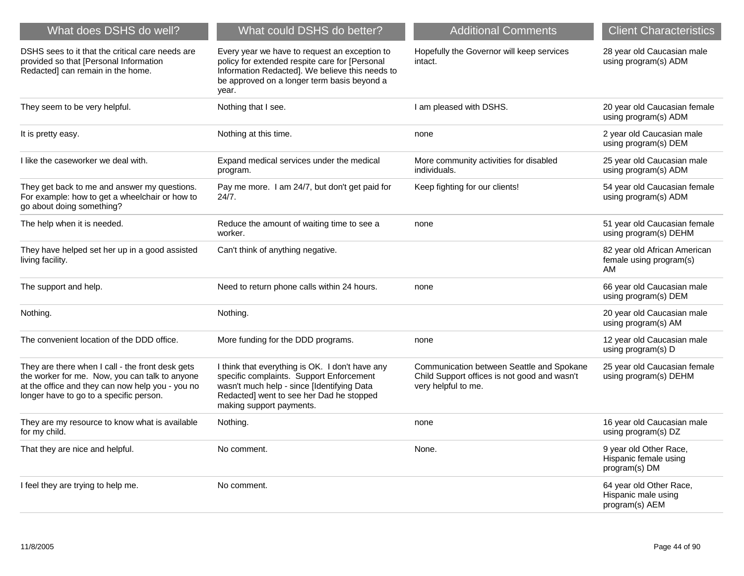| What does DSHS do well?                                                                                                                                                                           | What could DSHS do better?                                                                                                                                                                                        | <b>Additional Comments</b>                                                                                       | <b>Client Characteristics</b>                                    |
|---------------------------------------------------------------------------------------------------------------------------------------------------------------------------------------------------|-------------------------------------------------------------------------------------------------------------------------------------------------------------------------------------------------------------------|------------------------------------------------------------------------------------------------------------------|------------------------------------------------------------------|
| DSHS sees to it that the critical care needs are<br>provided so that [Personal Information<br>Redacted] can remain in the home.                                                                   | Every year we have to request an exception to<br>policy for extended respite care for [Personal<br>Information Redacted]. We believe this needs to<br>be approved on a longer term basis beyond a<br>year.        | Hopefully the Governor will keep services<br>intact.                                                             | 28 year old Caucasian male<br>using program(s) ADM               |
| They seem to be very helpful.                                                                                                                                                                     | Nothing that I see.                                                                                                                                                                                               | I am pleased with DSHS.                                                                                          | 20 year old Caucasian female<br>using program(s) ADM             |
| It is pretty easy.                                                                                                                                                                                | Nothing at this time.                                                                                                                                                                                             | none                                                                                                             | 2 year old Caucasian male<br>using program(s) DEM                |
| I like the caseworker we deal with.                                                                                                                                                               | Expand medical services under the medical<br>program.                                                                                                                                                             | More community activities for disabled<br>individuals.                                                           | 25 year old Caucasian male<br>using program(s) ADM               |
| They get back to me and answer my questions.<br>For example: how to get a wheelchair or how to<br>go about doing something?                                                                       | Pay me more. I am 24/7, but don't get paid for<br>24/7.                                                                                                                                                           | Keep fighting for our clients!                                                                                   | 54 year old Caucasian female<br>using program(s) ADM             |
| The help when it is needed.                                                                                                                                                                       | Reduce the amount of waiting time to see a<br>worker.                                                                                                                                                             | none                                                                                                             | 51 year old Caucasian female<br>using program(s) DEHM            |
| They have helped set her up in a good assisted<br>living facility.                                                                                                                                | Can't think of anything negative.                                                                                                                                                                                 |                                                                                                                  | 82 year old African American<br>female using program(s)<br>AM    |
| The support and help.                                                                                                                                                                             | Need to return phone calls within 24 hours.                                                                                                                                                                       | none                                                                                                             | 66 year old Caucasian male<br>using program(s) DEM               |
| Nothing.                                                                                                                                                                                          | Nothing.                                                                                                                                                                                                          |                                                                                                                  | 20 year old Caucasian male<br>using program(s) AM                |
| The convenient location of the DDD office.                                                                                                                                                        | More funding for the DDD programs.                                                                                                                                                                                | none                                                                                                             | 12 year old Caucasian male<br>using program(s) D                 |
| They are there when I call - the front desk gets<br>the worker for me. Now, you can talk to anyone<br>at the office and they can now help you - you no<br>longer have to go to a specific person. | I think that everything is OK. I don't have any<br>specific complaints. Support Enforcement<br>wasn't much help - since [Identifying Data<br>Redacted] went to see her Dad he stopped<br>making support payments. | Communication between Seattle and Spokane<br>Child Support offices is not good and wasn't<br>very helpful to me. | 25 year old Caucasian female<br>using program(s) DEHM            |
| They are my resource to know what is available<br>for my child.                                                                                                                                   | Nothing.                                                                                                                                                                                                          | none                                                                                                             | 16 year old Caucasian male<br>using program(s) DZ                |
| That they are nice and helpful.                                                                                                                                                                   | No comment.                                                                                                                                                                                                       | None.                                                                                                            | 9 year old Other Race,<br>Hispanic female using<br>program(s) DM |
| I feel they are trying to help me.                                                                                                                                                                | No comment.                                                                                                                                                                                                       |                                                                                                                  | 64 year old Other Race,<br>Hispanic male using<br>program(s) AEM |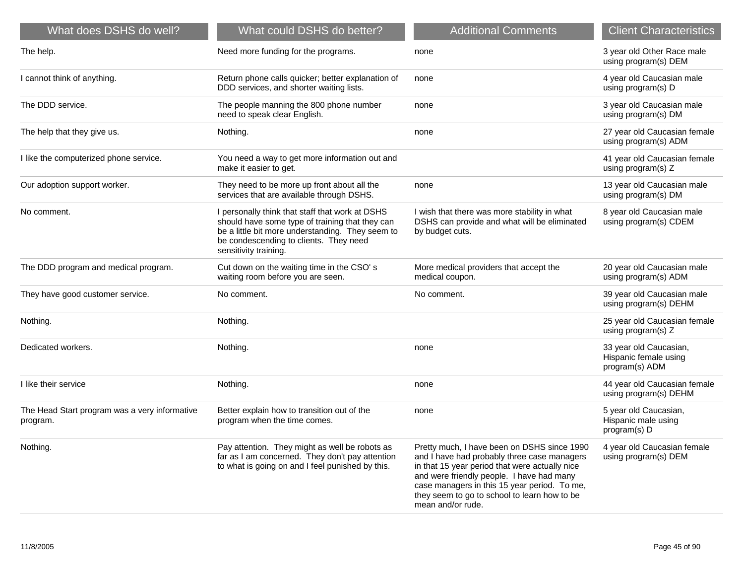| What does DSHS do well?                                   | What could DSHS do better?                                                                                                                                                                                                | <b>Additional Comments</b>                                                                                                                                                                                                                                                                                     | <b>Client Characteristics</b>                                     |
|-----------------------------------------------------------|---------------------------------------------------------------------------------------------------------------------------------------------------------------------------------------------------------------------------|----------------------------------------------------------------------------------------------------------------------------------------------------------------------------------------------------------------------------------------------------------------------------------------------------------------|-------------------------------------------------------------------|
| The help.                                                 | Need more funding for the programs.                                                                                                                                                                                       | none                                                                                                                                                                                                                                                                                                           | 3 year old Other Race male<br>using program(s) DEM                |
| I cannot think of anything.                               | Return phone calls quicker; better explanation of<br>DDD services, and shorter waiting lists.                                                                                                                             | none                                                                                                                                                                                                                                                                                                           | 4 year old Caucasian male<br>using program(s) D                   |
| The DDD service.                                          | The people manning the 800 phone number<br>need to speak clear English.                                                                                                                                                   | none                                                                                                                                                                                                                                                                                                           | 3 year old Caucasian male<br>using program(s) DM                  |
| The help that they give us.                               | Nothing.                                                                                                                                                                                                                  | none                                                                                                                                                                                                                                                                                                           | 27 year old Caucasian female<br>using program(s) ADM              |
| I like the computerized phone service.                    | You need a way to get more information out and<br>make it easier to get.                                                                                                                                                  |                                                                                                                                                                                                                                                                                                                | 41 year old Caucasian female<br>using program(s) Z                |
| Our adoption support worker.                              | They need to be more up front about all the<br>services that are available through DSHS.                                                                                                                                  | none                                                                                                                                                                                                                                                                                                           | 13 year old Caucasian male<br>using program(s) DM                 |
| No comment.                                               | I personally think that staff that work at DSHS<br>should have some type of training that they can<br>be a little bit more understanding. They seem to<br>be condescending to clients. They need<br>sensitivity training. | I wish that there was more stability in what<br>DSHS can provide and what will be eliminated<br>by budget cuts.                                                                                                                                                                                                | 8 year old Caucasian male<br>using program(s) CDEM                |
| The DDD program and medical program.                      | Cut down on the waiting time in the CSO's<br>waiting room before you are seen.                                                                                                                                            | More medical providers that accept the<br>medical coupon.                                                                                                                                                                                                                                                      | 20 year old Caucasian male<br>using program(s) ADM                |
| They have good customer service.                          | No comment.                                                                                                                                                                                                               | No comment.                                                                                                                                                                                                                                                                                                    | 39 year old Caucasian male<br>using program(s) DEHM               |
| Nothing.                                                  | Nothing.                                                                                                                                                                                                                  |                                                                                                                                                                                                                                                                                                                | 25 year old Caucasian female<br>using program(s) Z                |
| Dedicated workers.                                        | Nothing.                                                                                                                                                                                                                  | none                                                                                                                                                                                                                                                                                                           | 33 year old Caucasian,<br>Hispanic female using<br>program(s) ADM |
| I like their service                                      | Nothing.                                                                                                                                                                                                                  | none                                                                                                                                                                                                                                                                                                           | 44 year old Caucasian female<br>using program(s) DEHM             |
| The Head Start program was a very informative<br>program. | Better explain how to transition out of the<br>program when the time comes.                                                                                                                                               | none                                                                                                                                                                                                                                                                                                           | 5 year old Caucasian,<br>Hispanic male using<br>program(s) D      |
| Nothing.                                                  | Pay attention. They might as well be robots as<br>far as I am concerned. They don't pay attention<br>to what is going on and I feel punished by this.                                                                     | Pretty much, I have been on DSHS since 1990<br>and I have had probably three case managers<br>in that 15 year period that were actually nice<br>and were friendly people. I have had many<br>case managers in this 15 year period. To me,<br>they seem to go to school to learn how to be<br>mean and/or rude. | 4 year old Caucasian female<br>using program(s) DEM               |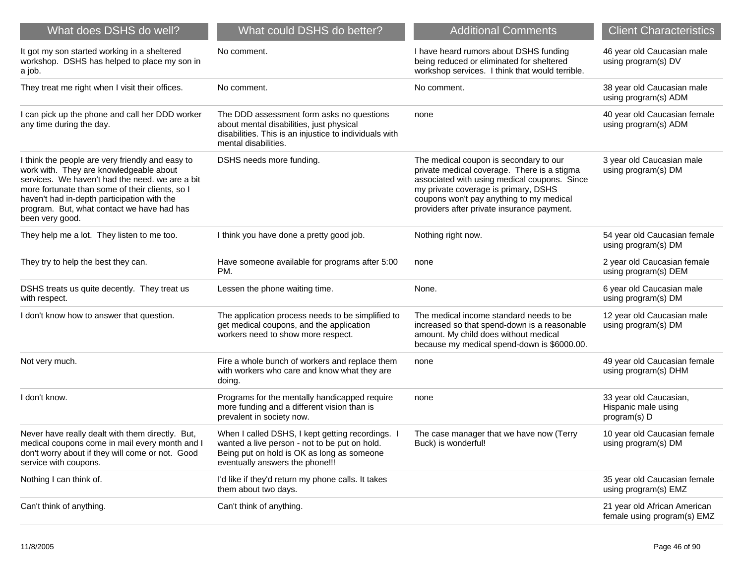| What does DSHS do well?                                                                                                                                                                                                                                                                                           | What could DSHS do better?                                                                                                                                                         | <b>Additional Comments</b>                                                                                                                                                                                                                                              | <b>Client Characteristics</b>                                 |
|-------------------------------------------------------------------------------------------------------------------------------------------------------------------------------------------------------------------------------------------------------------------------------------------------------------------|------------------------------------------------------------------------------------------------------------------------------------------------------------------------------------|-------------------------------------------------------------------------------------------------------------------------------------------------------------------------------------------------------------------------------------------------------------------------|---------------------------------------------------------------|
| It got my son started working in a sheltered<br>workshop. DSHS has helped to place my son in<br>a job.                                                                                                                                                                                                            | No comment.                                                                                                                                                                        | I have heard rumors about DSHS funding<br>being reduced or eliminated for sheltered<br>workshop services. I think that would terrible.                                                                                                                                  | 46 year old Caucasian male<br>using program(s) DV             |
| They treat me right when I visit their offices.                                                                                                                                                                                                                                                                   | No comment.                                                                                                                                                                        | No comment.                                                                                                                                                                                                                                                             | 38 year old Caucasian male<br>using program(s) ADM            |
| I can pick up the phone and call her DDD worker<br>any time during the day.                                                                                                                                                                                                                                       | The DDD assessment form asks no questions<br>about mental disabilities, just physical<br>disabilities. This is an injustice to individuals with<br>mental disabilities.            | none                                                                                                                                                                                                                                                                    | 40 year old Caucasian female<br>using program(s) ADM          |
| I think the people are very friendly and easy to<br>work with. They are knowledgeable about<br>services. We haven't had the need. we are a bit<br>more fortunate than some of their clients, so I<br>haven't had in-depth participation with the<br>program. But, what contact we have had has<br>been very good. | DSHS needs more funding.                                                                                                                                                           | The medical coupon is secondary to our<br>private medical coverage. There is a stigma<br>associated with using medical coupons. Since<br>my private coverage is primary, DSHS<br>coupons won't pay anything to my medical<br>providers after private insurance payment. | 3 year old Caucasian male<br>using program(s) DM              |
| They help me a lot. They listen to me too.                                                                                                                                                                                                                                                                        | I think you have done a pretty good job.                                                                                                                                           | Nothing right now.                                                                                                                                                                                                                                                      | 54 year old Caucasian female<br>using program(s) DM           |
| They try to help the best they can.                                                                                                                                                                                                                                                                               | Have someone available for programs after 5:00<br>PM.                                                                                                                              | none                                                                                                                                                                                                                                                                    | 2 year old Caucasian female<br>using program(s) DEM           |
| DSHS treats us quite decently. They treat us<br>with respect.                                                                                                                                                                                                                                                     | Lessen the phone waiting time.                                                                                                                                                     | None.                                                                                                                                                                                                                                                                   | 6 year old Caucasian male<br>using program(s) DM              |
| I don't know how to answer that question.                                                                                                                                                                                                                                                                         | The application process needs to be simplified to<br>get medical coupons, and the application<br>workers need to show more respect.                                                | The medical income standard needs to be<br>increased so that spend-down is a reasonable<br>amount. My child does without medical<br>because my medical spend-down is \$6000.00.                                                                                         | 12 year old Caucasian male<br>using program(s) DM             |
| Not very much.                                                                                                                                                                                                                                                                                                    | Fire a whole bunch of workers and replace them<br>with workers who care and know what they are<br>doing.                                                                           | none                                                                                                                                                                                                                                                                    | 49 year old Caucasian female<br>using program(s) DHM          |
| I don't know.                                                                                                                                                                                                                                                                                                     | Programs for the mentally handicapped require<br>more funding and a different vision than is<br>prevalent in society now.                                                          | none                                                                                                                                                                                                                                                                    | 33 year old Caucasian,<br>Hispanic male using<br>program(s) D |
| Never have really dealt with them directly. But,<br>medical coupons come in mail every month and I<br>don't worry about if they will come or not. Good<br>service with coupons.                                                                                                                                   | When I called DSHS, I kept getting recordings. I<br>wanted a live person - not to be put on hold.<br>Being put on hold is OK as long as someone<br>eventually answers the phone!!! | The case manager that we have now (Terry<br>Buck) is wonderful!                                                                                                                                                                                                         | 10 year old Caucasian female<br>using program(s) DM           |
| Nothing I can think of.                                                                                                                                                                                                                                                                                           | I'd like if they'd return my phone calls. It takes<br>them about two days.                                                                                                         |                                                                                                                                                                                                                                                                         | 35 year old Caucasian female<br>using program(s) EMZ          |
| Can't think of anything.                                                                                                                                                                                                                                                                                          | Can't think of anything.                                                                                                                                                           |                                                                                                                                                                                                                                                                         | 21 year old African American<br>female using program(s) EMZ   |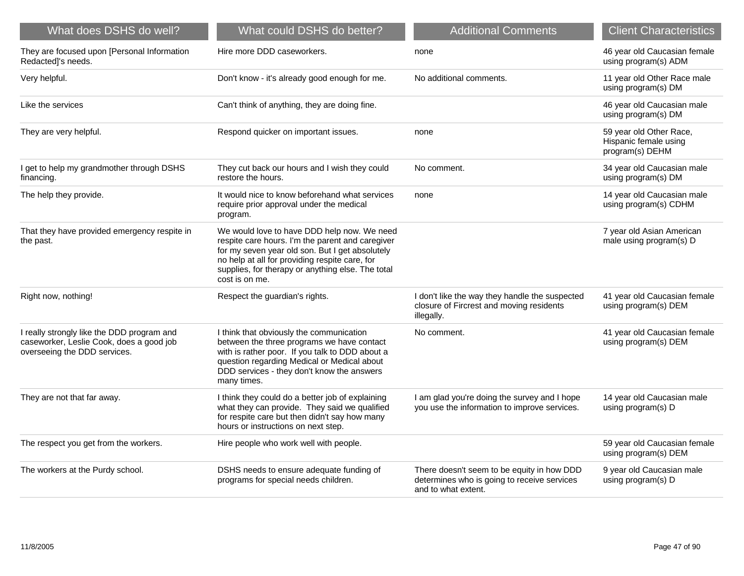| What does DSHS do well?                                                                                                | What could DSHS do better?                                                                                                                                                                                                                                                  | <b>Additional Comments</b>                                                                                       | <b>Client Characteristics</b>                                       |
|------------------------------------------------------------------------------------------------------------------------|-----------------------------------------------------------------------------------------------------------------------------------------------------------------------------------------------------------------------------------------------------------------------------|------------------------------------------------------------------------------------------------------------------|---------------------------------------------------------------------|
| They are focused upon [Personal Information<br>Redacted]'s needs.                                                      | Hire more DDD caseworkers.                                                                                                                                                                                                                                                  | none                                                                                                             | 46 year old Caucasian female<br>using program(s) ADM                |
| Very helpful.                                                                                                          | Don't know - it's already good enough for me.                                                                                                                                                                                                                               | No additional comments.                                                                                          | 11 year old Other Race male<br>using program(s) DM                  |
| Like the services                                                                                                      | Can't think of anything, they are doing fine.                                                                                                                                                                                                                               |                                                                                                                  | 46 year old Caucasian male<br>using program(s) DM                   |
| They are very helpful.                                                                                                 | Respond quicker on important issues.                                                                                                                                                                                                                                        | none                                                                                                             | 59 year old Other Race,<br>Hispanic female using<br>program(s) DEHM |
| I get to help my grandmother through DSHS<br>financing.                                                                | They cut back our hours and I wish they could<br>restore the hours.                                                                                                                                                                                                         | No comment.                                                                                                      | 34 year old Caucasian male<br>using program(s) DM                   |
| The help they provide.                                                                                                 | It would nice to know beforehand what services<br>require prior approval under the medical<br>program.                                                                                                                                                                      | none                                                                                                             | 14 year old Caucasian male<br>using program(s) CDHM                 |
| That they have provided emergency respite in<br>the past.                                                              | We would love to have DDD help now. We need<br>respite care hours. I'm the parent and caregiver<br>for my seven year old son. But I get absolutely<br>no help at all for providing respite care, for<br>supplies, for therapy or anything else. The total<br>cost is on me. |                                                                                                                  | 7 year old Asian American<br>male using program(s) D                |
| Right now, nothing!                                                                                                    | Respect the guardian's rights.                                                                                                                                                                                                                                              | I don't like the way they handle the suspected<br>closure of Fircrest and moving residents<br>illegally.         | 41 year old Caucasian female<br>using program(s) DEM                |
| I really strongly like the DDD program and<br>caseworker, Leslie Cook, does a good job<br>overseeing the DDD services. | I think that obviously the communication<br>between the three programs we have contact<br>with is rather poor. If you talk to DDD about a<br>question regarding Medical or Medical about<br>DDD services - they don't know the answers<br>many times.                       | No comment.                                                                                                      | 41 year old Caucasian female<br>using program(s) DEM                |
| They are not that far away.                                                                                            | I think they could do a better job of explaining<br>what they can provide. They said we qualified<br>for respite care but then didn't say how many<br>hours or instructions on next step.                                                                                   | I am glad you're doing the survey and I hope<br>you use the information to improve services.                     | 14 year old Caucasian male<br>using program(s) D                    |
| The respect you get from the workers.                                                                                  | Hire people who work well with people.                                                                                                                                                                                                                                      |                                                                                                                  | 59 year old Caucasian female<br>using program(s) DEM                |
| The workers at the Purdy school.                                                                                       | DSHS needs to ensure adequate funding of<br>programs for special needs children.                                                                                                                                                                                            | There doesn't seem to be equity in how DDD<br>determines who is going to receive services<br>and to what extent. | 9 year old Caucasian male<br>using program(s) D                     |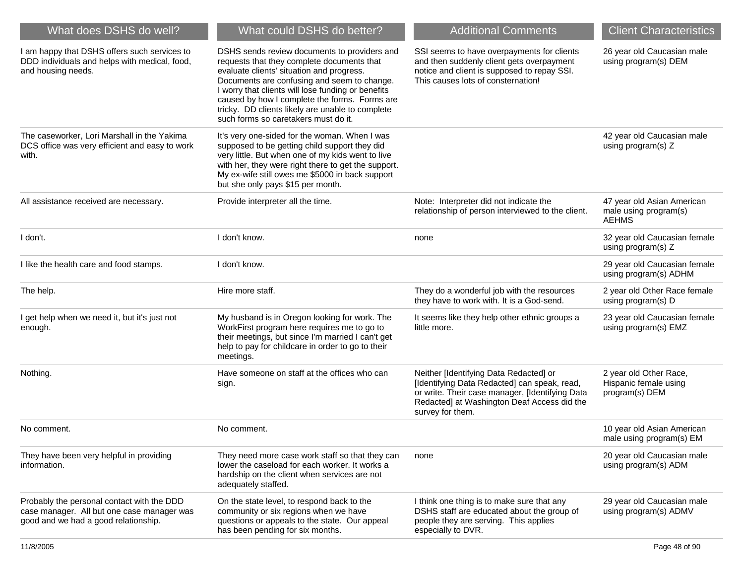| What does DSHS do well?                                                                                                          | What could DSHS do better?                                                                                                                                                                                                                                                                                                                                                                | <b>Additional Comments</b>                                                                                                                                                                                   | <b>Client Characteristics</b>                                       |
|----------------------------------------------------------------------------------------------------------------------------------|-------------------------------------------------------------------------------------------------------------------------------------------------------------------------------------------------------------------------------------------------------------------------------------------------------------------------------------------------------------------------------------------|--------------------------------------------------------------------------------------------------------------------------------------------------------------------------------------------------------------|---------------------------------------------------------------------|
| I am happy that DSHS offers such services to<br>DDD individuals and helps with medical, food,<br>and housing needs.              | DSHS sends review documents to providers and<br>requests that they complete documents that<br>evaluate clients' situation and progress.<br>Documents are confusing and seem to change.<br>I worry that clients will lose funding or benefits<br>caused by how I complete the forms. Forms are<br>tricky. DD clients likely are unable to complete<br>such forms so caretakers must do it. | SSI seems to have overpayments for clients<br>and then suddenly client gets overpayment<br>notice and client is supposed to repay SSI.<br>This causes lots of consternation!                                 | 26 year old Caucasian male<br>using program(s) DEM                  |
| The caseworker, Lori Marshall in the Yakima<br>DCS office was very efficient and easy to work<br>with.                           | It's very one-sided for the woman. When I was<br>supposed to be getting child support they did<br>very little. But when one of my kids went to live<br>with her, they were right there to get the support.<br>My ex-wife still owes me \$5000 in back support<br>but she only pays \$15 per month.                                                                                        |                                                                                                                                                                                                              | 42 year old Caucasian male<br>using program(s) Z                    |
| All assistance received are necessary.                                                                                           | Provide interpreter all the time.                                                                                                                                                                                                                                                                                                                                                         | Note: Interpreter did not indicate the<br>relationship of person interviewed to the client.                                                                                                                  | 47 year old Asian American<br>male using program(s)<br><b>AEHMS</b> |
| I don't.                                                                                                                         | I don't know.                                                                                                                                                                                                                                                                                                                                                                             | none                                                                                                                                                                                                         | 32 year old Caucasian female<br>using program(s) Z                  |
| I like the health care and food stamps.                                                                                          | I don't know.                                                                                                                                                                                                                                                                                                                                                                             |                                                                                                                                                                                                              | 29 year old Caucasian female<br>using program(s) ADHM               |
| The help.                                                                                                                        | Hire more staff.                                                                                                                                                                                                                                                                                                                                                                          | They do a wonderful job with the resources<br>they have to work with. It is a God-send.                                                                                                                      | 2 year old Other Race female<br>using program(s) D                  |
| I get help when we need it, but it's just not<br>enough.                                                                         | My husband is in Oregon looking for work. The<br>WorkFirst program here requires me to go to<br>their meetings, but since I'm married I can't get<br>help to pay for childcare in order to go to their<br>meetings.                                                                                                                                                                       | It seems like they help other ethnic groups a<br>little more.                                                                                                                                                | 23 year old Caucasian female<br>using program(s) EMZ                |
| Nothing.                                                                                                                         | Have someone on staff at the offices who can<br>sign.                                                                                                                                                                                                                                                                                                                                     | Neither [Identifying Data Redacted] or<br>[Identifying Data Redacted] can speak, read,<br>or write. Their case manager, [Identifying Data<br>Redacted] at Washington Deaf Access did the<br>survey for them. | 2 year old Other Race,<br>Hispanic female using<br>program(s) DEM   |
| No comment.                                                                                                                      | No comment.                                                                                                                                                                                                                                                                                                                                                                               |                                                                                                                                                                                                              | 10 year old Asian American<br>male using program(s) EM              |
| They have been very helpful in providing<br>information.                                                                         | They need more case work staff so that they can<br>lower the caseload for each worker. It works a<br>hardship on the client when services are not<br>adequately staffed.                                                                                                                                                                                                                  | none                                                                                                                                                                                                         | 20 year old Caucasian male<br>using program(s) ADM                  |
| Probably the personal contact with the DDD<br>case manager. All but one case manager was<br>good and we had a good relationship. | On the state level, to respond back to the<br>community or six regions when we have<br>questions or appeals to the state. Our appeal<br>has been pending for six months.                                                                                                                                                                                                                  | I think one thing is to make sure that any<br>DSHS staff are educated about the group of<br>people they are serving. This applies<br>especially to DVR.                                                      | 29 year old Caucasian male<br>using program(s) ADMV                 |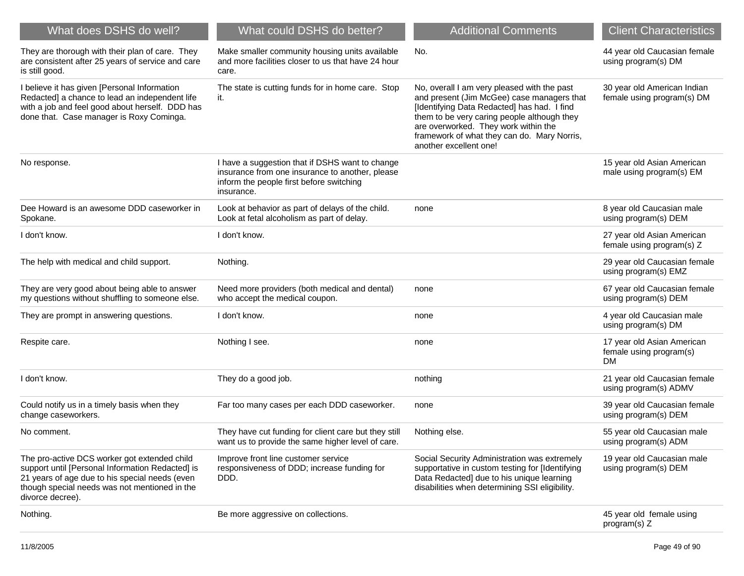| What does DSHS do well?                                                                                                                                                                                                 | What could DSHS do better?                                                                                                                                   | <b>Additional Comments</b>                                                                                                                                                                                                                                                                               | <b>Client Characteristics</b>                                      |
|-------------------------------------------------------------------------------------------------------------------------------------------------------------------------------------------------------------------------|--------------------------------------------------------------------------------------------------------------------------------------------------------------|----------------------------------------------------------------------------------------------------------------------------------------------------------------------------------------------------------------------------------------------------------------------------------------------------------|--------------------------------------------------------------------|
| They are thorough with their plan of care. They<br>are consistent after 25 years of service and care<br>is still good.                                                                                                  | Make smaller community housing units available<br>and more facilities closer to us that have 24 hour<br>care.                                                | No.                                                                                                                                                                                                                                                                                                      | 44 year old Caucasian female<br>using program(s) DM                |
| I believe it has given [Personal Information<br>Redacted] a chance to lead an independent life<br>with a job and feel good about herself. DDD has<br>done that. Case manager is Roxy Cominga.                           | The state is cutting funds for in home care. Stop<br>it.                                                                                                     | No, overall I am very pleased with the past<br>and present (Jim McGee) case managers that<br>[Identifying Data Redacted] has had. I find<br>them to be very caring people although they<br>are overworked. They work within the<br>framework of what they can do. Mary Norris,<br>another excellent one! | 30 year old American Indian<br>female using program(s) DM          |
| No response.                                                                                                                                                                                                            | I have a suggestion that if DSHS want to change<br>insurance from one insurance to another, please<br>inform the people first before switching<br>insurance. |                                                                                                                                                                                                                                                                                                          | 15 year old Asian American<br>male using program(s) EM             |
| Dee Howard is an awesome DDD caseworker in<br>Spokane.                                                                                                                                                                  | Look at behavior as part of delays of the child.<br>Look at fetal alcoholism as part of delay.                                                               | none                                                                                                                                                                                                                                                                                                     | 8 year old Caucasian male<br>using program(s) DEM                  |
| I don't know.                                                                                                                                                                                                           | I don't know.                                                                                                                                                |                                                                                                                                                                                                                                                                                                          | 27 year old Asian American<br>female using program(s) Z            |
| The help with medical and child support.                                                                                                                                                                                | Nothing.                                                                                                                                                     |                                                                                                                                                                                                                                                                                                          | 29 year old Caucasian female<br>using program(s) EMZ               |
| They are very good about being able to answer<br>my questions without shuffling to someone else.                                                                                                                        | Need more providers (both medical and dental)<br>who accept the medical coupon.                                                                              | none                                                                                                                                                                                                                                                                                                     | 67 year old Caucasian female<br>using program(s) DEM               |
| They are prompt in answering questions.                                                                                                                                                                                 | I don't know.                                                                                                                                                | none                                                                                                                                                                                                                                                                                                     | 4 year old Caucasian male<br>using program(s) DM                   |
| Respite care.                                                                                                                                                                                                           | Nothing I see.                                                                                                                                               | none                                                                                                                                                                                                                                                                                                     | 17 year old Asian American<br>female using program(s)<br><b>DM</b> |
| I don't know.                                                                                                                                                                                                           | They do a good job.                                                                                                                                          | nothing                                                                                                                                                                                                                                                                                                  | 21 year old Caucasian female<br>using program(s) ADMV              |
| Could notify us in a timely basis when they<br>change caseworkers.                                                                                                                                                      | Far too many cases per each DDD caseworker.                                                                                                                  | none                                                                                                                                                                                                                                                                                                     | 39 year old Caucasian female<br>using program(s) DEM               |
| No comment.                                                                                                                                                                                                             | They have cut funding for client care but they still<br>want us to provide the same higher level of care.                                                    | Nothing else.                                                                                                                                                                                                                                                                                            | 55 year old Caucasian male<br>using program(s) ADM                 |
| The pro-active DCS worker got extended child<br>support until [Personal Information Redacted] is<br>21 years of age due to his special needs (even<br>though special needs was not mentioned in the<br>divorce decree). | Improve front line customer service<br>responsiveness of DDD; increase funding for<br>DDD.                                                                   | Social Security Administration was extremely<br>supportative in custom testing for [Identifying<br>Data Redacted] due to his unique learning<br>disabilities when determining SSI eligibility.                                                                                                           | 19 year old Caucasian male<br>using program(s) DEM                 |
| Nothing.                                                                                                                                                                                                                | Be more aggressive on collections.                                                                                                                           |                                                                                                                                                                                                                                                                                                          | 45 year old female using<br>program(s) Z                           |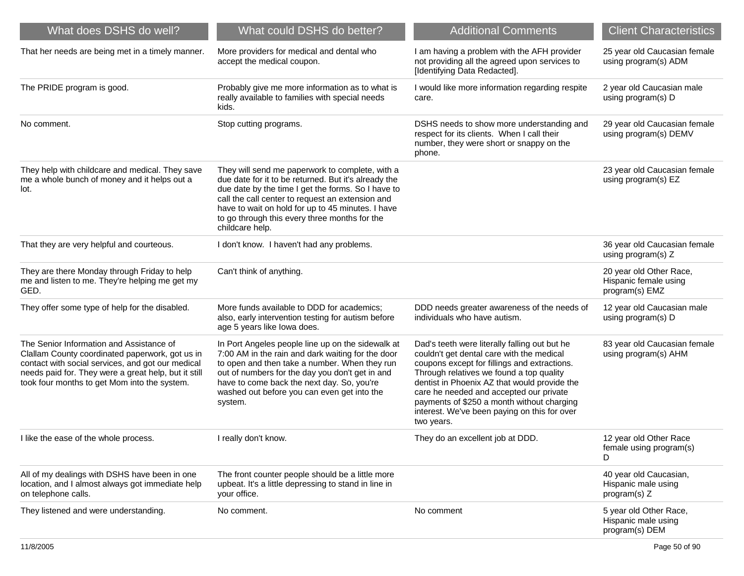| What does DSHS do well?                                                                                                                                                                                                                                  | What could DSHS do better?                                                                                                                                                                                                                                                                                                                 | <b>Additional Comments</b>                                                                                                                                                                                                                                                                                                                                                                    | <b>Client Characteristics</b>                                      |
|----------------------------------------------------------------------------------------------------------------------------------------------------------------------------------------------------------------------------------------------------------|--------------------------------------------------------------------------------------------------------------------------------------------------------------------------------------------------------------------------------------------------------------------------------------------------------------------------------------------|-----------------------------------------------------------------------------------------------------------------------------------------------------------------------------------------------------------------------------------------------------------------------------------------------------------------------------------------------------------------------------------------------|--------------------------------------------------------------------|
| That her needs are being met in a timely manner.                                                                                                                                                                                                         | More providers for medical and dental who<br>accept the medical coupon.                                                                                                                                                                                                                                                                    | I am having a problem with the AFH provider<br>not providing all the agreed upon services to<br>[Identifying Data Redacted].                                                                                                                                                                                                                                                                  | 25 year old Caucasian female<br>using program(s) ADM               |
| The PRIDE program is good.                                                                                                                                                                                                                               | Probably give me more information as to what is<br>really available to families with special needs<br>kids.                                                                                                                                                                                                                                | I would like more information regarding respite<br>care.                                                                                                                                                                                                                                                                                                                                      | 2 year old Caucasian male<br>using program(s) D                    |
| No comment.                                                                                                                                                                                                                                              | Stop cutting programs.                                                                                                                                                                                                                                                                                                                     | DSHS needs to show more understanding and<br>respect for its clients. When I call their<br>number, they were short or snappy on the<br>phone.                                                                                                                                                                                                                                                 | 29 year old Caucasian female<br>using program(s) DEMV              |
| They help with childcare and medical. They save<br>me a whole bunch of money and it helps out a<br>lot.                                                                                                                                                  | They will send me paperwork to complete, with a<br>due date for it to be returned. But it's already the<br>due date by the time I get the forms. So I have to<br>call the call center to request an extension and<br>have to wait on hold for up to 45 minutes. I have<br>to go through this every three months for the<br>childcare help. |                                                                                                                                                                                                                                                                                                                                                                                               | 23 year old Caucasian female<br>using program(s) EZ                |
| That they are very helpful and courteous.                                                                                                                                                                                                                | I don't know. I haven't had any problems.                                                                                                                                                                                                                                                                                                  |                                                                                                                                                                                                                                                                                                                                                                                               | 36 year old Caucasian female<br>using program(s) Z                 |
| They are there Monday through Friday to help<br>me and listen to me. They're helping me get my<br>GED.                                                                                                                                                   | Can't think of anything.                                                                                                                                                                                                                                                                                                                   |                                                                                                                                                                                                                                                                                                                                                                                               | 20 year old Other Race,<br>Hispanic female using<br>program(s) EMZ |
| They offer some type of help for the disabled.                                                                                                                                                                                                           | More funds available to DDD for academics;<br>also, early intervention testing for autism before<br>age 5 years like lowa does.                                                                                                                                                                                                            | DDD needs greater awareness of the needs of<br>individuals who have autism.                                                                                                                                                                                                                                                                                                                   | 12 year old Caucasian male<br>using program(s) D                   |
| The Senior Information and Assistance of<br>Clallam County coordinated paperwork, got us in<br>contact with social services, and got our medical<br>needs paid for. They were a great help, but it still<br>took four months to get Mom into the system. | In Port Angeles people line up on the sidewalk at<br>7:00 AM in the rain and dark waiting for the door<br>to open and then take a number. When they run<br>out of numbers for the day you don't get in and<br>have to come back the next day. So, you're<br>washed out before you can even get into the<br>system.                         | Dad's teeth were literally falling out but he<br>couldn't get dental care with the medical<br>coupons except for fillings and extractions.<br>Through relatives we found a top quality<br>dentist in Phoenix AZ that would provide the<br>care he needed and accepted our private<br>payments of \$250 a month without charging<br>interest. We've been paying on this for over<br>two years. | 83 year old Caucasian female<br>using program(s) AHM               |
| I like the ease of the whole process.                                                                                                                                                                                                                    | I really don't know.                                                                                                                                                                                                                                                                                                                       | They do an excellent job at DDD.                                                                                                                                                                                                                                                                                                                                                              | 12 year old Other Race<br>female using program(s)<br>D             |
| All of my dealings with DSHS have been in one<br>location, and I almost always got immediate help<br>on telephone calls.                                                                                                                                 | The front counter people should be a little more<br>upbeat. It's a little depressing to stand in line in<br>your office.                                                                                                                                                                                                                   |                                                                                                                                                                                                                                                                                                                                                                                               | 40 year old Caucasian,<br>Hispanic male using<br>program(s) Z      |
| They listened and were understanding.                                                                                                                                                                                                                    | No comment.                                                                                                                                                                                                                                                                                                                                | No comment                                                                                                                                                                                                                                                                                                                                                                                    | 5 year old Other Race,<br>Hispanic male using<br>program(s) DEM    |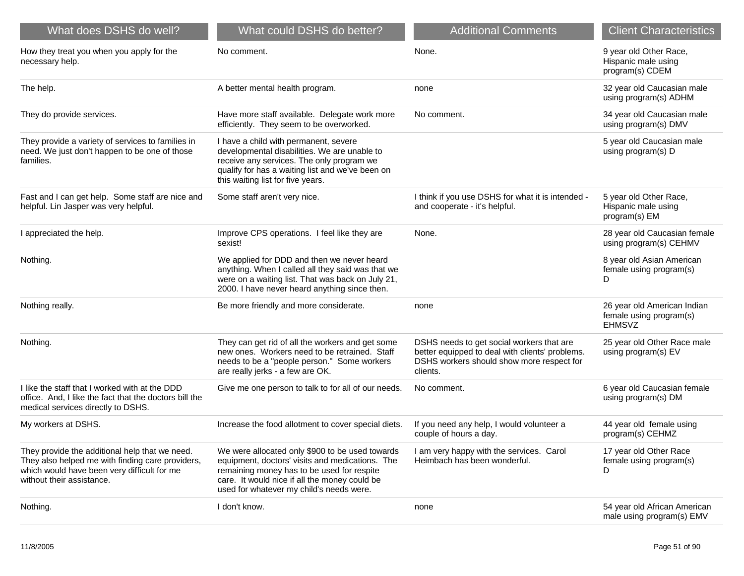| What does DSHS do well?                                                                                                                                                        | What could DSHS do better?                                                                                                                                                                                                                    | <b>Additional Comments</b>                                                                                                                            | <b>Client Characteristics</b>                                           |
|--------------------------------------------------------------------------------------------------------------------------------------------------------------------------------|-----------------------------------------------------------------------------------------------------------------------------------------------------------------------------------------------------------------------------------------------|-------------------------------------------------------------------------------------------------------------------------------------------------------|-------------------------------------------------------------------------|
| How they treat you when you apply for the<br>necessary help.                                                                                                                   | No comment.                                                                                                                                                                                                                                   | None.                                                                                                                                                 | 9 year old Other Race,<br>Hispanic male using<br>program(s) CDEM        |
| The help.                                                                                                                                                                      | A better mental health program.                                                                                                                                                                                                               | none                                                                                                                                                  | 32 year old Caucasian male<br>using program(s) ADHM                     |
| They do provide services.                                                                                                                                                      | Have more staff available. Delegate work more<br>efficiently. They seem to be overworked.                                                                                                                                                     | No comment.                                                                                                                                           | 34 year old Caucasian male<br>using program(s) DMV                      |
| They provide a variety of services to families in<br>need. We just don't happen to be one of those<br>families.                                                                | I have a child with permanent, severe<br>developmental disabilities. We are unable to<br>receive any services. The only program we<br>qualify for has a waiting list and we've been on<br>this waiting list for five years.                   |                                                                                                                                                       | 5 year old Caucasian male<br>using program(s) D                         |
| Fast and I can get help. Some staff are nice and<br>helpful. Lin Jasper was very helpful.                                                                                      | Some staff aren't very nice.                                                                                                                                                                                                                  | I think if you use DSHS for what it is intended -<br>and cooperate - it's helpful.                                                                    | 5 year old Other Race,<br>Hispanic male using<br>program(s) EM          |
| I appreciated the help.                                                                                                                                                        | Improve CPS operations. I feel like they are<br>sexist!                                                                                                                                                                                       | None.                                                                                                                                                 | 28 year old Caucasian female<br>using program(s) CEHMV                  |
| Nothing.                                                                                                                                                                       | We applied for DDD and then we never heard<br>anything. When I called all they said was that we<br>were on a waiting list. That was back on July 21,<br>2000. I have never heard anything since then.                                         |                                                                                                                                                       | 8 year old Asian American<br>female using program(s)<br>D               |
| Nothing really.                                                                                                                                                                | Be more friendly and more considerate.                                                                                                                                                                                                        | none                                                                                                                                                  | 26 year old American Indian<br>female using program(s)<br><b>EHMSVZ</b> |
| Nothing.                                                                                                                                                                       | They can get rid of all the workers and get some<br>new ones. Workers need to be retrained. Staff<br>needs to be a "people person." Some workers<br>are really jerks - a few are OK.                                                          | DSHS needs to get social workers that are<br>better equipped to deal with clients' problems.<br>DSHS workers should show more respect for<br>clients. | 25 year old Other Race male<br>using program(s) EV                      |
| I like the staff that I worked with at the DDD<br>office. And, I like the fact that the doctors bill the<br>medical services directly to DSHS.                                 | Give me one person to talk to for all of our needs.                                                                                                                                                                                           | No comment.                                                                                                                                           | 6 year old Caucasian female<br>using program(s) DM                      |
| My workers at DSHS.                                                                                                                                                            | Increase the food allotment to cover special diets.                                                                                                                                                                                           | If you need any help, I would volunteer a<br>couple of hours a day.                                                                                   | 44 year old female using<br>program(s) CEHMZ                            |
| They provide the additional help that we need.<br>They also helped me with finding care providers,<br>which would have been very difficult for me<br>without their assistance. | We were allocated only \$900 to be used towards<br>equipment, doctors' visits and medications. The<br>remaining money has to be used for respite<br>care. It would nice if all the money could be<br>used for whatever my child's needs were. | I am very happy with the services. Carol<br>Heimbach has been wonderful.                                                                              | 17 year old Other Race<br>female using program(s)<br>D                  |
| Nothing.                                                                                                                                                                       | I don't know.                                                                                                                                                                                                                                 | none                                                                                                                                                  | 54 year old African American<br>male using program(s) EMV               |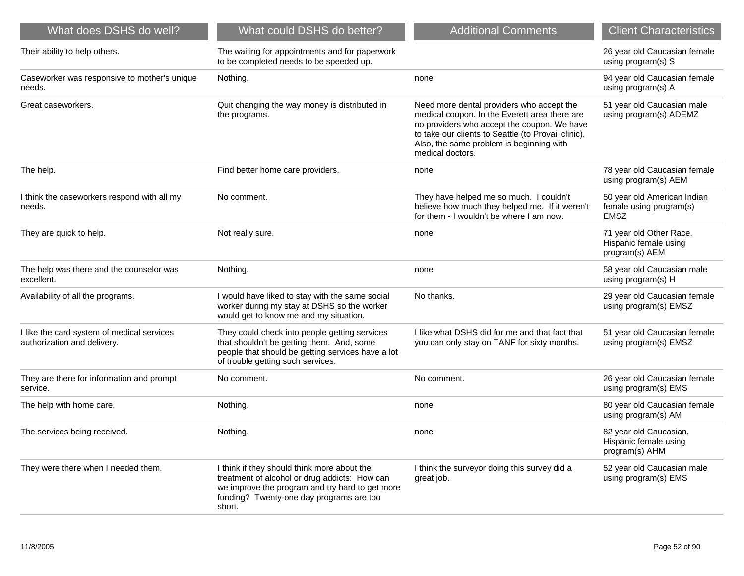| What does DSHS do well?                                                   | What could DSHS do better?                                                                                                                                                                            | <b>Additional Comments</b>                                                                                                                                                                                                                                       | <b>Client Characteristics</b>                                         |
|---------------------------------------------------------------------------|-------------------------------------------------------------------------------------------------------------------------------------------------------------------------------------------------------|------------------------------------------------------------------------------------------------------------------------------------------------------------------------------------------------------------------------------------------------------------------|-----------------------------------------------------------------------|
| Their ability to help others.                                             | The waiting for appointments and for paperwork<br>to be completed needs to be speeded up.                                                                                                             |                                                                                                                                                                                                                                                                  | 26 year old Caucasian female<br>using program(s) S                    |
| Caseworker was responsive to mother's unique<br>needs.                    | Nothing.                                                                                                                                                                                              | none                                                                                                                                                                                                                                                             | 94 year old Caucasian female<br>using program(s) A                    |
| Great caseworkers.                                                        | Quit changing the way money is distributed in<br>the programs.                                                                                                                                        | Need more dental providers who accept the<br>medical coupon. In the Everett area there are<br>no providers who accept the coupon. We have<br>to take our clients to Seattle (to Provail clinic).<br>Also, the same problem is beginning with<br>medical doctors. | 51 year old Caucasian male<br>using program(s) ADEMZ                  |
| The help.                                                                 | Find better home care providers.                                                                                                                                                                      | none                                                                                                                                                                                                                                                             | 78 year old Caucasian female<br>using program(s) AEM                  |
| I think the caseworkers respond with all my<br>needs.                     | No comment.                                                                                                                                                                                           | They have helped me so much. I couldn't<br>believe how much they helped me. If it weren't<br>for them - I wouldn't be where I am now.                                                                                                                            | 50 year old American Indian<br>female using program(s)<br><b>EMSZ</b> |
| They are quick to help.                                                   | Not really sure.                                                                                                                                                                                      | none                                                                                                                                                                                                                                                             | 71 year old Other Race,<br>Hispanic female using<br>program(s) AEM    |
| The help was there and the counselor was<br>excellent.                    | Nothing.                                                                                                                                                                                              | none                                                                                                                                                                                                                                                             | 58 year old Caucasian male<br>using program(s) H                      |
| Availability of all the programs.                                         | I would have liked to stay with the same social<br>worker during my stay at DSHS so the worker<br>would get to know me and my situation.                                                              | No thanks.                                                                                                                                                                                                                                                       | 29 year old Caucasian female<br>using program(s) EMSZ                 |
| I like the card system of medical services<br>authorization and delivery. | They could check into people getting services<br>that shouldn't be getting them. And, some<br>people that should be getting services have a lot<br>of trouble getting such services.                  | I like what DSHS did for me and that fact that<br>you can only stay on TANF for sixty months.                                                                                                                                                                    | 51 year old Caucasian female<br>using program(s) EMSZ                 |
| They are there for information and prompt<br>service.                     | No comment.                                                                                                                                                                                           | No comment.                                                                                                                                                                                                                                                      | 26 year old Caucasian female<br>using program(s) EMS                  |
| The help with home care.                                                  | Nothing.                                                                                                                                                                                              | none                                                                                                                                                                                                                                                             | 80 year old Caucasian female<br>using program(s) AM                   |
| The services being received.                                              | Nothing.                                                                                                                                                                                              | none                                                                                                                                                                                                                                                             | 82 year old Caucasian,<br>Hispanic female using<br>program(s) AHM     |
| They were there when I needed them.                                       | I think if they should think more about the<br>treatment of alcohol or drug addicts: How can<br>we improve the program and try hard to get more<br>funding? Twenty-one day programs are too<br>short. | I think the surveyor doing this survey did a<br>great job.                                                                                                                                                                                                       | 52 year old Caucasian male<br>using program(s) EMS                    |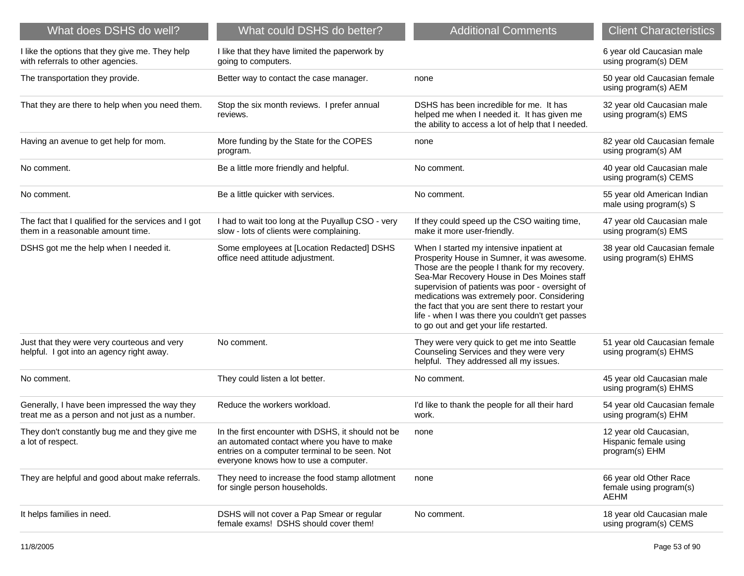| What does DSHS do well?                                                                         | What could DSHS do better?                                                                                                                                                                   | <b>Additional Comments</b>                                                                                                                                                                                                                                                                                                                                                                                                                | <b>Client Characteristics</b>                                     |
|-------------------------------------------------------------------------------------------------|----------------------------------------------------------------------------------------------------------------------------------------------------------------------------------------------|-------------------------------------------------------------------------------------------------------------------------------------------------------------------------------------------------------------------------------------------------------------------------------------------------------------------------------------------------------------------------------------------------------------------------------------------|-------------------------------------------------------------------|
| I like the options that they give me. They help<br>with referrals to other agencies.            | I like that they have limited the paperwork by<br>going to computers.                                                                                                                        |                                                                                                                                                                                                                                                                                                                                                                                                                                           | 6 year old Caucasian male<br>using program(s) DEM                 |
| The transportation they provide.                                                                | Better way to contact the case manager.                                                                                                                                                      | none                                                                                                                                                                                                                                                                                                                                                                                                                                      | 50 year old Caucasian female<br>using program(s) AEM              |
| That they are there to help when you need them.                                                 | Stop the six month reviews. I prefer annual<br>reviews.                                                                                                                                      | DSHS has been incredible for me. It has<br>helped me when I needed it. It has given me<br>the ability to access a lot of help that I needed.                                                                                                                                                                                                                                                                                              | 32 year old Caucasian male<br>using program(s) EMS                |
| Having an avenue to get help for mom.                                                           | More funding by the State for the COPES<br>program.                                                                                                                                          | none                                                                                                                                                                                                                                                                                                                                                                                                                                      | 82 year old Caucasian female<br>using program(s) AM               |
| No comment.                                                                                     | Be a little more friendly and helpful.                                                                                                                                                       | No comment.                                                                                                                                                                                                                                                                                                                                                                                                                               | 40 year old Caucasian male<br>using program(s) CEMS               |
| No comment.                                                                                     | Be a little quicker with services.                                                                                                                                                           | No comment.                                                                                                                                                                                                                                                                                                                                                                                                                               | 55 year old American Indian<br>male using program(s) S            |
| The fact that I qualified for the services and I got<br>them in a reasonable amount time.       | I had to wait too long at the Puyallup CSO - very<br>slow - lots of clients were complaining.                                                                                                | If they could speed up the CSO waiting time,<br>make it more user-friendly.                                                                                                                                                                                                                                                                                                                                                               | 47 year old Caucasian male<br>using program(s) EMS                |
| DSHS got me the help when I needed it.                                                          | Some employees at [Location Redacted] DSHS<br>office need attitude adjustment.                                                                                                               | When I started my intensive inpatient at<br>Prosperity House in Sumner, it was awesome.<br>Those are the people I thank for my recovery.<br>Sea-Mar Recovery House in Des Moines staff<br>supervision of patients was poor - oversight of<br>medications was extremely poor. Considering<br>the fact that you are sent there to restart your<br>life - when I was there you couldn't get passes<br>to go out and get your life restarted. | 38 year old Caucasian female<br>using program(s) EHMS             |
| Just that they were very courteous and very<br>helpful. I got into an agency right away.        | No comment.                                                                                                                                                                                  | They were very quick to get me into Seattle<br>Counseling Services and they were very<br>helpful. They addressed all my issues.                                                                                                                                                                                                                                                                                                           | 51 year old Caucasian female<br>using program(s) EHMS             |
| No comment.                                                                                     | They could listen a lot better.                                                                                                                                                              | No comment.                                                                                                                                                                                                                                                                                                                                                                                                                               | 45 year old Caucasian male<br>using program(s) EHMS               |
| Generally, I have been impressed the way they<br>treat me as a person and not just as a number. | Reduce the workers workload.                                                                                                                                                                 | I'd like to thank the people for all their hard<br>work.                                                                                                                                                                                                                                                                                                                                                                                  | 54 year old Caucasian female<br>using program(s) EHM              |
| They don't constantly bug me and they give me<br>a lot of respect.                              | In the first encounter with DSHS, it should not be<br>an automated contact where you have to make<br>entries on a computer terminal to be seen. Not<br>everyone knows how to use a computer. | none                                                                                                                                                                                                                                                                                                                                                                                                                                      | 12 year old Caucasian,<br>Hispanic female using<br>program(s) EHM |
| They are helpful and good about make referrals.                                                 | They need to increase the food stamp allotment<br>for single person households.                                                                                                              | none                                                                                                                                                                                                                                                                                                                                                                                                                                      | 66 year old Other Race<br>female using program(s)<br>AEHM         |
| It helps families in need.                                                                      | DSHS will not cover a Pap Smear or regular<br>female exams! DSHS should cover them!                                                                                                          | No comment.                                                                                                                                                                                                                                                                                                                                                                                                                               | 18 year old Caucasian male<br>using program(s) CEMS               |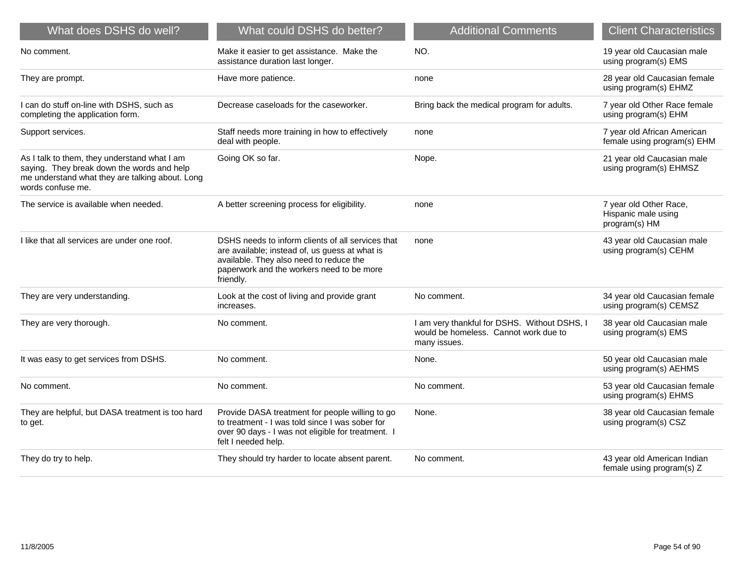| What does DSHS do well?                                                                                                                                            | What could DSHS do better?                                                                                                                                                                               | <b>Additional Comments</b>                                                                            | <b>Client Characteristics</b>                                  |
|--------------------------------------------------------------------------------------------------------------------------------------------------------------------|----------------------------------------------------------------------------------------------------------------------------------------------------------------------------------------------------------|-------------------------------------------------------------------------------------------------------|----------------------------------------------------------------|
| No comment.                                                                                                                                                        | Make it easier to get assistance. Make the<br>assistance duration last longer.                                                                                                                           | NO.                                                                                                   | 19 year old Caucasian male<br>using program(s) EMS             |
| They are prompt.                                                                                                                                                   | Have more patience.                                                                                                                                                                                      | none                                                                                                  | 28 year old Caucasian female<br>using program(s) EHMZ          |
| I can do stuff on-line with DSHS, such as<br>completing the application form.                                                                                      | Decrease caseloads for the caseworker.                                                                                                                                                                   | Bring back the medical program for adults.                                                            | 7 year old Other Race female<br>using program(s) EHM           |
| Support services.                                                                                                                                                  | Staff needs more training in how to effectively<br>deal with people.                                                                                                                                     | none                                                                                                  | 7 year old African American<br>female using program(s) EHM     |
| As I talk to them, they understand what I am<br>saying. They break down the words and help<br>me understand what they are talking about. Long<br>words confuse me. | Going OK so far.                                                                                                                                                                                         | Nope.                                                                                                 | 21 year old Caucasian male<br>using program(s) EHMSZ           |
| The service is available when needed.                                                                                                                              | A better screening process for eligibility.                                                                                                                                                              | none                                                                                                  | 7 year old Other Race,<br>Hispanic male using<br>program(s) HM |
| I like that all services are under one roof.                                                                                                                       | DSHS needs to inform clients of all services that<br>are available; instead of, us guess at what is<br>available. They also need to reduce the<br>paperwork and the workers need to be more<br>friendly. | none                                                                                                  | 43 year old Caucasian male<br>using program(s) CEHM            |
| They are very understanding.                                                                                                                                       | Look at the cost of living and provide grant<br>increases.                                                                                                                                               | No comment.                                                                                           | 34 year old Caucasian female<br>using program(s) CEMSZ         |
| They are very thorough.                                                                                                                                            | No comment.                                                                                                                                                                                              | I am very thankful for DSHS. Without DSHS, I<br>would be homeless. Cannot work due to<br>many issues. | 38 year old Caucasian male<br>using program(s) EMS             |
| It was easy to get services from DSHS.                                                                                                                             | No comment.                                                                                                                                                                                              | None.                                                                                                 | 50 year old Caucasian male<br>using program(s) AEHMS           |
| No comment.                                                                                                                                                        | No comment.                                                                                                                                                                                              | No comment.                                                                                           | 53 year old Caucasian female<br>using program(s) EHMS          |
| They are helpful, but DASA treatment is too hard<br>to get.                                                                                                        | Provide DASA treatment for people willing to go<br>to treatment - I was told since I was sober for<br>over 90 days - I was not eligible for treatment. I<br>felt I needed help.                          | None.                                                                                                 | 38 year old Caucasian female<br>using program(s) CSZ           |
| They do try to help.                                                                                                                                               | They should try harder to locate absent parent.                                                                                                                                                          | No comment.                                                                                           | 43 year old American Indian<br>female using program(s) Z       |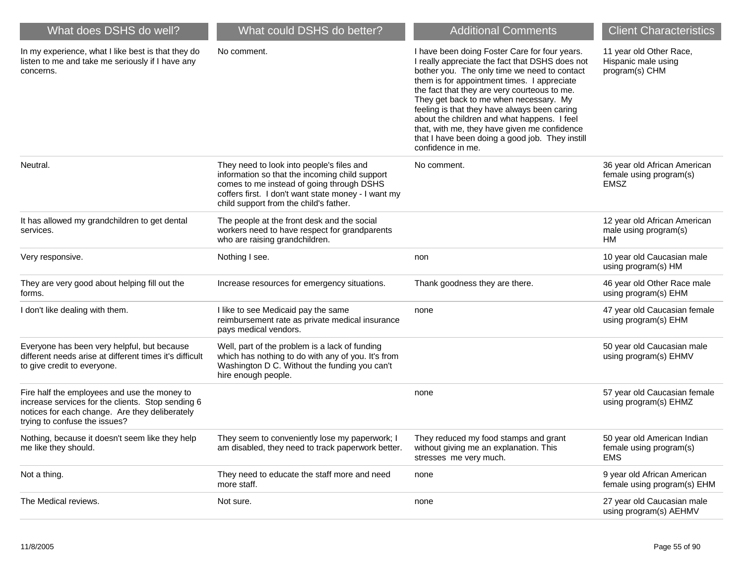| What does DSHS do well?                                                                                                                                                              | What could DSHS do better?                                                                                                                                                                                                                | <b>Additional Comments</b>                                                                                                                                                                                                                                                                                                                                                                                                                                                                                       | <b>Client Characteristics</b>                                          |
|--------------------------------------------------------------------------------------------------------------------------------------------------------------------------------------|-------------------------------------------------------------------------------------------------------------------------------------------------------------------------------------------------------------------------------------------|------------------------------------------------------------------------------------------------------------------------------------------------------------------------------------------------------------------------------------------------------------------------------------------------------------------------------------------------------------------------------------------------------------------------------------------------------------------------------------------------------------------|------------------------------------------------------------------------|
| In my experience, what I like best is that they do<br>listen to me and take me seriously if I have any<br>concerns.                                                                  | No comment.                                                                                                                                                                                                                               | I have been doing Foster Care for four years.<br>I really appreciate the fact that DSHS does not<br>bother you. The only time we need to contact<br>them is for appointment times. I appreciate<br>the fact that they are very courteous to me.<br>They get back to me when necessary. My<br>feeling is that they have always been caring<br>about the children and what happens. I feel<br>that, with me, they have given me confidence<br>that I have been doing a good job. They instill<br>confidence in me. | 11 year old Other Race,<br>Hispanic male using<br>program(s) CHM       |
| Neutral.                                                                                                                                                                             | They need to look into people's files and<br>information so that the incoming child support<br>comes to me instead of going through DSHS<br>coffers first. I don't want state money - I want my<br>child support from the child's father. | No comment.                                                                                                                                                                                                                                                                                                                                                                                                                                                                                                      | 36 year old African American<br>female using program(s)<br><b>EMSZ</b> |
| It has allowed my grandchildren to get dental<br>services.                                                                                                                           | The people at the front desk and the social<br>workers need to have respect for grandparents<br>who are raising grandchildren.                                                                                                            |                                                                                                                                                                                                                                                                                                                                                                                                                                                                                                                  | 12 year old African American<br>male using program(s)<br>HМ            |
| Very responsive.                                                                                                                                                                     | Nothing I see.                                                                                                                                                                                                                            | non                                                                                                                                                                                                                                                                                                                                                                                                                                                                                                              | 10 year old Caucasian male<br>using program(s) HM                      |
| They are very good about helping fill out the<br>forms.                                                                                                                              | Increase resources for emergency situations.                                                                                                                                                                                              | Thank goodness they are there.                                                                                                                                                                                                                                                                                                                                                                                                                                                                                   | 46 year old Other Race male<br>using program(s) EHM                    |
| I don't like dealing with them.                                                                                                                                                      | I like to see Medicaid pay the same<br>reimbursement rate as private medical insurance<br>pays medical vendors.                                                                                                                           | none                                                                                                                                                                                                                                                                                                                                                                                                                                                                                                             | 47 year old Caucasian female<br>using program(s) EHM                   |
| Everyone has been very helpful, but because<br>different needs arise at different times it's difficult<br>to give credit to everyone.                                                | Well, part of the problem is a lack of funding<br>which has nothing to do with any of you. It's from<br>Washington D C. Without the funding you can't<br>hire enough people.                                                              |                                                                                                                                                                                                                                                                                                                                                                                                                                                                                                                  | 50 year old Caucasian male<br>using program(s) EHMV                    |
| Fire half the employees and use the money to<br>increase services for the clients. Stop sending 6<br>notices for each change. Are they deliberately<br>trying to confuse the issues? |                                                                                                                                                                                                                                           | none                                                                                                                                                                                                                                                                                                                                                                                                                                                                                                             | 57 year old Caucasian female<br>using program(s) EHMZ                  |
| Nothing, because it doesn't seem like they help<br>me like they should.                                                                                                              | They seem to conveniently lose my paperwork; I<br>am disabled, they need to track paperwork better.                                                                                                                                       | They reduced my food stamps and grant<br>without giving me an explanation. This<br>stresses me very much.                                                                                                                                                                                                                                                                                                                                                                                                        | 50 year old American Indian<br>female using program(s)<br><b>EMS</b>   |
| Not a thing.                                                                                                                                                                         | They need to educate the staff more and need<br>more staff.                                                                                                                                                                               | none                                                                                                                                                                                                                                                                                                                                                                                                                                                                                                             | 9 year old African American<br>female using program(s) EHM             |
| The Medical reviews.                                                                                                                                                                 | Not sure.                                                                                                                                                                                                                                 | none                                                                                                                                                                                                                                                                                                                                                                                                                                                                                                             | 27 year old Caucasian male<br>using program(s) AEHMV                   |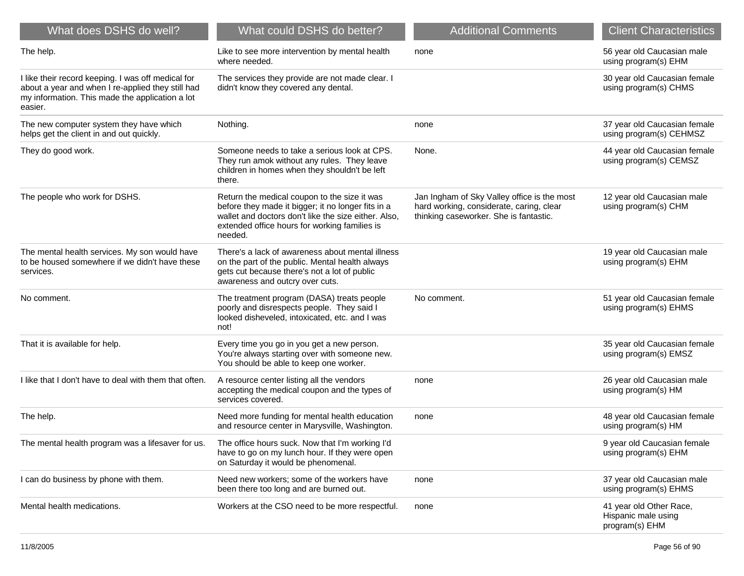| What does DSHS do well?                                                                                                                                               | What could DSHS do better?                                                                                                                                                                                             | <b>Additional Comments</b>                                                                                                        | <b>Client Characteristics</b>                                    |
|-----------------------------------------------------------------------------------------------------------------------------------------------------------------------|------------------------------------------------------------------------------------------------------------------------------------------------------------------------------------------------------------------------|-----------------------------------------------------------------------------------------------------------------------------------|------------------------------------------------------------------|
| The help.                                                                                                                                                             | Like to see more intervention by mental health<br>where needed.                                                                                                                                                        | none                                                                                                                              | 56 year old Caucasian male<br>using program(s) EHM               |
| I like their record keeping. I was off medical for<br>about a year and when I re-applied they still had<br>my information. This made the application a lot<br>easier. | The services they provide are not made clear. I<br>didn't know they covered any dental.                                                                                                                                |                                                                                                                                   | 30 year old Caucasian female<br>using program(s) CHMS            |
| The new computer system they have which<br>helps get the client in and out quickly.                                                                                   | Nothing.                                                                                                                                                                                                               | none                                                                                                                              | 37 year old Caucasian female<br>using program(s) CEHMSZ          |
| They do good work.                                                                                                                                                    | Someone needs to take a serious look at CPS.<br>They run amok without any rules. They leave<br>children in homes when they shouldn't be left<br>there.                                                                 | None.                                                                                                                             | 44 year old Caucasian female<br>using program(s) CEMSZ           |
| The people who work for DSHS.                                                                                                                                         | Return the medical coupon to the size it was<br>before they made it bigger; it no longer fits in a<br>wallet and doctors don't like the size either. Also,<br>extended office hours for working families is<br>needed. | Jan Ingham of Sky Valley office is the most<br>hard working, considerate, caring, clear<br>thinking caseworker. She is fantastic. | 12 year old Caucasian male<br>using program(s) CHM               |
| The mental health services. My son would have<br>to be housed somewhere if we didn't have these<br>services.                                                          | There's a lack of awareness about mental illness<br>on the part of the public. Mental health always<br>gets cut because there's not a lot of public<br>awareness and outcry over cuts.                                 |                                                                                                                                   | 19 year old Caucasian male<br>using program(s) EHM               |
| No comment.                                                                                                                                                           | The treatment program (DASA) treats people<br>poorly and disrespects people. They said I<br>looked disheveled, intoxicated, etc. and I was<br>not!                                                                     | No comment.                                                                                                                       | 51 year old Caucasian female<br>using program(s) EHMS            |
| That it is available for help.                                                                                                                                        | Every time you go in you get a new person.<br>You're always starting over with someone new.<br>You should be able to keep one worker.                                                                                  |                                                                                                                                   | 35 year old Caucasian female<br>using program(s) EMSZ            |
| I like that I don't have to deal with them that often.                                                                                                                | A resource center listing all the vendors<br>accepting the medical coupon and the types of<br>services covered.                                                                                                        | none                                                                                                                              | 26 year old Caucasian male<br>using program(s) HM                |
| The help.                                                                                                                                                             | Need more funding for mental health education<br>and resource center in Marysville, Washington.                                                                                                                        | none                                                                                                                              | 48 year old Caucasian female<br>using program(s) HM              |
| The mental health program was a lifesaver for us.                                                                                                                     | The office hours suck. Now that I'm working I'd<br>have to go on my lunch hour. If they were open<br>on Saturday it would be phenomenal.                                                                               |                                                                                                                                   | 9 year old Caucasian female<br>using program(s) EHM              |
| I can do business by phone with them.                                                                                                                                 | Need new workers; some of the workers have<br>been there too long and are burned out.                                                                                                                                  | none                                                                                                                              | 37 year old Caucasian male<br>using program(s) EHMS              |
| Mental health medications.                                                                                                                                            | Workers at the CSO need to be more respectful.                                                                                                                                                                         | none                                                                                                                              | 41 year old Other Race,<br>Hispanic male using<br>program(s) EHM |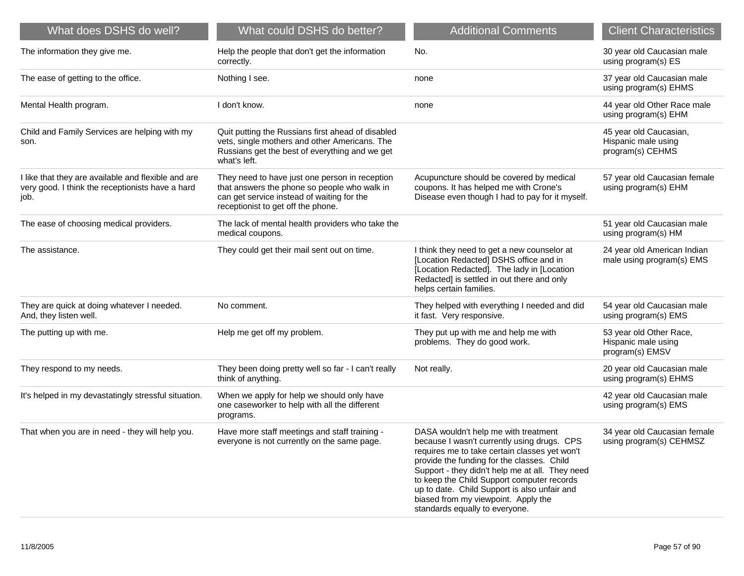| What does DSHS do well?                                                                                         | What could DSHS do better?                                                                                                                                                         | <b>Additional Comments</b>                                                                                                                                                                                                                                                                                                                                                                                   | <b>Client Characteristics</b>                                     |
|-----------------------------------------------------------------------------------------------------------------|------------------------------------------------------------------------------------------------------------------------------------------------------------------------------------|--------------------------------------------------------------------------------------------------------------------------------------------------------------------------------------------------------------------------------------------------------------------------------------------------------------------------------------------------------------------------------------------------------------|-------------------------------------------------------------------|
| The information they give me.                                                                                   | Help the people that don't get the information<br>correctly.                                                                                                                       | No.                                                                                                                                                                                                                                                                                                                                                                                                          | 30 year old Caucasian male<br>using program(s) ES                 |
| The ease of getting to the office.                                                                              | Nothing I see.                                                                                                                                                                     | none                                                                                                                                                                                                                                                                                                                                                                                                         | 37 year old Caucasian male<br>using program(s) EHMS               |
| Mental Health program.                                                                                          | I don't know.                                                                                                                                                                      | none                                                                                                                                                                                                                                                                                                                                                                                                         | 44 year old Other Race male<br>using program(s) EHM               |
| Child and Family Services are helping with my<br>son.                                                           | Quit putting the Russians first ahead of disabled<br>vets, single mothers and other Americans. The<br>Russians get the best of everything and we get<br>what's left.               |                                                                                                                                                                                                                                                                                                                                                                                                              | 45 year old Caucasian,<br>Hispanic male using<br>program(s) CEHMS |
| I like that they are available and flexible and are<br>very good. I think the receptionists have a hard<br>job. | They need to have just one person in reception<br>that answers the phone so people who walk in<br>can get service instead of waiting for the<br>receptionist to get off the phone. | Acupuncture should be covered by medical<br>coupons. It has helped me with Crone's<br>Disease even though I had to pay for it myself.                                                                                                                                                                                                                                                                        | 57 year old Caucasian female<br>using program(s) EHM              |
| The ease of choosing medical providers.                                                                         | The lack of mental health providers who take the<br>medical coupons.                                                                                                               |                                                                                                                                                                                                                                                                                                                                                                                                              | 51 year old Caucasian male<br>using program(s) HM                 |
| The assistance.                                                                                                 | They could get their mail sent out on time.                                                                                                                                        | I think they need to get a new counselor at<br>[Location Redacted] DSHS office and in<br>[Location Redacted]. The lady in [Location<br>Redacted] is settled in out there and only<br>helps certain families.                                                                                                                                                                                                 | 24 year old American Indian<br>male using program(s) EMS          |
| They are quick at doing whatever I needed.<br>And, they listen well.                                            | No comment.                                                                                                                                                                        | They helped with everything I needed and did<br>it fast. Very responsive.                                                                                                                                                                                                                                                                                                                                    | 54 year old Caucasian male<br>using program(s) EMS                |
| The putting up with me.                                                                                         | Help me get off my problem.                                                                                                                                                        | They put up with me and help me with<br>problems. They do good work.                                                                                                                                                                                                                                                                                                                                         | 53 year old Other Race,<br>Hispanic male using<br>program(s) EMSV |
| They respond to my needs.                                                                                       | They been doing pretty well so far - I can't really<br>think of anything.                                                                                                          | Not really.                                                                                                                                                                                                                                                                                                                                                                                                  | 20 year old Caucasian male<br>using program(s) EHMS               |
| It's helped in my devastatingly stressful situation.                                                            | When we apply for help we should only have<br>one caseworker to help with all the different<br>programs.                                                                           |                                                                                                                                                                                                                                                                                                                                                                                                              | 42 year old Caucasian male<br>using program(s) EMS                |
| That when you are in need - they will help you.                                                                 | Have more staff meetings and staff training -<br>everyone is not currently on the same page.                                                                                       | DASA wouldn't help me with treatment<br>because I wasn't currently using drugs. CPS<br>requires me to take certain classes yet won't<br>provide the funding for the classes. Child<br>Support - they didn't help me at all. They need<br>to keep the Child Support computer records<br>up to date. Child Support is also unfair and<br>biased from my viewpoint. Apply the<br>standards equally to everyone. | 34 year old Caucasian female<br>using program(s) CEHMSZ           |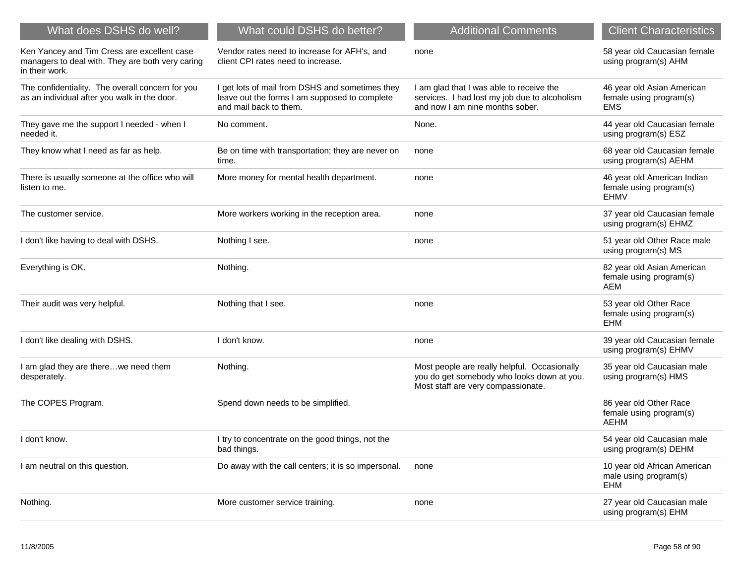| What does DSHS do well?                                                                                           | What could DSHS do better?                                                                                                 | <b>Additional Comments</b>                                                                                                       | <b>Client Characteristics</b>                                       |
|-------------------------------------------------------------------------------------------------------------------|----------------------------------------------------------------------------------------------------------------------------|----------------------------------------------------------------------------------------------------------------------------------|---------------------------------------------------------------------|
| Ken Yancey and Tim Cress are excellent case<br>managers to deal with. They are both very caring<br>in their work. | Vendor rates need to increase for AFH's, and<br>client CPI rates need to increase.                                         | none                                                                                                                             | 58 year old Caucasian female<br>using program(s) AHM                |
| The confidentiality. The overall concern for you<br>as an individual after you walk in the door.                  | I get lots of mail from DSHS and sometimes they<br>leave out the forms I am supposed to complete<br>and mail back to them. | I am glad that I was able to receive the<br>services. I had lost my job due to alcoholism<br>and now I am nine months sober.     | 46 year old Asian American<br>female using program(s)<br><b>EMS</b> |
| They gave me the support I needed - when I<br>needed it.                                                          | No comment.                                                                                                                | None.                                                                                                                            | 44 year old Caucasian female<br>using program(s) ESZ                |
| They know what I need as far as help.                                                                             | Be on time with transportation; they are never on<br>time.                                                                 | none                                                                                                                             | 68 year old Caucasian female<br>using program(s) AEHM               |
| There is usually someone at the office who will<br>listen to me.                                                  | More money for mental health department.                                                                                   | none                                                                                                                             | 46 year old American Indian<br>female using program(s)<br>EHMV      |
| The customer service.                                                                                             | More workers working in the reception area.                                                                                | none                                                                                                                             | 37 year old Caucasian female<br>using program(s) EHMZ               |
| I don't like having to deal with DSHS.                                                                            | Nothing I see.                                                                                                             | none                                                                                                                             | 51 year old Other Race male<br>using program(s) MS                  |
| Everything is OK.                                                                                                 | Nothing.                                                                                                                   |                                                                                                                                  | 82 year old Asian American<br>female using program(s)<br>AEM        |
| Their audit was very helpful.                                                                                     | Nothing that I see.                                                                                                        | none                                                                                                                             | 53 year old Other Race<br>female using program(s)<br><b>EHM</b>     |
| I don't like dealing with DSHS.                                                                                   | I don't know.                                                                                                              | none                                                                                                                             | 39 year old Caucasian female<br>using program(s) EHMV               |
| I am glad they are therewe need them<br>desperately.                                                              | Nothing.                                                                                                                   | Most people are really helpful. Occasionally<br>you do get somebody who looks down at you.<br>Most staff are very compassionate. | 35 year old Caucasian male<br>using program(s) HMS                  |
| The COPES Program.                                                                                                | Spend down needs to be simplified.                                                                                         |                                                                                                                                  | 86 year old Other Race<br>female using program(s)<br>AEHM           |
| I don't know.                                                                                                     | I try to concentrate on the good things, not the<br>bad things.                                                            |                                                                                                                                  | 54 year old Caucasian male<br>using program(s) DEHM                 |
| I am neutral on this question.                                                                                    | Do away with the call centers; it is so impersonal.                                                                        | none                                                                                                                             | 10 year old African American<br>male using program(s)<br><b>EHM</b> |
| Nothing.                                                                                                          | More customer service training.                                                                                            | none                                                                                                                             | 27 year old Caucasian male<br>using program(s) EHM                  |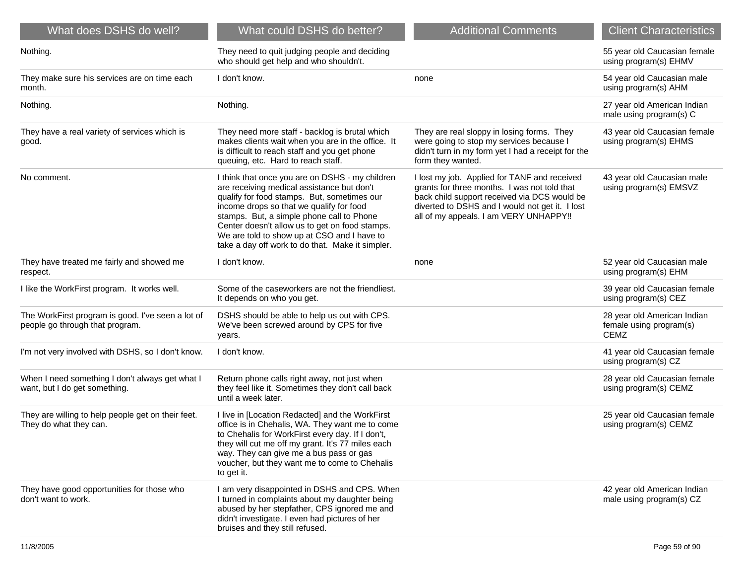| What does DSHS do well?                                                              | What could DSHS do better?                                                                                                                                                                                                                                                                                                                                                                 | <b>Additional Comments</b>                                                                                                                                                                                                                 | <b>Client Characteristics</b>                                         |
|--------------------------------------------------------------------------------------|--------------------------------------------------------------------------------------------------------------------------------------------------------------------------------------------------------------------------------------------------------------------------------------------------------------------------------------------------------------------------------------------|--------------------------------------------------------------------------------------------------------------------------------------------------------------------------------------------------------------------------------------------|-----------------------------------------------------------------------|
| Nothing.                                                                             | They need to quit judging people and deciding<br>who should get help and who shouldn't.                                                                                                                                                                                                                                                                                                    |                                                                                                                                                                                                                                            | 55 year old Caucasian female<br>using program(s) EHMV                 |
| They make sure his services are on time each<br>month.                               | I don't know.                                                                                                                                                                                                                                                                                                                                                                              | none                                                                                                                                                                                                                                       | 54 year old Caucasian male<br>using program(s) AHM                    |
| Nothing.                                                                             | Nothing.                                                                                                                                                                                                                                                                                                                                                                                   |                                                                                                                                                                                                                                            | 27 year old American Indian<br>male using program(s) C                |
| They have a real variety of services which is<br>good.                               | They need more staff - backlog is brutal which<br>makes clients wait when you are in the office. It<br>is difficult to reach staff and you get phone<br>queuing, etc. Hard to reach staff.                                                                                                                                                                                                 | They are real sloppy in losing forms. They<br>were going to stop my services because I<br>didn't turn in my form yet I had a receipt for the<br>form they wanted.                                                                          | 43 year old Caucasian female<br>using program(s) EHMS                 |
| No comment.                                                                          | I think that once you are on DSHS - my children<br>are receiving medical assistance but don't<br>qualify for food stamps. But, sometimes our<br>income drops so that we qualify for food<br>stamps. But, a simple phone call to Phone<br>Center doesn't allow us to get on food stamps.<br>We are told to show up at CSO and I have to<br>take a day off work to do that. Make it simpler. | I lost my job. Applied for TANF and received<br>grants for three months. I was not told that<br>back child support received via DCS would be<br>diverted to DSHS and I would not get it. I lost<br>all of my appeals. I am VERY UNHAPPY !! | 43 year old Caucasian male<br>using program(s) EMSVZ                  |
| They have treated me fairly and showed me<br>respect.                                | I don't know.                                                                                                                                                                                                                                                                                                                                                                              | none                                                                                                                                                                                                                                       | 52 year old Caucasian male<br>using program(s) EHM                    |
| I like the WorkFirst program. It works well.                                         | Some of the caseworkers are not the friendliest.<br>It depends on who you get.                                                                                                                                                                                                                                                                                                             |                                                                                                                                                                                                                                            | 39 year old Caucasian female<br>using program(s) CEZ                  |
| The WorkFirst program is good. I've seen a lot of<br>people go through that program. | DSHS should be able to help us out with CPS.<br>We've been screwed around by CPS for five<br>years.                                                                                                                                                                                                                                                                                        |                                                                                                                                                                                                                                            | 28 year old American Indian<br>female using program(s)<br><b>CEMZ</b> |
| I'm not very involved with DSHS, so I don't know.                                    | I don't know.                                                                                                                                                                                                                                                                                                                                                                              |                                                                                                                                                                                                                                            | 41 year old Caucasian female<br>using program(s) CZ                   |
| When I need something I don't always get what I<br>want, but I do get something.     | Return phone calls right away, not just when<br>they feel like it. Sometimes they don't call back<br>until a week later.                                                                                                                                                                                                                                                                   |                                                                                                                                                                                                                                            | 28 year old Caucasian female<br>using program(s) CEMZ                 |
| They are willing to help people get on their feet.<br>They do what they can.         | I live in [Location Redacted] and the WorkFirst<br>office is in Chehalis, WA. They want me to come<br>to Chehalis for WorkFirst every day. If I don't,<br>they will cut me off my grant. It's 77 miles each<br>way. They can give me a bus pass or gas<br>voucher, but they want me to come to Chehalis<br>to get it.                                                                      |                                                                                                                                                                                                                                            | 25 year old Caucasian female<br>using program(s) CEMZ                 |
| They have good opportunities for those who<br>don't want to work.                    | I am very disappointed in DSHS and CPS. When<br>I turned in complaints about my daughter being<br>abused by her stepfather, CPS ignored me and<br>didn't investigate. I even had pictures of her<br>bruises and they still refused.                                                                                                                                                        |                                                                                                                                                                                                                                            | 42 year old American Indian<br>male using program(s) CZ               |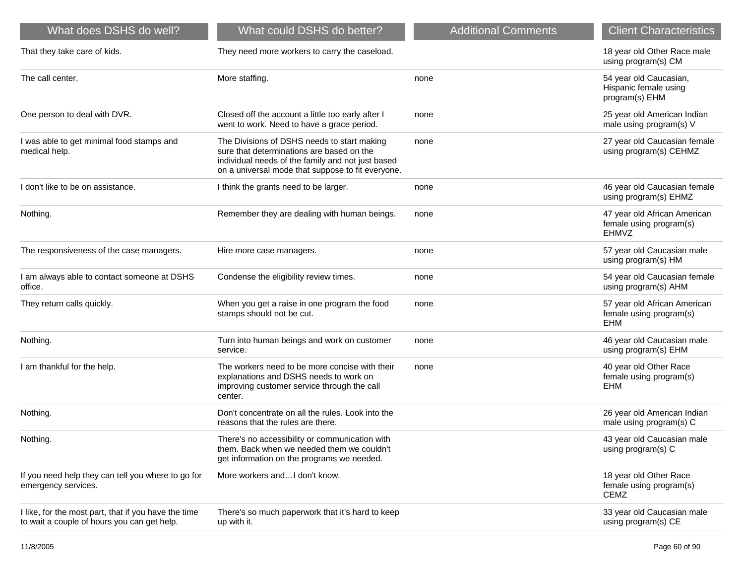| What does DSHS do well?                                                                             | What could DSHS do better?                                                                                                                                                                         | <b>Additional Comments</b> | <b>Client Characteristics</b>                                         |
|-----------------------------------------------------------------------------------------------------|----------------------------------------------------------------------------------------------------------------------------------------------------------------------------------------------------|----------------------------|-----------------------------------------------------------------------|
| That they take care of kids.                                                                        | They need more workers to carry the caseload.                                                                                                                                                      |                            | 18 year old Other Race male<br>using program(s) CM                    |
| The call center.                                                                                    | More staffing.                                                                                                                                                                                     | none                       | 54 year old Caucasian,<br>Hispanic female using<br>program(s) EHM     |
| One person to deal with DVR.                                                                        | Closed off the account a little too early after I<br>went to work. Need to have a grace period.                                                                                                    | none                       | 25 year old American Indian<br>male using program(s) V                |
| I was able to get minimal food stamps and<br>medical help.                                          | The Divisions of DSHS needs to start making<br>sure that determinations are based on the<br>individual needs of the family and not just based<br>on a universal mode that suppose to fit everyone. | none                       | 27 year old Caucasian female<br>using program(s) CEHMZ                |
| I don't like to be on assistance.                                                                   | I think the grants need to be larger.                                                                                                                                                              | none                       | 46 year old Caucasian female<br>using program(s) EHMZ                 |
| Nothing.                                                                                            | Remember they are dealing with human beings.                                                                                                                                                       | none                       | 47 year old African American<br>female using program(s)<br>EHMVZ      |
| The responsiveness of the case managers.                                                            | Hire more case managers.                                                                                                                                                                           | none                       | 57 year old Caucasian male<br>using program(s) HM                     |
| I am always able to contact someone at DSHS<br>office.                                              | Condense the eligibility review times.                                                                                                                                                             | none                       | 54 year old Caucasian female<br>using program(s) AHM                  |
| They return calls quickly.                                                                          | When you get a raise in one program the food<br>stamps should not be cut.                                                                                                                          | none                       | 57 year old African American<br>female using program(s)<br><b>EHM</b> |
| Nothing.                                                                                            | Turn into human beings and work on customer<br>service.                                                                                                                                            | none                       | 46 year old Caucasian male<br>using program(s) EHM                    |
| I am thankful for the help.                                                                         | The workers need to be more concise with their<br>explanations and DSHS needs to work on<br>improving customer service through the call<br>center.                                                 | none                       | 40 year old Other Race<br>female using program(s)<br>EHM              |
| Nothing.                                                                                            | Don't concentrate on all the rules. Look into the<br>reasons that the rules are there.                                                                                                             |                            | 26 year old American Indian<br>male using program(s) C                |
| Nothing.                                                                                            | There's no accessibility or communication with<br>them. Back when we needed them we couldn't<br>get information on the programs we needed.                                                         |                            | 43 year old Caucasian male<br>using program(s) C                      |
| If you need help they can tell you where to go for<br>emergency services.                           | More workers andI don't know.                                                                                                                                                                      |                            | 18 year old Other Race<br>female using program(s)<br><b>CEMZ</b>      |
| I like, for the most part, that if you have the time<br>to wait a couple of hours you can get help. | There's so much paperwork that it's hard to keep<br>up with it.                                                                                                                                    |                            | 33 year old Caucasian male<br>using program(s) CE                     |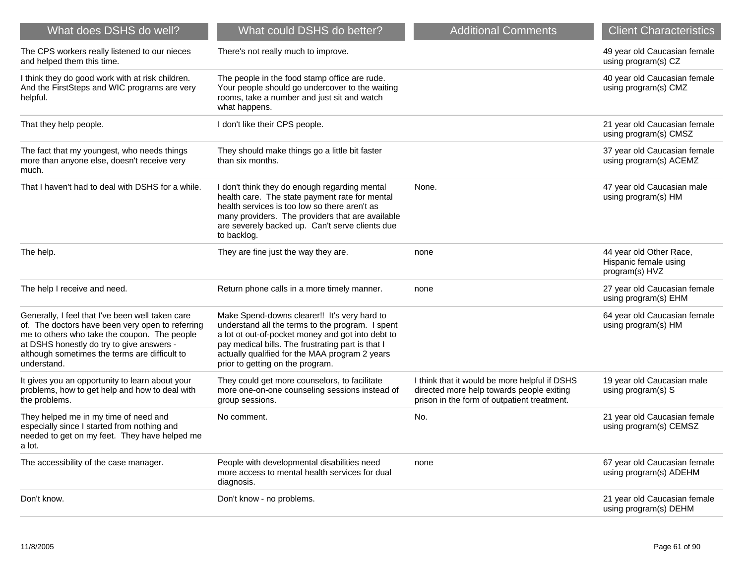| What does DSHS do well?                                                                                                                                                                                                                                           | What could DSHS do better?                                                                                                                                                                                                                                                                       | <b>Additional Comments</b>                                                                                                                | <b>Client Characteristics</b>                                      |
|-------------------------------------------------------------------------------------------------------------------------------------------------------------------------------------------------------------------------------------------------------------------|--------------------------------------------------------------------------------------------------------------------------------------------------------------------------------------------------------------------------------------------------------------------------------------------------|-------------------------------------------------------------------------------------------------------------------------------------------|--------------------------------------------------------------------|
| The CPS workers really listened to our nieces<br>and helped them this time.                                                                                                                                                                                       | There's not really much to improve.                                                                                                                                                                                                                                                              |                                                                                                                                           | 49 year old Caucasian female<br>using program(s) CZ                |
| I think they do good work with at risk children.<br>And the FirstSteps and WIC programs are very<br>helpful.                                                                                                                                                      | The people in the food stamp office are rude.<br>Your people should go undercover to the waiting<br>rooms, take a number and just sit and watch<br>what happens.                                                                                                                                 |                                                                                                                                           | 40 year old Caucasian female<br>using program(s) CMZ               |
| That they help people.                                                                                                                                                                                                                                            | I don't like their CPS people.                                                                                                                                                                                                                                                                   |                                                                                                                                           | 21 year old Caucasian female<br>using program(s) CMSZ              |
| The fact that my youngest, who needs things<br>more than anyone else, doesn't receive very<br>much.                                                                                                                                                               | They should make things go a little bit faster<br>than six months.                                                                                                                                                                                                                               |                                                                                                                                           | 37 year old Caucasian female<br>using program(s) ACEMZ             |
| That I haven't had to deal with DSHS for a while.                                                                                                                                                                                                                 | I don't think they do enough regarding mental<br>health care. The state payment rate for mental<br>health services is too low so there aren't as<br>many providers. The providers that are available<br>are severely backed up. Can't serve clients due<br>to backlog.                           | None.                                                                                                                                     | 47 year old Caucasian male<br>using program(s) HM                  |
| The help.                                                                                                                                                                                                                                                         | They are fine just the way they are.                                                                                                                                                                                                                                                             | none                                                                                                                                      | 44 year old Other Race,<br>Hispanic female using<br>program(s) HVZ |
| The help I receive and need.                                                                                                                                                                                                                                      | Return phone calls in a more timely manner.                                                                                                                                                                                                                                                      | none                                                                                                                                      | 27 year old Caucasian female<br>using program(s) EHM               |
| Generally, I feel that I've been well taken care<br>of. The doctors have been very open to referring<br>me to others who take the coupon. The people<br>at DSHS honestly do try to give answers -<br>although sometimes the terms are difficult to<br>understand. | Make Spend-downs clearer!! It's very hard to<br>understand all the terms to the program. I spent<br>a lot ot out-of-pocket money and got into debt to<br>pay medical bills. The frustrating part is that I<br>actually qualified for the MAA program 2 years<br>prior to getting on the program. |                                                                                                                                           | 64 year old Caucasian female<br>using program(s) HM                |
| It gives you an opportunity to learn about your<br>problems, how to get help and how to deal with<br>the problems.                                                                                                                                                | They could get more counselors, to facilitate<br>more one-on-one counseling sessions instead of<br>group sessions.                                                                                                                                                                               | I think that it would be more helpful if DSHS<br>directed more help towards people exiting<br>prison in the form of outpatient treatment. | 19 year old Caucasian male<br>using program(s) S                   |
| They helped me in my time of need and<br>especially since I started from nothing and<br>needed to get on my feet. They have helped me<br>a lot.                                                                                                                   | No comment.                                                                                                                                                                                                                                                                                      | No.                                                                                                                                       | 21 year old Caucasian female<br>using program(s) CEMSZ             |
| The accessibility of the case manager.                                                                                                                                                                                                                            | People with developmental disabilities need<br>more access to mental health services for dual<br>diagnosis.                                                                                                                                                                                      | none                                                                                                                                      | 67 year old Caucasian female<br>using program(s) ADEHM             |
| Don't know.                                                                                                                                                                                                                                                       | Don't know - no problems.                                                                                                                                                                                                                                                                        |                                                                                                                                           | 21 year old Caucasian female<br>using program(s) DEHM              |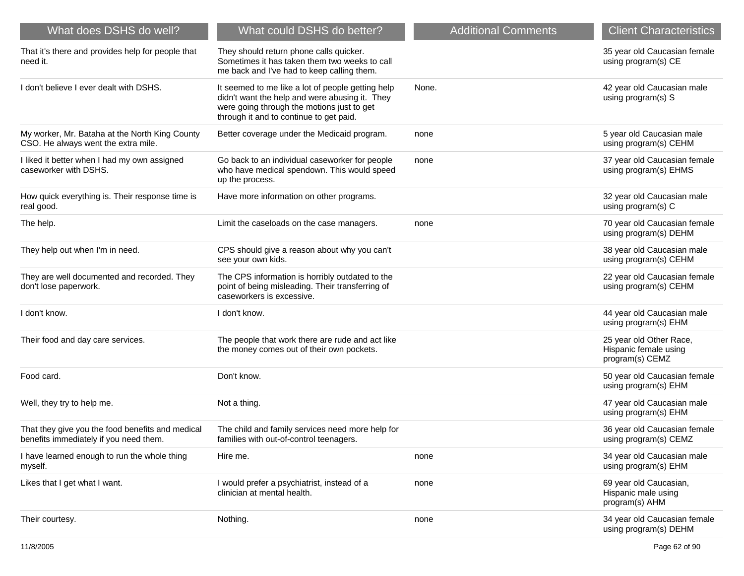| What does DSHS do well?                                                                    | What could DSHS do better?                                                                                                                                                                   | <b>Additional Comments</b> | <b>Client Characteristics</b>                                       |
|--------------------------------------------------------------------------------------------|----------------------------------------------------------------------------------------------------------------------------------------------------------------------------------------------|----------------------------|---------------------------------------------------------------------|
| That it's there and provides help for people that<br>need it.                              | They should return phone calls quicker.<br>Sometimes it has taken them two weeks to call<br>me back and I've had to keep calling them.                                                       |                            | 35 year old Caucasian female<br>using program(s) CE                 |
| I don't believe I ever dealt with DSHS.                                                    | It seemed to me like a lot of people getting help<br>didn't want the help and were abusing it. They<br>were going through the motions just to get<br>through it and to continue to get paid. | None.                      | 42 year old Caucasian male<br>using program(s) S                    |
| My worker, Mr. Bataha at the North King County<br>CSO. He always went the extra mile.      | Better coverage under the Medicaid program.                                                                                                                                                  | none                       | 5 year old Caucasian male<br>using program(s) CEHM                  |
| I liked it better when I had my own assigned<br>caseworker with DSHS.                      | Go back to an individual caseworker for people<br>who have medical spendown. This would speed<br>up the process.                                                                             | none                       | 37 year old Caucasian female<br>using program(s) EHMS               |
| How quick everything is. Their response time is<br>real good.                              | Have more information on other programs.                                                                                                                                                     |                            | 32 year old Caucasian male<br>using program(s) C                    |
| The help.                                                                                  | Limit the caseloads on the case managers.                                                                                                                                                    | none                       | 70 year old Caucasian female<br>using program(s) DEHM               |
| They help out when I'm in need.                                                            | CPS should give a reason about why you can't<br>see your own kids.                                                                                                                           |                            | 38 year old Caucasian male<br>using program(s) CEHM                 |
| They are well documented and recorded. They<br>don't lose paperwork.                       | The CPS information is horribly outdated to the<br>point of being misleading. Their transferring of<br>caseworkers is excessive.                                                             |                            | 22 year old Caucasian female<br>using program(s) CEHM               |
| I don't know.                                                                              | I don't know.                                                                                                                                                                                |                            | 44 year old Caucasian male<br>using program(s) EHM                  |
| Their food and day care services.                                                          | The people that work there are rude and act like<br>the money comes out of their own pockets.                                                                                                |                            | 25 year old Other Race,<br>Hispanic female using<br>program(s) CEMZ |
| Food card.                                                                                 | Don't know.                                                                                                                                                                                  |                            | 50 year old Caucasian female<br>using program(s) EHM                |
| Well, they try to help me.                                                                 | Not a thing.                                                                                                                                                                                 |                            | 47 year old Caucasian male<br>using program(s) EHM                  |
| That they give you the food benefits and medical<br>benefits immediately if you need them. | The child and family services need more help for<br>families with out-of-control teenagers.                                                                                                  |                            | 36 year old Caucasian female<br>using program(s) CEMZ               |
| I have learned enough to run the whole thing<br>myself.                                    | Hire me.                                                                                                                                                                                     | none                       | 34 year old Caucasian male<br>using program(s) EHM                  |
| Likes that I get what I want.                                                              | I would prefer a psychiatrist, instead of a<br>clinician at mental health.                                                                                                                   | none                       | 69 year old Caucasian,<br>Hispanic male using<br>program(s) AHM     |
| Their courtesy.                                                                            | Nothing.                                                                                                                                                                                     | none                       | 34 year old Caucasian female<br>using program(s) DEHM               |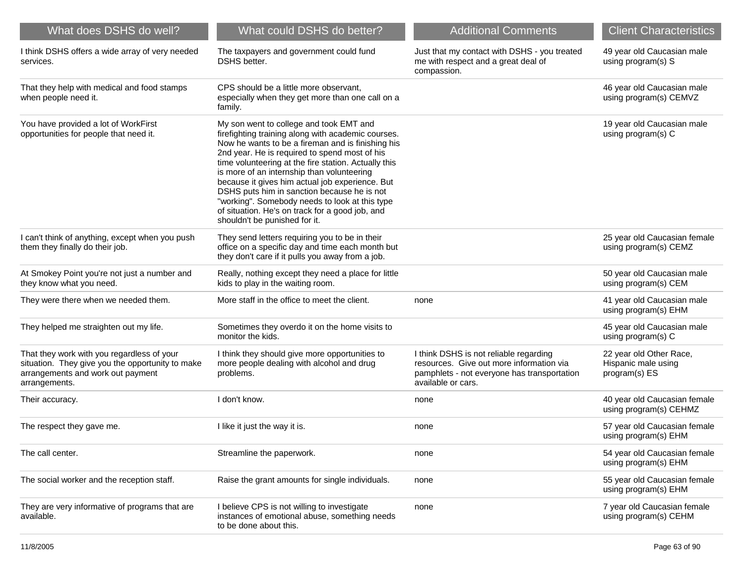| What does DSHS do well?                                                                                                                              | What could DSHS do better?                                                                                                                                                                                                                                                                                                                                                                                                                                                                                                                        | <b>Additional Comments</b>                                                                                                                              | <b>Client Characteristics</b>                                   |
|------------------------------------------------------------------------------------------------------------------------------------------------------|---------------------------------------------------------------------------------------------------------------------------------------------------------------------------------------------------------------------------------------------------------------------------------------------------------------------------------------------------------------------------------------------------------------------------------------------------------------------------------------------------------------------------------------------------|---------------------------------------------------------------------------------------------------------------------------------------------------------|-----------------------------------------------------------------|
| I think DSHS offers a wide array of very needed<br>services.                                                                                         | The taxpayers and government could fund<br>DSHS better.                                                                                                                                                                                                                                                                                                                                                                                                                                                                                           | Just that my contact with DSHS - you treated<br>me with respect and a great deal of<br>compassion.                                                      | 49 year old Caucasian male<br>using program(s) S                |
| That they help with medical and food stamps<br>when people need it.                                                                                  | CPS should be a little more observant,<br>especially when they get more than one call on a<br>family.                                                                                                                                                                                                                                                                                                                                                                                                                                             |                                                                                                                                                         | 46 year old Caucasian male<br>using program(s) CEMVZ            |
| You have provided a lot of WorkFirst<br>opportunities for people that need it.                                                                       | My son went to college and took EMT and<br>firefighting training along with academic courses.<br>Now he wants to be a fireman and is finishing his<br>2nd year. He is required to spend most of his<br>time volunteering at the fire station. Actually this<br>is more of an internship than volunteering<br>because it gives him actual job experience. But<br>DSHS puts him in sanction because he is not<br>"working". Somebody needs to look at this type<br>of situation. He's on track for a good job, and<br>shouldn't be punished for it. |                                                                                                                                                         | 19 year old Caucasian male<br>using program(s) C                |
| I can't think of anything, except when you push<br>them they finally do their job.                                                                   | They send letters requiring you to be in their<br>office on a specific day and time each month but<br>they don't care if it pulls you away from a job.                                                                                                                                                                                                                                                                                                                                                                                            |                                                                                                                                                         | 25 year old Caucasian female<br>using program(s) CEMZ           |
| At Smokey Point you're not just a number and<br>they know what you need.                                                                             | Really, nothing except they need a place for little<br>kids to play in the waiting room.                                                                                                                                                                                                                                                                                                                                                                                                                                                          |                                                                                                                                                         | 50 year old Caucasian male<br>using program(s) CEM              |
| They were there when we needed them.                                                                                                                 | More staff in the office to meet the client.                                                                                                                                                                                                                                                                                                                                                                                                                                                                                                      | none                                                                                                                                                    | 41 year old Caucasian male<br>using program(s) EHM              |
| They helped me straighten out my life.                                                                                                               | Sometimes they overdo it on the home visits to<br>monitor the kids.                                                                                                                                                                                                                                                                                                                                                                                                                                                                               |                                                                                                                                                         | 45 year old Caucasian male<br>using program(s) C                |
| That they work with you regardless of your<br>situation. They give you the opportunity to make<br>arrangements and work out payment<br>arrangements. | I think they should give more opportunities to<br>more people dealing with alcohol and drug<br>problems.                                                                                                                                                                                                                                                                                                                                                                                                                                          | I think DSHS is not reliable regarding<br>resources. Give out more information via<br>pamphlets - not everyone has transportation<br>available or cars. | 22 year old Other Race,<br>Hispanic male using<br>program(s) ES |
| Their accuracy.                                                                                                                                      | I don't know.                                                                                                                                                                                                                                                                                                                                                                                                                                                                                                                                     | none                                                                                                                                                    | 40 year old Caucasian female<br>using program(s) CEHMZ          |
| The respect they gave me.                                                                                                                            | I like it just the way it is.                                                                                                                                                                                                                                                                                                                                                                                                                                                                                                                     | none                                                                                                                                                    | 57 year old Caucasian female<br>using program(s) EHM            |
| The call center.                                                                                                                                     | Streamline the paperwork.                                                                                                                                                                                                                                                                                                                                                                                                                                                                                                                         | none                                                                                                                                                    | 54 year old Caucasian female<br>using program(s) EHM            |
| The social worker and the reception staff.                                                                                                           | Raise the grant amounts for single individuals.                                                                                                                                                                                                                                                                                                                                                                                                                                                                                                   | none                                                                                                                                                    | 55 year old Caucasian female<br>using program(s) EHM            |
| They are very informative of programs that are<br>available.                                                                                         | I believe CPS is not willing to investigate<br>instances of emotional abuse, something needs<br>to be done about this.                                                                                                                                                                                                                                                                                                                                                                                                                            | none                                                                                                                                                    | 7 year old Caucasian female<br>using program(s) CEHM            |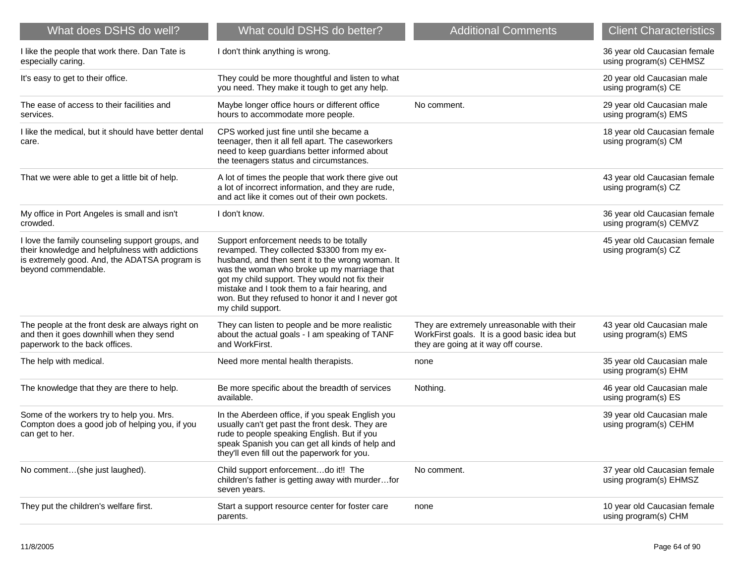| What does DSHS do well?                                                                                                                                                     | What could DSHS do better?                                                                                                                                                                                                                                                                                                                                              | <b>Additional Comments</b>                                                                                                         | <b>Client Characteristics</b>                           |
|-----------------------------------------------------------------------------------------------------------------------------------------------------------------------------|-------------------------------------------------------------------------------------------------------------------------------------------------------------------------------------------------------------------------------------------------------------------------------------------------------------------------------------------------------------------------|------------------------------------------------------------------------------------------------------------------------------------|---------------------------------------------------------|
| I like the people that work there. Dan Tate is<br>especially caring.                                                                                                        | I don't think anything is wrong.                                                                                                                                                                                                                                                                                                                                        |                                                                                                                                    | 36 year old Caucasian female<br>using program(s) CEHMSZ |
| It's easy to get to their office.                                                                                                                                           | They could be more thoughtful and listen to what<br>you need. They make it tough to get any help.                                                                                                                                                                                                                                                                       |                                                                                                                                    | 20 year old Caucasian male<br>using program(s) CE       |
| The ease of access to their facilities and<br>services.                                                                                                                     | Maybe longer office hours or different office<br>hours to accommodate more people.                                                                                                                                                                                                                                                                                      | No comment.                                                                                                                        | 29 year old Caucasian male<br>using program(s) EMS      |
| I like the medical, but it should have better dental<br>care.                                                                                                               | CPS worked just fine until she became a<br>teenager, then it all fell apart. The caseworkers<br>need to keep guardians better informed about<br>the teenagers status and circumstances.                                                                                                                                                                                 |                                                                                                                                    | 18 year old Caucasian female<br>using program(s) CM     |
| That we were able to get a little bit of help.                                                                                                                              | A lot of times the people that work there give out<br>a lot of incorrect information, and they are rude,<br>and act like it comes out of their own pockets.                                                                                                                                                                                                             |                                                                                                                                    | 43 year old Caucasian female<br>using program(s) CZ     |
| My office in Port Angeles is small and isn't<br>crowded.                                                                                                                    | I don't know.                                                                                                                                                                                                                                                                                                                                                           |                                                                                                                                    | 36 year old Caucasian female<br>using program(s) CEMVZ  |
| I love the family counseling support groups, and<br>their knowledge and helpfulness with addictions<br>is extremely good. And, the ADATSA program is<br>beyond commendable. | Support enforcement needs to be totally<br>revamped. They collected \$3300 from my ex-<br>husband, and then sent it to the wrong woman. It<br>was the woman who broke up my marriage that<br>got my child support. They would not fix their<br>mistake and I took them to a fair hearing, and<br>won. But they refused to honor it and I never got<br>my child support. |                                                                                                                                    | 45 year old Caucasian female<br>using program(s) CZ     |
| The people at the front desk are always right on<br>and then it goes downhill when they send<br>paperwork to the back offices.                                              | They can listen to people and be more realistic<br>about the actual goals - I am speaking of TANF<br>and WorkFirst.                                                                                                                                                                                                                                                     | They are extremely unreasonable with their<br>WorkFirst goals. It is a good basic idea but<br>they are going at it way off course. | 43 year old Caucasian male<br>using program(s) EMS      |
| The help with medical.                                                                                                                                                      | Need more mental health therapists.                                                                                                                                                                                                                                                                                                                                     | none                                                                                                                               | 35 year old Caucasian male<br>using program(s) EHM      |
| The knowledge that they are there to help.                                                                                                                                  | Be more specific about the breadth of services<br>available.                                                                                                                                                                                                                                                                                                            | Nothing.                                                                                                                           | 46 year old Caucasian male<br>using program(s) ES       |
| Some of the workers try to help you. Mrs.<br>Compton does a good job of helping you, if you<br>can get to her.                                                              | In the Aberdeen office, if you speak English you<br>usually can't get past the front desk. They are<br>rude to people speaking English. But if you<br>speak Spanish you can get all kinds of help and<br>they'll even fill out the paperwork for you.                                                                                                                   |                                                                                                                                    | 39 year old Caucasian male<br>using program(s) CEHM     |
| No comment(she just laughed).                                                                                                                                               | Child support enforcementdo it!! The<br>children's father is getting away with murderfor<br>seven years.                                                                                                                                                                                                                                                                | No comment.                                                                                                                        | 37 year old Caucasian female<br>using program(s) EHMSZ  |
| They put the children's welfare first.                                                                                                                                      | Start a support resource center for foster care<br>parents.                                                                                                                                                                                                                                                                                                             | none                                                                                                                               | 10 year old Caucasian female<br>using program(s) CHM    |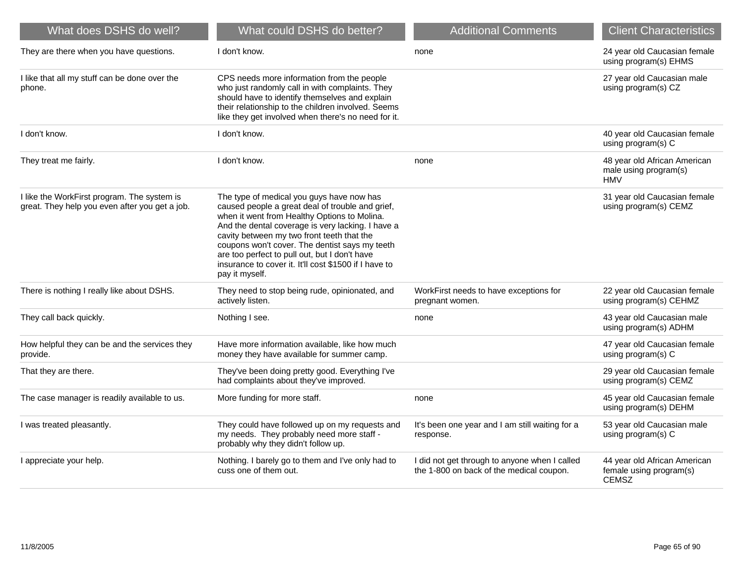| What does DSHS do well?                                                                       | What could DSHS do better?                                                                                                                                                                                                                                                                                                                                                                                                     | <b>Additional Comments</b>                                                                | <b>Client Characteristics</b>                                           |
|-----------------------------------------------------------------------------------------------|--------------------------------------------------------------------------------------------------------------------------------------------------------------------------------------------------------------------------------------------------------------------------------------------------------------------------------------------------------------------------------------------------------------------------------|-------------------------------------------------------------------------------------------|-------------------------------------------------------------------------|
| They are there when you have questions.                                                       | I don't know.                                                                                                                                                                                                                                                                                                                                                                                                                  | none                                                                                      | 24 year old Caucasian female<br>using program(s) EHMS                   |
| I like that all my stuff can be done over the<br>phone.                                       | CPS needs more information from the people<br>who just randomly call in with complaints. They<br>should have to identify themselves and explain<br>their relationship to the children involved. Seems<br>like they get involved when there's no need for it.                                                                                                                                                                   |                                                                                           | 27 year old Caucasian male<br>using program(s) CZ                       |
| I don't know.                                                                                 | I don't know.                                                                                                                                                                                                                                                                                                                                                                                                                  |                                                                                           | 40 year old Caucasian female<br>using program(s) C                      |
| They treat me fairly.                                                                         | I don't know.                                                                                                                                                                                                                                                                                                                                                                                                                  | none                                                                                      | 48 year old African American<br>male using program(s)<br><b>HMV</b>     |
| I like the WorkFirst program. The system is<br>great. They help you even after you get a job. | The type of medical you guys have now has<br>caused people a great deal of trouble and grief,<br>when it went from Healthy Options to Molina.<br>And the dental coverage is very lacking. I have a<br>cavity between my two front teeth that the<br>coupons won't cover. The dentist says my teeth<br>are too perfect to pull out, but I don't have<br>insurance to cover it. It'll cost \$1500 if I have to<br>pay it myself. |                                                                                           | 31 year old Caucasian female<br>using program(s) CEMZ                   |
| There is nothing I really like about DSHS.                                                    | They need to stop being rude, opinionated, and<br>actively listen.                                                                                                                                                                                                                                                                                                                                                             | WorkFirst needs to have exceptions for<br>pregnant women.                                 | 22 year old Caucasian female<br>using program(s) CEHMZ                  |
| They call back quickly.                                                                       | Nothing I see.                                                                                                                                                                                                                                                                                                                                                                                                                 | none                                                                                      | 43 year old Caucasian male<br>using program(s) ADHM                     |
| How helpful they can be and the services they<br>provide.                                     | Have more information available, like how much<br>money they have available for summer camp.                                                                                                                                                                                                                                                                                                                                   |                                                                                           | 47 year old Caucasian female<br>using program(s) C                      |
| That they are there.                                                                          | They've been doing pretty good. Everything I've<br>had complaints about they've improved.                                                                                                                                                                                                                                                                                                                                      |                                                                                           | 29 year old Caucasian female<br>using program(s) CEMZ                   |
| The case manager is readily available to us.                                                  | More funding for more staff.                                                                                                                                                                                                                                                                                                                                                                                                   | none                                                                                      | 45 year old Caucasian female<br>using program(s) DEHM                   |
| I was treated pleasantly.                                                                     | They could have followed up on my requests and<br>my needs. They probably need more staff -<br>probably why they didn't follow up.                                                                                                                                                                                                                                                                                             | It's been one year and I am still waiting for a<br>response.                              | 53 year old Caucasian male<br>using program(s) C                        |
| I appreciate your help.                                                                       | Nothing. I barely go to them and I've only had to<br>cuss one of them out.                                                                                                                                                                                                                                                                                                                                                     | I did not get through to anyone when I called<br>the 1-800 on back of the medical coupon. | 44 year old African American<br>female using program(s)<br><b>CEMSZ</b> |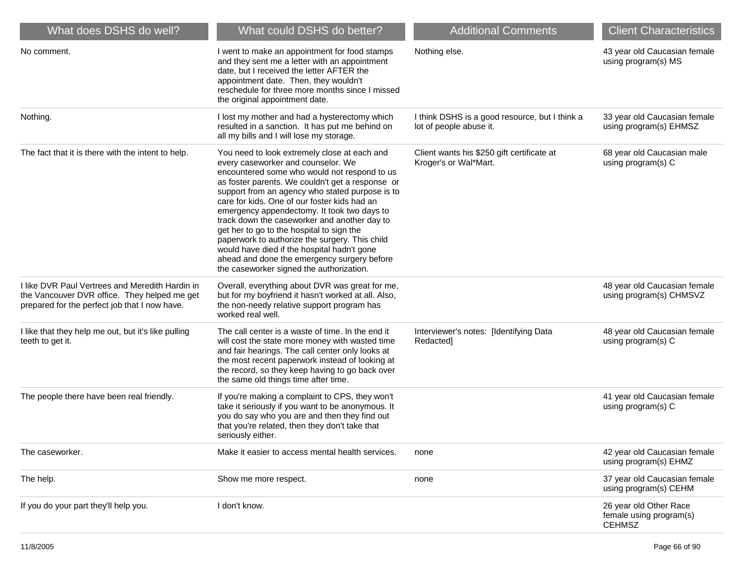| What does DSHS do well?                                                                                                                          | What could DSHS do better?                                                                                                                                                                                                                                                                                                                                                                                                                                                                                                                                                                                                        | <b>Additional Comments</b>                                                | <b>Client Characteristics</b>                                      |
|--------------------------------------------------------------------------------------------------------------------------------------------------|-----------------------------------------------------------------------------------------------------------------------------------------------------------------------------------------------------------------------------------------------------------------------------------------------------------------------------------------------------------------------------------------------------------------------------------------------------------------------------------------------------------------------------------------------------------------------------------------------------------------------------------|---------------------------------------------------------------------------|--------------------------------------------------------------------|
| No comment.                                                                                                                                      | I went to make an appointment for food stamps<br>and they sent me a letter with an appointment<br>date, but I received the letter AFTER the<br>appointment date. Then, they wouldn't<br>reschedule for three more months since I missed<br>the original appointment date.                                                                                                                                                                                                                                                                                                                                                         | Nothing else.                                                             | 43 year old Caucasian female<br>using program(s) MS                |
| Nothing.                                                                                                                                         | I lost my mother and had a hysterectomy which<br>resulted in a sanction. It has put me behind on<br>all my bills and I will lose my storage.                                                                                                                                                                                                                                                                                                                                                                                                                                                                                      | I think DSHS is a good resource, but I think a<br>lot of people abuse it. | 33 year old Caucasian female<br>using program(s) EHMSZ             |
| The fact that it is there with the intent to help.                                                                                               | You need to look extremely close at each and<br>every caseworker and counselor. We<br>encountered some who would not respond to us<br>as foster parents. We couldn't get a response or<br>support from an agency who stated purpose is to<br>care for kids. One of our foster kids had an<br>emergency appendectomy. It took two days to<br>track down the caseworker and another day to<br>get her to go to the hospital to sign the<br>paperwork to authorize the surgery. This child<br>would have died if the hospital hadn't gone<br>ahead and done the emergency surgery before<br>the caseworker signed the authorization. | Client wants his \$250 gift certificate at<br>Kroger's or Wal*Mart.       | 68 year old Caucasian male<br>using program(s) C                   |
| I like DVR Paul Vertrees and Meredith Hardin in<br>the Vancouver DVR office. They helped me get<br>prepared for the perfect job that I now have. | Overall, everything about DVR was great for me,<br>but for my boyfriend it hasn't worked at all. Also,<br>the non-needy relative support program has<br>worked real well.                                                                                                                                                                                                                                                                                                                                                                                                                                                         |                                                                           | 48 year old Caucasian female<br>using program(s) CHMSVZ            |
| I like that they help me out, but it's like pulling<br>teeth to get it.                                                                          | The call center is a waste of time. In the end it<br>will cost the state more money with wasted time<br>and fair hearings. The call center only looks at<br>the most recent paperwork instead of looking at<br>the record, so they keep having to go back over<br>the same old things time after time.                                                                                                                                                                                                                                                                                                                            | Interviewer's notes: [Identifying Data<br>Redacted]                       | 48 year old Caucasian female<br>using program(s) C                 |
| The people there have been real friendly.                                                                                                        | If you're making a complaint to CPS, they won't<br>take it seriously if you want to be anonymous. It<br>you do say who you are and then they find out<br>that you're related, then they don't take that<br>seriously either.                                                                                                                                                                                                                                                                                                                                                                                                      |                                                                           | 41 year old Caucasian female<br>using program(s) C                 |
| The caseworker.                                                                                                                                  | Make it easier to access mental health services.                                                                                                                                                                                                                                                                                                                                                                                                                                                                                                                                                                                  | none                                                                      | 42 year old Caucasian female<br>using program(s) EHMZ              |
| The help.                                                                                                                                        | Show me more respect.                                                                                                                                                                                                                                                                                                                                                                                                                                                                                                                                                                                                             | none                                                                      | 37 year old Caucasian female<br>using program(s) CEHM              |
| If you do your part they'll help you.                                                                                                            | I don't know.                                                                                                                                                                                                                                                                                                                                                                                                                                                                                                                                                                                                                     |                                                                           | 26 year old Other Race<br>female using program(s)<br><b>CEHMSZ</b> |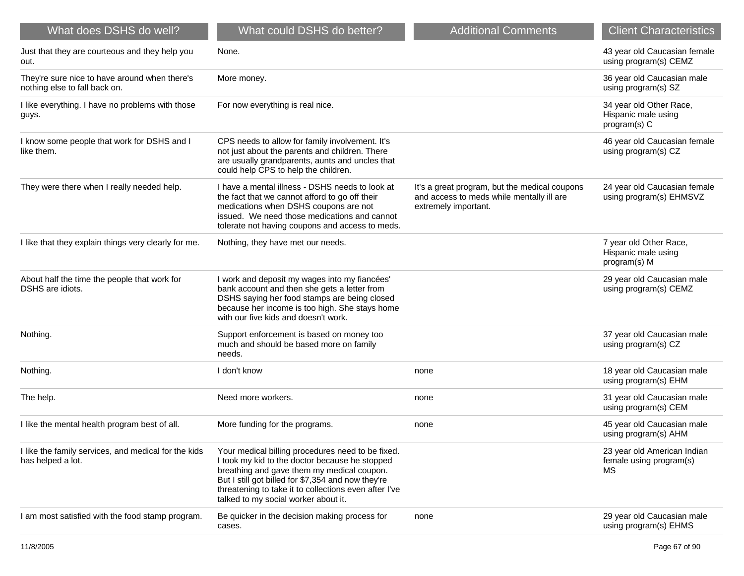| What does DSHS do well?                                                        | What could DSHS do better?                                                                                                                                                                                                                                                                               | <b>Additional Comments</b>                                                                                         | <b>Client Characteristics</b>                                       |
|--------------------------------------------------------------------------------|----------------------------------------------------------------------------------------------------------------------------------------------------------------------------------------------------------------------------------------------------------------------------------------------------------|--------------------------------------------------------------------------------------------------------------------|---------------------------------------------------------------------|
| Just that they are courteous and they help you<br>out.                         | None.                                                                                                                                                                                                                                                                                                    |                                                                                                                    | 43 year old Caucasian female<br>using program(s) CEMZ               |
| They're sure nice to have around when there's<br>nothing else to fall back on. | More money.                                                                                                                                                                                                                                                                                              |                                                                                                                    | 36 year old Caucasian male<br>using program(s) SZ                   |
| I like everything. I have no problems with those<br>guys.                      | For now everything is real nice.                                                                                                                                                                                                                                                                         |                                                                                                                    | 34 year old Other Race,<br>Hispanic male using<br>program(s) C      |
| I know some people that work for DSHS and I<br>like them.                      | CPS needs to allow for family involvement. It's<br>not just about the parents and children. There<br>are usually grandparents, aunts and uncles that<br>could help CPS to help the children.                                                                                                             |                                                                                                                    | 46 year old Caucasian female<br>using program(s) CZ                 |
| They were there when I really needed help.                                     | I have a mental illness - DSHS needs to look at<br>the fact that we cannot afford to go off their<br>medications when DSHS coupons are not<br>issued. We need those medications and cannot<br>tolerate not having coupons and access to meds.                                                            | It's a great program, but the medical coupons<br>and access to meds while mentally ill are<br>extremely important. | 24 year old Caucasian female<br>using program(s) EHMSVZ             |
| I like that they explain things very clearly for me.                           | Nothing, they have met our needs.                                                                                                                                                                                                                                                                        |                                                                                                                    | 7 year old Other Race,<br>Hispanic male using<br>program(s) M       |
| About half the time the people that work for<br>DSHS are idiots.               | I work and deposit my wages into my fiancées'<br>bank account and then she gets a letter from<br>DSHS saying her food stamps are being closed<br>because her income is too high. She stays home<br>with our five kids and doesn't work.                                                                  |                                                                                                                    | 29 year old Caucasian male<br>using program(s) CEMZ                 |
| Nothing.                                                                       | Support enforcement is based on money too<br>much and should be based more on family<br>needs.                                                                                                                                                                                                           |                                                                                                                    | 37 year old Caucasian male<br>using program(s) CZ                   |
| Nothing.                                                                       | I don't know                                                                                                                                                                                                                                                                                             | none                                                                                                               | 18 year old Caucasian male<br>using program(s) EHM                  |
| The help.                                                                      | Need more workers.                                                                                                                                                                                                                                                                                       | none                                                                                                               | 31 year old Caucasian male<br>using program(s) CEM                  |
| I like the mental health program best of all.                                  | More funding for the programs.                                                                                                                                                                                                                                                                           | none                                                                                                               | 45 year old Caucasian male<br>using program(s) AHM                  |
| I like the family services, and medical for the kids<br>has helped a lot.      | Your medical billing procedures need to be fixed.<br>I took my kid to the doctor because he stopped<br>breathing and gave them my medical coupon.<br>But I still got billed for \$7,354 and now they're<br>threatening to take it to collections even after I've<br>talked to my social worker about it. |                                                                                                                    | 23 year old American Indian<br>female using program(s)<br><b>MS</b> |
| I am most satisfied with the food stamp program.                               | Be quicker in the decision making process for<br>cases.                                                                                                                                                                                                                                                  | none                                                                                                               | 29 year old Caucasian male<br>using program(s) EHMS                 |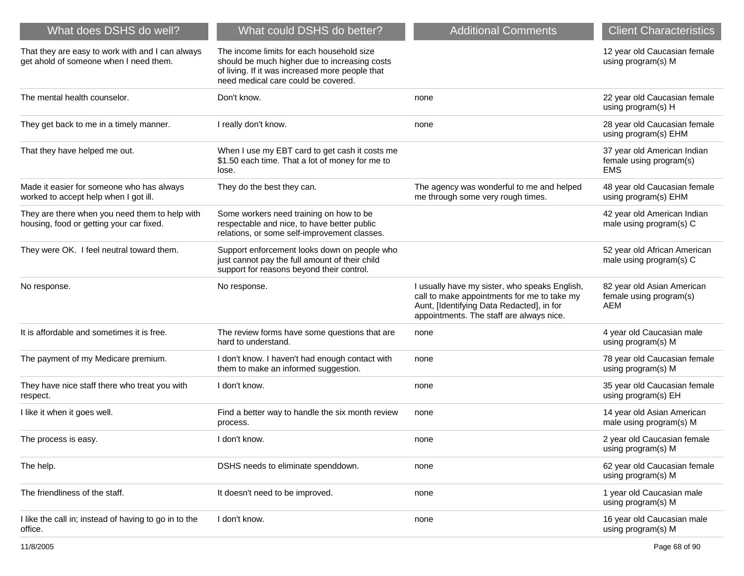| What does DSHS do well?                                                                    | What could DSHS do better?                                                                                                                                                           | <b>Additional Comments</b>                                                                                                                                                            | <b>Client Characteristics</b>                                        |
|--------------------------------------------------------------------------------------------|--------------------------------------------------------------------------------------------------------------------------------------------------------------------------------------|---------------------------------------------------------------------------------------------------------------------------------------------------------------------------------------|----------------------------------------------------------------------|
| That they are easy to work with and I can always<br>get ahold of someone when I need them. | The income limits for each household size<br>should be much higher due to increasing costs<br>of living. If it was increased more people that<br>need medical care could be covered. |                                                                                                                                                                                       | 12 year old Caucasian female<br>using program(s) M                   |
| The mental health counselor.                                                               | Don't know.                                                                                                                                                                          | none                                                                                                                                                                                  | 22 year old Caucasian female<br>using program(s) H                   |
| They get back to me in a timely manner.                                                    | I really don't know.                                                                                                                                                                 | none                                                                                                                                                                                  | 28 year old Caucasian female<br>using program(s) EHM                 |
| That they have helped me out.                                                              | When I use my EBT card to get cash it costs me<br>\$1.50 each time. That a lot of money for me to<br>lose.                                                                           |                                                                                                                                                                                       | 37 year old American Indian<br>female using program(s)<br><b>EMS</b> |
| Made it easier for someone who has always<br>worked to accept help when I got ill.         | They do the best they can.                                                                                                                                                           | The agency was wonderful to me and helped<br>me through some very rough times.                                                                                                        | 48 year old Caucasian female<br>using program(s) EHM                 |
| They are there when you need them to help with<br>housing, food or getting your car fixed. | Some workers need training on how to be<br>respectable and nice, to have better public<br>relations, or some self-improvement classes.                                               |                                                                                                                                                                                       | 42 year old American Indian<br>male using program(s) C               |
| They were OK. I feel neutral toward them.                                                  | Support enforcement looks down on people who<br>just cannot pay the full amount of their child<br>support for reasons beyond their control.                                          |                                                                                                                                                                                       | 52 year old African American<br>male using program(s) C              |
| No response.                                                                               | No response.                                                                                                                                                                         | I usually have my sister, who speaks English,<br>call to make appointments for me to take my<br>Aunt, [Identifying Data Redacted], in for<br>appointments. The staff are always nice. | 82 year old Asian American<br>female using program(s)<br><b>AEM</b>  |
| It is affordable and sometimes it is free.                                                 | The review forms have some questions that are<br>hard to understand.                                                                                                                 | none                                                                                                                                                                                  | 4 year old Caucasian male<br>using program(s) M                      |
| The payment of my Medicare premium.                                                        | I don't know. I haven't had enough contact with<br>them to make an informed suggestion.                                                                                              | none                                                                                                                                                                                  | 78 year old Caucasian female<br>using program(s) M                   |
| They have nice staff there who treat you with<br>respect.                                  | I don't know.                                                                                                                                                                        | none                                                                                                                                                                                  | 35 year old Caucasian female<br>using program(s) EH                  |
| I like it when it goes well.                                                               | Find a better way to handle the six month review<br>process.                                                                                                                         | none                                                                                                                                                                                  | 14 year old Asian American<br>male using program(s) M                |
| The process is easy.                                                                       | I don't know.                                                                                                                                                                        | none                                                                                                                                                                                  | 2 year old Caucasian female<br>using program(s) M                    |
| The help.                                                                                  | DSHS needs to eliminate spenddown.                                                                                                                                                   | none                                                                                                                                                                                  | 62 year old Caucasian female<br>using program(s) M                   |
| The friendliness of the staff.                                                             | It doesn't need to be improved.                                                                                                                                                      | none                                                                                                                                                                                  | 1 year old Caucasian male<br>using program(s) M                      |
| I like the call in; instead of having to go in to the<br>office.                           | I don't know.                                                                                                                                                                        | none                                                                                                                                                                                  | 16 year old Caucasian male<br>using program(s) M                     |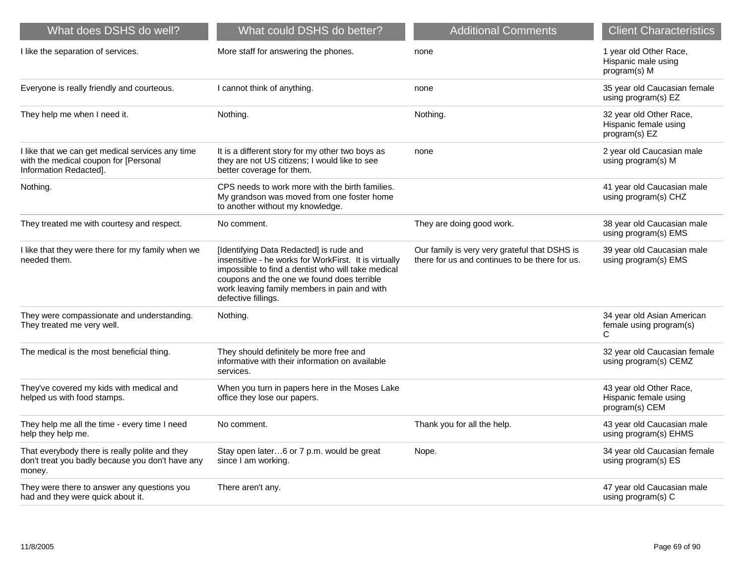| What does DSHS do well?                                                                                             | What could DSHS do better?                                                                                                                                                                                                                                                  | <b>Additional Comments</b>                                                                      | <b>Client Characteristics</b>                                      |
|---------------------------------------------------------------------------------------------------------------------|-----------------------------------------------------------------------------------------------------------------------------------------------------------------------------------------------------------------------------------------------------------------------------|-------------------------------------------------------------------------------------------------|--------------------------------------------------------------------|
| I like the separation of services.                                                                                  | More staff for answering the phones.                                                                                                                                                                                                                                        | none                                                                                            | 1 year old Other Race,<br>Hispanic male using<br>program(s) M      |
| Everyone is really friendly and courteous.                                                                          | I cannot think of anything.                                                                                                                                                                                                                                                 | none                                                                                            | 35 year old Caucasian female<br>using program(s) EZ                |
| They help me when I need it.                                                                                        | Nothing.                                                                                                                                                                                                                                                                    | Nothing.                                                                                        | 32 year old Other Race,<br>Hispanic female using<br>program(s) EZ  |
| I like that we can get medical services any time<br>with the medical coupon for [Personal<br>Information Redacted]. | It is a different story for my other two boys as<br>they are not US citizens; I would like to see<br>better coverage for them.                                                                                                                                              | none                                                                                            | 2 year old Caucasian male<br>using program(s) M                    |
| Nothing.                                                                                                            | CPS needs to work more with the birth families.<br>My grandson was moved from one foster home<br>to another without my knowledge.                                                                                                                                           |                                                                                                 | 41 year old Caucasian male<br>using program(s) CHZ                 |
| They treated me with courtesy and respect.                                                                          | No comment.                                                                                                                                                                                                                                                                 | They are doing good work.                                                                       | 38 year old Caucasian male<br>using program(s) EMS                 |
| I like that they were there for my family when we<br>needed them.                                                   | [Identifying Data Redacted] is rude and<br>insensitive - he works for WorkFirst. It is virtually<br>impossible to find a dentist who will take medical<br>coupons and the one we found does terrible<br>work leaving family members in pain and with<br>defective fillings. | Our family is very very grateful that DSHS is<br>there for us and continues to be there for us. | 39 year old Caucasian male<br>using program(s) EMS                 |
| They were compassionate and understanding.<br>They treated me very well.                                            | Nothing.                                                                                                                                                                                                                                                                    |                                                                                                 | 34 year old Asian American<br>female using program(s)<br>C         |
| The medical is the most beneficial thing.                                                                           | They should definitely be more free and<br>informative with their information on available<br>services.                                                                                                                                                                     |                                                                                                 | 32 year old Caucasian female<br>using program(s) CEMZ              |
| They've covered my kids with medical and<br>helped us with food stamps.                                             | When you turn in papers here in the Moses Lake<br>office they lose our papers.                                                                                                                                                                                              |                                                                                                 | 43 year old Other Race,<br>Hispanic female using<br>program(s) CEM |
| They help me all the time - every time I need<br>help they help me.                                                 | No comment.                                                                                                                                                                                                                                                                 | Thank you for all the help.                                                                     | 43 year old Caucasian male<br>using program(s) EHMS                |
| That everybody there is really polite and they<br>don't treat you badly because you don't have any<br>money.        | Stay open later6 or 7 p.m. would be great<br>since I am working.                                                                                                                                                                                                            | Nope.                                                                                           | 34 year old Caucasian female<br>using program(s) ES                |
| They were there to answer any questions you<br>had and they were quick about it.                                    | There aren't any.                                                                                                                                                                                                                                                           |                                                                                                 | 47 year old Caucasian male<br>using program(s) C                   |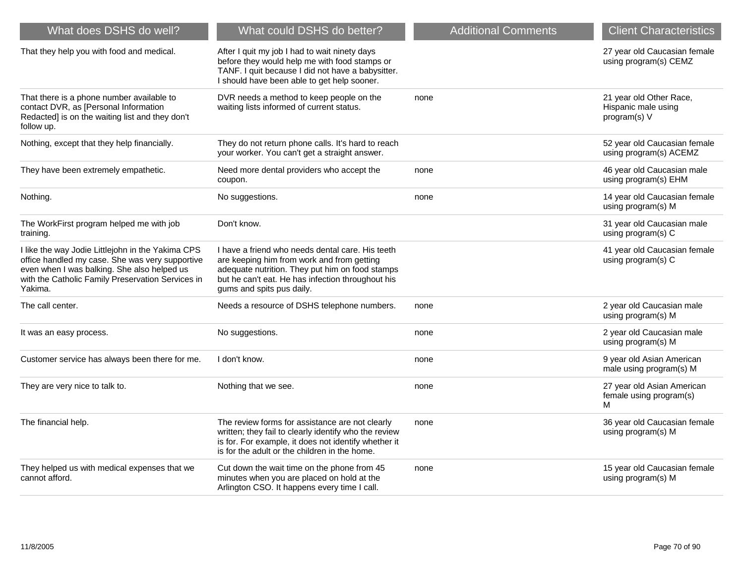| What does DSHS do well?                                                                                                                                                                                             | What could DSHS do better?                                                                                                                                                                                                          | <b>Additional Comments</b> | <b>Client Characteristics</b>                                  |
|---------------------------------------------------------------------------------------------------------------------------------------------------------------------------------------------------------------------|-------------------------------------------------------------------------------------------------------------------------------------------------------------------------------------------------------------------------------------|----------------------------|----------------------------------------------------------------|
| That they help you with food and medical.                                                                                                                                                                           | After I quit my job I had to wait ninety days<br>before they would help me with food stamps or<br>TANF. I quit because I did not have a babysitter.<br>I should have been able to get help sooner.                                  |                            | 27 year old Caucasian female<br>using program(s) CEMZ          |
| That there is a phone number available to<br>contact DVR, as [Personal Information<br>Redacted] is on the waiting list and they don't<br>follow up.                                                                 | DVR needs a method to keep people on the<br>waiting lists informed of current status.                                                                                                                                               | none                       | 21 year old Other Race,<br>Hispanic male using<br>program(s) V |
| Nothing, except that they help financially.                                                                                                                                                                         | They do not return phone calls. It's hard to reach<br>your worker. You can't get a straight answer.                                                                                                                                 |                            | 52 year old Caucasian female<br>using program(s) ACEMZ         |
| They have been extremely empathetic.                                                                                                                                                                                | Need more dental providers who accept the<br>coupon.                                                                                                                                                                                | none                       | 46 year old Caucasian male<br>using program(s) EHM             |
| Nothing.                                                                                                                                                                                                            | No suggestions.                                                                                                                                                                                                                     | none                       | 14 year old Caucasian female<br>using program(s) M             |
| The WorkFirst program helped me with job<br>training.                                                                                                                                                               | Don't know.                                                                                                                                                                                                                         |                            | 31 year old Caucasian male<br>using program(s) C               |
| I like the way Jodie Littlejohn in the Yakima CPS<br>office handled my case. She was very supportive<br>even when I was balking. She also helped us<br>with the Catholic Family Preservation Services in<br>Yakima. | I have a friend who needs dental care. His teeth<br>are keeping him from work and from getting<br>adequate nutrition. They put him on food stamps<br>but he can't eat. He has infection throughout his<br>gums and spits pus daily. |                            | 41 year old Caucasian female<br>using program(s) C             |
| The call center.                                                                                                                                                                                                    | Needs a resource of DSHS telephone numbers.                                                                                                                                                                                         | none                       | 2 year old Caucasian male<br>using program(s) M                |
| It was an easy process.                                                                                                                                                                                             | No suggestions.                                                                                                                                                                                                                     | none                       | 2 year old Caucasian male<br>using program(s) M                |
| Customer service has always been there for me.                                                                                                                                                                      | I don't know.                                                                                                                                                                                                                       | none                       | 9 year old Asian American<br>male using program(s) M           |
| They are very nice to talk to.                                                                                                                                                                                      | Nothing that we see.                                                                                                                                                                                                                | none                       | 27 year old Asian American<br>female using program(s)<br>м     |
| The financial help.                                                                                                                                                                                                 | The review forms for assistance are not clearly<br>written; they fail to clearly identify who the review<br>is for. For example, it does not identify whether it<br>is for the adult or the children in the home.                   | none                       | 36 year old Caucasian female<br>using program(s) M             |
| They helped us with medical expenses that we<br>cannot afford.                                                                                                                                                      | Cut down the wait time on the phone from 45<br>minutes when you are placed on hold at the<br>Arlington CSO. It happens every time I call.                                                                                           | none                       | 15 year old Caucasian female<br>using program(s) M             |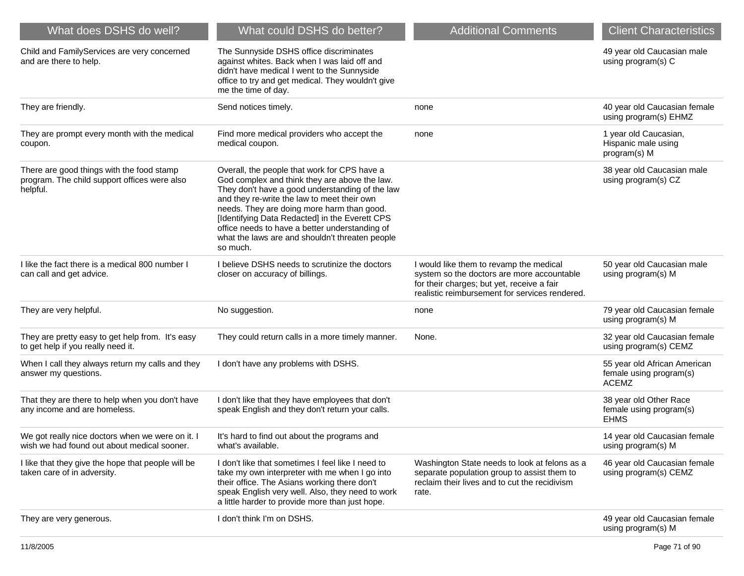| What does DSHS do well?                                                                               | What could DSHS do better?                                                                                                                                                                                                                                                                                                                                                                                       | <b>Additional Comments</b>                                                                                                                                                            | <b>Client Characteristics</b>                                           |
|-------------------------------------------------------------------------------------------------------|------------------------------------------------------------------------------------------------------------------------------------------------------------------------------------------------------------------------------------------------------------------------------------------------------------------------------------------------------------------------------------------------------------------|---------------------------------------------------------------------------------------------------------------------------------------------------------------------------------------|-------------------------------------------------------------------------|
| Child and FamilyServices are very concerned<br>and are there to help.                                 | The Sunnyside DSHS office discriminates<br>against whites. Back when I was laid off and<br>didn't have medical I went to the Sunnyside<br>office to try and get medical. They wouldn't give<br>me the time of day.                                                                                                                                                                                               |                                                                                                                                                                                       | 49 year old Caucasian male<br>using program(s) C                        |
| They are friendly.                                                                                    | Send notices timely.                                                                                                                                                                                                                                                                                                                                                                                             | none                                                                                                                                                                                  | 40 year old Caucasian female<br>using program(s) EHMZ                   |
| They are prompt every month with the medical<br>coupon.                                               | Find more medical providers who accept the<br>medical coupon.                                                                                                                                                                                                                                                                                                                                                    | none                                                                                                                                                                                  | 1 year old Caucasian,<br>Hispanic male using<br>program(s) M            |
| There are good things with the food stamp<br>program. The child support offices were also<br>helpful. | Overall, the people that work for CPS have a<br>God complex and think they are above the law.<br>They don't have a good understanding of the law<br>and they re-write the law to meet their own<br>needs. They are doing more harm than good.<br>[Identifying Data Redacted] in the Everett CPS<br>office needs to have a better understanding of<br>what the laws are and shouldn't threaten people<br>so much. |                                                                                                                                                                                       | 38 year old Caucasian male<br>using program(s) CZ                       |
| I like the fact there is a medical 800 number I<br>can call and get advice.                           | I believe DSHS needs to scrutinize the doctors<br>closer on accuracy of billings.                                                                                                                                                                                                                                                                                                                                | I would like them to revamp the medical<br>system so the doctors are more accountable<br>for their charges; but yet, receive a fair<br>realistic reimbursement for services rendered. | 50 year old Caucasian male<br>using program(s) M                        |
| They are very helpful.                                                                                | No suggestion.                                                                                                                                                                                                                                                                                                                                                                                                   | none                                                                                                                                                                                  | 79 year old Caucasian female<br>using program(s) M                      |
| They are pretty easy to get help from. It's easy<br>to get help if you really need it.                | They could return calls in a more timely manner.                                                                                                                                                                                                                                                                                                                                                                 | None.                                                                                                                                                                                 | 32 year old Caucasian female<br>using program(s) CEMZ                   |
| When I call they always return my calls and they<br>answer my questions.                              | I don't have any problems with DSHS.                                                                                                                                                                                                                                                                                                                                                                             |                                                                                                                                                                                       | 55 year old African American<br>female using program(s)<br><b>ACEMZ</b> |
| That they are there to help when you don't have<br>any income and are homeless.                       | I don't like that they have employees that don't<br>speak English and they don't return your calls.                                                                                                                                                                                                                                                                                                              |                                                                                                                                                                                       | 38 year old Other Race<br>female using program(s)<br><b>EHMS</b>        |
| We got really nice doctors when we were on it. I<br>wish we had found out about medical sooner.       | It's hard to find out about the programs and<br>what's available.                                                                                                                                                                                                                                                                                                                                                |                                                                                                                                                                                       | 14 year old Caucasian female<br>using program(s) M                      |
| I like that they give the hope that people will be<br>taken care of in adversity.                     | I don't like that sometimes I feel like I need to<br>take my own interpreter with me when I go into<br>their office. The Asians working there don't<br>speak English very well. Also, they need to work<br>a little harder to provide more than just hope.                                                                                                                                                       | Washington State needs to look at felons as a<br>separate population group to assist them to<br>reclaim their lives and to cut the recidivism<br>rate.                                | 46 year old Caucasian female<br>using program(s) CEMZ                   |
| They are very generous.                                                                               | I don't think I'm on DSHS.                                                                                                                                                                                                                                                                                                                                                                                       |                                                                                                                                                                                       | 49 year old Caucasian female<br>using program(s) M                      |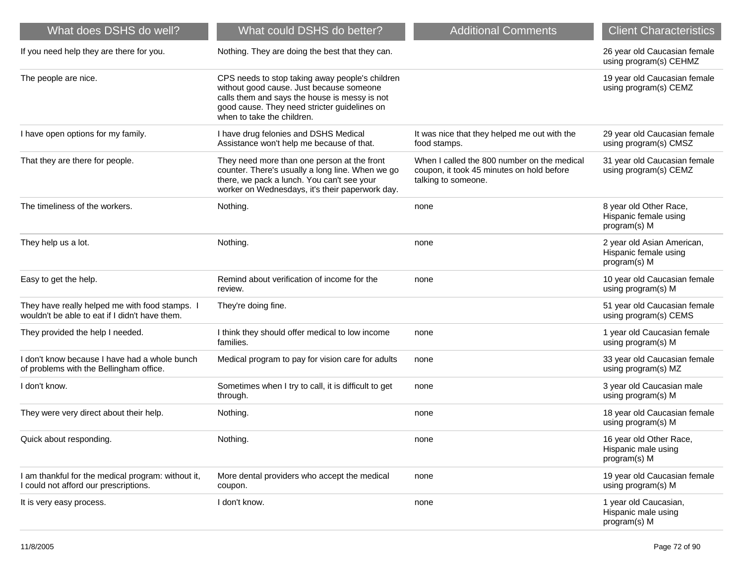| What does DSHS do well?                                                                          | What could DSHS do better?                                                                                                                                                                                                 | <b>Additional Comments</b>                                                                                      | <b>Client Characteristics</b>                                       |
|--------------------------------------------------------------------------------------------------|----------------------------------------------------------------------------------------------------------------------------------------------------------------------------------------------------------------------------|-----------------------------------------------------------------------------------------------------------------|---------------------------------------------------------------------|
| If you need help they are there for you.                                                         | Nothing. They are doing the best that they can.                                                                                                                                                                            |                                                                                                                 | 26 year old Caucasian female<br>using program(s) CEHMZ              |
| The people are nice.                                                                             | CPS needs to stop taking away people's children<br>without good cause. Just because someone<br>calls them and says the house is messy is not<br>good cause. They need stricter guidelines on<br>when to take the children. |                                                                                                                 | 19 year old Caucasian female<br>using program(s) CEMZ               |
| I have open options for my family.                                                               | I have drug felonies and DSHS Medical<br>Assistance won't help me because of that.                                                                                                                                         | It was nice that they helped me out with the<br>food stamps.                                                    | 29 year old Caucasian female<br>using program(s) CMSZ               |
| That they are there for people.                                                                  | They need more than one person at the front<br>counter. There's usually a long line. When we go<br>there, we pack a lunch. You can't see your<br>worker on Wednesdays, it's their paperwork day.                           | When I called the 800 number on the medical<br>coupon, it took 45 minutes on hold before<br>talking to someone. | 31 year old Caucasian female<br>using program(s) CEMZ               |
| The timeliness of the workers.                                                                   | Nothing.                                                                                                                                                                                                                   | none                                                                                                            | 8 year old Other Race,<br>Hispanic female using<br>program(s) M     |
| They help us a lot.                                                                              | Nothing.                                                                                                                                                                                                                   | none                                                                                                            | 2 year old Asian American,<br>Hispanic female using<br>program(s) M |
| Easy to get the help.                                                                            | Remind about verification of income for the<br>review.                                                                                                                                                                     | none                                                                                                            | 10 year old Caucasian female<br>using program(s) M                  |
| They have really helped me with food stamps. I<br>wouldn't be able to eat if I didn't have them. | They're doing fine.                                                                                                                                                                                                        |                                                                                                                 | 51 year old Caucasian female<br>using program(s) CEMS               |
| They provided the help I needed.                                                                 | I think they should offer medical to low income<br>families.                                                                                                                                                               | none                                                                                                            | 1 year old Caucasian female<br>using program(s) M                   |
| I don't know because I have had a whole bunch<br>of problems with the Bellingham office.         | Medical program to pay for vision care for adults                                                                                                                                                                          | none                                                                                                            | 33 year old Caucasian female<br>using program(s) MZ                 |
| I don't know.                                                                                    | Sometimes when I try to call, it is difficult to get<br>through.                                                                                                                                                           | none                                                                                                            | 3 year old Caucasian male<br>using program(s) M                     |
| They were very direct about their help.                                                          | Nothing.                                                                                                                                                                                                                   | none                                                                                                            | 18 year old Caucasian female<br>using program(s) M                  |
| Quick about responding.                                                                          | Nothing.                                                                                                                                                                                                                   | none                                                                                                            | 16 year old Other Race.<br>Hispanic male using<br>program(s) M      |
| I am thankful for the medical program: without it,<br>I could not afford our prescriptions.      | More dental providers who accept the medical<br>coupon.                                                                                                                                                                    | none                                                                                                            | 19 year old Caucasian female<br>using program(s) M                  |
| It is very easy process.                                                                         | I don't know.                                                                                                                                                                                                              | none                                                                                                            | 1 year old Caucasian,<br>Hispanic male using<br>program(s) M        |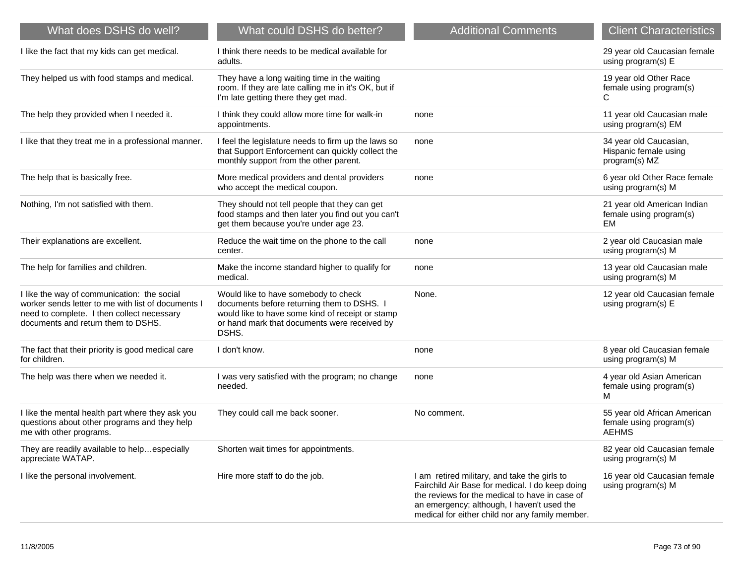| What does DSHS do well?                                                                                                                                                               | What could DSHS do better?                                                                                                                                                                    | <b>Additional Comments</b>                                                                                                                                                                                                                         | <b>Client Characteristics</b>                                           |
|---------------------------------------------------------------------------------------------------------------------------------------------------------------------------------------|-----------------------------------------------------------------------------------------------------------------------------------------------------------------------------------------------|----------------------------------------------------------------------------------------------------------------------------------------------------------------------------------------------------------------------------------------------------|-------------------------------------------------------------------------|
| I like the fact that my kids can get medical.                                                                                                                                         | I think there needs to be medical available for<br>adults.                                                                                                                                    |                                                                                                                                                                                                                                                    | 29 year old Caucasian female<br>using program(s) E                      |
| They helped us with food stamps and medical.                                                                                                                                          | They have a long waiting time in the waiting<br>room. If they are late calling me in it's OK, but if<br>I'm late getting there they get mad.                                                  |                                                                                                                                                                                                                                                    | 19 year old Other Race<br>female using program(s)<br>C                  |
| The help they provided when I needed it.                                                                                                                                              | I think they could allow more time for walk-in<br>appointments.                                                                                                                               | none                                                                                                                                                                                                                                               | 11 year old Caucasian male<br>using program(s) EM                       |
| I like that they treat me in a professional manner.                                                                                                                                   | I feel the legislature needs to firm up the laws so<br>that Support Enforcement can quickly collect the<br>monthly support from the other parent.                                             | none                                                                                                                                                                                                                                               | 34 year old Caucasian,<br>Hispanic female using<br>program(s) MZ        |
| The help that is basically free.                                                                                                                                                      | More medical providers and dental providers<br>who accept the medical coupon.                                                                                                                 | none                                                                                                                                                                                                                                               | 6 year old Other Race female<br>using program(s) M                      |
| Nothing, I'm not satisfied with them.                                                                                                                                                 | They should not tell people that they can get<br>food stamps and then later you find out you can't<br>get them because you're under age 23.                                                   |                                                                                                                                                                                                                                                    | 21 year old American Indian<br>female using program(s)<br>EM            |
| Their explanations are excellent.                                                                                                                                                     | Reduce the wait time on the phone to the call<br>center.                                                                                                                                      | none                                                                                                                                                                                                                                               | 2 year old Caucasian male<br>using program(s) M                         |
| The help for families and children.                                                                                                                                                   | Make the income standard higher to qualify for<br>medical.                                                                                                                                    | none                                                                                                                                                                                                                                               | 13 year old Caucasian male<br>using program(s) M                        |
| I like the way of communication: the social<br>worker sends letter to me with list of documents I<br>need to complete. I then collect necessary<br>documents and return them to DSHS. | Would like to have somebody to check<br>documents before returning them to DSHS.<br>would like to have some kind of receipt or stamp<br>or hand mark that documents were received by<br>DSHS. | None.                                                                                                                                                                                                                                              | 12 year old Caucasian female<br>using program(s) E                      |
| The fact that their priority is good medical care<br>for children.                                                                                                                    | I don't know.                                                                                                                                                                                 | none                                                                                                                                                                                                                                               | 8 year old Caucasian female<br>using program(s) M                       |
| The help was there when we needed it.                                                                                                                                                 | I was very satisfied with the program; no change<br>needed.                                                                                                                                   | none                                                                                                                                                                                                                                               | 4 year old Asian American<br>female using program(s)<br>м               |
| I like the mental health part where they ask you<br>questions about other programs and they help<br>me with other programs.                                                           | They could call me back sooner.                                                                                                                                                               | No comment.                                                                                                                                                                                                                                        | 55 year old African American<br>female using program(s)<br><b>AEHMS</b> |
| They are readily available to helpespecially<br>appreciate WATAP.                                                                                                                     | Shorten wait times for appointments.                                                                                                                                                          |                                                                                                                                                                                                                                                    | 82 year old Caucasian female<br>using program(s) M                      |
| I like the personal involvement.                                                                                                                                                      | Hire more staff to do the job.                                                                                                                                                                | I am retired military, and take the girls to<br>Fairchild Air Base for medical. I do keep doing<br>the reviews for the medical to have in case of<br>an emergency; although, I haven't used the<br>medical for either child nor any family member. | 16 year old Caucasian female<br>using program(s) M                      |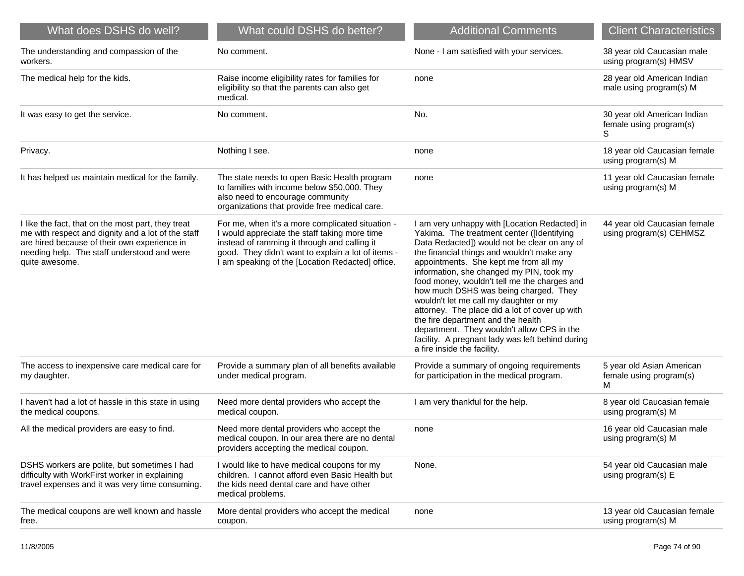| What does DSHS do well?                                                                                                                                                                                                   | What could DSHS do better?                                                                                                                                                                                                                                  | <b>Additional Comments</b>                                                                                                                                                                                                                                                                                                                                                                                                                                                                                                                                                                                                                 | <b>Client Characteristics</b>                               |
|---------------------------------------------------------------------------------------------------------------------------------------------------------------------------------------------------------------------------|-------------------------------------------------------------------------------------------------------------------------------------------------------------------------------------------------------------------------------------------------------------|--------------------------------------------------------------------------------------------------------------------------------------------------------------------------------------------------------------------------------------------------------------------------------------------------------------------------------------------------------------------------------------------------------------------------------------------------------------------------------------------------------------------------------------------------------------------------------------------------------------------------------------------|-------------------------------------------------------------|
| The understanding and compassion of the<br>workers.                                                                                                                                                                       | No comment.                                                                                                                                                                                                                                                 | None - I am satisfied with your services.                                                                                                                                                                                                                                                                                                                                                                                                                                                                                                                                                                                                  | 38 year old Caucasian male<br>using program(s) HMSV         |
| The medical help for the kids.                                                                                                                                                                                            | Raise income eligibility rates for families for<br>eligibility so that the parents can also get<br>medical.                                                                                                                                                 | none                                                                                                                                                                                                                                                                                                                                                                                                                                                                                                                                                                                                                                       | 28 year old American Indian<br>male using program(s) M      |
| It was easy to get the service.                                                                                                                                                                                           | No comment.                                                                                                                                                                                                                                                 | No.                                                                                                                                                                                                                                                                                                                                                                                                                                                                                                                                                                                                                                        | 30 year old American Indian<br>female using program(s)<br>S |
| Privacy.                                                                                                                                                                                                                  | Nothing I see.                                                                                                                                                                                                                                              | none                                                                                                                                                                                                                                                                                                                                                                                                                                                                                                                                                                                                                                       | 18 year old Caucasian female<br>using program(s) M          |
| It has helped us maintain medical for the family.                                                                                                                                                                         | The state needs to open Basic Health program<br>to families with income below \$50,000. They<br>also need to encourage community<br>organizations that provide free medical care.                                                                           | none                                                                                                                                                                                                                                                                                                                                                                                                                                                                                                                                                                                                                                       | 11 year old Caucasian female<br>using program(s) M          |
| I like the fact, that on the most part, they treat<br>me with respect and dignity and a lot of the staff<br>are hired because of their own experience in<br>needing help. The staff understood and were<br>quite awesome. | For me, when it's a more complicated situation -<br>I would appreciate the staff taking more time<br>instead of ramming it through and calling it<br>good. They didn't want to explain a lot of items -<br>I am speaking of the [Location Redacted] office. | I am very unhappy with [Location Redacted] in<br>Yakima. The treatment center ([Identifying<br>Data Redacted]) would not be clear on any of<br>the financial things and wouldn't make any<br>appointments. She kept me from all my<br>information, she changed my PIN, took my<br>food money, wouldn't tell me the charges and<br>how much DSHS was being charged. They<br>wouldn't let me call my daughter or my<br>attorney. The place did a lot of cover up with<br>the fire department and the health<br>department. They wouldn't allow CPS in the<br>facility. A pregnant lady was left behind during<br>a fire inside the facility. | 44 year old Caucasian female<br>using program(s) CEHMSZ     |
| The access to inexpensive care medical care for<br>my daughter.                                                                                                                                                           | Provide a summary plan of all benefits available<br>under medical program.                                                                                                                                                                                  | Provide a summary of ongoing requirements<br>for participation in the medical program.                                                                                                                                                                                                                                                                                                                                                                                                                                                                                                                                                     | 5 year old Asian American<br>female using program(s)<br>м   |
| I haven't had a lot of hassle in this state in using<br>the medical coupons.                                                                                                                                              | Need more dental providers who accept the<br>medical coupon.                                                                                                                                                                                                | I am very thankful for the help.                                                                                                                                                                                                                                                                                                                                                                                                                                                                                                                                                                                                           | 8 year old Caucasian female<br>using program(s) M           |
| All the medical providers are easy to find.                                                                                                                                                                               | Need more dental providers who accept the<br>medical coupon. In our area there are no dental<br>providers accepting the medical coupon.                                                                                                                     | none                                                                                                                                                                                                                                                                                                                                                                                                                                                                                                                                                                                                                                       | 16 year old Caucasian male<br>using program(s) M            |
| DSHS workers are polite, but sometimes I had<br>difficulty with WorkFirst worker in explaining<br>travel expenses and it was very time consuming.                                                                         | I would like to have medical coupons for my<br>children. I cannot afford even Basic Health but<br>the kids need dental care and have other<br>medical problems.                                                                                             | None.                                                                                                                                                                                                                                                                                                                                                                                                                                                                                                                                                                                                                                      | 54 year old Caucasian male<br>using program(s) E            |
| The medical coupons are well known and hassle<br>free.                                                                                                                                                                    | More dental providers who accept the medical<br>coupon.                                                                                                                                                                                                     | none                                                                                                                                                                                                                                                                                                                                                                                                                                                                                                                                                                                                                                       | 13 year old Caucasian female<br>using program(s) M          |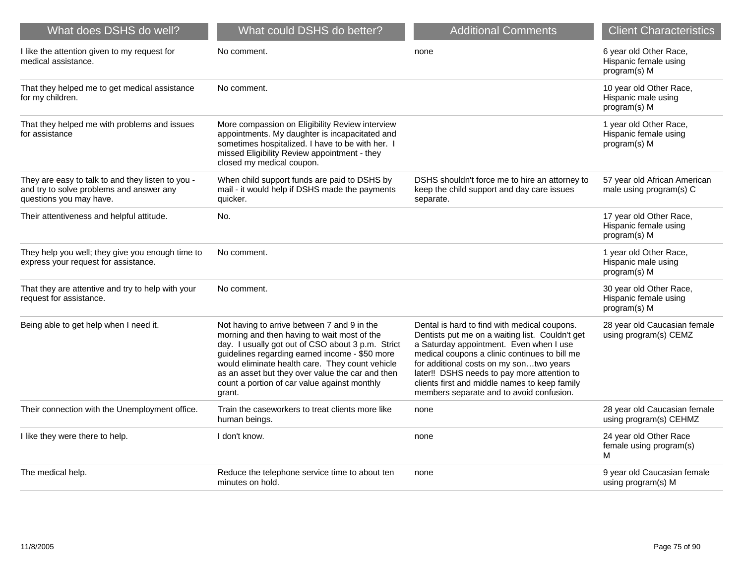| What does DSHS do well?                                                                                                  | What could DSHS do better?                                                                                                                                                                                                                                                                                                                                         | <b>Additional Comments</b>                                                                                                                                                                                                                                                                                                                                                         | <b>Client Characteristics</b>                                    |
|--------------------------------------------------------------------------------------------------------------------------|--------------------------------------------------------------------------------------------------------------------------------------------------------------------------------------------------------------------------------------------------------------------------------------------------------------------------------------------------------------------|------------------------------------------------------------------------------------------------------------------------------------------------------------------------------------------------------------------------------------------------------------------------------------------------------------------------------------------------------------------------------------|------------------------------------------------------------------|
| I like the attention given to my request for<br>medical assistance.                                                      | No comment.                                                                                                                                                                                                                                                                                                                                                        | none                                                                                                                                                                                                                                                                                                                                                                               | 6 year old Other Race,<br>Hispanic female using<br>program(s) M  |
| That they helped me to get medical assistance<br>for my children.                                                        | No comment.                                                                                                                                                                                                                                                                                                                                                        |                                                                                                                                                                                                                                                                                                                                                                                    | 10 year old Other Race,<br>Hispanic male using<br>program(s) M   |
| That they helped me with problems and issues<br>for assistance                                                           | More compassion on Eligibility Review interview<br>appointments. My daughter is incapacitated and<br>sometimes hospitalized. I have to be with her. I<br>missed Eligibility Review appointment - they<br>closed my medical coupon.                                                                                                                                 |                                                                                                                                                                                                                                                                                                                                                                                    | 1 year old Other Race,<br>Hispanic female using<br>program(s) M  |
| They are easy to talk to and they listen to you -<br>and try to solve problems and answer any<br>questions you may have. | When child support funds are paid to DSHS by<br>mail - it would help if DSHS made the payments<br>quicker.                                                                                                                                                                                                                                                         | DSHS shouldn't force me to hire an attorney to<br>keep the child support and day care issues<br>separate.                                                                                                                                                                                                                                                                          | 57 year old African American<br>male using program(s) C          |
| Their attentiveness and helpful attitude.                                                                                | No.                                                                                                                                                                                                                                                                                                                                                                |                                                                                                                                                                                                                                                                                                                                                                                    | 17 year old Other Race,<br>Hispanic female using<br>program(s) M |
| They help you well; they give you enough time to<br>express your request for assistance.                                 | No comment.                                                                                                                                                                                                                                                                                                                                                        |                                                                                                                                                                                                                                                                                                                                                                                    | 1 year old Other Race,<br>Hispanic male using<br>program(s) M    |
| That they are attentive and try to help with your<br>request for assistance.                                             | No comment.                                                                                                                                                                                                                                                                                                                                                        |                                                                                                                                                                                                                                                                                                                                                                                    | 30 year old Other Race,<br>Hispanic female using<br>program(s) M |
| Being able to get help when I need it.                                                                                   | Not having to arrive between 7 and 9 in the<br>morning and then having to wait most of the<br>day. I usually got out of CSO about 3 p.m. Strict<br>guidelines regarding earned income - \$50 more<br>would eliminate health care. They count vehicle<br>as an asset but they over value the car and then<br>count a portion of car value against monthly<br>grant. | Dental is hard to find with medical coupons.<br>Dentists put me on a waiting list. Couldn't get<br>a Saturday appointment. Even when I use<br>medical coupons a clinic continues to bill me<br>for additional costs on my sontwo years<br>later!! DSHS needs to pay more attention to<br>clients first and middle names to keep family<br>members separate and to avoid confusion. | 28 year old Caucasian female<br>using program(s) CEMZ            |
| Their connection with the Unemployment office.                                                                           | Train the caseworkers to treat clients more like<br>human beings.                                                                                                                                                                                                                                                                                                  | none                                                                                                                                                                                                                                                                                                                                                                               | 28 year old Caucasian female<br>using program(s) CEHMZ           |
| I like they were there to help.                                                                                          | I don't know.                                                                                                                                                                                                                                                                                                                                                      | none                                                                                                                                                                                                                                                                                                                                                                               | 24 year old Other Race<br>female using program(s)<br>M           |
| The medical help.                                                                                                        | Reduce the telephone service time to about ten<br>minutes on hold.                                                                                                                                                                                                                                                                                                 | none                                                                                                                                                                                                                                                                                                                                                                               | 9 year old Caucasian female<br>using program(s) M                |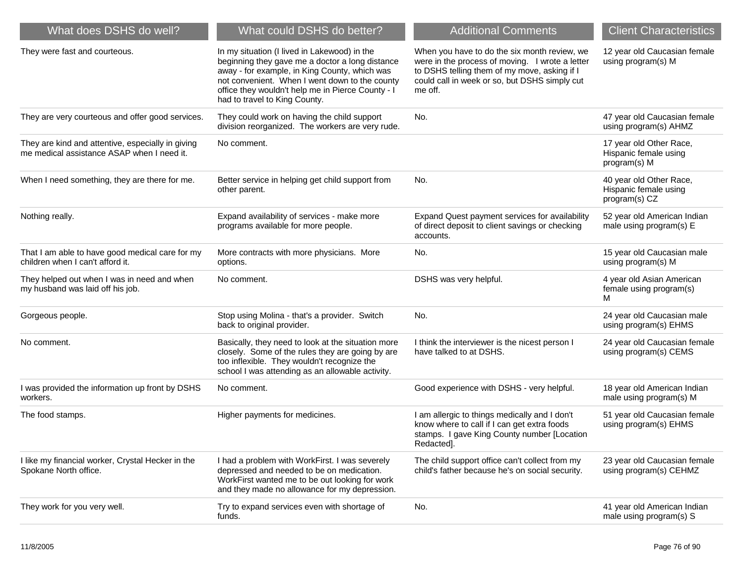| What could DSHS do better?                                                                                                                                                                                                                                                               | <b>Additional Comments</b>                                                                                                                                                                                  | <b>Client Characteristics</b>                                     |
|------------------------------------------------------------------------------------------------------------------------------------------------------------------------------------------------------------------------------------------------------------------------------------------|-------------------------------------------------------------------------------------------------------------------------------------------------------------------------------------------------------------|-------------------------------------------------------------------|
| In my situation (I lived in Lakewood) in the<br>beginning they gave me a doctor a long distance<br>away - for example, in King County, which was<br>not convenient. When I went down to the county<br>office they wouldn't help me in Pierce County - I<br>had to travel to King County. | When you have to do the six month review, we<br>were in the process of moving. I wrote a letter<br>to DSHS telling them of my move, asking if I<br>could call in week or so, but DSHS simply cut<br>me off. | 12 year old Caucasian female<br>using program(s) M                |
| They could work on having the child support<br>division reorganized. The workers are very rude.                                                                                                                                                                                          | No.                                                                                                                                                                                                         | 47 year old Caucasian female<br>using program(s) AHMZ             |
| No comment.                                                                                                                                                                                                                                                                              |                                                                                                                                                                                                             | 17 year old Other Race,<br>Hispanic female using<br>program(s) M  |
| Better service in helping get child support from<br>other parent.                                                                                                                                                                                                                        | No.                                                                                                                                                                                                         | 40 year old Other Race,<br>Hispanic female using<br>program(s) CZ |
| Expand availability of services - make more<br>programs available for more people.                                                                                                                                                                                                       | Expand Quest payment services for availability<br>of direct deposit to client savings or checking<br>accounts.                                                                                              | 52 year old American Indian<br>male using program(s) E            |
| More contracts with more physicians. More<br>options.                                                                                                                                                                                                                                    | No.                                                                                                                                                                                                         | 15 year old Caucasian male<br>using program(s) M                  |
| No comment.                                                                                                                                                                                                                                                                              | DSHS was very helpful.                                                                                                                                                                                      | 4 year old Asian American<br>female using program(s)<br>м         |
| Stop using Molina - that's a provider. Switch<br>back to original provider.                                                                                                                                                                                                              | No.                                                                                                                                                                                                         | 24 year old Caucasian male<br>using program(s) EHMS               |
| Basically, they need to look at the situation more<br>closely. Some of the rules they are going by are<br>too inflexible. They wouldn't recognize the<br>school I was attending as an allowable activity.                                                                                | I think the interviewer is the nicest person I<br>have talked to at DSHS.                                                                                                                                   | 24 year old Caucasian female<br>using program(s) CEMS             |
| No comment.                                                                                                                                                                                                                                                                              | Good experience with DSHS - very helpful.                                                                                                                                                                   | 18 year old American Indian<br>male using program(s) M            |
| Higher payments for medicines.                                                                                                                                                                                                                                                           | I am allergic to things medically and I don't<br>know where to call if I can get extra foods<br>stamps. I gave King County number [Location<br>Redacted].                                                   | 51 year old Caucasian female<br>using program(s) EHMS             |
| I had a problem with WorkFirst. I was severely<br>depressed and needed to be on medication.<br>WorkFirst wanted me to be out looking for work<br>and they made no allowance for my depression.                                                                                           | The child support office can't collect from my<br>child's father because he's on social security.                                                                                                           | 23 year old Caucasian female<br>using program(s) CEHMZ            |
| Try to expand services even with shortage of<br>funds.                                                                                                                                                                                                                                   | No.                                                                                                                                                                                                         | 41 year old American Indian<br>male using program(s) S            |
|                                                                                                                                                                                                                                                                                          |                                                                                                                                                                                                             |                                                                   |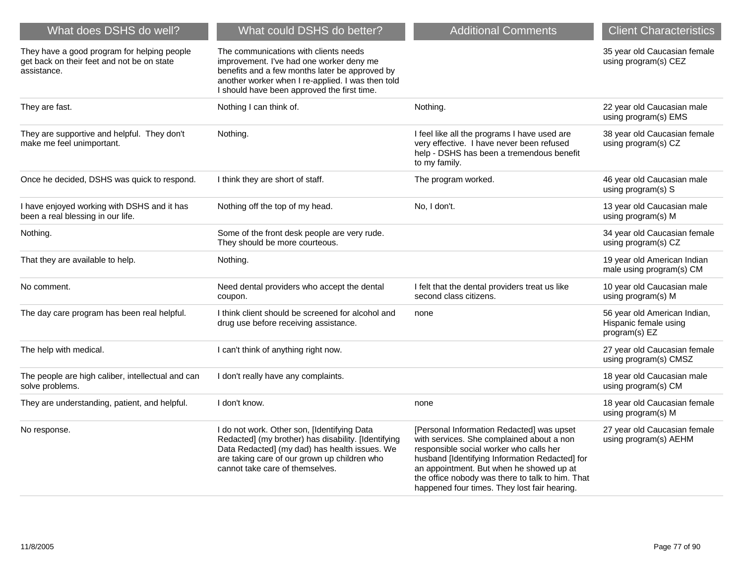| What does DSHS do well?                                                                                  | What could DSHS do better?                                                                                                                                                                                                              | <b>Additional Comments</b>                                                                                                                                                                                                                                                                                                          | <b>Client Characteristics</b>                                          |
|----------------------------------------------------------------------------------------------------------|-----------------------------------------------------------------------------------------------------------------------------------------------------------------------------------------------------------------------------------------|-------------------------------------------------------------------------------------------------------------------------------------------------------------------------------------------------------------------------------------------------------------------------------------------------------------------------------------|------------------------------------------------------------------------|
| They have a good program for helping people<br>get back on their feet and not be on state<br>assistance. | The communications with clients needs<br>improvement. I've had one worker deny me<br>benefits and a few months later be approved by<br>another worker when I re-applied. I was then told<br>I should have been approved the first time. |                                                                                                                                                                                                                                                                                                                                     | 35 year old Caucasian female<br>using program(s) CEZ                   |
| They are fast.                                                                                           | Nothing I can think of.                                                                                                                                                                                                                 | Nothing.                                                                                                                                                                                                                                                                                                                            | 22 year old Caucasian male<br>using program(s) EMS                     |
| They are supportive and helpful. They don't<br>make me feel unimportant.                                 | Nothing.                                                                                                                                                                                                                                | I feel like all the programs I have used are<br>very effective. I have never been refused<br>help - DSHS has been a tremendous benefit<br>to my family.                                                                                                                                                                             | 38 year old Caucasian female<br>using program(s) CZ                    |
| Once he decided, DSHS was quick to respond.                                                              | I think they are short of staff.                                                                                                                                                                                                        | The program worked.                                                                                                                                                                                                                                                                                                                 | 46 year old Caucasian male<br>using program(s) S                       |
| I have enjoyed working with DSHS and it has<br>been a real blessing in our life.                         | Nothing off the top of my head.                                                                                                                                                                                                         | No, I don't.                                                                                                                                                                                                                                                                                                                        | 13 year old Caucasian male<br>using program(s) M                       |
| Nothing.                                                                                                 | Some of the front desk people are very rude.<br>They should be more courteous.                                                                                                                                                          |                                                                                                                                                                                                                                                                                                                                     | 34 year old Caucasian female<br>using program(s) CZ                    |
| That they are available to help.                                                                         | Nothing.                                                                                                                                                                                                                                |                                                                                                                                                                                                                                                                                                                                     | 19 year old American Indian<br>male using program(s) CM                |
| No comment.                                                                                              | Need dental providers who accept the dental<br>coupon.                                                                                                                                                                                  | I felt that the dental providers treat us like<br>second class citizens.                                                                                                                                                                                                                                                            | 10 year old Caucasian male<br>using program(s) M                       |
| The day care program has been real helpful.                                                              | I think client should be screened for alcohol and<br>drug use before receiving assistance.                                                                                                                                              | none                                                                                                                                                                                                                                                                                                                                | 56 year old American Indian,<br>Hispanic female using<br>program(s) EZ |
| The help with medical.                                                                                   | I can't think of anything right now.                                                                                                                                                                                                    |                                                                                                                                                                                                                                                                                                                                     | 27 year old Caucasian female<br>using program(s) CMSZ                  |
| The people are high caliber, intellectual and can<br>solve problems.                                     | I don't really have any complaints.                                                                                                                                                                                                     |                                                                                                                                                                                                                                                                                                                                     | 18 year old Caucasian male<br>using program(s) CM                      |
| They are understanding, patient, and helpful.                                                            | I don't know.                                                                                                                                                                                                                           | none                                                                                                                                                                                                                                                                                                                                | 18 year old Caucasian female<br>using program(s) M                     |
| No response.                                                                                             | I do not work. Other son, [Identifying Data<br>Redacted] (my brother) has disability. [Identifying<br>Data Redacted] (my dad) has health issues. We<br>are taking care of our grown up children who<br>cannot take care of themselves.  | [Personal Information Redacted] was upset<br>with services. She complained about a non<br>responsible social worker who calls her<br>husband [Identifying Information Redacted] for<br>an appointment. But when he showed up at<br>the office nobody was there to talk to him. That<br>happened four times. They lost fair hearing. | 27 year old Caucasian female<br>using program(s) AEHM                  |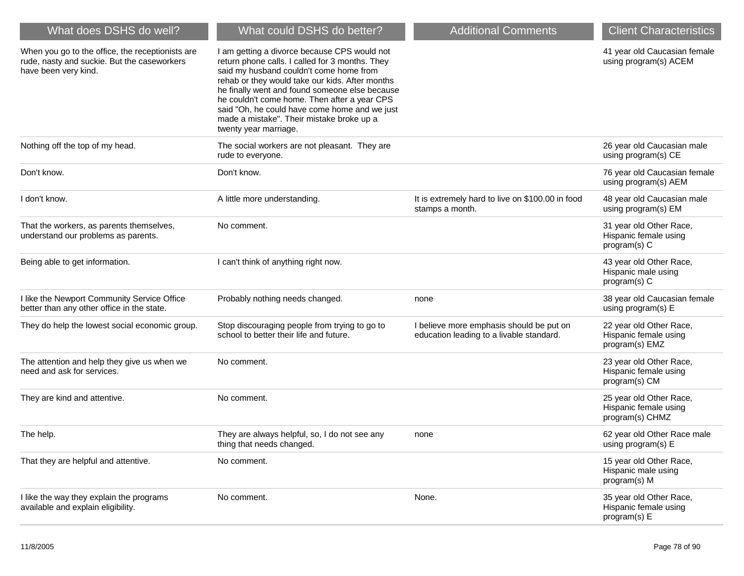| What does DSHS do well?                                                                                                 | What could DSHS do better?                                                                                                                                                                                                                                                                                                                                                                                             | <b>Additional Comments</b>                                                           | <b>Client Characteristics</b>                                       |
|-------------------------------------------------------------------------------------------------------------------------|------------------------------------------------------------------------------------------------------------------------------------------------------------------------------------------------------------------------------------------------------------------------------------------------------------------------------------------------------------------------------------------------------------------------|--------------------------------------------------------------------------------------|---------------------------------------------------------------------|
| When you go to the office, the receptionists are<br>rude, nasty and suckie. But the caseworkers<br>have been very kind. | I am getting a divorce because CPS would not<br>return phone calls. I called for 3 months. They<br>said my husband couldn't come home from<br>rehab or they would take our kids. After months<br>he finally went and found someone else because<br>he couldn't come home. Then after a year CPS<br>said "Oh, he could have come home and we just<br>made a mistake". Their mistake broke up a<br>twenty year marriage. |                                                                                      | 41 year old Caucasian female<br>using program(s) ACEM               |
| Nothing off the top of my head.                                                                                         | The social workers are not pleasant. They are<br>rude to everyone.                                                                                                                                                                                                                                                                                                                                                     |                                                                                      | 26 year old Caucasian male<br>using program(s) CE                   |
| Don't know.                                                                                                             | Don't know.                                                                                                                                                                                                                                                                                                                                                                                                            |                                                                                      | 76 year old Caucasian female<br>using program(s) AEM                |
| I don't know.                                                                                                           | A little more understanding.                                                                                                                                                                                                                                                                                                                                                                                           | It is extremely hard to live on \$100.00 in food<br>stamps a month.                  | 48 year old Caucasian male<br>using program(s) EM                   |
| That the workers, as parents themselves,<br>understand our problems as parents.                                         | No comment.                                                                                                                                                                                                                                                                                                                                                                                                            |                                                                                      | 31 year old Other Race,<br>Hispanic female using<br>program(s) C    |
| Being able to get information.                                                                                          | I can't think of anything right now.                                                                                                                                                                                                                                                                                                                                                                                   |                                                                                      | 43 year old Other Race,<br>Hispanic male using<br>program(s) C      |
| I like the Newport Community Service Office<br>better than any other office in the state.                               | Probably nothing needs changed.                                                                                                                                                                                                                                                                                                                                                                                        | none                                                                                 | 38 year old Caucasian female<br>using program(s) E                  |
| They do help the lowest social economic group.                                                                          | Stop discouraging people from trying to go to<br>school to better their life and future.                                                                                                                                                                                                                                                                                                                               | I believe more emphasis should be put on<br>education leading to a livable standard. | 22 year old Other Race,<br>Hispanic female using<br>program(s) EMZ  |
| The attention and help they give us when we<br>need and ask for services.                                               | No comment.                                                                                                                                                                                                                                                                                                                                                                                                            |                                                                                      | 23 year old Other Race,<br>Hispanic female using<br>program(s) CM   |
| They are kind and attentive.                                                                                            | No comment.                                                                                                                                                                                                                                                                                                                                                                                                            |                                                                                      | 25 year old Other Race,<br>Hispanic female using<br>program(s) CHMZ |
| The help.                                                                                                               | They are always helpful, so, I do not see any<br>thing that needs changed.                                                                                                                                                                                                                                                                                                                                             | none                                                                                 | 62 year old Other Race male<br>using program(s) E                   |
| That they are helpful and attentive.                                                                                    | No comment.                                                                                                                                                                                                                                                                                                                                                                                                            |                                                                                      | 15 year old Other Race,<br>Hispanic male using<br>program(s) M      |
| I like the way they explain the programs<br>available and explain eligibility.                                          | No comment.                                                                                                                                                                                                                                                                                                                                                                                                            | None.                                                                                | 35 year old Other Race,<br>Hispanic female using<br>program(s) E    |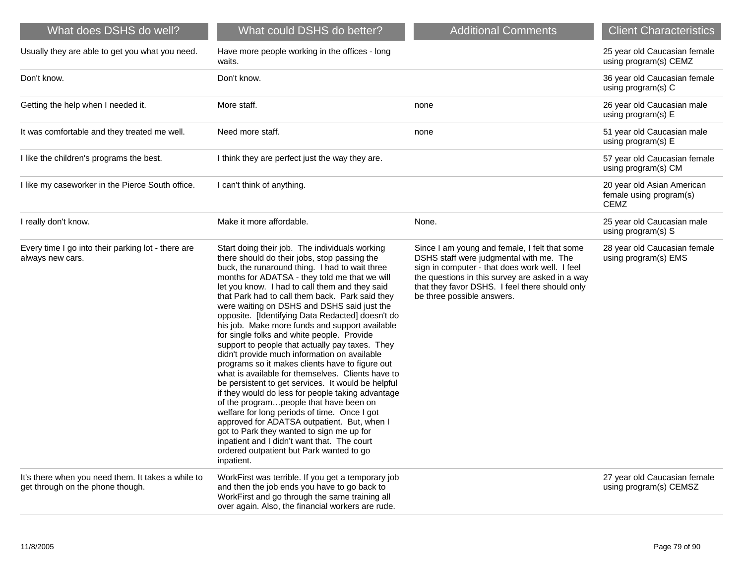| What does DSHS do well?                                                                | What could DSHS do better?                                                                                                                                                                                                                                                                                                                                                                                                                                                                                                                                                                                                                                                                                                                                                                                                                                                                                                                                                                                                                                                                                                     | <b>Additional Comments</b>                                                                                                                                                                                                                                                    | <b>Client Characteristics</b>                                        |
|----------------------------------------------------------------------------------------|--------------------------------------------------------------------------------------------------------------------------------------------------------------------------------------------------------------------------------------------------------------------------------------------------------------------------------------------------------------------------------------------------------------------------------------------------------------------------------------------------------------------------------------------------------------------------------------------------------------------------------------------------------------------------------------------------------------------------------------------------------------------------------------------------------------------------------------------------------------------------------------------------------------------------------------------------------------------------------------------------------------------------------------------------------------------------------------------------------------------------------|-------------------------------------------------------------------------------------------------------------------------------------------------------------------------------------------------------------------------------------------------------------------------------|----------------------------------------------------------------------|
| Usually they are able to get you what you need.                                        | Have more people working in the offices - long<br>waits.                                                                                                                                                                                                                                                                                                                                                                                                                                                                                                                                                                                                                                                                                                                                                                                                                                                                                                                                                                                                                                                                       |                                                                                                                                                                                                                                                                               | 25 year old Caucasian female<br>using program(s) CEMZ                |
| Don't know.                                                                            | Don't know.                                                                                                                                                                                                                                                                                                                                                                                                                                                                                                                                                                                                                                                                                                                                                                                                                                                                                                                                                                                                                                                                                                                    |                                                                                                                                                                                                                                                                               | 36 year old Caucasian female<br>using program(s) C                   |
| Getting the help when I needed it.                                                     | More staff.                                                                                                                                                                                                                                                                                                                                                                                                                                                                                                                                                                                                                                                                                                                                                                                                                                                                                                                                                                                                                                                                                                                    | none                                                                                                                                                                                                                                                                          | 26 year old Caucasian male<br>using program(s) E                     |
| It was comfortable and they treated me well.                                           | Need more staff.                                                                                                                                                                                                                                                                                                                                                                                                                                                                                                                                                                                                                                                                                                                                                                                                                                                                                                                                                                                                                                                                                                               | none                                                                                                                                                                                                                                                                          | 51 year old Caucasian male<br>using program(s) E                     |
| I like the children's programs the best.                                               | I think they are perfect just the way they are.                                                                                                                                                                                                                                                                                                                                                                                                                                                                                                                                                                                                                                                                                                                                                                                                                                                                                                                                                                                                                                                                                |                                                                                                                                                                                                                                                                               | 57 year old Caucasian female<br>using program(s) CM                  |
| I like my caseworker in the Pierce South office.                                       | I can't think of anything.                                                                                                                                                                                                                                                                                                                                                                                                                                                                                                                                                                                                                                                                                                                                                                                                                                                                                                                                                                                                                                                                                                     |                                                                                                                                                                                                                                                                               | 20 year old Asian American<br>female using program(s)<br><b>CEMZ</b> |
| I really don't know.                                                                   | Make it more affordable.                                                                                                                                                                                                                                                                                                                                                                                                                                                                                                                                                                                                                                                                                                                                                                                                                                                                                                                                                                                                                                                                                                       | None.                                                                                                                                                                                                                                                                         | 25 year old Caucasian male<br>using program(s) S                     |
| Every time I go into their parking lot - there are<br>always new cars.                 | Start doing their job. The individuals working<br>there should do their jobs, stop passing the<br>buck, the runaround thing. I had to wait three<br>months for ADATSA - they told me that we will<br>let you know. I had to call them and they said<br>that Park had to call them back. Park said they<br>were waiting on DSHS and DSHS said just the<br>opposite. [Identifying Data Redacted] doesn't do<br>his job. Make more funds and support available<br>for single folks and white people. Provide<br>support to people that actually pay taxes. They<br>didn't provide much information on available<br>programs so it makes clients have to figure out<br>what is available for themselves. Clients have to<br>be persistent to get services. It would be helpful<br>if they would do less for people taking advantage<br>of the programpeople that have been on<br>welfare for long periods of time. Once I got<br>approved for ADATSA outpatient. But, when I<br>got to Park they wanted to sign me up for<br>inpatient and I didn't want that. The court<br>ordered outpatient but Park wanted to go<br>inpatient. | Since I am young and female, I felt that some<br>DSHS staff were judgmental with me. The<br>sign in computer - that does work well. I feel<br>the questions in this survey are asked in a way<br>that they favor DSHS. I feel there should only<br>be three possible answers. | 28 year old Caucasian female<br>using program(s) EMS                 |
| It's there when you need them. It takes a while to<br>get through on the phone though. | WorkFirst was terrible. If you get a temporary job<br>and then the job ends you have to go back to<br>WorkFirst and go through the same training all<br>over again. Also, the financial workers are rude.                                                                                                                                                                                                                                                                                                                                                                                                                                                                                                                                                                                                                                                                                                                                                                                                                                                                                                                      |                                                                                                                                                                                                                                                                               | 27 year old Caucasian female<br>using program(s) CEMSZ               |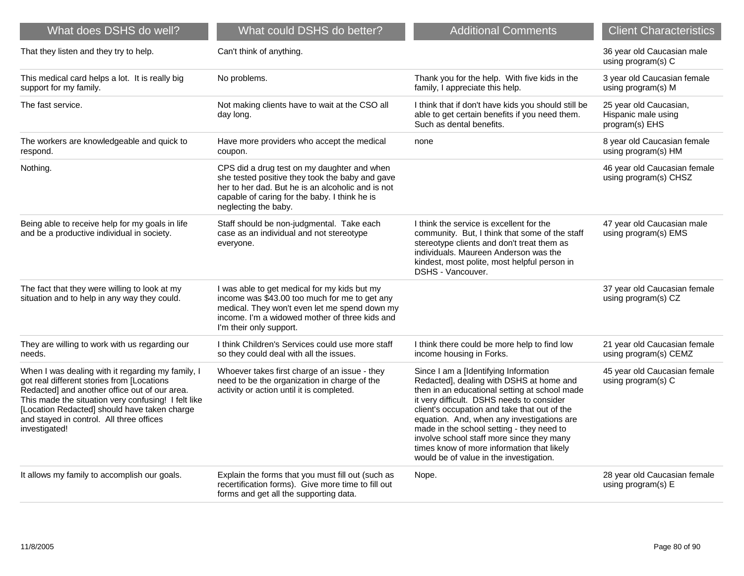| What does DSHS do well?                                                                                                                                                                                                                                                                                              | What could DSHS do better?                                                                                                                                                                                                   | <b>Additional Comments</b>                                                                                                                                                                                                                                                                                                                                                                                                                                       | <b>Client Characteristics</b>                                   |
|----------------------------------------------------------------------------------------------------------------------------------------------------------------------------------------------------------------------------------------------------------------------------------------------------------------------|------------------------------------------------------------------------------------------------------------------------------------------------------------------------------------------------------------------------------|------------------------------------------------------------------------------------------------------------------------------------------------------------------------------------------------------------------------------------------------------------------------------------------------------------------------------------------------------------------------------------------------------------------------------------------------------------------|-----------------------------------------------------------------|
| That they listen and they try to help.                                                                                                                                                                                                                                                                               | Can't think of anything.                                                                                                                                                                                                     |                                                                                                                                                                                                                                                                                                                                                                                                                                                                  | 36 year old Caucasian male<br>using program(s) C                |
| This medical card helps a lot. It is really big<br>support for my family.                                                                                                                                                                                                                                            | No problems.                                                                                                                                                                                                                 | Thank you for the help. With five kids in the<br>family, I appreciate this help.                                                                                                                                                                                                                                                                                                                                                                                 | 3 year old Caucasian female<br>using program(s) M               |
| The fast service.                                                                                                                                                                                                                                                                                                    | Not making clients have to wait at the CSO all<br>day long.                                                                                                                                                                  | I think that if don't have kids you should still be<br>able to get certain benefits if you need them.<br>Such as dental benefits.                                                                                                                                                                                                                                                                                                                                | 25 year old Caucasian,<br>Hispanic male using<br>program(s) EHS |
| The workers are knowledgeable and quick to<br>respond.                                                                                                                                                                                                                                                               | Have more providers who accept the medical<br>coupon.                                                                                                                                                                        | none                                                                                                                                                                                                                                                                                                                                                                                                                                                             | 8 year old Caucasian female<br>using program(s) HM              |
| Nothing.                                                                                                                                                                                                                                                                                                             | CPS did a drug test on my daughter and when<br>she tested positive they took the baby and gave<br>her to her dad. But he is an alcoholic and is not<br>capable of caring for the baby. I think he is<br>neglecting the baby. |                                                                                                                                                                                                                                                                                                                                                                                                                                                                  | 46 year old Caucasian female<br>using program(s) CHSZ           |
| Being able to receive help for my goals in life<br>and be a productive individual in society.                                                                                                                                                                                                                        | Staff should be non-judgmental. Take each<br>case as an individual and not stereotype<br>everyone.                                                                                                                           | I think the service is excellent for the<br>community. But, I think that some of the staff<br>stereotype clients and don't treat them as<br>individuals. Maureen Anderson was the<br>kindest, most polite, most helpful person in<br>DSHS - Vancouver.                                                                                                                                                                                                           | 47 year old Caucasian male<br>using program(s) EMS              |
| The fact that they were willing to look at my<br>situation and to help in any way they could.                                                                                                                                                                                                                        | I was able to get medical for my kids but my<br>income was \$43.00 too much for me to get any<br>medical. They won't even let me spend down my<br>income. I'm a widowed mother of three kids and<br>I'm their only support.  |                                                                                                                                                                                                                                                                                                                                                                                                                                                                  | 37 year old Caucasian female<br>using program(s) CZ             |
| They are willing to work with us regarding our<br>needs.                                                                                                                                                                                                                                                             | I think Children's Services could use more staff<br>so they could deal with all the issues.                                                                                                                                  | I think there could be more help to find low<br>income housing in Forks.                                                                                                                                                                                                                                                                                                                                                                                         | 21 year old Caucasian female<br>using program(s) CEMZ           |
| When I was dealing with it regarding my family, I<br>got real different stories from [Locations<br>Redacted] and another office out of our area.<br>This made the situation very confusing! I felt like<br>[Location Redacted] should have taken charge<br>and stayed in control. All three offices<br>investigated! | Whoever takes first charge of an issue - they<br>need to be the organization in charge of the<br>activity or action until it is completed.                                                                                   | Since I am a [Identifying Information<br>Redacted], dealing with DSHS at home and<br>then in an educational setting at school made<br>it very difficult. DSHS needs to consider<br>client's occupation and take that out of the<br>equation. And, when any investigations are<br>made in the school setting - they need to<br>involve school staff more since they many<br>times know of more information that likely<br>would be of value in the investigation. | 45 year old Caucasian female<br>using program(s) C              |
| It allows my family to accomplish our goals.                                                                                                                                                                                                                                                                         | Explain the forms that you must fill out (such as<br>recertification forms). Give more time to fill out<br>forms and get all the supporting data.                                                                            | Nope.                                                                                                                                                                                                                                                                                                                                                                                                                                                            | 28 year old Caucasian female<br>using program(s) E              |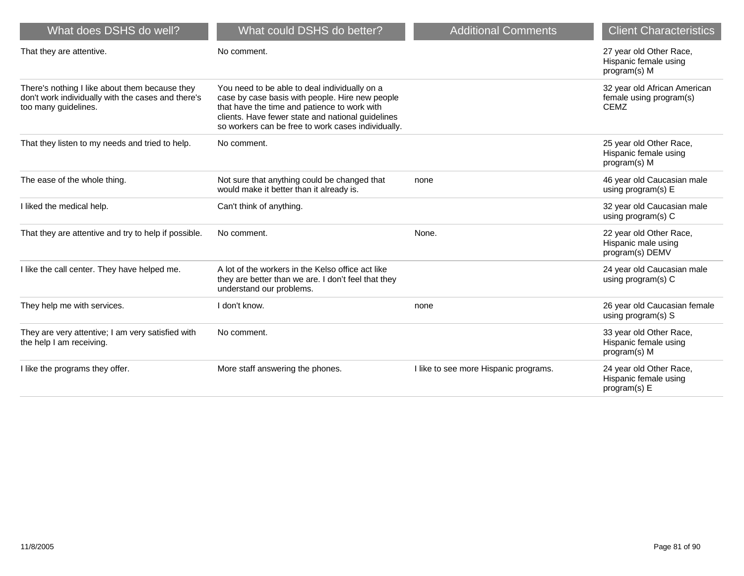| What does DSHS do well?                                                                                                      | What could DSHS do better?                                                                                                                                                                                                                                  | <b>Additional Comments</b>            | <b>Client Characteristics</b>                                          |
|------------------------------------------------------------------------------------------------------------------------------|-------------------------------------------------------------------------------------------------------------------------------------------------------------------------------------------------------------------------------------------------------------|---------------------------------------|------------------------------------------------------------------------|
| That they are attentive.                                                                                                     | No comment.                                                                                                                                                                                                                                                 |                                       | 27 year old Other Race,<br>Hispanic female using<br>program(s) M       |
| There's nothing I like about them because they<br>don't work individually with the cases and there's<br>too many guidelines. | You need to be able to deal individually on a<br>case by case basis with people. Hire new people<br>that have the time and patience to work with<br>clients. Have fewer state and national guidelines<br>so workers can be free to work cases individually. |                                       | 32 year old African American<br>female using program(s)<br><b>CEMZ</b> |
| That they listen to my needs and tried to help.                                                                              | No comment.                                                                                                                                                                                                                                                 |                                       | 25 year old Other Race,<br>Hispanic female using<br>program(s) M       |
| The ease of the whole thing.                                                                                                 | Not sure that anything could be changed that<br>would make it better than it already is.                                                                                                                                                                    | none                                  | 46 year old Caucasian male<br>using program(s) E                       |
| I liked the medical help.                                                                                                    | Can't think of anything.                                                                                                                                                                                                                                    |                                       | 32 year old Caucasian male<br>using program(s) C                       |
| That they are attentive and try to help if possible.                                                                         | No comment.                                                                                                                                                                                                                                                 | None.                                 | 22 year old Other Race,<br>Hispanic male using<br>program(s) DEMV      |
| I like the call center. They have helped me.                                                                                 | A lot of the workers in the Kelso office act like<br>they are better than we are. I don't feel that they<br>understand our problems.                                                                                                                        |                                       | 24 year old Caucasian male<br>using program(s) C                       |
| They help me with services.                                                                                                  | I don't know.                                                                                                                                                                                                                                               | none                                  | 26 year old Caucasian female<br>using program(s) S                     |
| They are very attentive; I am very satisfied with<br>the help I am receiving.                                                | No comment.                                                                                                                                                                                                                                                 |                                       | 33 year old Other Race,<br>Hispanic female using<br>program(s) M       |
| I like the programs they offer.                                                                                              | More staff answering the phones.                                                                                                                                                                                                                            | I like to see more Hispanic programs. | 24 year old Other Race,<br>Hispanic female using<br>program(s) E       |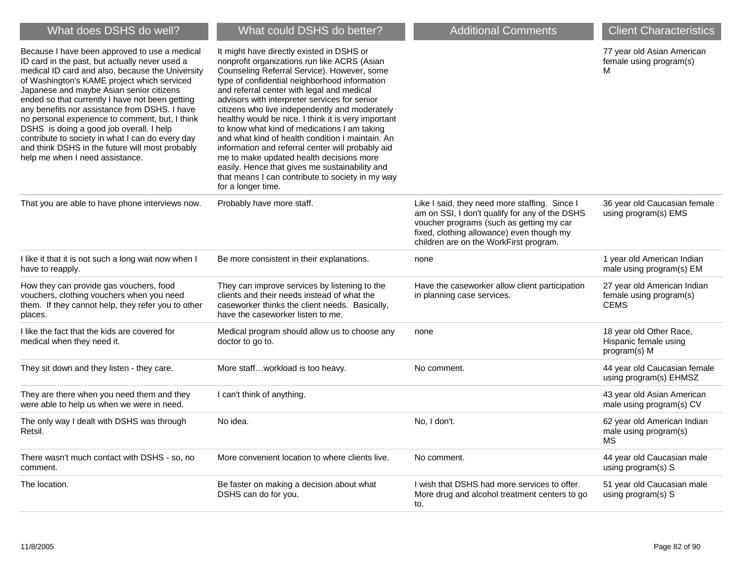| What does DSHS do well?                                                                                                                                                                                                                                                                                                                                                                                                                                                                                                                                                                     | What could DSHS do better?                                                                                                                                                                                                                                                                                                                                                                                                                                                                                                                                                                                                                                                                                                         | <b>Additional Comments</b>                                                                                                                                                                                                         | <b>Client Characteristics</b>                                         |
|---------------------------------------------------------------------------------------------------------------------------------------------------------------------------------------------------------------------------------------------------------------------------------------------------------------------------------------------------------------------------------------------------------------------------------------------------------------------------------------------------------------------------------------------------------------------------------------------|------------------------------------------------------------------------------------------------------------------------------------------------------------------------------------------------------------------------------------------------------------------------------------------------------------------------------------------------------------------------------------------------------------------------------------------------------------------------------------------------------------------------------------------------------------------------------------------------------------------------------------------------------------------------------------------------------------------------------------|------------------------------------------------------------------------------------------------------------------------------------------------------------------------------------------------------------------------------------|-----------------------------------------------------------------------|
| Because I have been approved to use a medical<br>ID card in the past, but actually never used a<br>medical ID card and also, because the University<br>of Washington's KAME project which serviced<br>Japanese and maybe Asian senior citizens<br>ended so that currently I have not been getting<br>any benefits nor assistance from DSHS. I have<br>no personal experience to comment, but, I think<br>DSHS is doing a good job overall. I help<br>contribute to society in what I can do every day<br>and think DSHS in the future will most probably<br>help me when I need assistance. | It might have directly existed in DSHS or<br>nonprofit organizations run like ACRS (Asian<br>Counseling Referral Service). However, some<br>type of confidential neighborhood information<br>and referral center with legal and medical<br>advisors with interpreter services for senior<br>citizens who live independently and moderately<br>healthy would be nice. I think it is very important<br>to know what kind of medications I am taking<br>and what kind of health condition I maintain. An<br>information and referral center will probably aid<br>me to make updated health decisions more<br>easily. Hence that gives me sustainability and<br>that means I can contribute to society in my way<br>for a longer time. |                                                                                                                                                                                                                                    | 77 year old Asian American<br>female using program(s)<br>м            |
| That you are able to have phone interviews now.                                                                                                                                                                                                                                                                                                                                                                                                                                                                                                                                             | Probably have more staff.                                                                                                                                                                                                                                                                                                                                                                                                                                                                                                                                                                                                                                                                                                          | Like I said, they need more staffing. Since I<br>am on SSI, I don't qualify for any of the DSHS<br>voucher programs (such as getting my car<br>fixed, clothing allowance) even though my<br>children are on the WorkFirst program. | 36 year old Caucasian female<br>using program(s) EMS                  |
| I like it that it is not such a long wait now when I<br>have to reapply.                                                                                                                                                                                                                                                                                                                                                                                                                                                                                                                    | Be more consistent in their explanations.                                                                                                                                                                                                                                                                                                                                                                                                                                                                                                                                                                                                                                                                                          | none                                                                                                                                                                                                                               | 1 year old American Indian<br>male using program(s) EM                |
| How they can provide gas vouchers, food<br>vouchers, clothing vouchers when you need<br>them. If they cannot help, they refer you to other<br>places.                                                                                                                                                                                                                                                                                                                                                                                                                                       | They can improve services by listening to the<br>clients and their needs instead of what the<br>caseworker thinks the client needs. Basically,<br>have the caseworker listen to me.                                                                                                                                                                                                                                                                                                                                                                                                                                                                                                                                                | Have the caseworker allow client participation<br>in planning case services.                                                                                                                                                       | 27 year old American Indian<br>female using program(s)<br><b>CEMS</b> |
| I like the fact that the kids are covered for<br>medical when they need it.                                                                                                                                                                                                                                                                                                                                                                                                                                                                                                                 | Medical program should allow us to choose any<br>doctor to go to.                                                                                                                                                                                                                                                                                                                                                                                                                                                                                                                                                                                                                                                                  | none                                                                                                                                                                                                                               | 18 year old Other Race,<br>Hispanic female using<br>program(s) M      |
| They sit down and they listen - they care.                                                                                                                                                                                                                                                                                                                                                                                                                                                                                                                                                  | More staffworkload is too heavy.                                                                                                                                                                                                                                                                                                                                                                                                                                                                                                                                                                                                                                                                                                   | No comment.                                                                                                                                                                                                                        | 44 year old Caucasian female<br>using program(s) EHMSZ                |
| They are there when you need them and they<br>were able to help us when we were in need.                                                                                                                                                                                                                                                                                                                                                                                                                                                                                                    | I can't think of anything.                                                                                                                                                                                                                                                                                                                                                                                                                                                                                                                                                                                                                                                                                                         |                                                                                                                                                                                                                                    | 43 year old Asian American<br>male using program(s) CV                |
| The only way I dealt with DSHS was through<br>Retsil.                                                                                                                                                                                                                                                                                                                                                                                                                                                                                                                                       | No idea.                                                                                                                                                                                                                                                                                                                                                                                                                                                                                                                                                                                                                                                                                                                           | No, I don't.                                                                                                                                                                                                                       | 62 year old American Indian<br>male using program(s)<br>MS.           |
| There wasn't much contact with DSHS - so, no<br>comment.                                                                                                                                                                                                                                                                                                                                                                                                                                                                                                                                    | More convenient location to where clients live.                                                                                                                                                                                                                                                                                                                                                                                                                                                                                                                                                                                                                                                                                    | No comment.                                                                                                                                                                                                                        | 44 year old Caucasian male<br>using program(s) S                      |
| The location.                                                                                                                                                                                                                                                                                                                                                                                                                                                                                                                                                                               | Be faster on making a decision about what<br>DSHS can do for you.                                                                                                                                                                                                                                                                                                                                                                                                                                                                                                                                                                                                                                                                  | I wish that DSHS had more services to offer.<br>More drug and alcohol treatment centers to go<br>to.                                                                                                                               | 51 year old Caucasian male<br>using program(s) S                      |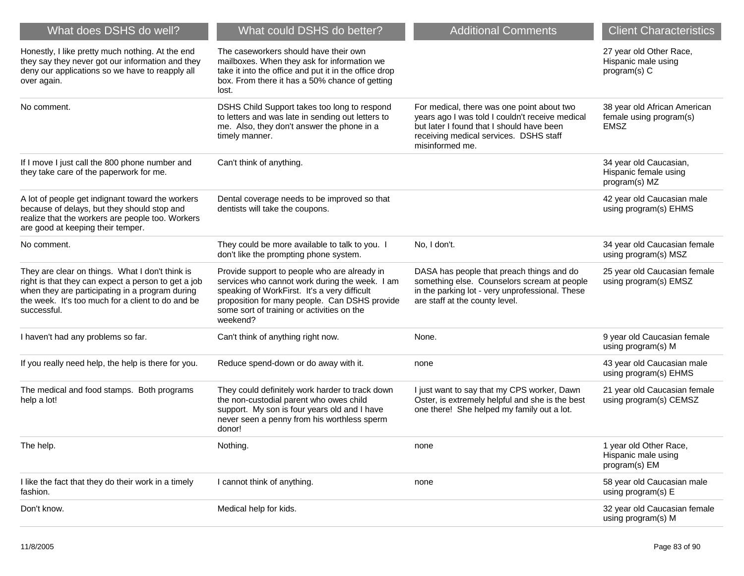| What does DSHS do well?                                                                                                                                                                                                       | What could DSHS do better?                                                                                                                                                                                                                                | <b>Additional Comments</b>                                                                                                                                                                              | <b>Client Characteristics</b>                                          |
|-------------------------------------------------------------------------------------------------------------------------------------------------------------------------------------------------------------------------------|-----------------------------------------------------------------------------------------------------------------------------------------------------------------------------------------------------------------------------------------------------------|---------------------------------------------------------------------------------------------------------------------------------------------------------------------------------------------------------|------------------------------------------------------------------------|
| Honestly, I like pretty much nothing. At the end<br>they say they never got our information and they<br>deny our applications so we have to reapply all<br>over again.                                                        | The caseworkers should have their own<br>mailboxes. When they ask for information we<br>take it into the office and put it in the office drop<br>box. From there it has a 50% chance of getting<br>lost.                                                  |                                                                                                                                                                                                         | 27 year old Other Race,<br>Hispanic male using<br>program(s) C         |
| No comment.                                                                                                                                                                                                                   | DSHS Child Support takes too long to respond<br>to letters and was late in sending out letters to<br>me. Also, they don't answer the phone in a<br>timely manner.                                                                                         | For medical, there was one point about two<br>years ago I was told I couldn't receive medical<br>but later I found that I should have been<br>receiving medical services. DSHS staff<br>misinformed me. | 38 year old African American<br>female using program(s)<br><b>EMSZ</b> |
| If I move I just call the 800 phone number and<br>they take care of the paperwork for me.                                                                                                                                     | Can't think of anything.                                                                                                                                                                                                                                  |                                                                                                                                                                                                         | 34 year old Caucasian,<br>Hispanic female using<br>program(s) MZ       |
| A lot of people get indignant toward the workers<br>because of delays, but they should stop and<br>realize that the workers are people too. Workers<br>are good at keeping their temper.                                      | Dental coverage needs to be improved so that<br>dentists will take the coupons.                                                                                                                                                                           |                                                                                                                                                                                                         | 42 year old Caucasian male<br>using program(s) EHMS                    |
| No comment.                                                                                                                                                                                                                   | They could be more available to talk to you. I<br>don't like the prompting phone system.                                                                                                                                                                  | No, I don't.                                                                                                                                                                                            | 34 year old Caucasian female<br>using program(s) MSZ                   |
| They are clear on things. What I don't think is<br>right is that they can expect a person to get a job<br>when they are participating in a program during<br>the week. It's too much for a client to do and be<br>successful. | Provide support to people who are already in<br>services who cannot work during the week. I am<br>speaking of WorkFirst. It's a very difficult<br>proposition for many people. Can DSHS provide<br>some sort of training or activities on the<br>weekend? | DASA has people that preach things and do<br>something else. Counselors scream at people<br>in the parking lot - very unprofessional. These<br>are staff at the county level.                           | 25 year old Caucasian female<br>using program(s) EMSZ                  |
| I haven't had any problems so far.                                                                                                                                                                                            | Can't think of anything right now.                                                                                                                                                                                                                        | None.                                                                                                                                                                                                   | 9 year old Caucasian female<br>using program(s) M                      |
| If you really need help, the help is there for you.                                                                                                                                                                           | Reduce spend-down or do away with it.                                                                                                                                                                                                                     | none                                                                                                                                                                                                    | 43 year old Caucasian male<br>using program(s) EHMS                    |
| The medical and food stamps. Both programs<br>help a lot!                                                                                                                                                                     | They could definitely work harder to track down<br>the non-custodial parent who owes child<br>support. My son is four years old and I have<br>never seen a penny from his worthless sperm<br>donor!                                                       | I just want to say that my CPS worker, Dawn<br>Oster, is extremely helpful and she is the best<br>one there! She helped my family out a lot.                                                            | 21 year old Caucasian female<br>using program(s) CEMSZ                 |
| The help.                                                                                                                                                                                                                     | Nothing.                                                                                                                                                                                                                                                  | none                                                                                                                                                                                                    | 1 year old Other Race,<br>Hispanic male using<br>program(s) EM         |
| I like the fact that they do their work in a timely<br>fashion.                                                                                                                                                               | I cannot think of anything.                                                                                                                                                                                                                               | none                                                                                                                                                                                                    | 58 year old Caucasian male<br>using program(s) E                       |
| Don't know.                                                                                                                                                                                                                   | Medical help for kids.                                                                                                                                                                                                                                    |                                                                                                                                                                                                         | 32 year old Caucasian female<br>using program(s) M                     |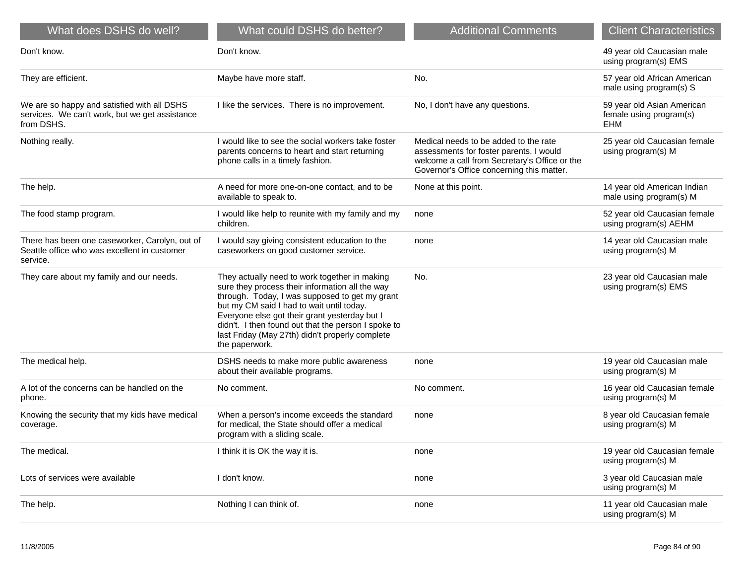| What does DSHS do well?                                                                                     | What could DSHS do better?                                                                                                                                                                                                                                                                                                                                                   | <b>Additional Comments</b>                                                                                                                                                     | <b>Client Characteristics</b>                                |
|-------------------------------------------------------------------------------------------------------------|------------------------------------------------------------------------------------------------------------------------------------------------------------------------------------------------------------------------------------------------------------------------------------------------------------------------------------------------------------------------------|--------------------------------------------------------------------------------------------------------------------------------------------------------------------------------|--------------------------------------------------------------|
| Don't know.                                                                                                 | Don't know.                                                                                                                                                                                                                                                                                                                                                                  |                                                                                                                                                                                | 49 year old Caucasian male<br>using program(s) EMS           |
| They are efficient.                                                                                         | Maybe have more staff.                                                                                                                                                                                                                                                                                                                                                       | No.                                                                                                                                                                            | 57 year old African American<br>male using program(s) S      |
| We are so happy and satisfied with all DSHS<br>services. We can't work, but we get assistance<br>from DSHS. | I like the services. There is no improvement.                                                                                                                                                                                                                                                                                                                                | No, I don't have any questions.                                                                                                                                                | 59 year old Asian American<br>female using program(s)<br>EHM |
| Nothing really.                                                                                             | I would like to see the social workers take foster<br>parents concerns to heart and start returning<br>phone calls in a timely fashion.                                                                                                                                                                                                                                      | Medical needs to be added to the rate<br>assessments for foster parents. I would<br>welcome a call from Secretary's Office or the<br>Governor's Office concerning this matter. | 25 year old Caucasian female<br>using program(s) M           |
| The help.                                                                                                   | A need for more one-on-one contact, and to be<br>available to speak to.                                                                                                                                                                                                                                                                                                      | None at this point.                                                                                                                                                            | 14 year old American Indian<br>male using program(s) M       |
| The food stamp program.                                                                                     | I would like help to reunite with my family and my<br>children.                                                                                                                                                                                                                                                                                                              | none                                                                                                                                                                           | 52 year old Caucasian female<br>using program(s) AEHM        |
| There has been one caseworker, Carolyn, out of<br>Seattle office who was excellent in customer<br>service.  | I would say giving consistent education to the<br>caseworkers on good customer service.                                                                                                                                                                                                                                                                                      | none                                                                                                                                                                           | 14 year old Caucasian male<br>using program(s) M             |
| They care about my family and our needs.                                                                    | They actually need to work together in making<br>sure they process their information all the way<br>through. Today, I was supposed to get my grant<br>but my CM said I had to wait until today.<br>Everyone else got their grant yesterday but I<br>didn't. I then found out that the person I spoke to<br>last Friday (May 27th) didn't properly complete<br>the paperwork. | No.                                                                                                                                                                            | 23 year old Caucasian male<br>using program(s) EMS           |
| The medical help.                                                                                           | DSHS needs to make more public awareness<br>about their available programs.                                                                                                                                                                                                                                                                                                  | none                                                                                                                                                                           | 19 year old Caucasian male<br>using program(s) M             |
| A lot of the concerns can be handled on the<br>phone.                                                       | No comment.                                                                                                                                                                                                                                                                                                                                                                  | No comment.                                                                                                                                                                    | 16 year old Caucasian female<br>using program(s) M           |
| Knowing the security that my kids have medical<br>coverage.                                                 | When a person's income exceeds the standard<br>for medical, the State should offer a medical<br>program with a sliding scale.                                                                                                                                                                                                                                                | none                                                                                                                                                                           | 8 year old Caucasian female<br>using program(s) M            |
| The medical.                                                                                                | I think it is OK the way it is.                                                                                                                                                                                                                                                                                                                                              | none                                                                                                                                                                           | 19 year old Caucasian female<br>using program(s) M           |
| Lots of services were available                                                                             | I don't know.                                                                                                                                                                                                                                                                                                                                                                | none                                                                                                                                                                           | 3 year old Caucasian male<br>using program(s) M              |
| The help.                                                                                                   | Nothing I can think of.                                                                                                                                                                                                                                                                                                                                                      | none                                                                                                                                                                           | 11 year old Caucasian male<br>using program(s) M             |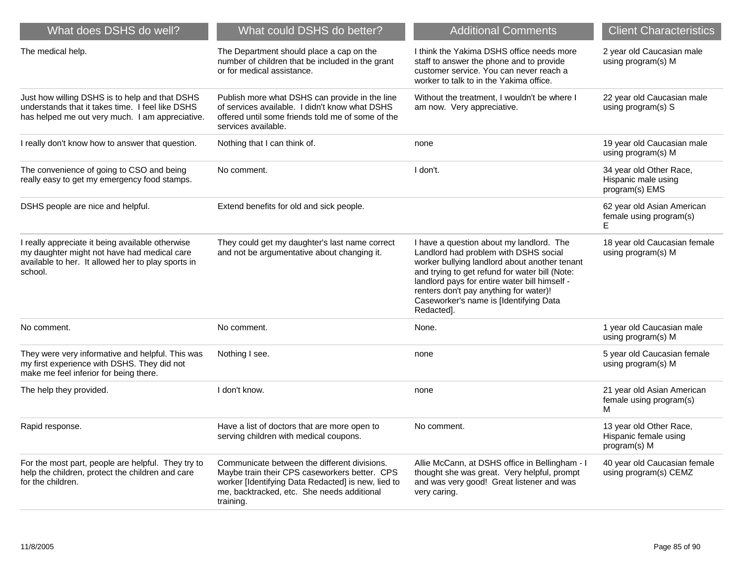| What does DSHS do well?                                                                                                                                          | What could DSHS do better?                                                                                                                                                                                     | <b>Additional Comments</b>                                                                                                                                                                                                                                                                                                              | <b>Client Characteristics</b>                                    |
|------------------------------------------------------------------------------------------------------------------------------------------------------------------|----------------------------------------------------------------------------------------------------------------------------------------------------------------------------------------------------------------|-----------------------------------------------------------------------------------------------------------------------------------------------------------------------------------------------------------------------------------------------------------------------------------------------------------------------------------------|------------------------------------------------------------------|
| The medical help.                                                                                                                                                | The Department should place a cap on the<br>number of children that be included in the grant<br>or for medical assistance.                                                                                     | I think the Yakima DSHS office needs more<br>staff to answer the phone and to provide<br>customer service. You can never reach a<br>worker to talk to in the Yakima office.                                                                                                                                                             | 2 year old Caucasian male<br>using program(s) M                  |
| Just how willing DSHS is to help and that DSHS<br>understands that it takes time. I feel like DSHS<br>has helped me out very much. I am appreciative.            | Publish more what DSHS can provide in the line<br>of services available. I didn't know what DSHS<br>offered until some friends told me of some of the<br>services available.                                   | Without the treatment. I wouldn't be where I<br>am now. Very appreciative.                                                                                                                                                                                                                                                              | 22 year old Caucasian male<br>using program(s) S                 |
| I really don't know how to answer that question.                                                                                                                 | Nothing that I can think of.                                                                                                                                                                                   | none                                                                                                                                                                                                                                                                                                                                    | 19 year old Caucasian male<br>using program(s) M                 |
| The convenience of going to CSO and being<br>really easy to get my emergency food stamps.                                                                        | No comment.                                                                                                                                                                                                    | I don't.                                                                                                                                                                                                                                                                                                                                | 34 year old Other Race,<br>Hispanic male using<br>program(s) EMS |
| DSHS people are nice and helpful.                                                                                                                                | Extend benefits for old and sick people.                                                                                                                                                                       |                                                                                                                                                                                                                                                                                                                                         | 62 year old Asian American<br>female using program(s)<br>E       |
| I really appreciate it being available otherwise<br>my daughter might not have had medical care<br>available to her. It allowed her to play sports in<br>school. | They could get my daughter's last name correct<br>and not be argumentative about changing it.                                                                                                                  | I have a question about my landlord. The<br>Landlord had problem with DSHS social<br>worker bullying landlord about another tenant<br>and trying to get refund for water bill (Note:<br>landlord pays for entire water bill himself -<br>renters don't pay anything for water)!<br>Caseworker's name is [Identifying Data<br>Redacted]. | 18 year old Caucasian female<br>using program(s) M               |
| No comment.                                                                                                                                                      | No comment.                                                                                                                                                                                                    | None.                                                                                                                                                                                                                                                                                                                                   | 1 year old Caucasian male<br>using program(s) M                  |
| They were very informative and helpful. This was<br>my first experience with DSHS. They did not<br>make me feel inferior for being there.                        | Nothing I see.                                                                                                                                                                                                 | none                                                                                                                                                                                                                                                                                                                                    | 5 year old Caucasian female<br>using program(s) M                |
| The help they provided.                                                                                                                                          | I don't know.                                                                                                                                                                                                  | none                                                                                                                                                                                                                                                                                                                                    | 21 year old Asian American<br>female using program(s)<br>м       |
| Rapid response.                                                                                                                                                  | Have a list of doctors that are more open to<br>serving children with medical coupons.                                                                                                                         | No comment.                                                                                                                                                                                                                                                                                                                             | 13 year old Other Race,<br>Hispanic female using<br>program(s) M |
| For the most part, people are helpful. They try to<br>help the children, protect the children and care<br>for the children.                                      | Communicate between the different divisions.<br>Maybe train their CPS caseworkers better. CPS<br>worker [Identifying Data Redacted] is new, lied to<br>me, backtracked, etc. She needs additional<br>training. | Allie McCann, at DSHS office in Bellingham - I<br>thought she was great. Very helpful, prompt<br>and was very good! Great listener and was<br>very caring.                                                                                                                                                                              | 40 year old Caucasian female<br>using program(s) CEMZ            |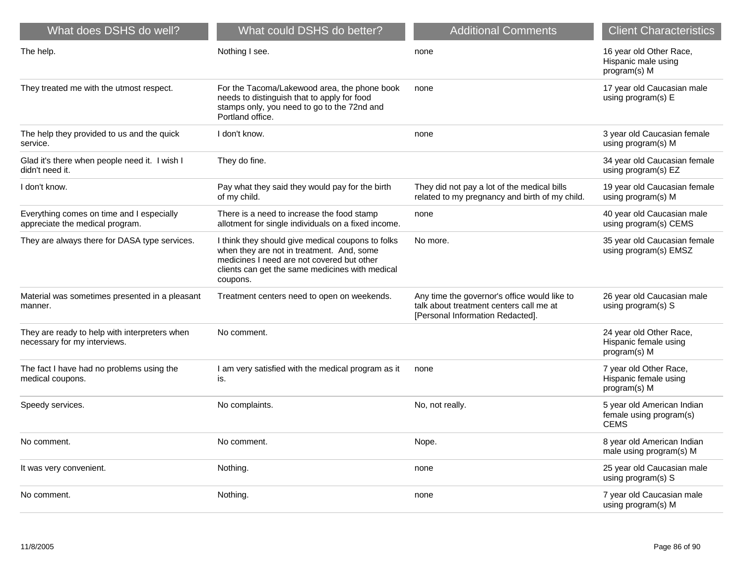| What does DSHS do well?                                                       | What could DSHS do better?                                                                                                                                                                                  | <b>Additional Comments</b>                                                                                                  | <b>Client Characteristics</b>                                        |
|-------------------------------------------------------------------------------|-------------------------------------------------------------------------------------------------------------------------------------------------------------------------------------------------------------|-----------------------------------------------------------------------------------------------------------------------------|----------------------------------------------------------------------|
| The help.                                                                     | Nothing I see.                                                                                                                                                                                              | none                                                                                                                        | 16 year old Other Race,<br>Hispanic male using<br>program(s) M       |
| They treated me with the utmost respect.                                      | For the Tacoma/Lakewood area, the phone book<br>needs to distinguish that to apply for food<br>stamps only, you need to go to the 72nd and<br>Portland office.                                              | none                                                                                                                        | 17 year old Caucasian male<br>using program(s) E                     |
| The help they provided to us and the quick<br>service.                        | I don't know.                                                                                                                                                                                               | none                                                                                                                        | 3 year old Caucasian female<br>using program(s) M                    |
| Glad it's there when people need it. I wish I<br>didn't need it.              | They do fine.                                                                                                                                                                                               |                                                                                                                             | 34 year old Caucasian female<br>using program(s) EZ                  |
| I don't know.                                                                 | Pay what they said they would pay for the birth<br>of my child.                                                                                                                                             | They did not pay a lot of the medical bills<br>related to my pregnancy and birth of my child.                               | 19 year old Caucasian female<br>using program(s) M                   |
| Everything comes on time and I especially<br>appreciate the medical program.  | There is a need to increase the food stamp<br>allotment for single individuals on a fixed income.                                                                                                           | none                                                                                                                        | 40 year old Caucasian male<br>using program(s) CEMS                  |
| They are always there for DASA type services.                                 | I think they should give medical coupons to folks<br>when they are not in treatment. And, some<br>medicines I need are not covered but other<br>clients can get the same medicines with medical<br>coupons. | No more.                                                                                                                    | 35 year old Caucasian female<br>using program(s) EMSZ                |
| Material was sometimes presented in a pleasant<br>manner.                     | Treatment centers need to open on weekends.                                                                                                                                                                 | Any time the governor's office would like to<br>talk about treatment centers call me at<br>[Personal Information Redacted]. | 26 year old Caucasian male<br>using program(s) S                     |
| They are ready to help with interpreters when<br>necessary for my interviews. | No comment.                                                                                                                                                                                                 |                                                                                                                             | 24 year old Other Race,<br>Hispanic female using<br>program(s) M     |
| The fact I have had no problems using the<br>medical coupons.                 | I am very satisfied with the medical program as it<br>is.                                                                                                                                                   | none                                                                                                                        | 7 year old Other Race,<br>Hispanic female using<br>program(s) M      |
| Speedy services.                                                              | No complaints.                                                                                                                                                                                              | No, not really.                                                                                                             | 5 year old American Indian<br>female using program(s)<br><b>CEMS</b> |
| No comment.                                                                   | No comment.                                                                                                                                                                                                 | Nope.                                                                                                                       | 8 year old American Indian<br>male using program(s) M                |
| It was very convenient.                                                       | Nothing.                                                                                                                                                                                                    | none                                                                                                                        | 25 year old Caucasian male<br>using program(s) S                     |
| No comment.                                                                   | Nothing.                                                                                                                                                                                                    | none                                                                                                                        | 7 year old Caucasian male<br>using program(s) M                      |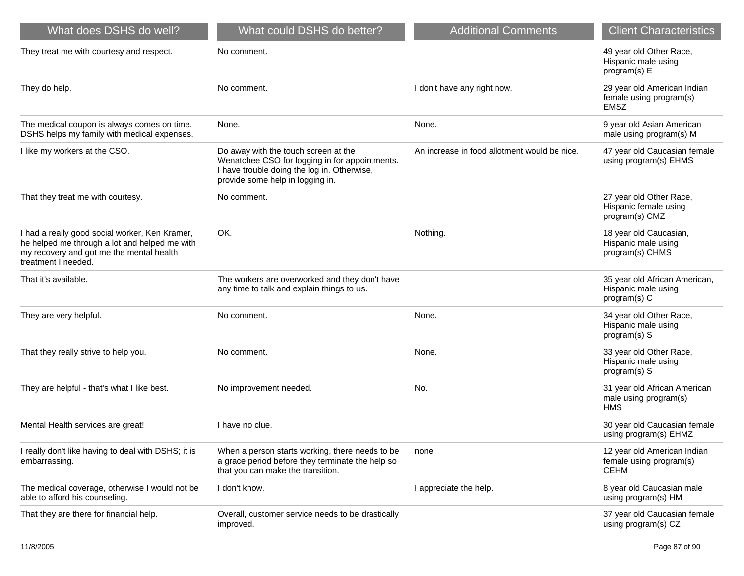| What does DSHS do well?                                                                                                                                            | What could DSHS do better?                                                                                                                                                | <b>Additional Comments</b>                   | <b>Client Characteristics</b>                                         |
|--------------------------------------------------------------------------------------------------------------------------------------------------------------------|---------------------------------------------------------------------------------------------------------------------------------------------------------------------------|----------------------------------------------|-----------------------------------------------------------------------|
| They treat me with courtesy and respect.                                                                                                                           | No comment.                                                                                                                                                               |                                              | 49 year old Other Race,<br>Hispanic male using<br>program(s) E        |
| They do help.                                                                                                                                                      | No comment.                                                                                                                                                               | I don't have any right now.                  | 29 year old American Indian<br>female using program(s)<br><b>EMSZ</b> |
| The medical coupon is always comes on time.<br>DSHS helps my family with medical expenses.                                                                         | None.                                                                                                                                                                     | None.                                        | 9 year old Asian American<br>male using program(s) M                  |
| I like my workers at the CSO.                                                                                                                                      | Do away with the touch screen at the<br>Wenatchee CSO for logging in for appointments.<br>I have trouble doing the log in. Otherwise,<br>provide some help in logging in. | An increase in food allotment would be nice. | 47 year old Caucasian female<br>using program(s) EHMS                 |
| That they treat me with courtesy.                                                                                                                                  | No comment.                                                                                                                                                               |                                              | 27 year old Other Race,<br>Hispanic female using<br>program(s) CMZ    |
| I had a really good social worker, Ken Kramer,<br>he helped me through a lot and helped me with<br>my recovery and got me the mental health<br>treatment I needed. | OK.                                                                                                                                                                       | Nothing.                                     | 18 year old Caucasian,<br>Hispanic male using<br>program(s) CHMS      |
| That it's available.                                                                                                                                               | The workers are overworked and they don't have<br>any time to talk and explain things to us.                                                                              |                                              | 35 year old African American,<br>Hispanic male using<br>program(s) C  |
| They are very helpful.                                                                                                                                             | No comment.                                                                                                                                                               | None.                                        | 34 year old Other Race,<br>Hispanic male using<br>program(s) S        |
| That they really strive to help you.                                                                                                                               | No comment.                                                                                                                                                               | None.                                        | 33 year old Other Race,<br>Hispanic male using<br>program(s) S        |
| They are helpful - that's what I like best.                                                                                                                        | No improvement needed.                                                                                                                                                    | No.                                          | 31 year old African American<br>male using program(s)<br><b>HMS</b>   |
| Mental Health services are great!                                                                                                                                  | I have no clue.                                                                                                                                                           |                                              | 30 year old Caucasian female<br>using program(s) EHMZ                 |
| I really don't like having to deal with DSHS; it is<br>embarrassing.                                                                                               | When a person starts working, there needs to be<br>a grace period before they terminate the help so<br>that you can make the transition.                                  | none                                         | 12 year old American Indian<br>female using program(s)<br><b>CEHM</b> |
| The medical coverage, otherwise I would not be<br>able to afford his counseling.                                                                                   | I don't know.                                                                                                                                                             | I appreciate the help.                       | 8 year old Caucasian male<br>using program(s) HM                      |
| That they are there for financial help.                                                                                                                            | Overall, customer service needs to be drastically<br>improved.                                                                                                            |                                              | 37 year old Caucasian female<br>using program(s) CZ                   |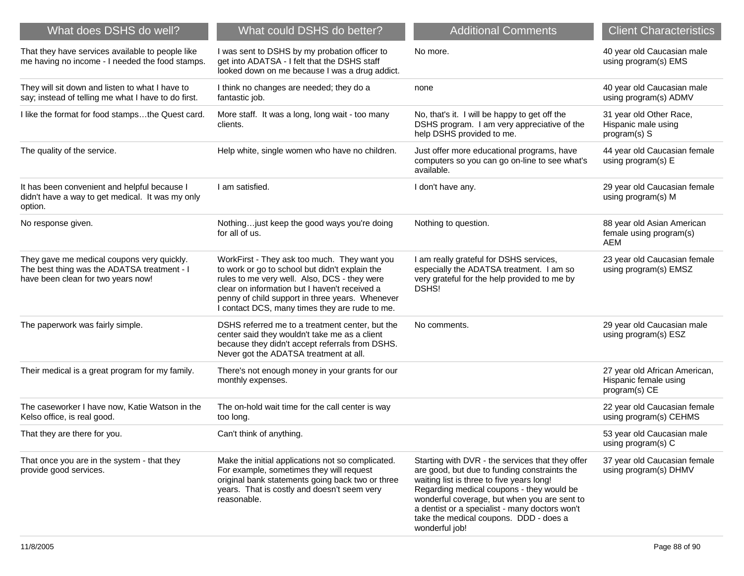| What does DSHS do well?                                                                                                         | What could DSHS do better?                                                                                                                                                                                                                                                                           | <b>Additional Comments</b>                                                                                                                                                                                                                                                                                                                               | <b>Client Characteristics</b>                                           |
|---------------------------------------------------------------------------------------------------------------------------------|------------------------------------------------------------------------------------------------------------------------------------------------------------------------------------------------------------------------------------------------------------------------------------------------------|----------------------------------------------------------------------------------------------------------------------------------------------------------------------------------------------------------------------------------------------------------------------------------------------------------------------------------------------------------|-------------------------------------------------------------------------|
| That they have services available to people like<br>me having no income - I needed the food stamps.                             | I was sent to DSHS by my probation officer to<br>get into ADATSA - I felt that the DSHS staff<br>looked down on me because I was a drug addict.                                                                                                                                                      | No more.                                                                                                                                                                                                                                                                                                                                                 | 40 year old Caucasian male<br>using program(s) EMS                      |
| They will sit down and listen to what I have to<br>say; instead of telling me what I have to do first.                          | I think no changes are needed; they do a<br>fantastic job.                                                                                                                                                                                                                                           | none                                                                                                                                                                                                                                                                                                                                                     | 40 year old Caucasian male<br>using program(s) ADMV                     |
| I like the format for food stampsthe Quest card.                                                                                | More staff. It was a long, long wait - too many<br>clients.                                                                                                                                                                                                                                          | No, that's it. I will be happy to get off the<br>DSHS program. I am very appreciative of the<br>help DSHS provided to me.                                                                                                                                                                                                                                | 31 year old Other Race,<br>Hispanic male using<br>program(s) S          |
| The quality of the service.                                                                                                     | Help white, single women who have no children.                                                                                                                                                                                                                                                       | Just offer more educational programs, have<br>computers so you can go on-line to see what's<br>available.                                                                                                                                                                                                                                                | 44 year old Caucasian female<br>using program(s) E                      |
| It has been convenient and helpful because I<br>didn't have a way to get medical. It was my only<br>option.                     | I am satisfied.                                                                                                                                                                                                                                                                                      | I don't have any.                                                                                                                                                                                                                                                                                                                                        | 29 year old Caucasian female<br>using program(s) M                      |
| No response given.                                                                                                              | Nothingjust keep the good ways you're doing<br>for all of us.                                                                                                                                                                                                                                        | Nothing to question.                                                                                                                                                                                                                                                                                                                                     | 88 year old Asian American<br>female using program(s)<br>AEM            |
| They gave me medical coupons very quickly.<br>The best thing was the ADATSA treatment - I<br>have been clean for two years now! | WorkFirst - They ask too much. They want you<br>to work or go to school but didn't explain the<br>rules to me very well. Also, DCS - they were<br>clear on information but I haven't received a<br>penny of child support in three years. Whenever<br>I contact DCS, many times they are rude to me. | I am really grateful for DSHS services,<br>especially the ADATSA treatment. I am so<br>very grateful for the help provided to me by<br><b>DSHS!</b>                                                                                                                                                                                                      | 23 year old Caucasian female<br>using program(s) EMSZ                   |
| The paperwork was fairly simple.                                                                                                | DSHS referred me to a treatment center, but the<br>center said they wouldn't take me as a client<br>because they didn't accept referrals from DSHS.<br>Never got the ADATSA treatment at all.                                                                                                        | No comments.                                                                                                                                                                                                                                                                                                                                             | 29 year old Caucasian male<br>using program(s) ESZ                      |
| Their medical is a great program for my family.                                                                                 | There's not enough money in your grants for our<br>monthly expenses.                                                                                                                                                                                                                                 |                                                                                                                                                                                                                                                                                                                                                          | 27 year old African American,<br>Hispanic female using<br>program(s) CE |
| The caseworker I have now, Katie Watson in the<br>Kelso office, is real good.                                                   | The on-hold wait time for the call center is way<br>too long.                                                                                                                                                                                                                                        |                                                                                                                                                                                                                                                                                                                                                          | 22 year old Caucasian female<br>using program(s) CEHMS                  |
| That they are there for you.                                                                                                    | Can't think of anything.                                                                                                                                                                                                                                                                             |                                                                                                                                                                                                                                                                                                                                                          | 53 year old Caucasian male<br>using program(s) C                        |
| That once you are in the system - that they<br>provide good services.                                                           | Make the initial applications not so complicated.<br>For example, sometimes they will request<br>original bank statements going back two or three<br>years. That is costly and doesn't seem very<br>reasonable.                                                                                      | Starting with DVR - the services that they offer<br>are good, but due to funding constraints the<br>waiting list is three to five years long!<br>Regarding medical coupons - they would be<br>wonderful coverage, but when you are sent to<br>a dentist or a specialist - many doctors won't<br>take the medical coupons. DDD - does a<br>wonderful job! | 37 year old Caucasian female<br>using program(s) DHMV                   |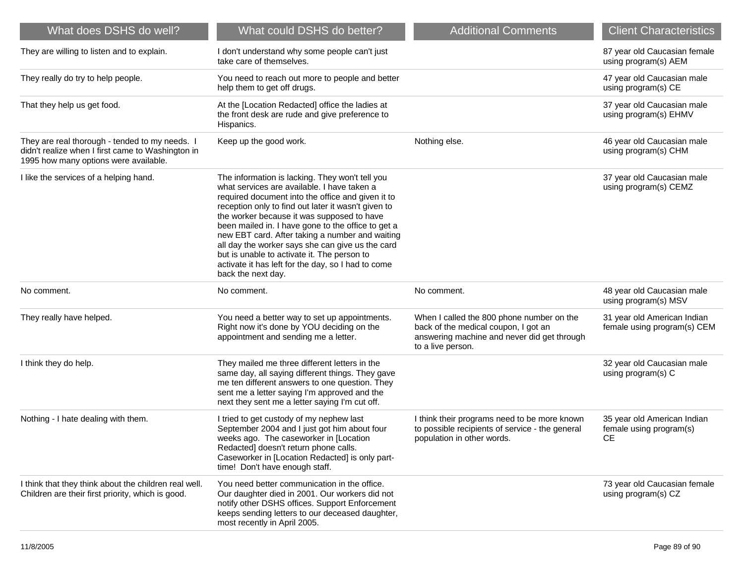| What does DSHS do well?                                                                                                                      | What could DSHS do better?                                                                                                                                                                                                                                                                                                                                                                                                                                                                                                                       | <b>Additional Comments</b>                                                                                                                            | <b>Client Characteristics</b>                                       |
|----------------------------------------------------------------------------------------------------------------------------------------------|--------------------------------------------------------------------------------------------------------------------------------------------------------------------------------------------------------------------------------------------------------------------------------------------------------------------------------------------------------------------------------------------------------------------------------------------------------------------------------------------------------------------------------------------------|-------------------------------------------------------------------------------------------------------------------------------------------------------|---------------------------------------------------------------------|
| They are willing to listen and to explain.                                                                                                   | I don't understand why some people can't just<br>take care of themselves.                                                                                                                                                                                                                                                                                                                                                                                                                                                                        |                                                                                                                                                       | 87 year old Caucasian female<br>using program(s) AEM                |
| They really do try to help people.                                                                                                           | You need to reach out more to people and better<br>help them to get off drugs.                                                                                                                                                                                                                                                                                                                                                                                                                                                                   |                                                                                                                                                       | 47 year old Caucasian male<br>using program(s) CE                   |
| That they help us get food.                                                                                                                  | At the [Location Redacted] office the ladies at<br>the front desk are rude and give preference to<br>Hispanics.                                                                                                                                                                                                                                                                                                                                                                                                                                  |                                                                                                                                                       | 37 year old Caucasian male<br>using program(s) EHMV                 |
| They are real thorough - tended to my needs. I<br>didn't realize when I first came to Washington in<br>1995 how many options were available. | Keep up the good work.                                                                                                                                                                                                                                                                                                                                                                                                                                                                                                                           | Nothing else.                                                                                                                                         | 46 year old Caucasian male<br>using program(s) CHM                  |
| I like the services of a helping hand.                                                                                                       | The information is lacking. They won't tell you<br>what services are available. I have taken a<br>required document into the office and given it to<br>reception only to find out later it wasn't given to<br>the worker because it was supposed to have<br>been mailed in. I have gone to the office to get a<br>new EBT card. After taking a number and waiting<br>all day the worker says she can give us the card<br>but is unable to activate it. The person to<br>activate it has left for the day, so I had to come<br>back the next day. |                                                                                                                                                       | 37 year old Caucasian male<br>using program(s) CEMZ                 |
| No comment.                                                                                                                                  | No comment.                                                                                                                                                                                                                                                                                                                                                                                                                                                                                                                                      | No comment.                                                                                                                                           | 48 year old Caucasian male<br>using program(s) MSV                  |
| They really have helped.                                                                                                                     | You need a better way to set up appointments.<br>Right now it's done by YOU deciding on the<br>appointment and sending me a letter.                                                                                                                                                                                                                                                                                                                                                                                                              | When I called the 800 phone number on the<br>back of the medical coupon, I got an<br>answering machine and never did get through<br>to a live person. | 31 year old American Indian<br>female using program(s) CEM          |
| I think they do help.                                                                                                                        | They mailed me three different letters in the<br>same day, all saying different things. They gave<br>me ten different answers to one question. They<br>sent me a letter saying I'm approved and the<br>next they sent me a letter saying I'm cut off.                                                                                                                                                                                                                                                                                            |                                                                                                                                                       | 32 year old Caucasian male<br>using program(s) C                    |
| Nothing - I hate dealing with them.                                                                                                          | I tried to get custody of my nephew last<br>September 2004 and I just got him about four<br>weeks ago. The caseworker in [Location<br>Redacted] doesn't return phone calls.<br>Caseworker in [Location Redacted] is only part-<br>time! Don't have enough staff.                                                                                                                                                                                                                                                                                 | I think their programs need to be more known<br>to possible recipients of service - the general<br>population in other words.                         | 35 year old American Indian<br>female using program(s)<br><b>CE</b> |
| I think that they think about the children real well.<br>Children are their first priority, which is good.                                   | You need better communication in the office.<br>Our daughter died in 2001. Our workers did not<br>notify other DSHS offices. Support Enforcement<br>keeps sending letters to our deceased daughter,<br>most recently in April 2005.                                                                                                                                                                                                                                                                                                              |                                                                                                                                                       | 73 year old Caucasian female<br>using program(s) CZ                 |